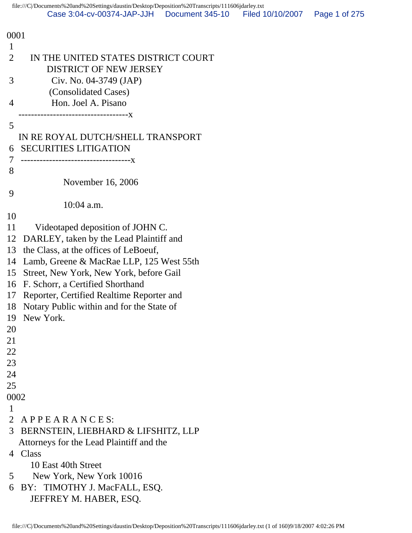| 0001                                                                      |  |
|---------------------------------------------------------------------------|--|
| 1                                                                         |  |
| 2<br>IN THE UNITED STATES DISTRICT COURT<br><b>DISTRICT OF NEW JERSEY</b> |  |
| 3<br>Civ. No. 04-3749 (JAP)                                               |  |
| (Consolidated Cases)                                                      |  |
| Hon. Joel A. Pisano<br>4                                                  |  |
| .-----------------------------X                                           |  |
| 5                                                                         |  |
| IN RE ROYAL DUTCH/SHELL TRANSPORT                                         |  |
| <b>SECURITIES LITIGATION</b><br>6                                         |  |
| 7<br>.----------------------------------X                                 |  |
| 8                                                                         |  |
| November 16, 2006                                                         |  |
| 9                                                                         |  |
| $10:04$ a.m.                                                              |  |
| 10                                                                        |  |
| 11<br>Videotaped deposition of JOHN C.                                    |  |
| DARLEY, taken by the Lead Plaintiff and<br>12                             |  |
| the Class, at the offices of LeBoeuf,<br>13                               |  |
| Lamb, Greene & MacRae LLP, 125 West 55th<br>14                            |  |
| 15<br>Street, New York, New York, before Gail                             |  |
| F. Schorr, a Certified Shorthand<br>16                                    |  |
| Reporter, Certified Realtime Reporter and<br>17                           |  |
| Notary Public within and for the State of<br>18                           |  |
| New York.<br>19                                                           |  |
| 20                                                                        |  |
| 21                                                                        |  |
| 22                                                                        |  |
| 23                                                                        |  |
| 24                                                                        |  |
| 25                                                                        |  |
| 0002                                                                      |  |
| 1                                                                         |  |
| $\overline{2}$<br>APPEARANCES:                                            |  |
| 3<br>BERNSTEIN, LIEBHARD & LIFSHITZ, LLP                                  |  |
| Attorneys for the Lead Plaintiff and the                                  |  |
| 4 Class                                                                   |  |
| 10 East 40th Street                                                       |  |
| New York, New York 10016<br>5                                             |  |
| BY: TIMOTHY J. MacFALL, ESQ.<br>6                                         |  |
| JEFFREY M. HABER, ESQ.                                                    |  |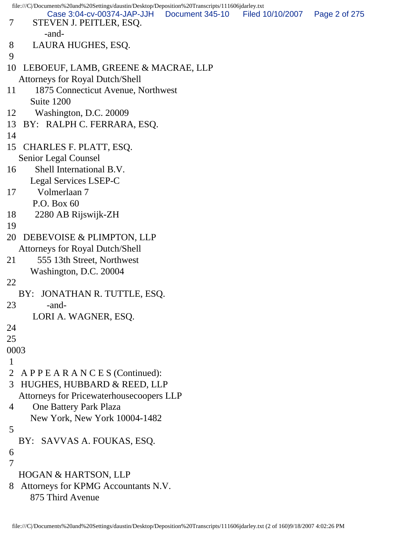```
file:///C|/Documents%20and%20Settings/daustin/Desktop/Deposition%20Transcripts/111606jdarley.txt
 7 STEVEN J. PEITLER, ESQ.
         -and-
 8 LAURA HUGHES, ESQ.
 9 
10 LEBOEUF, LAMB, GREENE & MACRAE, LLP
   Attorneys for Royal Dutch/Shell
11 1875 Connecticut Avenue, Northwest
      Suite 1200
12 Washington, D.C. 20009
13 BY: RALPH C. FERRARA, ESQ.
14 
15 CHARLES F. PLATT, ESQ.
   Senior Legal Counsel
16 Shell International B.V.
      Legal Services LSEP-C
17 Volmerlaan 7
       P.O. Box 60
18 2280 AB Rijswijk-ZH
19 
20 DEBEVOISE & PLIMPTON, LLP
   Attorneys for Royal Dutch/Shell
21 555 13th Street, Northwest
      Washington, D.C. 20004
22 
   BY: JONATHAN R. TUTTLE, ESQ.
23 -and-
       LORI A. WAGNER, ESQ.
24 
25 
0003
 1 
 2 A P P E A R A N C E S (Continued):
 3 HUGHES, HUBBARD & REED, LLP
   Attorneys for Pricewaterhousecoopers LLP
 4 One Battery Park Plaza
      New York, New York 10004-1482
 5 
   BY: SAVVAS A. FOUKAS, ESQ.
 6 
 7 
   HOGAN & HARTSON, LLP
 8 Attorneys for KPMG Accountants N.V.
      875 Third Avenue
         Case 3:04-cv-00374-JAP-JJH Document 345-10 Filed 10/10/2007 Page 2 of 275
```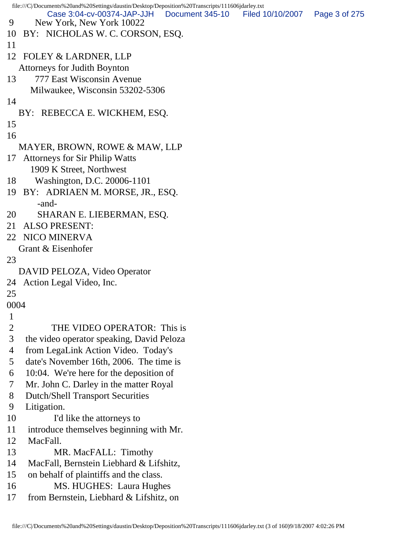```
file:///C|/Documents%20and%20Settings/daustin/Desktop/Deposition%20Transcripts/111606jdarley.txt
 9 New York, New York 10022
10 BY: NICHOLAS W. C. CORSON, ESQ.
11 
12 FOLEY & LARDNER, LLP
   Attorneys for Judith Boynton
13 777 East Wisconsin Avenue
      Milwaukee, Wisconsin 53202-5306
14 
   BY: REBECCA E. WICKHEM, ESQ.
15 
16 
   MAYER, BROWN, ROWE & MAW, LLP
17 Attorneys for Sir Philip Watts
      1909 K Street, Northwest
18 Washington, D.C. 20006-1101
19 BY: ADRIAEN M. MORSE, JR., ESQ.
        -and-
20 SHARAN E. LIEBERMAN, ESQ.
21 ALSO PRESENT:
22 NICO MINERVA
   Grant & Eisenhofer
23 
   DAVID PELOZA, Video Operator
24 Action Legal Video, Inc.
25 
0004
 1 
 2 THE VIDEO OPERATOR: This is
 3 the video operator speaking, David Peloza
 4 from LegaLink Action Video. Today's
 5 date's November 16th, 2006. The time is
 6 10:04. We're here for the deposition of
 7 Mr. John C. Darley in the matter Royal
 8 Dutch/Shell Transport Securities
 9 Litigation.
10 I'd like the attorneys to
11 introduce themselves beginning with Mr.
12 MacFall.
13 MR. MacFALL: Timothy
14 MacFall, Bernstein Liebhard & Lifshitz,
15 on behalf of plaintiffs and the class.
16 MS. HUGHES: Laura Hughes
17 from Bernstein, Liebhard & Lifshitz, on
         Case 3:04-cv-00374-JAP-JJH Document 345-10 Filed 10/10/2007 Page 3 of 275
```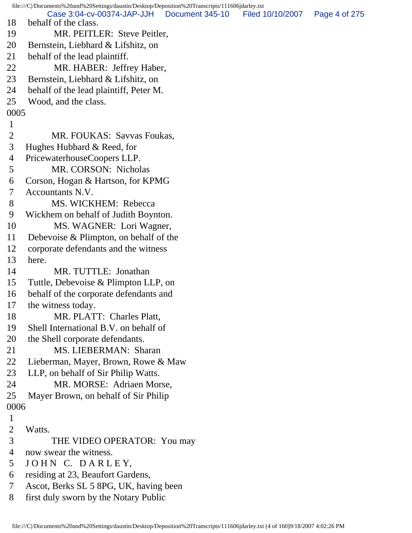file:///C|/Documents%20and%20Settings/daustin/Desktop/Deposition%20Transcripts/111606jdarley.txt 18 behalf of the class. 19 MR. PEITLER: Steve Peitler, 20 Bernstein, Liebhard & Lifshitz, on 21 behalf of the lead plaintiff. 22 MR. HABER: Jeffrey Haber, 23 Bernstein, Liebhard & Lifshitz, on 24 behalf of the lead plaintiff, Peter M. 25 Wood, and the class. 0005 1 2 MR. FOUKAS: Savvas Foukas, 3 Hughes Hubbard & Reed, for 4 PricewaterhouseCoopers LLP. 5 MR. CORSON: Nicholas 6 Corson, Hogan & Hartson, for KPMG 7 Accountants N.V. 8 MS. WICKHEM: Rebecca 9 Wickhem on behalf of Judith Boynton. 10 MS. WAGNER: Lori Wagner, 11 Debevoise & Plimpton, on behalf of the 12 corporate defendants and the witness 13 here. 14 MR. TUTTLE: Jonathan 15 Tuttle, Debevoise & Plimpton LLP, on 16 behalf of the corporate defendants and 17 the witness today. 18 MR. PLATT: Charles Platt, 19 Shell International B.V. on behalf of 20 the Shell corporate defendants. 21 MS. LIEBERMAN: Sharan 22 Lieberman, Mayer, Brown, Rowe & Maw 23 LLP, on behalf of Sir Philip Watts. 24 MR. MORSE: Adriaen Morse, 25 Mayer Brown, on behalf of Sir Philip 0006 1 2 Watts. 3 THE VIDEO OPERATOR: You may 4 now swear the witness. 5 JOHN C. DARLEY, 6 residing at 23, Beaufort Gardens, 7 Ascot, Berks SL 5 8PG, UK, having been 8 first duly sworn by the Notary Public Case 3:04-cv-00374-JAP-JJH Document 345-10 Filed 10/10/2007 Page 4 of 275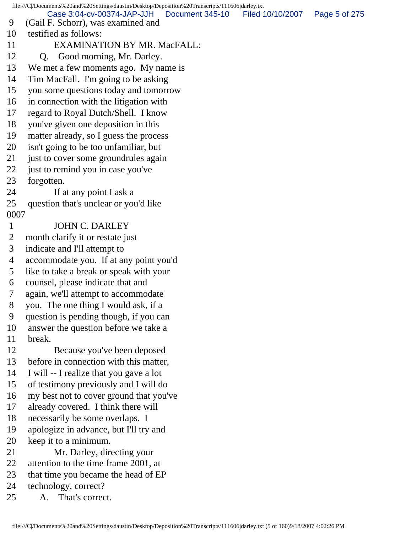file:///C|/Documents%20and%20Settings/daustin/Desktop/Deposition%20Transcripts/111606jdarley.txt 9 (Gail F. Schorr), was examined and 10 testified as follows: 11 EXAMINATION BY MR. MacFALL: 12 Q. Good morning, Mr. Darley. 13 We met a few moments ago. My name is 14 Tim MacFall. I'm going to be asking 15 you some questions today and tomorrow 16 in connection with the litigation with 17 regard to Royal Dutch/Shell. I know 18 you've given one deposition in this 19 matter already, so I guess the process 20 isn't going to be too unfamiliar, but 21 just to cover some groundrules again 22 just to remind you in case you've 23 forgotten. 24 If at any point I ask a 25 question that's unclear or you'd like 0007 1 JOHN C. DARLEY 2 month clarify it or restate just 3 indicate and I'll attempt to 4 accommodate you. If at any point you'd 5 like to take a break or speak with your 6 counsel, please indicate that and 7 again, we'll attempt to accommodate 8 you. The one thing I would ask, if a 9 question is pending though, if you can 10 answer the question before we take a 11 break. 12 Because you've been deposed 13 before in connection with this matter, 14 I will -- I realize that you gave a lot 15 of testimony previously and I will do 16 my best not to cover ground that you've 17 already covered. I think there will 18 necessarily be some overlaps. I 19 apologize in advance, but I'll try and 20 keep it to a minimum. 21 Mr. Darley, directing your 22 attention to the time frame 2001, at 23 that time you became the head of EP 24 technology, correct? 25 A. That's correct. Case 3:04-cv-00374-JAP-JJH Document 345-10 Filed 10/10/2007 Page 5 of 275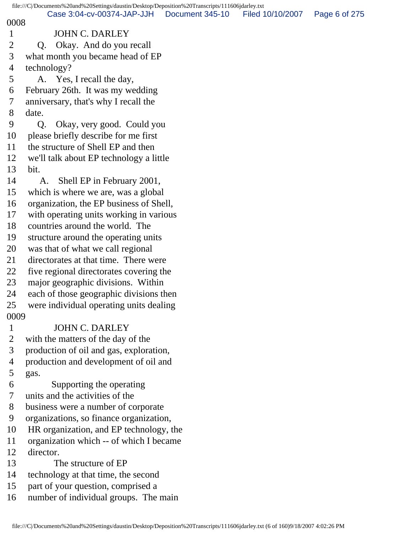|                | file:///C /Documents%20and%20Settings/daustin/Desktop/Deposition%20Transcripts/111606jdarley.txt |                 |                  |               |
|----------------|--------------------------------------------------------------------------------------------------|-----------------|------------------|---------------|
| 0008           | Case 3:04-cv-00374-JAP-JJH                                                                       | Document 345-10 | Filed 10/10/2007 | Page 6 of 275 |
| $\mathbf{1}$   | <b>JOHN C. DARLEY</b>                                                                            |                 |                  |               |
| $\overline{2}$ | Okay. And do you recall<br>Q.                                                                    |                 |                  |               |
| 3              | what month you became head of EP                                                                 |                 |                  |               |
| 4              | technology?                                                                                      |                 |                  |               |
| 5              | A. Yes, I recall the day,                                                                        |                 |                  |               |
| 6              | February 26th. It was my wedding                                                                 |                 |                  |               |
| 7              | anniversary, that's why I recall the                                                             |                 |                  |               |
| 8              | date.                                                                                            |                 |                  |               |
| 9              | Okay, very good. Could you<br>$Q_{\cdot}$                                                        |                 |                  |               |
| 10             | please briefly describe for me first                                                             |                 |                  |               |
| 11             | the structure of Shell EP and then                                                               |                 |                  |               |
| 12             | we'll talk about EP technology a little                                                          |                 |                  |               |
| 13             | bit.                                                                                             |                 |                  |               |
| 14             | Shell EP in February 2001,<br>A.                                                                 |                 |                  |               |
| 15             | which is where we are, was a global                                                              |                 |                  |               |
| 16             | organization, the EP business of Shell,                                                          |                 |                  |               |
| 17             | with operating units working in various                                                          |                 |                  |               |
| 18             | countries around the world. The                                                                  |                 |                  |               |
| 19             | structure around the operating units                                                             |                 |                  |               |
| 20             | was that of what we call regional                                                                |                 |                  |               |
| 21             | directorates at that time. There were                                                            |                 |                  |               |
| 22             | five regional directorates covering the                                                          |                 |                  |               |
| 23             | major geographic divisions. Within                                                               |                 |                  |               |
| 24             | each of those geographic divisions then                                                          |                 |                  |               |
| 25             | were individual operating units dealing                                                          |                 |                  |               |
| 0009           |                                                                                                  |                 |                  |               |
| $\mathbf{1}$   | <b>JOHN C. DARLEY</b>                                                                            |                 |                  |               |
| $\mathbf{2}$   | with the matters of the day of the                                                               |                 |                  |               |
| 3              | production of oil and gas, exploration,                                                          |                 |                  |               |
| $\overline{4}$ | production and development of oil and                                                            |                 |                  |               |
| 5              | gas.                                                                                             |                 |                  |               |
| 6              | Supporting the operating                                                                         |                 |                  |               |
| 7              | units and the activities of the                                                                  |                 |                  |               |
| 8              | business were a number of corporate                                                              |                 |                  |               |
| 9              | organizations, so finance organization,                                                          |                 |                  |               |
| 10             | HR organization, and EP technology, the                                                          |                 |                  |               |
| 11             | organization which -- of which I became                                                          |                 |                  |               |
| 12             | director.                                                                                        |                 |                  |               |
| 13             | The structure of EP                                                                              |                 |                  |               |
| 14             | technology at that time, the second                                                              |                 |                  |               |
| 15             | part of your question, comprised a                                                               |                 |                  |               |
| 16             | number of individual groups. The main                                                            |                 |                  |               |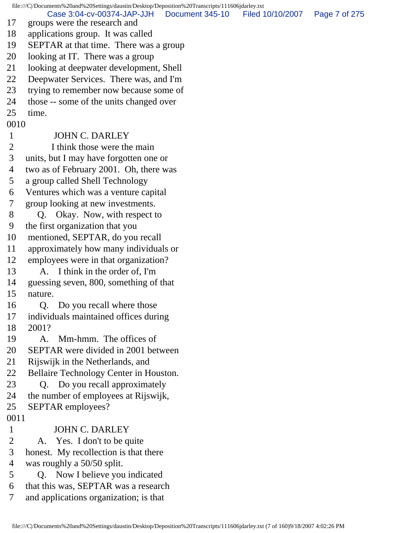file:///C|/Documents%20and%20Settings/daustin/Desktop/Deposition%20Transcripts/111606jdarley.txt 17 groups were the research and 18 applications group. It was called 19 SEPTAR at that time. There was a group 20 looking at IT. There was a group 21 looking at deepwater development, Shell 22 Deepwater Services. There was, and I'm 23 trying to remember now because some of 24 those -- some of the units changed over 25 time. 0010 1 JOHN C. DARLEY 2 I think those were the main 3 units, but I may have forgotten one or 4 two as of February 2001. Oh, there was 5 a group called Shell Technology 6 Ventures which was a venture capital 7 group looking at new investments. 8 Q. Okay. Now, with respect to 9 the first organization that you 10 mentioned, SEPTAR, do you recall 11 approximately how many individuals or 12 employees were in that organization? 13 A. I think in the order of, I'm 14 guessing seven, 800, something of that 15 nature. 16 Q. Do you recall where those 17 individuals maintained offices during 18 2001? 19 A. Mm-hmm. The offices of 20 SEPTAR were divided in 2001 between 21 Rijswijk in the Netherlands, and 22 Bellaire Technology Center in Houston. 23 Q. Do you recall approximately 24 the number of employees at Rijswijk, 25 SEPTAR employees? 0011 1 JOHN C. DARLEY 2 A. Yes. I don't to be quite 3 honest. My recollection is that there 4 was roughly a 50/50 split. 5 Q. Now I believe you indicated 6 that this was, SEPTAR was a research 7 and applications organization; is that Case 3:04-cv-00374-JAP-JJH Document 345-10 Filed 10/10/2007 Page 7 of 275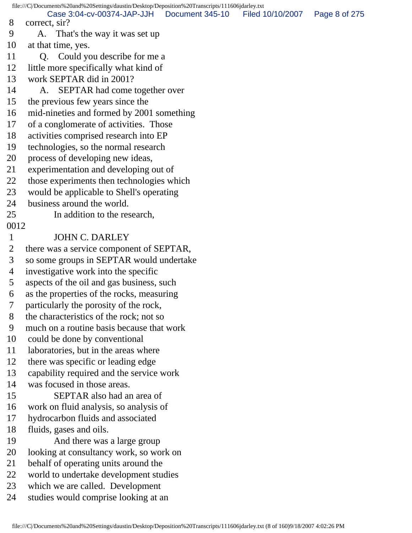file:///C|/Documents%20and%20Settings/daustin/Desktop/Deposition%20Transcripts/111606jdarley.txt 8 correct, sir? 9 A. That's the way it was set up 10 at that time, yes. 11 Q. Could you describe for me a 12 little more specifically what kind of 13 work SEPTAR did in 2001? 14 A. SEPTAR had come together over 15 the previous few years since the 16 mid-nineties and formed by 2001 something 17 of a conglomerate of activities. Those 18 activities comprised research into EP 19 technologies, so the normal research 20 process of developing new ideas, 21 experimentation and developing out of 22 those experiments then technologies which 23 would be applicable to Shell's operating 24 business around the world. 25 In addition to the research, 0012 1 JOHN C. DARLEY 2 there was a service component of SEPTAR, 3 so some groups in SEPTAR would undertake 4 investigative work into the specific 5 aspects of the oil and gas business, such 6 as the properties of the rocks, measuring 7 particularly the porosity of the rock, 8 the characteristics of the rock; not so 9 much on a routine basis because that work 10 could be done by conventional 11 laboratories, but in the areas where 12 there was specific or leading edge 13 capability required and the service work 14 was focused in those areas. 15 SEPTAR also had an area of 16 work on fluid analysis, so analysis of 17 hydrocarbon fluids and associated 18 fluids, gases and oils. 19 And there was a large group 20 looking at consultancy work, so work on 21 behalf of operating units around the 22 world to undertake development studies 23 which we are called. Development 24 studies would comprise looking at an Case 3:04-cv-00374-JAP-JJH Document 345-10 Filed 10/10/2007 Page 8 of 275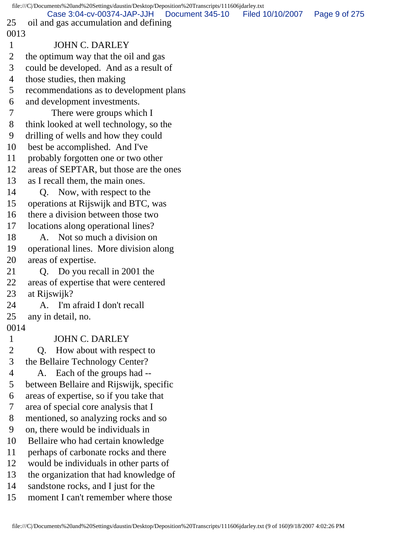|                | file:///C//Documents%20and%20Settings/daustin/Desktop/Deposition%20Transcripts/111606jdarley.txt |                  |               |
|----------------|--------------------------------------------------------------------------------------------------|------------------|---------------|
| 25             | Case 3:04-cv-00374-JAP-JJH<br>Document 345-10<br>oil and gas accumulation and defining           | Filed 10/10/2007 | Page 9 of 275 |
| 0013           |                                                                                                  |                  |               |
| $\mathbf{1}$   | <b>JOHN C. DARLEY</b>                                                                            |                  |               |
| $\overline{2}$ | the optimum way that the oil and gas                                                             |                  |               |
| 3              | could be developed. And as a result of                                                           |                  |               |
| $\overline{4}$ | those studies, then making                                                                       |                  |               |
| 5              | recommendations as to development plans                                                          |                  |               |
| 6              | and development investments.                                                                     |                  |               |
| 7              | There were groups which I                                                                        |                  |               |
| 8              | think looked at well technology, so the                                                          |                  |               |
| 9              | drilling of wells and how they could                                                             |                  |               |
| 10             | best be accomplished. And I've                                                                   |                  |               |
| 11             | probably forgotten one or two other                                                              |                  |               |
| 12             | areas of SEPTAR, but those are the ones                                                          |                  |               |
| 13             | as I recall them, the main ones.                                                                 |                  |               |
| 14             | Q. Now, with respect to the                                                                      |                  |               |
| 15             | operations at Rijswijk and BTC, was                                                              |                  |               |
| 16             | there a division between those two                                                               |                  |               |
| 17             | locations along operational lines?                                                               |                  |               |
| 18             | A. Not so much a division on                                                                     |                  |               |
| 19             | operational lines. More division along                                                           |                  |               |
| 20             | areas of expertise.                                                                              |                  |               |
| 21             | Q. Do you recall in 2001 the                                                                     |                  |               |
| 22             | areas of expertise that were centered                                                            |                  |               |
| 23             | at Rijswijk?                                                                                     |                  |               |
| 24             | A. I'm afraid I don't recall                                                                     |                  |               |
| 25             | any in detail, no.                                                                               |                  |               |
| 0014           |                                                                                                  |                  |               |
| $\mathbf{1}$   | <b>JOHN C. DARLEY</b>                                                                            |                  |               |
| $\overline{2}$ | How about with respect to<br>Q.                                                                  |                  |               |
| 3              | the Bellaire Technology Center?                                                                  |                  |               |
| $\overline{4}$ | Each of the groups had --<br>A.                                                                  |                  |               |
| 5              | between Bellaire and Rijswijk, specific                                                          |                  |               |
| 6              | areas of expertise, so if you take that                                                          |                  |               |
| 7              | area of special core analysis that I                                                             |                  |               |
| 8              | mentioned, so analyzing rocks and so                                                             |                  |               |
| 9              | on, there would be individuals in                                                                |                  |               |
| 10             | Bellaire who had certain knowledge                                                               |                  |               |
| 11             | perhaps of carbonate rocks and there                                                             |                  |               |
| 12             | would be individuals in other parts of                                                           |                  |               |
| 13             | the organization that had knowledge of                                                           |                  |               |
| 14             | sandstone rocks, and I just for the                                                              |                  |               |
| 15             | moment I can't remember where those                                                              |                  |               |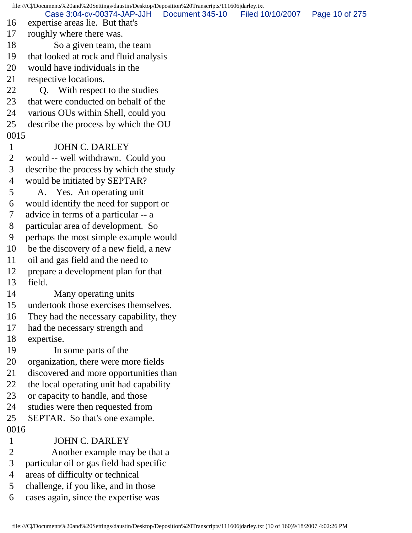file:///C|/Documents%20and%20Settings/daustin/Desktop/Deposition%20Transcripts/111606jdarley.txt 16 expertise areas lie. But that's 17 roughly where there was. 18 So a given team, the team 19 that looked at rock and fluid analysis 20 would have individuals in the 21 respective locations. 22 Q. With respect to the studies 23 that were conducted on behalf of the 24 various OUs within Shell, could you 25 describe the process by which the OU 0015 1 JOHN C. DARLEY 2 would -- well withdrawn. Could you 3 describe the process by which the study 4 would be initiated by SEPTAR? 5 A. Yes. An operating unit 6 would identify the need for support or 7 advice in terms of a particular -- a 8 particular area of development. So 9 perhaps the most simple example would 10 be the discovery of a new field, a new 11 oil and gas field and the need to 12 prepare a development plan for that 13 field. 14 Many operating units 15 undertook those exercises themselves. 16 They had the necessary capability, they 17 had the necessary strength and 18 expertise. 19 In some parts of the 20 organization, there were more fields 21 discovered and more opportunities than 22 the local operating unit had capability 23 or capacity to handle, and those 24 studies were then requested from 25 SEPTAR. So that's one example. 0016 1 JOHN C. DARLEY 2 Another example may be that a 3 particular oil or gas field had specific 4 areas of difficulty or technical 5 challenge, if you like, and in those 6 cases again, since the expertise was Case 3:04-cv-00374-JAP-JJH Document 345-10 Filed 10/10/2007 Page 10 of 275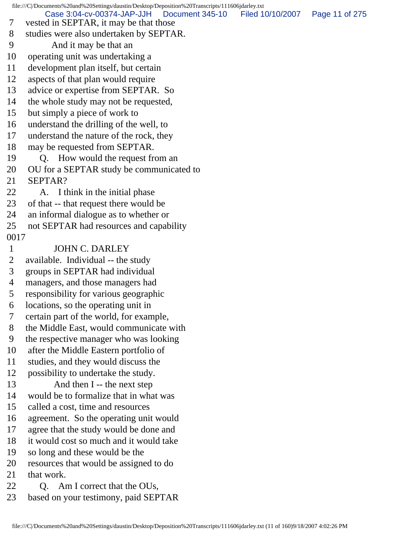file:///C|/Documents%20and%20Settings/daustin/Desktop/Deposition%20Transcripts/111606jdarley.txt 7 vested in SEPTAR, it may be that those 8 studies were also undertaken by SEPTAR. 9 And it may be that an 10 operating unit was undertaking a 11 development plan itself, but certain 12 aspects of that plan would require 13 advice or expertise from SEPTAR. So 14 the whole study may not be requested, 15 but simply a piece of work to 16 understand the drilling of the well, to 17 understand the nature of the rock, they 18 may be requested from SEPTAR. 19 Q. How would the request from an 20 OU for a SEPTAR study be communicated to 21 SEPTAR? 22 A. I think in the initial phase 23 of that -- that request there would be 24 an informal dialogue as to whether or 25 not SEPTAR had resources and capability 0017 1 JOHN C. DARLEY 2 available. Individual -- the study 3 groups in SEPTAR had individual 4 managers, and those managers had 5 responsibility for various geographic 6 locations, so the operating unit in 7 certain part of the world, for example, 8 the Middle East, would communicate with 9 the respective manager who was looking 10 after the Middle Eastern portfolio of 11 studies, and they would discuss the 12 possibility to undertake the study. 13 And then I -- the next step 14 would be to formalize that in what was 15 called a cost, time and resources 16 agreement. So the operating unit would 17 agree that the study would be done and 18 it would cost so much and it would take 19 so long and these would be the 20 resources that would be assigned to do 21 that work. 22 Q. Am I correct that the OUs, 23 based on your testimony, paid SEPTAR Case 3:04-cv-00374-JAP-JJH Document 345-10 Filed 10/10/2007 Page 11 of 275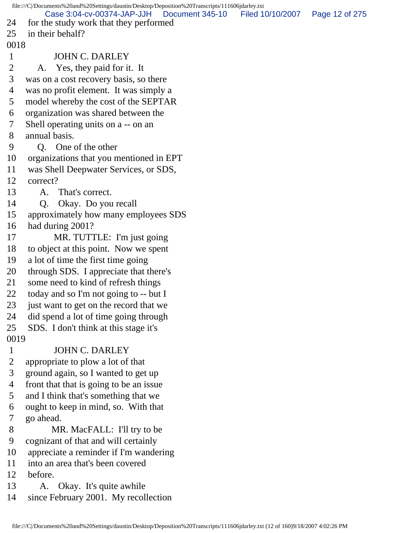file:///C|/Documents%20and%20Settings/daustin/Desktop/Deposition%20Transcripts/111606jdarley.txt 24 for the study work that they performed 25 in their behalf? 0018 1 JOHN C. DARLEY 2 A. Yes, they paid for it. It 3 was on a cost recovery basis, so there 4 was no profit element. It was simply a 5 model whereby the cost of the SEPTAR 6 organization was shared between the 7 Shell operating units on a -- on an 8 annual basis. 9 Q. One of the other 10 organizations that you mentioned in EPT 11 was Shell Deepwater Services, or SDS, 12 correct? 13 A. That's correct. 14 Q. Okay. Do you recall 15 approximately how many employees SDS 16 had during 2001? 17 MR. TUTTLE: I'm just going 18 to object at this point. Now we spent 19 a lot of time the first time going 20 through SDS. I appreciate that there's 21 some need to kind of refresh things 22 today and so I'm not going to -- but I 23 just want to get on the record that we 24 did spend a lot of time going through 25 SDS. I don't think at this stage it's 0019 1 JOHN C. DARLEY 2 appropriate to plow a lot of that 3 ground again, so I wanted to get up 4 front that that is going to be an issue 5 and I think that's something that we 6 ought to keep in mind, so. With that 7 go ahead. 8 MR. MacFALL: I'll try to be 9 cognizant of that and will certainly 10 appreciate a reminder if I'm wandering 11 into an area that's been covered 12 before. 13 A. Okay. It's quite awhile 14 since February 2001. My recollection Case 3:04-cv-00374-JAP-JJH Document 345-10 Filed 10/10/2007 Page 12 of 275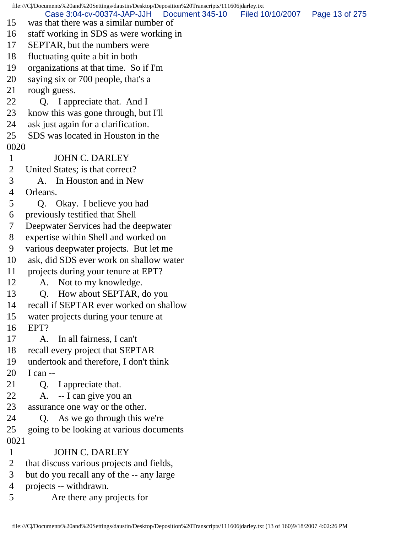file:///C|/Documents%20and%20Settings/daustin/Desktop/Deposition%20Transcripts/111606jdarley.txt 15 was that there was a similar number of 16 staff working in SDS as were working in 17 SEPTAR, but the numbers were 18 fluctuating quite a bit in both 19 organizations at that time. So if I'm 20 saying six or 700 people, that's a 21 rough guess. 22 Q. I appreciate that. And I 23 know this was gone through, but I'll 24 ask just again for a clarification. 25 SDS was located in Houston in the 0020 1 JOHN C. DARLEY 2 United States; is that correct? 3 A. In Houston and in New 4 Orleans. 5 Q. Okay. I believe you had 6 previously testified that Shell 7 Deepwater Services had the deepwater 8 expertise within Shell and worked on 9 various deepwater projects. But let me 10 ask, did SDS ever work on shallow water 11 projects during your tenure at EPT? 12 A. Not to my knowledge. 13 Q. How about SEPTAR, do you 14 recall if SEPTAR ever worked on shallow 15 water projects during your tenure at 16 EPT? 17 A. In all fairness, I can't 18 recall every project that SEPTAR 19 undertook and therefore, I don't think 20 I can -- 21 Q. I appreciate that. 22 A. -- I can give you an 23 assurance one way or the other. 24 Q. As we go through this we're 25 going to be looking at various documents 0021 1 JOHN C. DARLEY 2 that discuss various projects and fields, 3 but do you recall any of the -- any large 4 projects -- withdrawn. 5 Are there any projects for Case 3:04-cv-00374-JAP-JJH Document 345-10 Filed 10/10/2007 Page 13 of 275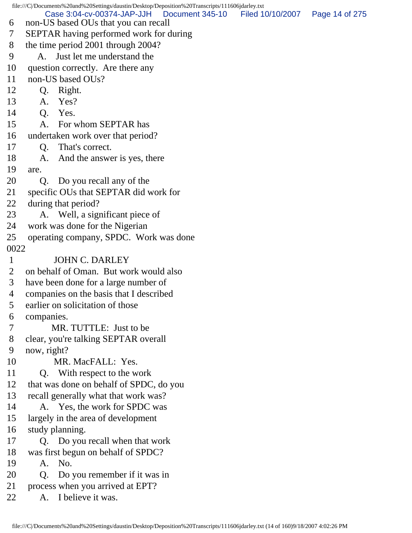file:///C|/Documents%20and%20Settings/daustin/Desktop/Deposition%20Transcripts/111606jdarley.txt 6 non-US based OUs that you can recall 7 SEPTAR having performed work for during 8 the time period 2001 through 2004? 9 A. Just let me understand the 10 question correctly. Are there any 11 non-US based OUs? 12 Q. Right. 13 A. Yes? 14 Q. Yes. 15 A. For whom SEPTAR has 16 undertaken work over that period? 17 Q. That's correct. 18 A. And the answer is yes, there 19 are. 20 Q. Do you recall any of the 21 specific OUs that SEPTAR did work for 22 during that period? 23 A. Well, a significant piece of 24 work was done for the Nigerian 25 operating company, SPDC. Work was done 0022 1 JOHN C. DARLEY 2 on behalf of Oman. But work would also 3 have been done for a large number of 4 companies on the basis that I described 5 earlier on solicitation of those 6 companies. 7 MR. TUTTLE: Just to be 8 clear, you're talking SEPTAR overall 9 now, right? 10 MR. MacFALL: Yes. 11 Q. With respect to the work 12 that was done on behalf of SPDC, do you 13 recall generally what that work was? 14 A. Yes, the work for SPDC was 15 largely in the area of development 16 study planning. 17 Q. Do you recall when that work 18 was first begun on behalf of SPDC? 19 A. No. 20 Q. Do you remember if it was in 21 process when you arrived at EPT? 22 A. I believe it was. Case 3:04-cv-00374-JAP-JJH Document 345-10 Filed 10/10/2007 Page 14 of 275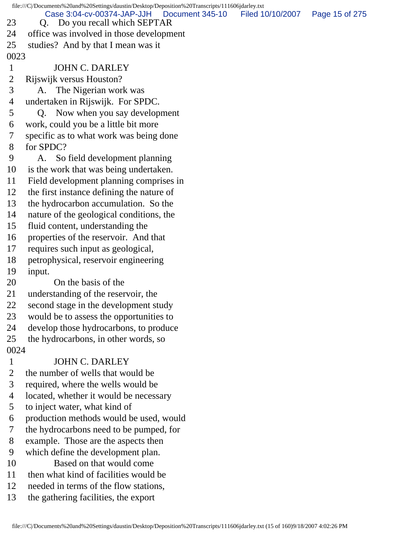file:///C|/Documents%20and%20Settings/daustin/Desktop/Deposition%20Transcripts/111606jdarley.txt 23 Q. Do you recall which SEPTAR 24 office was involved in those development 25 studies? And by that I mean was it 0023 1 JOHN C. DARLEY 2 Rijswijk versus Houston? 3 A. The Nigerian work was 4 undertaken in Rijswijk. For SPDC. 5 Q. Now when you say development 6 work, could you be a little bit more 7 specific as to what work was being done 8 for SPDC? 9 A. So field development planning 10 is the work that was being undertaken. 11 Field development planning comprises in 12 the first instance defining the nature of 13 the hydrocarbon accumulation. So the 14 nature of the geological conditions, the 15 fluid content, understanding the 16 properties of the reservoir. And that 17 requires such input as geological, 18 petrophysical, reservoir engineering 19 input. 20 On the basis of the 21 understanding of the reservoir, the 22 second stage in the development study 23 would be to assess the opportunities to 24 develop those hydrocarbons, to produce 25 the hydrocarbons, in other words, so 0024 1 JOHN C. DARLEY 2 the number of wells that would be 3 required, where the wells would be 4 located, whether it would be necessary 5 to inject water, what kind of 6 production methods would be used, would 7 the hydrocarbons need to be pumped, for 8 example. Those are the aspects then 9 which define the development plan. 10 Based on that would come 11 then what kind of facilities would be 12 needed in terms of the flow stations, Case 3:04-cv-00374-JAP-JJH Document 345-10 Filed 10/10/2007 Page 15 of 275

13 the gathering facilities, the export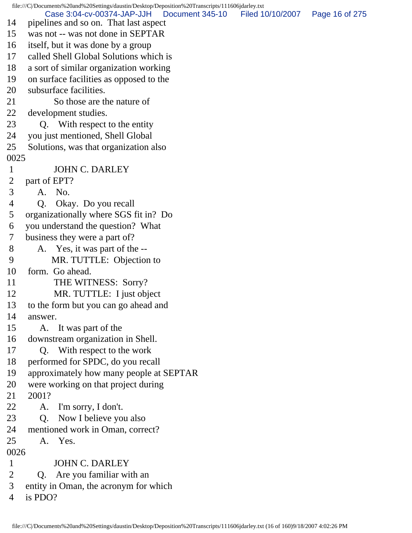file:///C|/Documents%20and%20Settings/daustin/Desktop/Deposition%20Transcripts/111606jdarley.txt 14 pipelines and so on. That last aspect 15 was not -- was not done in SEPTAR 16 itself, but it was done by a group 17 called Shell Global Solutions which is 18 a sort of similar organization working 19 on surface facilities as opposed to the 20 subsurface facilities. 21 So those are the nature of 22 development studies. 23 Q. With respect to the entity 24 you just mentioned, Shell Global 25 Solutions, was that organization also 0025 1 JOHN C. DARLEY 2 part of EPT? 3 A. No. 4 Q. Okay. Do you recall 5 organizationally where SGS fit in? Do 6 you understand the question? What 7 business they were a part of? 8 A. Yes, it was part of the -- 9 MR. TUTTLE: Objection to 10 form. Go ahead. 11 THE WITNESS: Sorry? 12 MR. TUTTLE: I just object 13 to the form but you can go ahead and 14 answer. 15 A. It was part of the 16 downstream organization in Shell. 17 Q. With respect to the work 18 performed for SPDC, do you recall 19 approximately how many people at SEPTAR 20 were working on that project during 21 2001? 22 A. I'm sorry, I don't. 23 Q. Now I believe you also 24 mentioned work in Oman, correct? 25 A. Yes. 0026 1 JOHN C. DARLEY 2 Q. Are you familiar with an 3 entity in Oman, the acronym for which 4 is PDO? Case 3:04-cv-00374-JAP-JJH Document 345-10 Filed 10/10/2007 Page 16 of 275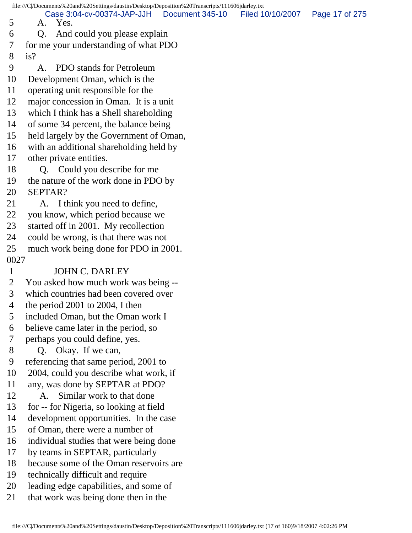file:///C|/Documents%20and%20Settings/daustin/Desktop/Deposition%20Transcripts/111606jdarley.txt 5 A. Yes. 6 Q. And could you please explain 7 for me your understanding of what PDO 8 is? 9 A. PDO stands for Petroleum 10 Development Oman, which is the 11 operating unit responsible for the 12 major concession in Oman. It is a unit 13 which I think has a Shell shareholding 14 of some 34 percent, the balance being 15 held largely by the Government of Oman, 16 with an additional shareholding held by 17 other private entities. 18 Q. Could you describe for me 19 the nature of the work done in PDO by 20 SEPTAR? 21 A. I think you need to define, 22 you know, which period because we 23 started off in 2001. My recollection 24 could be wrong, is that there was not 25 much work being done for PDO in 2001. 0027 1 JOHN C. DARLEY 2 You asked how much work was being -- 3 which countries had been covered over 4 the period 2001 to 2004, I then 5 included Oman, but the Oman work I 6 believe came later in the period, so 7 perhaps you could define, yes. 8 Q. Okay. If we can, 9 referencing that same period, 2001 to 10 2004, could you describe what work, if 11 any, was done by SEPTAR at PDO? 12 A. Similar work to that done 13 for -- for Nigeria, so looking at field 14 development opportunities. In the case 15 of Oman, there were a number of 16 individual studies that were being done 17 by teams in SEPTAR, particularly 18 because some of the Oman reservoirs are 19 technically difficult and require 20 leading edge capabilities, and some of 21 that work was being done then in the Case 3:04-cv-00374-JAP-JJH Document 345-10 Filed 10/10/2007 Page 17 of 275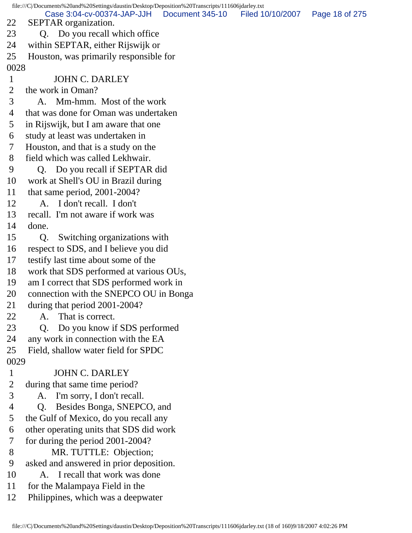file:///C|/Documents%20and%20Settings/daustin/Desktop/Deposition%20Transcripts/111606jdarley.txt 22 SEPTAR organization. 23 Q. Do you recall which office 24 within SEPTAR, either Rijswijk or 25 Houston, was primarily responsible for 0028 1 JOHN C. DARLEY 2 the work in Oman? 3 A. Mm-hmm. Most of the work 4 that was done for Oman was undertaken 5 in Rijswijk, but I am aware that one 6 study at least was undertaken in 7 Houston, and that is a study on the 8 field which was called Lekhwair. 9 Q. Do you recall if SEPTAR did 10 work at Shell's OU in Brazil during 11 that same period, 2001-2004? 12 A. I don't recall. I don't 13 recall. I'm not aware if work was 14 done. 15 Q. Switching organizations with 16 respect to SDS, and I believe you did 17 testify last time about some of the 18 work that SDS performed at various OUs, 19 am I correct that SDS performed work in 20 connection with the SNEPCO OU in Bonga 21 during that period 2001-2004? 22 A. That is correct. 23 Q. Do you know if SDS performed 24 any work in connection with the EA 25 Field, shallow water field for SPDC 0029 1 JOHN C. DARLEY 2 during that same time period? 3 A. I'm sorry, I don't recall. 4 Q. Besides Bonga, SNEPCO, and 5 the Gulf of Mexico, do you recall any 6 other operating units that SDS did work 7 for during the period 2001-2004? 8 MR. TUTTLE: Objection; 9 asked and answered in prior deposition. 10 A. I recall that work was done 11 for the Malampaya Field in the 12 Philippines, which was a deepwater Case 3:04-cv-00374-JAP-JJH Document 345-10 Filed 10/10/2007 Page 18 of 275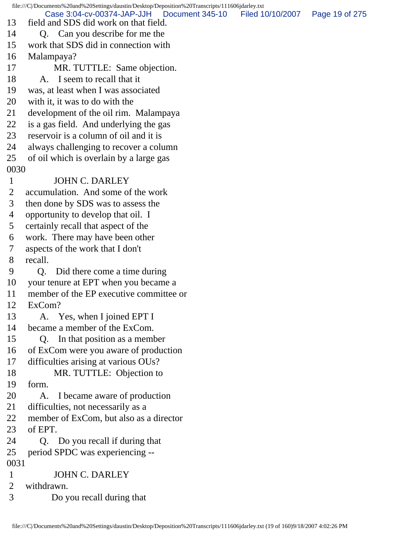file:///C|/Documents%20and%20Settings/daustin/Desktop/Deposition%20Transcripts/111606jdarley.txt 13 field and SDS did work on that field. 14 Q. Can you describe for me the 15 work that SDS did in connection with 16 Malampaya? 17 MR. TUTTLE: Same objection. 18 A. I seem to recall that it 19 was, at least when I was associated 20 with it, it was to do with the 21 development of the oil rim. Malampaya 22 is a gas field. And underlying the gas 23 reservoir is a column of oil and it is 24 always challenging to recover a column 25 of oil which is overlain by a large gas 0030 1 JOHN C. DARLEY 2 accumulation. And some of the work 3 then done by SDS was to assess the 4 opportunity to develop that oil. I 5 certainly recall that aspect of the 6 work. There may have been other 7 aspects of the work that I don't 8 recall. 9 Q. Did there come a time during 10 your tenure at EPT when you became a 11 member of the EP executive committee or 12 ExCom? 13 A. Yes, when I joined EPT I 14 became a member of the ExCom. 15 Q. In that position as a member 16 of ExCom were you aware of production 17 difficulties arising at various OUs? 18 MR. TUTTLE: Objection to 19 form. 20 A. I became aware of production 21 difficulties, not necessarily as a 22 member of ExCom, but also as a director 23 of EPT. 24 O. Do you recall if during that 25 period SPDC was experiencing -- 0031 1 JOHN C. DARLEY 2 withdrawn. 3 Do you recall during that Case 3:04-cv-00374-JAP-JJH Document 345-10 Filed 10/10/2007 Page 19 of 275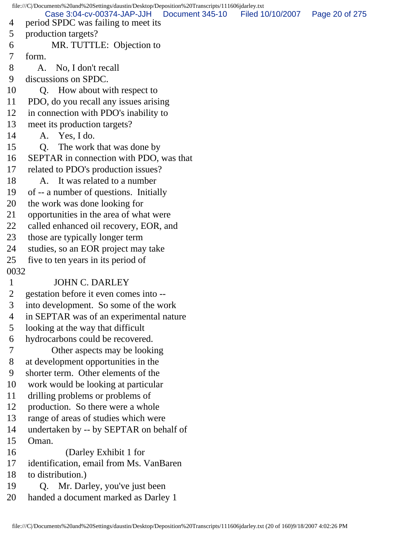file:///C|/Documents%20and%20Settings/daustin/Desktop/Deposition%20Transcripts/111606jdarley.txt 4 period SPDC was failing to meet its 5 production targets? 6 MR. TUTTLE: Objection to 7 form. 8 A. No, I don't recall 9 discussions on SPDC. 10 Q. How about with respect to 11 PDO, do you recall any issues arising 12 in connection with PDO's inability to 13 meet its production targets? 14 A. Yes, I do. 15 Q. The work that was done by 16 SEPTAR in connection with PDO, was that 17 related to PDO's production issues? 18 A. It was related to a number 19 of -- a number of questions. Initially 20 the work was done looking for 21 opportunities in the area of what were 22 called enhanced oil recovery, EOR, and 23 those are typically longer term 24 studies, so an EOR project may take 25 five to ten years in its period of 0032 1 JOHN C. DARLEY 2 gestation before it even comes into -- 3 into development. So some of the work 4 in SEPTAR was of an experimental nature 5 looking at the way that difficult 6 hydrocarbons could be recovered. 7 Other aspects may be looking 8 at development opportunities in the 9 shorter term. Other elements of the 10 work would be looking at particular 11 drilling problems or problems of 12 production. So there were a whole 13 range of areas of studies which were 14 undertaken by -- by SEPTAR on behalf of 15 Oman. 16 (Darley Exhibit 1 for 17 identification, email from Ms. VanBaren 18 to distribution.) 19 Q. Mr. Darley, you've just been 20 handed a document marked as Darley 1 Case 3:04-cv-00374-JAP-JJH Document 345-10 Filed 10/10/2007 Page 20 of 275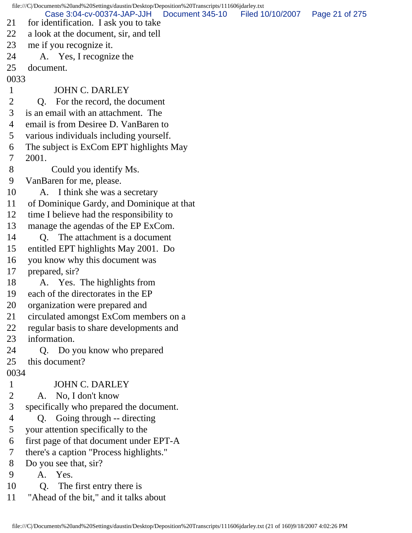file:///C|/Documents%20and%20Settings/daustin/Desktop/Deposition%20Transcripts/111606jdarley.txt 21 for identification. I ask you to take 22 a look at the document, sir, and tell 23 me if you recognize it. 24 A. Yes, I recognize the 25 document. 0033 1 JOHN C. DARLEY 2 Q. For the record, the document 3 is an email with an attachment. The 4 email is from Desiree D. VanBaren to 5 various individuals including yourself. 6 The subject is ExCom EPT highlights May 7 2001. 8 Could you identify Ms. 9 VanBaren for me, please. 10 A. I think she was a secretary 11 of Dominique Gardy, and Dominique at that 12 time I believe had the responsibility to 13 manage the agendas of the EP ExCom. 14 Q. The attachment is a document 15 entitled EPT highlights May 2001. Do 16 you know why this document was 17 prepared, sir? 18 A. Yes. The highlights from 19 each of the directorates in the EP 20 organization were prepared and 21 circulated amongst ExCom members on a 22 regular basis to share developments and 23 information. 24 Q. Do you know who prepared 25 this document? 0034 1 JOHN C. DARLEY 2 A. No, I don't know 3 specifically who prepared the document. 4 Q. Going through -- directing 5 your attention specifically to the 6 first page of that document under EPT-A 7 there's a caption "Process highlights." 8 Do you see that, sir? 9 A. Yes. 10 Q. The first entry there is 11 "Ahead of the bit," and it talks about Case 3:04-cv-00374-JAP-JJH Document 345-10 Filed 10/10/2007 Page 21 of 275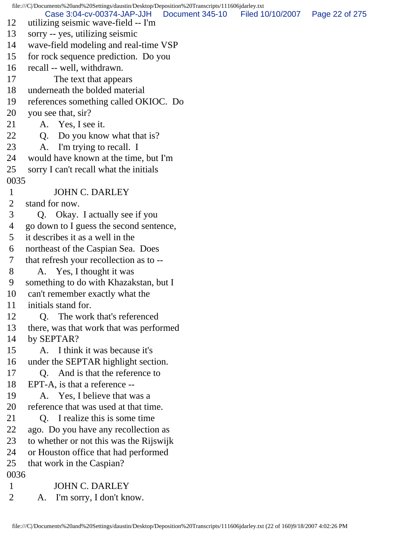file:///C|/Documents%20and%20Settings/daustin/Desktop/Deposition%20Transcripts/111606jdarley.txt 12 utilizing seismic wave-field -- I'm 13 sorry -- yes, utilizing seismic 14 wave-field modeling and real-time VSP 15 for rock sequence prediction. Do you 16 recall -- well, withdrawn. 17 The text that appears 18 underneath the bolded material 19 references something called OKIOC. Do 20 you see that, sir? 21 A. Yes, I see it. 22 Q. Do you know what that is? 23 A. I'm trying to recall. I 24 would have known at the time, but I'm 25 sorry I can't recall what the initials 0035 1 JOHN C. DARLEY 2 stand for now. 3 Q. Okay. I actually see if you 4 go down to I guess the second sentence, 5 it describes it as a well in the 6 northeast of the Caspian Sea. Does 7 that refresh your recollection as to -- 8 A. Yes, I thought it was 9 something to do with Khazakstan, but I 10 can't remember exactly what the 11 initials stand for. 12 Q. The work that's referenced 13 there, was that work that was performed 14 by SEPTAR? 15 A. I think it was because it's 16 under the SEPTAR highlight section. 17 Q. And is that the reference to 18 EPT-A, is that a reference -- 19 A. Yes, I believe that was a 20 reference that was used at that time. 21 Q. I realize this is some time 22 ago. Do you have any recollection as 23 to whether or not this was the Rijswijk 24 or Houston office that had performed 25 that work in the Caspian? 0036 1 JOHN C. DARLEY 2 A. I'm sorry, I don't know. Case 3:04-cv-00374-JAP-JJH Document 345-10 Filed 10/10/2007 Page 22 of 275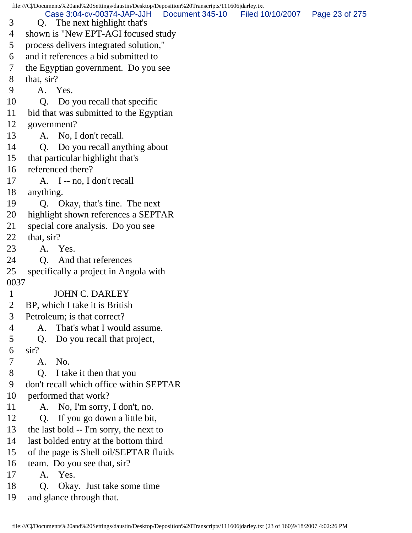file:///C|/Documents%20and%20Settings/daustin/Desktop/Deposition%20Transcripts/111606jdarley.txt 3 Q. The next highlight that's 4 shown is "New EPT-AGI focused study 5 process delivers integrated solution," 6 and it references a bid submitted to 7 the Egyptian government. Do you see 8 that, sir? 9 A. Yes. 10 Q. Do you recall that specific 11 bid that was submitted to the Egyptian 12 government? 13 A. No, I don't recall. 14 Q. Do you recall anything about 15 that particular highlight that's 16 referenced there? 17 A. I -- no, I don't recall 18 anything. 19 Q. Okay, that's fine. The next 20 highlight shown references a SEPTAR 21 special core analysis. Do you see 22 that, sir? 23 A. Yes. 24 O. And that references 25 specifically a project in Angola with 0037 1 JOHN C. DARLEY 2 BP, which I take it is British 3 Petroleum; is that correct? 4 A. That's what I would assume. 5 Q. Do you recall that project, 6 sir? 7 A. No. 8 Q. I take it then that you 9 don't recall which office within SEPTAR 10 performed that work? 11 A. No, I'm sorry, I don't, no. 12 Q. If you go down a little bit, 13 the last bold -- I'm sorry, the next to 14 last bolded entry at the bottom third 15 of the page is Shell oil/SEPTAR fluids 16 team. Do you see that, sir? 17 A. Yes. 18 Q. Okay. Just take some time Case 3:04-cv-00374-JAP-JJH Document 345-10 Filed 10/10/2007 Page 23 of 275

19 and glance through that.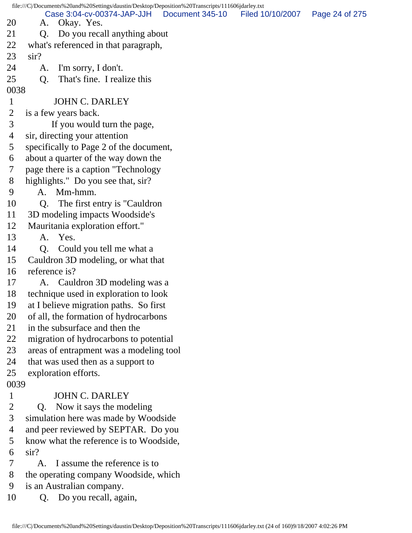file:///C|/Documents%20and%20Settings/daustin/Desktop/Deposition%20Transcripts/111606jdarley.txt 20 A. Okay. Yes. 21 Q. Do you recall anything about 22 what's referenced in that paragraph, 23 sir? 24 A. I'm sorry, I don't. 25 Q. That's fine. I realize this 0038 1 JOHN C. DARLEY 2 is a few years back. 3 If you would turn the page, 4 sir, directing your attention 5 specifically to Page 2 of the document, 6 about a quarter of the way down the 7 page there is a caption "Technology 8 highlights." Do you see that, sir? 9 A. Mm-hmm. 10 Q. The first entry is "Cauldron 11 3D modeling impacts Woodside's 12 Mauritania exploration effort." 13 A. Yes. 14 Q. Could you tell me what a 15 Cauldron 3D modeling, or what that 16 reference is? 17 A. Cauldron 3D modeling was a 18 technique used in exploration to look 19 at I believe migration paths. So first 20 of all, the formation of hydrocarbons 21 in the subsurface and then the 22 migration of hydrocarbons to potential 23 areas of entrapment was a modeling tool 24 that was used then as a support to 25 exploration efforts. 0039 1 JOHN C. DARLEY 2 Q. Now it says the modeling 3 simulation here was made by Woodside 4 and peer reviewed by SEPTAR. Do you 5 know what the reference is to Woodside, 6 sir? 7 A. I assume the reference is to 8 the operating company Woodside, which 9 is an Australian company. 10 Q. Do you recall, again, Case 3:04-cv-00374-JAP-JJH Document 345-10 Filed 10/10/2007 Page 24 of 275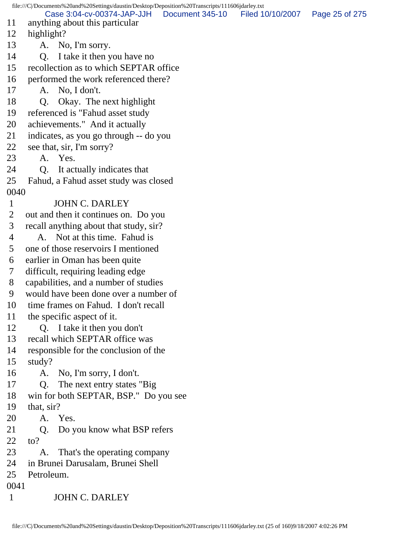|                | file:///C /Documents%20and%20Settings/daustin/Desktop/Deposition%20Transcripts/111606jdarley.txt |                 |                  |                |
|----------------|--------------------------------------------------------------------------------------------------|-----------------|------------------|----------------|
| 11             | Case 3:04-cv-00374-JAP-JJH<br>anything about this particular                                     | Document 345-10 | Filed 10/10/2007 | Page 25 of 275 |
| 12             | highlight?                                                                                       |                 |                  |                |
| 13             | A. No, I'm sorry.                                                                                |                 |                  |                |
| 14             | I take it then you have no<br>Q.                                                                 |                 |                  |                |
| 15             | recollection as to which SEPTAR office                                                           |                 |                  |                |
| 16             | performed the work referenced there?                                                             |                 |                  |                |
| 17             | A. No, I don't.                                                                                  |                 |                  |                |
| 18             | Okay. The next highlight<br>Q.                                                                   |                 |                  |                |
| 19             | referenced is "Fahud asset study                                                                 |                 |                  |                |
| 20             | achievements." And it actually                                                                   |                 |                  |                |
| 21             | indicates, as you go through -- do you                                                           |                 |                  |                |
| 22             | see that, sir, I'm sorry?                                                                        |                 |                  |                |
| 23             | A. Yes.                                                                                          |                 |                  |                |
| 24             | It actually indicates that<br>Q.                                                                 |                 |                  |                |
| 25             | Fahud, a Fahud asset study was closed                                                            |                 |                  |                |
| 0040           |                                                                                                  |                 |                  |                |
| $\mathbf{1}$   | <b>JOHN C. DARLEY</b>                                                                            |                 |                  |                |
| $\overline{2}$ | out and then it continues on. Do you                                                             |                 |                  |                |
| 3              | recall anything about that study, sir?                                                           |                 |                  |                |
| 4              | A. Not at this time. Fahud is                                                                    |                 |                  |                |
| 5              | one of those reservoirs I mentioned                                                              |                 |                  |                |
| 6              | earlier in Oman has been quite                                                                   |                 |                  |                |
| $\tau$         | difficult, requiring leading edge                                                                |                 |                  |                |
| 8              | capabilities, and a number of studies                                                            |                 |                  |                |
| 9              | would have been done over a number of                                                            |                 |                  |                |
| 10             | time frames on Fahud. I don't recall                                                             |                 |                  |                |
| 11             | the specific aspect of it.                                                                       |                 |                  |                |
| 12             | Q. I take it then you don't                                                                      |                 |                  |                |
| 13             | recall which SEPTAR office was                                                                   |                 |                  |                |
| 14             | responsible for the conclusion of the                                                            |                 |                  |                |
| 15             | study?                                                                                           |                 |                  |                |
| 16             | No, I'm sorry, I don't.<br>A.                                                                    |                 |                  |                |
| 17             | The next entry states "Big"<br>Q.                                                                |                 |                  |                |
| 18             | win for both SEPTAR, BSP." Do you see                                                            |                 |                  |                |
| 19             | that, sir?                                                                                       |                 |                  |                |
| 20             | A. Yes.                                                                                          |                 |                  |                |
| 21             | Do you know what BSP refers<br>Q.                                                                |                 |                  |                |
| 22             | to?                                                                                              |                 |                  |                |
| 23             | That's the operating company<br>A.                                                               |                 |                  |                |
| 24             | in Brunei Darusalam, Brunei Shell                                                                |                 |                  |                |
| 25             | Petroleum.                                                                                       |                 |                  |                |
| 0041           |                                                                                                  |                 |                  |                |
| $\mathbf{1}$   | <b>JOHN C. DARLEY</b>                                                                            |                 |                  |                |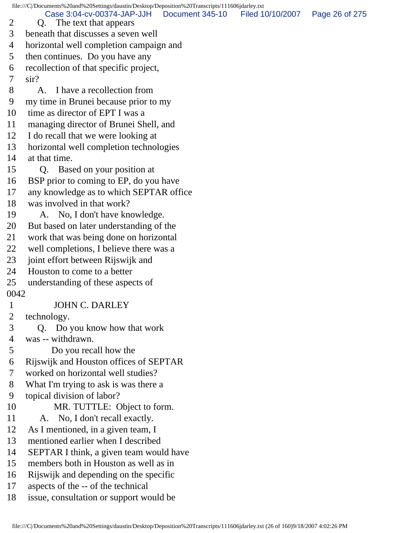file:///C|/Documents%20and%20Settings/daustin/Desktop/Deposition%20Transcripts/111606jdarley.txt 2 Q. The text that appears 3 beneath that discusses a seven well 4 horizontal well completion campaign and 5 then continues. Do you have any 6 recollection of that specific project, 7 sir? 8 A. I have a recollection from 9 my time in Brunei because prior to my 10 time as director of EPT I was a 11 managing director of Brunei Shell, and 12 I do recall that we were looking at 13 horizontal well completion technologies 14 at that time. 15 Q. Based on your position at 16 BSP prior to coming to EP, do you have 17 any knowledge as to which SEPTAR office 18 was involved in that work? 19 A. No, I don't have knowledge. 20 But based on later understanding of the 21 work that was being done on horizontal 22 well completions, I believe there was a 23 joint effort between Rijswijk and 24 Houston to come to a better 25 understanding of these aspects of 0042 1 JOHN C. DARLEY 2 technology. 3 Q. Do you know how that work 4 was -- withdrawn. 5 Do you recall how the 6 Rijswijk and Houston offices of SEPTAR 7 worked on horizontal well studies? 8 What I'm trying to ask is was there a 9 topical division of labor? 10 MR. TUTTLE: Object to form. 11 A. No, I don't recall exactly. 12 As I mentioned, in a given team, I 13 mentioned earlier when I described 14 SEPTAR I think, a given team would have 15 members both in Houston as well as in 16 Rijswijk and depending on the specific 17 aspects of the -- of the technical 18 issue, consultation or support would be Case 3:04-cv-00374-JAP-JJH Document 345-10 Filed 10/10/2007 Page 26 of 275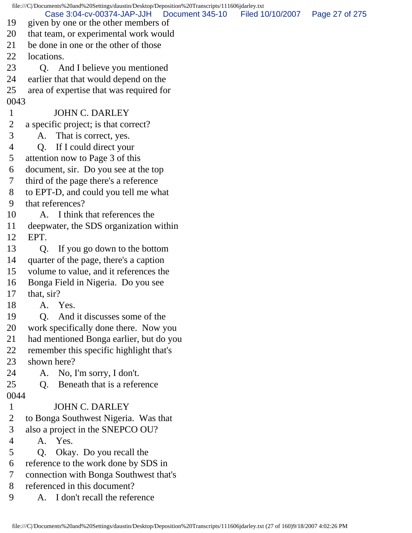|              | file:///C /Documents%20and%20Settings/daustin/Desktop/Deposition%20Transcripts/111606jdarley.txt |                  |                |  |
|--------------|--------------------------------------------------------------------------------------------------|------------------|----------------|--|
| 19           | Case 3:04-cv-00374-JAP-JJH<br>Document 345-10<br>given by one or the other members of            | Filed 10/10/2007 | Page 27 of 275 |  |
| 20           | that team, or experimental work would                                                            |                  |                |  |
| 21           | be done in one or the other of those                                                             |                  |                |  |
| 22           | locations.                                                                                       |                  |                |  |
| 23           | 0.<br>And I believe you mentioned                                                                |                  |                |  |
| 24           | earlier that that would depend on the                                                            |                  |                |  |
| 25           | area of expertise that was required for                                                          |                  |                |  |
| 0043         |                                                                                                  |                  |                |  |
| $\mathbf{1}$ | <b>JOHN C. DARLEY</b>                                                                            |                  |                |  |
| 2            | a specific project; is that correct?                                                             |                  |                |  |
| 3            | A. That is correct, yes.                                                                         |                  |                |  |
| 4            | If I could direct your<br>$Q_{\rm c}$                                                            |                  |                |  |
| 5            | attention now to Page 3 of this                                                                  |                  |                |  |
| 6            | document, sir. Do you see at the top                                                             |                  |                |  |
| 7            | third of the page there's a reference                                                            |                  |                |  |
| 8            | to EPT-D, and could you tell me what                                                             |                  |                |  |
| 9            | that references?                                                                                 |                  |                |  |
| 10           | I think that references the<br>A.                                                                |                  |                |  |
| 11           | deepwater, the SDS organization within                                                           |                  |                |  |
| 12           | EPT.                                                                                             |                  |                |  |
| 13           | If you go down to the bottom<br>Q.                                                               |                  |                |  |
| 14           | quarter of the page, there's a caption                                                           |                  |                |  |
| 15           | volume to value, and it references the                                                           |                  |                |  |
| 16           | Bonga Field in Nigeria. Do you see                                                               |                  |                |  |
| 17           | that, sir?                                                                                       |                  |                |  |
| 18           | A. Yes.                                                                                          |                  |                |  |
| 19           | And it discusses some of the<br>Q.                                                               |                  |                |  |
| 20           | work specifically done there. Now you                                                            |                  |                |  |
| 21           | had mentioned Bonga earlier, but do you                                                          |                  |                |  |
| 22           | remember this specific highlight that's                                                          |                  |                |  |
| 23           | shown here?                                                                                      |                  |                |  |
| 24           | No, I'm sorry, I don't.<br>A.                                                                    |                  |                |  |
| 25           | Beneath that is a reference<br>Q <sub>r</sub>                                                    |                  |                |  |
| 0044         |                                                                                                  |                  |                |  |
| $\mathbf{1}$ | <b>JOHN C. DARLEY</b>                                                                            |                  |                |  |
| 2            | to Bonga Southwest Nigeria. Was that                                                             |                  |                |  |
| 3            | also a project in the SNEPCO OU?                                                                 |                  |                |  |
| 4            | A. Yes.                                                                                          |                  |                |  |
| 5            | Okay. Do you recall the<br>Q <sub>1</sub>                                                        |                  |                |  |
| 6            | reference to the work done by SDS in                                                             |                  |                |  |
| 7            | connection with Bonga Southwest that's                                                           |                  |                |  |
| 8            | referenced in this document?                                                                     |                  |                |  |
| 9            | A. I don't recall the reference                                                                  |                  |                |  |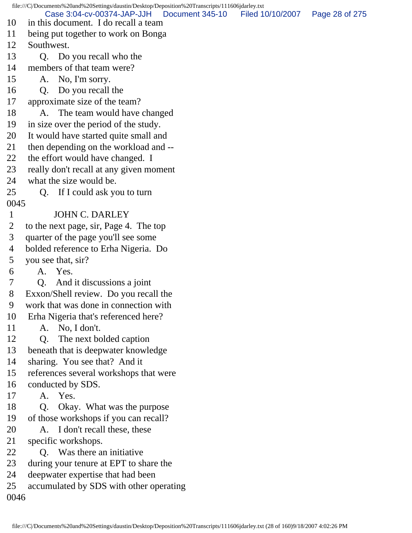file:///C|/Documents%20and%20Settings/daustin/Desktop/Deposition%20Transcripts/111606jdarley.txt 10 in this document. I do recall a team 11 being put together to work on Bonga 12 Southwest. 13 Q. Do you recall who the 14 members of that team were? 15 A. No, I'm sorry. 16 Q. Do you recall the 17 approximate size of the team? 18 A. The team would have changed 19 in size over the period of the study. 20 It would have started quite small and 21 then depending on the workload and -- 22 the effort would have changed. I 23 really don't recall at any given moment 24 what the size would be. 25 Q. If I could ask you to turn 0045 1 JOHN C. DARLEY 2 to the next page, sir, Page 4. The top 3 quarter of the page you'll see some 4 bolded reference to Erha Nigeria. Do 5 you see that, sir? 6 A. Yes. 7 Q. And it discussions a joint 8 Exxon/Shell review. Do you recall the 9 work that was done in connection with 10 Erha Nigeria that's referenced here? 11 A. No, I don't. 12 Q. The next bolded caption 13 beneath that is deepwater knowledge 14 sharing. You see that? And it 15 references several workshops that were 16 conducted by SDS. 17 A. Yes. 18 Q. Okay. What was the purpose 19 of those workshops if you can recall? 20 A. I don't recall these, these 21 specific workshops. 22 Q. Was there an initiative 23 during your tenure at EPT to share the 24 deepwater expertise that had been 25 accumulated by SDS with other operating 0046 Case 3:04-cv-00374-JAP-JJH Document 345-10 Filed 10/10/2007 Page 28 of 275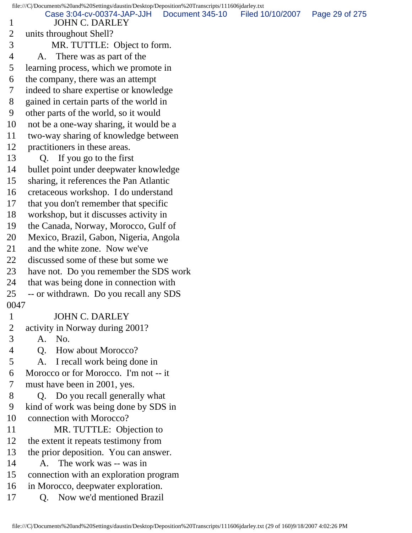file:///C|/Documents%20and%20Settings/daustin/Desktop/Deposition%20Transcripts/111606jdarley.txt 1 JOHN C. DARLEY 2 units throughout Shell? 3 MR. TUTTLE: Object to form. 4 A. There was as part of the 5 learning process, which we promote in 6 the company, there was an attempt 7 indeed to share expertise or knowledge 8 gained in certain parts of the world in 9 other parts of the world, so it would 10 not be a one-way sharing, it would be a 11 two-way sharing of knowledge between 12 practitioners in these areas. 13 Q. If you go to the first 14 bullet point under deepwater knowledge 15 sharing, it references the Pan Atlantic 16 cretaceous workshop. I do understand 17 that you don't remember that specific 18 workshop, but it discusses activity in 19 the Canada, Norway, Morocco, Gulf of 20 Mexico, Brazil, Gabon, Nigeria, Angola 21 and the white zone. Now we've 22 discussed some of these but some we 23 have not. Do you remember the SDS work 24 that was being done in connection with 25 -- or withdrawn. Do you recall any SDS 0047 1 JOHN C. DARLEY<br>2 activity in Norway during 2 2 activity in Norway during 2001? 3 A. No. 4 Q. How about Morocco? 5 A. I recall work being done in 6 Morocco or for Morocco. I'm not -- it 7 must have been in 2001, yes. 8 Q. Do you recall generally what 9 kind of work was being done by SDS in 10 connection with Morocco? 11 MR. TUTTLE: Objection to 12 the extent it repeats testimony from 13 the prior deposition. You can answer. 14 A. The work was -- was in 15 connection with an exploration program 16 in Morocco, deepwater exploration. 17 Q. Now we'd mentioned Brazil Case 3:04-cv-00374-JAP-JJH Document 345-10 Filed 10/10/2007 Page 29 of 275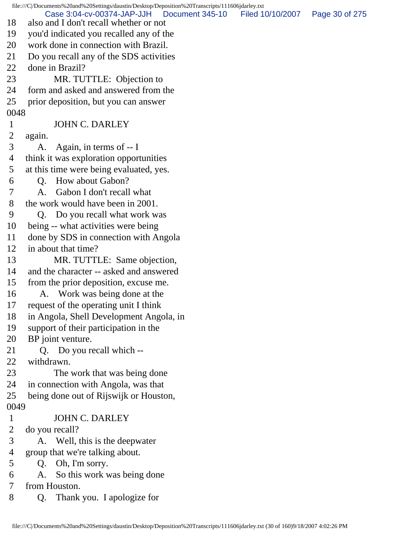file:///C|/Documents%20and%20Settings/daustin/Desktop/Deposition%20Transcripts/111606jdarley.txt 18 also and I don't recall whether or not 19 you'd indicated you recalled any of the 20 work done in connection with Brazil. 21 Do you recall any of the SDS activities 22 done in Brazil? 23 MR. TUTTLE: Objection to 24 form and asked and answered from the 25 prior deposition, but you can answer 0048 1 JOHN C. DARLEY 2 again. 3 A. Again, in terms of -- I 4 think it was exploration opportunities 5 at this time were being evaluated, yes. 6 Q. How about Gabon? 7 A. Gabon I don't recall what 8 the work would have been in 2001. 9 Q. Do you recall what work was 10 being -- what activities were being 11 done by SDS in connection with Angola 12 in about that time? 13 MR. TUTTLE: Same objection, 14 and the character -- asked and answered 15 from the prior deposition, excuse me. 16 A. Work was being done at the 17 request of the operating unit I think 18 in Angola, Shell Development Angola, in 19 support of their participation in the 20 BP joint venture. 21 Q. Do you recall which -- 22 withdrawn. 23 The work that was being done 24 in connection with Angola, was that 25 being done out of Rijswijk or Houston, 0049 1 JOHN C. DARLEY 2 do you recall? 3 A. Well, this is the deepwater 4 group that we're talking about. 5 Q. Oh, I'm sorry. 6 A. So this work was being done 7 from Houston. 8 Q. Thank you. I apologize for Case 3:04-cv-00374-JAP-JJH Document 345-10 Filed 10/10/2007 Page 30 of 275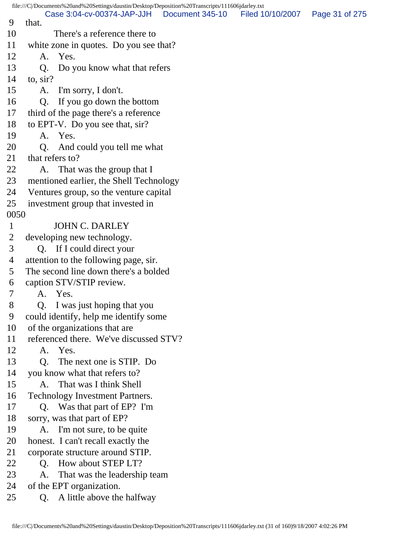file:///C|/Documents%20and%20Settings/daustin/Desktop/Deposition%20Transcripts/111606jdarley.txt 9 that. 10 There's a reference there to 11 white zone in quotes. Do you see that? 12 A. Yes. 13 Q. Do you know what that refers 14 to, sir? 15 A. I'm sorry, I don't. 16 Q. If you go down the bottom 17 third of the page there's a reference 18 to EPT-V. Do you see that, sir? 19 A. Yes. 20 Q. And could you tell me what 21 that refers to? 22 A. That was the group that I 23 mentioned earlier, the Shell Technology 24 Ventures group, so the venture capital 25 investment group that invested in 0050 1 JOHN C. DARLEY 2 developing new technology. 3 Q. If I could direct your 4 attention to the following page, sir. 5 The second line down there's a bolded 6 caption STV/STIP review. 7 A. Yes. 8 Q. I was just hoping that you 9 could identify, help me identify some 10 of the organizations that are 11 referenced there. We've discussed STV? 12 A. Yes. 13 Q. The next one is STIP. Do 14 you know what that refers to? 15 A. That was I think Shell 16 Technology Investment Partners. 17 Q. Was that part of EP? I'm 18 sorry, was that part of EP? 19 A. I'm not sure, to be quite 20 honest. I can't recall exactly the 21 corporate structure around STIP. 22 O. How about STEP LT? 23 A. That was the leadership team 24 of the EPT organization. 25 Q. A little above the halfway Case 3:04-cv-00374-JAP-JJH Document 345-10 Filed 10/10/2007 Page 31 of 275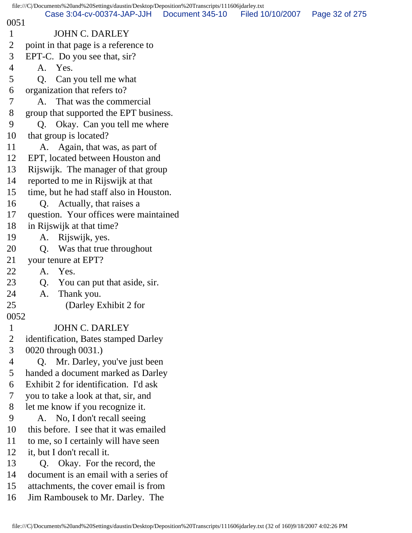| file:///C /Documents%20and%20Settings/daustin/Desktop/Deposition%20Transcripts/111606jdarley.txt |                                                               |                 |                  |                |  |  |
|--------------------------------------------------------------------------------------------------|---------------------------------------------------------------|-----------------|------------------|----------------|--|--|
| 0051                                                                                             | Case 3:04-cv-00374-JAP-JJH                                    | Document 345-10 | Filed 10/10/2007 | Page 32 of 275 |  |  |
| $\mathbf{1}$                                                                                     | <b>JOHN C. DARLEY</b>                                         |                 |                  |                |  |  |
| 2                                                                                                | point in that page is a reference to                          |                 |                  |                |  |  |
| 3                                                                                                | EPT-C. Do you see that, sir?                                  |                 |                  |                |  |  |
| 4                                                                                                | A. Yes.                                                       |                 |                  |                |  |  |
| 5                                                                                                | Can you tell me what<br>Q.                                    |                 |                  |                |  |  |
| 6                                                                                                | organization that refers to?                                  |                 |                  |                |  |  |
| 7                                                                                                | That was the commercial<br>A.                                 |                 |                  |                |  |  |
| 8                                                                                                | group that supported the EPT business.                        |                 |                  |                |  |  |
| 9                                                                                                | Okay. Can you tell me where<br>Q.                             |                 |                  |                |  |  |
| 10                                                                                               | that group is located?                                        |                 |                  |                |  |  |
| 11                                                                                               | A. Again, that was, as part of                                |                 |                  |                |  |  |
| 12                                                                                               | EPT, located between Houston and                              |                 |                  |                |  |  |
| 13                                                                                               | Rijswijk. The manager of that group                           |                 |                  |                |  |  |
| 14                                                                                               | reported to me in Rijswijk at that                            |                 |                  |                |  |  |
| 15                                                                                               | time, but he had staff also in Houston.                       |                 |                  |                |  |  |
| 16                                                                                               | Q. Actually, that raises a                                    |                 |                  |                |  |  |
| 17                                                                                               | question. Your offices were maintained                        |                 |                  |                |  |  |
| 18                                                                                               | in Rijswijk at that time?                                     |                 |                  |                |  |  |
| 19                                                                                               | Rijswijk, yes.<br>A.                                          |                 |                  |                |  |  |
| 20                                                                                               | Was that true throughout<br>Q.                                |                 |                  |                |  |  |
| 21                                                                                               | your tenure at EPT?                                           |                 |                  |                |  |  |
| 22                                                                                               | Yes.<br>A.                                                    |                 |                  |                |  |  |
| 23                                                                                               | You can put that aside, sir.<br>Q.                            |                 |                  |                |  |  |
| 24                                                                                               | Thank you.<br>A.                                              |                 |                  |                |  |  |
| 25                                                                                               | (Darley Exhibit 2 for                                         |                 |                  |                |  |  |
| 0052                                                                                             |                                                               |                 |                  |                |  |  |
| $\mathbf{1}$                                                                                     | <b>JOHN C. DARLEY</b>                                         |                 |                  |                |  |  |
| $\overline{2}$                                                                                   | identification, Bates stamped Darley                          |                 |                  |                |  |  |
| 3                                                                                                | 0020 through 0031.)                                           |                 |                  |                |  |  |
| 4                                                                                                | Mr. Darley, you've just been<br>Q.                            |                 |                  |                |  |  |
| 5                                                                                                | handed a document marked as Darley                            |                 |                  |                |  |  |
| 6                                                                                                | Exhibit 2 for identification. I'd ask                         |                 |                  |                |  |  |
| $\overline{7}$                                                                                   | you to take a look at that, sir, and                          |                 |                  |                |  |  |
| 8                                                                                                | let me know if you recognize it.                              |                 |                  |                |  |  |
| 9                                                                                                | No, I don't recall seeing<br>A.                               |                 |                  |                |  |  |
| 10                                                                                               | this before. I see that it was emailed                        |                 |                  |                |  |  |
| 11                                                                                               | to me, so I certainly will have seen                          |                 |                  |                |  |  |
| 12<br>13                                                                                         | it, but I don't recall it.<br>Okay. For the record, the<br>Q. |                 |                  |                |  |  |
| 14                                                                                               | document is an email with a series of                         |                 |                  |                |  |  |
| 15                                                                                               | attachments, the cover email is from                          |                 |                  |                |  |  |
| 16                                                                                               | Jim Rambousek to Mr. Darley. The                              |                 |                  |                |  |  |
|                                                                                                  |                                                               |                 |                  |                |  |  |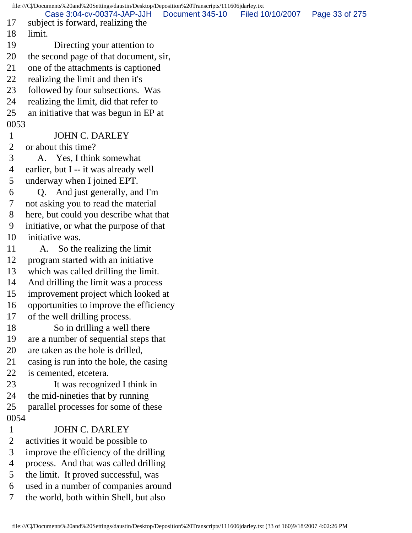file:///C|/Documents%20and%20Settings/daustin/Desktop/Deposition%20Transcripts/111606jdarley.txt 17 subject is forward, realizing the 18 limit. 19 Directing your attention to 20 the second page of that document, sir, 21 one of the attachments is captioned 22 realizing the limit and then it's 23 followed by four subsections. Was 24 realizing the limit, did that refer to 25 an initiative that was begun in EP at 0053 1 JOHN C. DARLEY 2 or about this time? 3 A. Yes, I think somewhat 4 earlier, but I -- it was already well 5 underway when I joined EPT. 6 Q. And just generally, and I'm 7 not asking you to read the material 8 here, but could you describe what that 9 initiative, or what the purpose of that 10 initiative was. 11 A. So the realizing the limit 12 program started with an initiative 13 which was called drilling the limit. 14 And drilling the limit was a process 15 improvement project which looked at 16 opportunities to improve the efficiency 17 of the well drilling process. 18 So in drilling a well there 19 are a number of sequential steps that 20 are taken as the hole is drilled, 21 casing is run into the hole, the casing 22 is cemented, etcetera. 23 It was recognized I think in 24 the mid-nineties that by running 25 parallel processes for some of these 0054 1 JOHN C. DARLEY 2 activities it would be possible to 3 improve the efficiency of the drilling 4 process. And that was called drilling 5 the limit. It proved successful, was 6 used in a number of companies around Case 3:04-cv-00374-JAP-JJH Document 345-10 Filed 10/10/2007 Page 33 of 275

7 the world, both within Shell, but also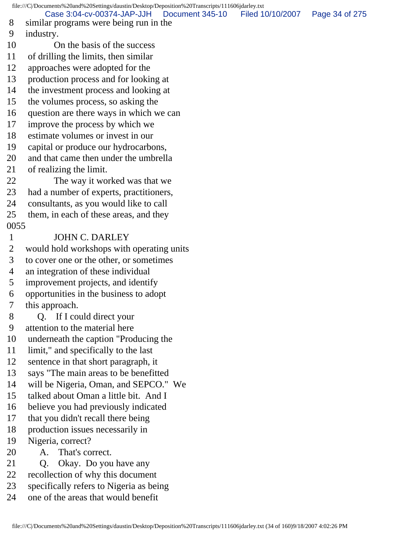file:///C|/Documents%20and%20Settings/daustin/Desktop/Deposition%20Transcripts/111606jdarley.txt 8 similar programs were being run in the 9 industry. 10 On the basis of the success 11 of drilling the limits, then similar 12 approaches were adopted for the 13 production process and for looking at 14 the investment process and looking at 15 the volumes process, so asking the 16 question are there ways in which we can 17 improve the process by which we 18 estimate volumes or invest in our 19 capital or produce our hydrocarbons, 20 and that came then under the umbrella 21 of realizing the limit. 22 The way it worked was that we 23 had a number of experts, practitioners, 24 consultants, as you would like to call 25 them, in each of these areas, and they 0055 1 JOHN C. DARLEY 2 would hold workshops with operating units 3 to cover one or the other, or sometimes 4 an integration of these individual 5 improvement projects, and identify 6 opportunities in the business to adopt 7 this approach. 8 Q. If I could direct your 9 attention to the material here 10 underneath the caption "Producing the 11 limit," and specifically to the last 12 sentence in that short paragraph, it 13 says "The main areas to be benefitted 14 will be Nigeria, Oman, and SEPCO." We 15 talked about Oman a little bit. And I 16 believe you had previously indicated 17 that you didn't recall there being 18 production issues necessarily in 19 Nigeria, correct? 20 A. That's correct. 21 Q. Okay. Do you have any 22 recollection of why this document 23 specifically refers to Nigeria as being 24 one of the areas that would benefit Case 3:04-cv-00374-JAP-JJH Document 345-10 Filed 10/10/2007 Page 34 of 275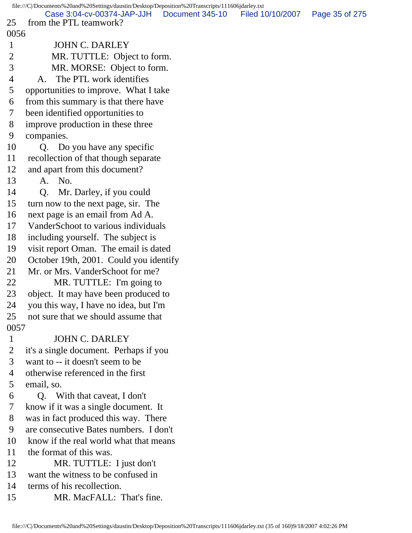file:///C|/Documents%20and%20Settings/daustin/Desktop/Deposition%20Transcripts/111606jdarley.txt 25 from the PTL teamwork? 0056 1 JOHN C. DARLEY 2 MR. TUTTLE: Object to form. 3 MR. MORSE: Object to form. 4 A. The PTL work identifies 5 opportunities to improve. What I take 6 from this summary is that there have 7 been identified opportunities to 8 improve production in these three 9 companies. 10 Q. Do you have any specific 11 recollection of that though separate 12 and apart from this document? 13 A. No. 14 Q. Mr. Darley, if you could 15 turn now to the next page, sir. The 16 next page is an email from Ad A. 17 VanderSchoot to various individuals 18 including yourself. The subject is 19 visit report Oman. The email is dated 20 October 19th, 2001. Could you identify 21 Mr. or Mrs. VanderSchoot for me? 22 MR. TUTTLE: I'm going to 23 object. It may have been produced to 24 you this way, I have no idea, but I'm 25 not sure that we should assume that 0057 1 JOHN C. DARLEY 2 it's a single document. Perhaps if you 3 want to -- it doesn't seem to be 4 otherwise referenced in the first 5 email, so. 6 Q. With that caveat, I don't 7 know if it was a single document. It 8 was in fact produced this way. There 9 are consecutive Bates numbers. I don't 10 know if the real world what that means 11 the format of this was. 12 MR. TUTTLE: I just don't 13 want the witness to be confused in 14 terms of his recollection. 15 MR. MacFALL: That's fine. Case 3:04-cv-00374-JAP-JJH Document 345-10 Filed 10/10/2007 Page 35 of 275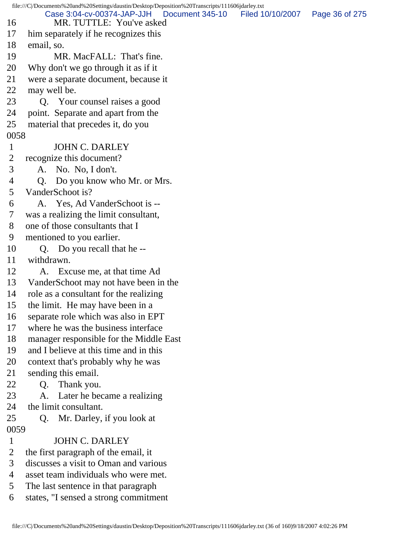file:///C|/Documents%20and%20Settings/daustin/Desktop/Deposition%20Transcripts/111606jdarley.txt 16 MR. TUTTLE: You've asked 17 him separately if he recognizes this 18 email, so. 19 MR. MacFALL: That's fine. 20 Why don't we go through it as if it 21 were a separate document, because it 22 may well be. 23 Q. Your counsel raises a good 24 point. Separate and apart from the 25 material that precedes it, do you 0058 1 JOHN C. DARLEY 2 recognize this document? 3 A. No. No, I don't. 4 Q. Do you know who Mr. or Mrs. 5 VanderSchoot is? 6 A. Yes, Ad VanderSchoot is -- 7 was a realizing the limit consultant, 8 one of those consultants that I 9 mentioned to you earlier. 10 Q. Do you recall that he -- 11 withdrawn. 12 A. Excuse me, at that time Ad 13 VanderSchoot may not have been in the 14 role as a consultant for the realizing 15 the limit. He may have been in a 16 separate role which was also in EPT 17 where he was the business interface 18 manager responsible for the Middle East 19 and I believe at this time and in this 20 context that's probably why he was 21 sending this email. 22 Q. Thank you. 23 A. Later he became a realizing 24 the limit consultant. 25 Q. Mr. Darley, if you look at 0059 1 JOHN C. DARLEY 2 the first paragraph of the email, it 3 discusses a visit to Oman and various 4 asset team individuals who were met. 5 The last sentence in that paragraph 6 states, "I sensed a strong commitment Case 3:04-cv-00374-JAP-JJH Document 345-10 Filed 10/10/2007 Page 36 of 275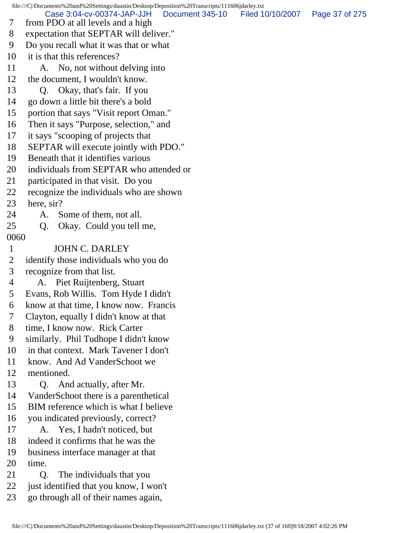file:///C|/Documents%20and%20Settings/daustin/Desktop/Deposition%20Transcripts/111606jdarley.txt 7 from PDO at all levels and a high 8 expectation that SEPTAR will deliver." 9 Do you recall what it was that or what 10 it is that this references? 11 A. No, not without delving into 12 the document, I wouldn't know. 13 Q. Okay, that's fair. If you 14 go down a little bit there's a bold 15 portion that says "Visit report Oman." 16 Then it says "Purpose, selection," and 17 it says "scooping of projects that 18 SEPTAR will execute jointly with PDO." 19 Beneath that it identifies various 20 individuals from SEPTAR who attended or 21 participated in that visit. Do you 22 recognize the individuals who are shown 23 here, sir? 24 A. Some of them, not all. 25 Q. Okay. Could you tell me, 0060 1 JOHN C. DARLEY 2 identify those individuals who you do 3 recognize from that list. 4 A. Piet Ruijtenberg, Stuart 5 Evans, Rob Willis. Tom Hyde I didn't 6 know at that time, I know now. Francis 7 Clayton, equally I didn't know at that 8 time, I know now. Rick Carter 9 similarly. Phil Tudhope I didn't know 10 in that context. Mark Tavener I don't 11 know. And Ad VanderSchoot we 12 mentioned. 13 Q. And actually, after Mr. 14 VanderSchoot there is a parenthetical 15 BIM reference which is what I believe 16 you indicated previously, correct? 17 A. Yes, I hadn't noticed, but 18 indeed it confirms that he was the 19 business interface manager at that 20 time. 21 Q. The individuals that you 22 just identified that you know, I won't 23 go through all of their names again, Case 3:04-cv-00374-JAP-JJH Document 345-10 Filed 10/10/2007 Page 37 of 275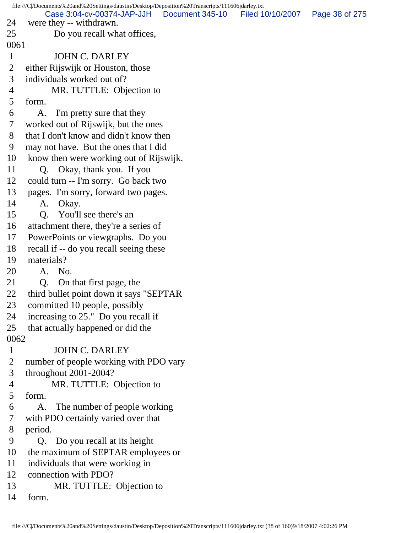file:///C|/Documents%20and%20Settings/daustin/Desktop/Deposition%20Transcripts/111606jdarley.txt 24 were they -- withdrawn. 25 Do you recall what offices, 0061 1 JOHN C. DARLEY 2 either Rijswijk or Houston, those 3 individuals worked out of? 4 MR. TUTTLE: Objection to 5 form. 6 A. I'm pretty sure that they 7 worked out of Rijswijk, but the ones 8 that I don't know and didn't know then 9 may not have. But the ones that I did 10 know then were working out of Rijswijk. 11 Q. Okay, thank you. If you 12 could turn -- I'm sorry. Go back two 13 pages. I'm sorry, forward two pages. 14 A. Okay. 15 Q. You'll see there's an 16 attachment there, they're a series of 17 PowerPoints or viewgraphs. Do you 18 recall if -- do you recall seeing these 19 materials? 20 A. No. 21 Q. On that first page, the 22 third bullet point down it says "SEPTAR 23 committed 10 people, possibly 24 increasing to 25." Do you recall if 25 that actually happened or did the 0062 1 JOHN C. DARLEY 2 number of people working with PDO vary 3 throughout 2001-2004? 4 MR. TUTTLE: Objection to 5 form. 6 A. The number of people working 7 with PDO certainly varied over that 8 period. 9 Q. Do you recall at its height 10 the maximum of SEPTAR employees or 11 individuals that were working in 12 connection with PDO? 13 MR. TUTTLE: Objection to 14 form. Case 3:04-cv-00374-JAP-JJH Document 345-10 Filed 10/10/2007 Page 38 of 275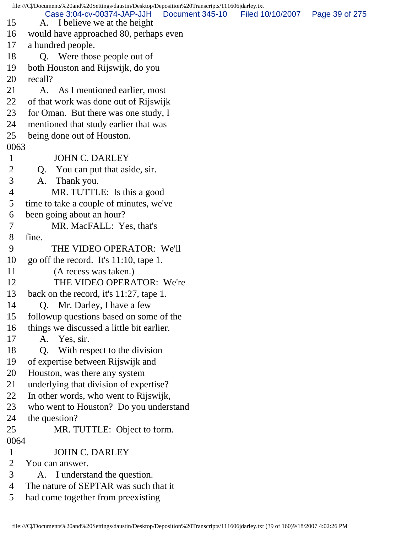file:///C|/Documents%20and%20Settings/daustin/Desktop/Deposition%20Transcripts/111606jdarley.txt 15 A. I believe we at the height 16 would have approached 80, perhaps even 17 a hundred people. 18 Q. Were those people out of 19 both Houston and Rijswijk, do you 20 recall? 21 A. As I mentioned earlier, most 22 of that work was done out of Rijswijk 23 for Oman. But there was one study, I 24 mentioned that study earlier that was 25 being done out of Houston. 0063 1 JOHN C. DARLEY 2 Q. You can put that aside, sir. 3 A. Thank you. 4 MR. TUTTLE: Is this a good 5 time to take a couple of minutes, we've 6 been going about an hour? 7 MR. MacFALL: Yes, that's 8 fine. 9 THE VIDEO OPERATOR: We'll 10 go off the record. It's 11:10, tape 1. 11 (A recess was taken.) 12 THE VIDEO OPERATOR: We're 13 back on the record, it's 11:27, tape 1. 14 Q. Mr. Darley, I have a few 15 followup questions based on some of the 16 things we discussed a little bit earlier. 17 A. Yes, sir. 18 Q. With respect to the division 19 of expertise between Rijswijk and 20 Houston, was there any system 21 underlying that division of expertise? 22 In other words, who went to Rijswijk, 23 who went to Houston? Do you understand 24 the question? 25 MR. TUTTLE: Object to form. 0064 1 JOHN C. DARLEY 2 You can answer. 3 A. I understand the question. 4 The nature of SEPTAR was such that it 5 had come together from preexisting Case 3:04-cv-00374-JAP-JJH Document 345-10 Filed 10/10/2007 Page 39 of 275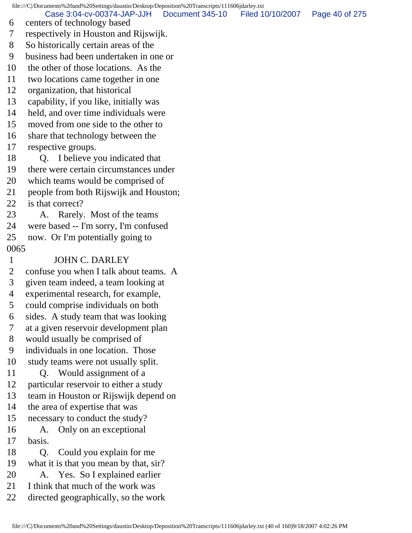file:///C|/Documents%20and%20Settings/daustin/Desktop/Deposition%20Transcripts/111606jdarley.txt 6 centers of technology based 7 respectively in Houston and Rijswijk. 8 So historically certain areas of the 9 business had been undertaken in one or 10 the other of those locations. As the 11 two locations came together in one 12 organization, that historical 13 capability, if you like, initially was 14 held, and over time individuals were 15 moved from one side to the other to 16 share that technology between the 17 respective groups. 18 Q. I believe you indicated that 19 there were certain circumstances under 20 which teams would be comprised of 21 people from both Rijswijk and Houston; 22 is that correct? 23 A. Rarely. Most of the teams 24 were based -- I'm sorry, I'm confused 25 now. Or I'm potentially going to 0065 1 JOHN C. DARLEY 2 confuse you when I talk about teams. A 3 given team indeed, a team looking at 4 experimental research, for example, 5 could comprise individuals on both 6 sides. A study team that was looking 7 at a given reservoir development plan 8 would usually be comprised of 9 individuals in one location. Those 10 study teams were not usually split. 11 Q. Would assignment of a 12 particular reservoir to either a study 13 team in Houston or Rijswijk depend on 14 the area of expertise that was 15 necessary to conduct the study? 16 A. Only on an exceptional 17 basis. 18 Q. Could you explain for me 19 what it is that you mean by that, sir? 20 A. Yes. So I explained earlier 21 I think that much of the work was 22 directed geographically, so the work Case 3:04-cv-00374-JAP-JJH Document 345-10 Filed 10/10/2007 Page 40 of 275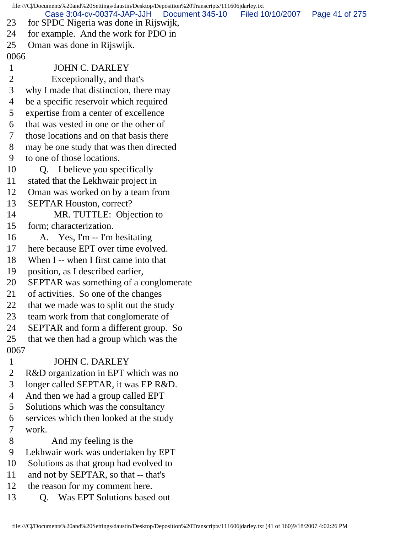file:///C|/Documents%20and%20Settings/daustin/Desktop/Deposition%20Transcripts/111606jdarley.txt 23 for SPDC Nigeria was done in Rijswijk, 24 for example. And the work for PDO in 25 Oman was done in Rijswijk. 0066 1 JOHN C. DARLEY 2 Exceptionally, and that's 3 why I made that distinction, there may 4 be a specific reservoir which required 5 expertise from a center of excellence 6 that was vested in one or the other of 7 those locations and on that basis there 8 may be one study that was then directed 9 to one of those locations. 10 Q. I believe you specifically 11 stated that the Lekhwair project in 12 Oman was worked on by a team from 13 SEPTAR Houston, correct? 14 MR. TUTTLE: Objection to 15 form; characterization. 16 A. Yes, I'm -- I'm hesitating 17 here because EPT over time evolved. 18 When I -- when I first came into that 19 position, as I described earlier, 20 SEPTAR was something of a conglomerate 21 of activities. So one of the changes 22 that we made was to split out the study 23 team work from that conglomerate of 24 SEPTAR and form a different group. So 25 that we then had a group which was the 0067 1 JOHN C. DARLEY 2 R&D organization in EPT which was no 3 longer called SEPTAR, it was EP R&D. 4 And then we had a group called EPT 5 Solutions which was the consultancy 6 services which then looked at the study 7 work. 8 And my feeling is the 9 Lekhwair work was undertaken by EPT 10 Solutions as that group had evolved to 11 and not by SEPTAR, so that -- that's 12 the reason for my comment here. 13 O. Was EPT Solutions based out Case 3:04-cv-00374-JAP-JJH Document 345-10 Filed 10/10/2007 Page 41 of 275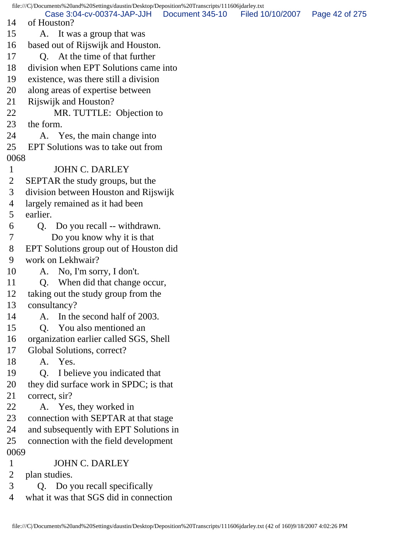file:///C|/Documents%20and%20Settings/daustin/Desktop/Deposition%20Transcripts/111606jdarley.txt 14 of Houston? 15 A. It was a group that was 16 based out of Rijswijk and Houston. 17 Q. At the time of that further 18 division when EPT Solutions came into 19 existence, was there still a division 20 along areas of expertise between 21 Rijswijk and Houston? 22 MR. TUTTLE: Objection to 23 the form. 24 A. Yes, the main change into 25 EPT Solutions was to take out from 0068 1 JOHN C. DARLEY 2 SEPTAR the study groups, but the 3 division between Houston and Rijswijk 4 largely remained as it had been 5 earlier. 6 Q. Do you recall -- withdrawn. 7 Do you know why it is that 8 EPT Solutions group out of Houston did 9 work on Lekhwair? 10 A. No, I'm sorry, I don't. 11 Q. When did that change occur, 12 taking out the study group from the 13 consultancy? 14 A. In the second half of 2003. 15 Q. You also mentioned an 16 organization earlier called SGS, Shell 17 Global Solutions, correct? 18 A. Yes. 19 Q. I believe you indicated that 20 they did surface work in SPDC; is that 21 correct, sir? 22 A. Yes, they worked in 23 connection with SEPTAR at that stage 24 and subsequently with EPT Solutions in 25 connection with the field development 0069 1 JOHN C. DARLEY 2 plan studies. 3 Q. Do you recall specifically Case 3:04-cv-00374-JAP-JJH Document 345-10 Filed 10/10/2007 Page 42 of 275

4 what it was that SGS did in connection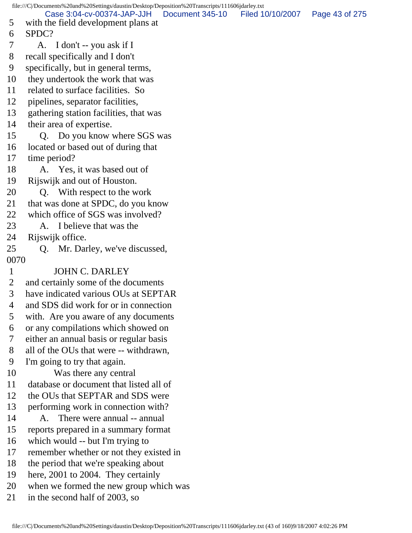file:///C|/Documents%20and%20Settings/daustin/Desktop/Deposition%20Transcripts/111606jdarley.txt 5 with the field development plans at 6 SPDC? 7 A. I don't -- you ask if I 8 recall specifically and I don't 9 specifically, but in general terms, 10 they undertook the work that was 11 related to surface facilities. So 12 pipelines, separator facilities, 13 gathering station facilities, that was 14 their area of expertise. 15 Q. Do you know where SGS was 16 located or based out of during that 17 time period? 18 A. Yes, it was based out of 19 Rijswijk and out of Houston. 20 Q. With respect to the work 21 that was done at SPDC, do you know 22 which office of SGS was involved? 23 A. I believe that was the 24 Rijswijk office. 25 Q. Mr. Darley, we've discussed, 0070 1 JOHN C. DARLEY 2 and certainly some of the documents 3 have indicated various OUs at SEPTAR 4 and SDS did work for or in connection 5 with. Are you aware of any documents 6 or any compilations which showed on 7 either an annual basis or regular basis 8 all of the OUs that were -- withdrawn, 9 I'm going to try that again. 10 Was there any central 11 database or document that listed all of 12 the OUs that SEPTAR and SDS were 13 performing work in connection with? 14 A. There were annual -- annual 15 reports prepared in a summary format 16 which would -- but I'm trying to 17 remember whether or not they existed in 18 the period that we're speaking about 19 here, 2001 to 2004. They certainly 20 when we formed the new group which was 21 in the second half of 2003, so Case 3:04-cv-00374-JAP-JJH Document 345-10 Filed 10/10/2007 Page 43 of 275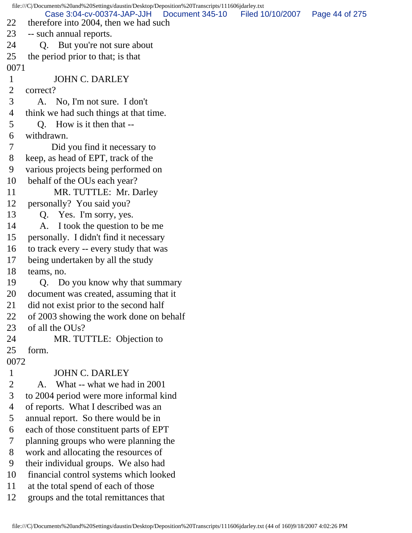file:///C|/Documents%20and%20Settings/daustin/Desktop/Deposition%20Transcripts/111606jdarley.txt 22 therefore into 2004, then we had such 23 -- such annual reports. 24 Q. But you're not sure about 25 the period prior to that; is that 0071 1 JOHN C. DARLEY 2 correct? 3 A. No, I'm not sure. I don't 4 think we had such things at that time. 5 Q. How is it then that -- 6 withdrawn. 7 Did you find it necessary to 8 keep, as head of EPT, track of the 9 various projects being performed on 10 behalf of the OUs each year? 11 MR. TUTTLE: Mr. Darley 12 personally? You said you? 13 Q. Yes. I'm sorry, yes. 14 A. I took the question to be me 15 personally. I didn't find it necessary 16 to track every -- every study that was 17 being undertaken by all the study 18 teams, no. 19 Q. Do you know why that summary 20 document was created, assuming that it 21 did not exist prior to the second half 22 of 2003 showing the work done on behalf 23 of all the OUs? 24 MR. TUTTLE: Objection to 25 form. 0072 1 JOHN C. DARLEY 2 A. What -- what we had in 2001 3 to 2004 period were more informal kind 4 of reports. What I described was an 5 annual report. So there would be in 6 each of those constituent parts of EPT 7 planning groups who were planning the 8 work and allocating the resources of 9 their individual groups. We also had 10 financial control systems which looked 11 at the total spend of each of those 12 groups and the total remittances that Case 3:04-cv-00374-JAP-JJH Document 345-10 Filed 10/10/2007 Page 44 of 275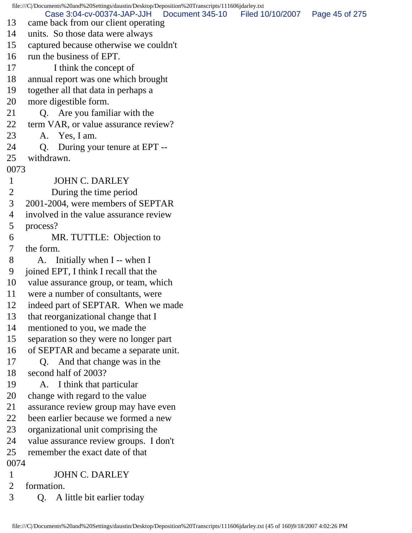file:///C|/Documents%20and%20Settings/daustin/Desktop/Deposition%20Transcripts/111606jdarley.txt 13 came back from our client operating 14 units. So those data were always 15 captured because otherwise we couldn't 16 run the business of EPT. 17 I think the concept of 18 annual report was one which brought 19 together all that data in perhaps a 20 more digestible form. 21 Q. Are you familiar with the 22 term VAR, or value assurance review? 23 A. Yes, I am. 24 Q. During your tenure at EPT -- 25 withdrawn. 0073 1 JOHN C. DARLEY 2 During the time period 3 2001-2004, were members of SEPTAR 4 involved in the value assurance review 5 process? 6 MR. TUTTLE: Objection to 7 the form. 8 A. Initially when I -- when I 9 joined EPT, I think I recall that the 10 value assurance group, or team, which 11 were a number of consultants, were 12 indeed part of SEPTAR. When we made 13 that reorganizational change that I 14 mentioned to you, we made the 15 separation so they were no longer part 16 of SEPTAR and became a separate unit. 17 Q. And that change was in the 18 second half of 2003? 19 A. I think that particular 20 change with regard to the value 21 assurance review group may have even 22 been earlier because we formed a new 23 organizational unit comprising the 24 value assurance review groups. I don't 25 remember the exact date of that 0074 1 JOHN C. DARLEY 2 formation. 3 Q. A little bit earlier today Case 3:04-cv-00374-JAP-JJH Document 345-10 Filed 10/10/2007 Page 45 of 275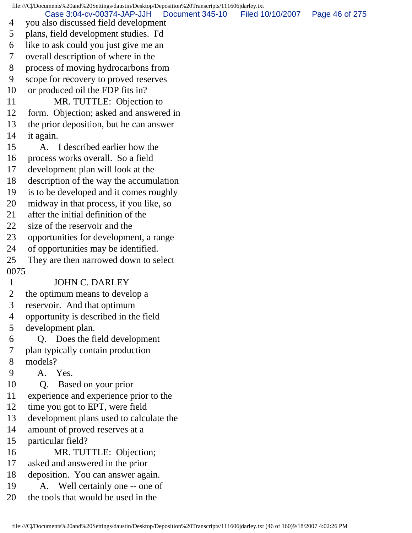file:///C|/Documents%20and%20Settings/daustin/Desktop/Deposition%20Transcripts/111606jdarley.txt 4 you also discussed field development 5 plans, field development studies. I'd 6 like to ask could you just give me an 7 overall description of where in the 8 process of moving hydrocarbons from 9 scope for recovery to proved reserves 10 or produced oil the FDP fits in? 11 MR. TUTTLE: Objection to 12 form. Objection; asked and answered in 13 the prior deposition, but he can answer 14 it again. 15 A. I described earlier how the 16 process works overall. So a field 17 development plan will look at the 18 description of the way the accumulation 19 is to be developed and it comes roughly 20 midway in that process, if you like, so 21 after the initial definition of the 22 size of the reservoir and the 23 opportunities for development, a range 24 of opportunities may be identified. 25 They are then narrowed down to select 0075 1 JOHN C. DARLEY 2 the optimum means to develop a 3 reservoir. And that optimum 4 opportunity is described in the field 5 development plan. 6 Q. Does the field development 7 plan typically contain production 8 models? 9 A. Yes. 10 Q. Based on your prior 11 experience and experience prior to the 12 time you got to EPT, were field 13 development plans used to calculate the 14 amount of proved reserves at a 15 particular field? 16 MR. TUTTLE: Objection; 17 asked and answered in the prior 18 deposition. You can answer again. 19 A. Well certainly one -- one of 20 the tools that would be used in the Case 3:04-cv-00374-JAP-JJH Document 345-10 Filed 10/10/2007 Page 46 of 275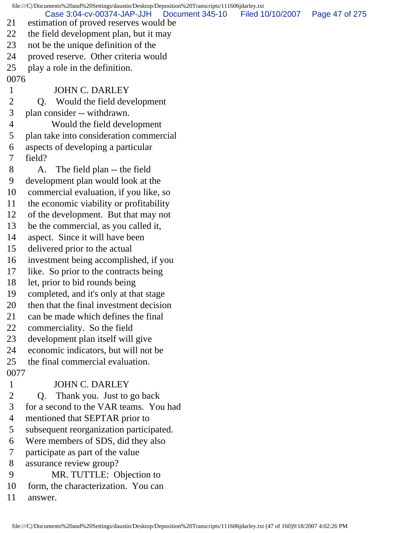file:///C|/Documents%20and%20Settings/daustin/Desktop/Deposition%20Transcripts/111606jdarley.txt 21 estimation of proved reserves would be 22 the field development plan, but it may 23 not be the unique definition of the 24 proved reserve. Other criteria would 25 play a role in the definition. 0076 1 JOHN C. DARLEY 2 Q. Would the field development 3 plan consider -- withdrawn. 4 Would the field development 5 plan take into consideration commercial 6 aspects of developing a particular 7 field? 8 A. The field plan -- the field 9 development plan would look at the 10 commercial evaluation, if you like, so 11 the economic viability or profitability 12 of the development. But that may not 13 be the commercial, as you called it, 14 aspect. Since it will have been 15 delivered prior to the actual 16 investment being accomplished, if you 17 like. So prior to the contracts being 18 let, prior to bid rounds being 19 completed, and it's only at that stage 20 then that the final investment decision 21 can be made which defines the final 22 commerciality. So the field 23 development plan itself will give 24 economic indicators, but will not be 25 the final commercial evaluation. 0077 1 JOHN C. DARLEY 2 Q. Thank you. Just to go back 3 for a second to the VAR teams. You had 4 mentioned that SEPTAR prior to 5 subsequent reorganization participated. 6 Were members of SDS, did they also 7 participate as part of the value 8 assurance review group? 9 MR. TUTTLE: Objection to 10 form, the characterization. You can Case 3:04-cv-00374-JAP-JJH Document 345-10 Filed 10/10/2007 Page 47 of 275

11 answer.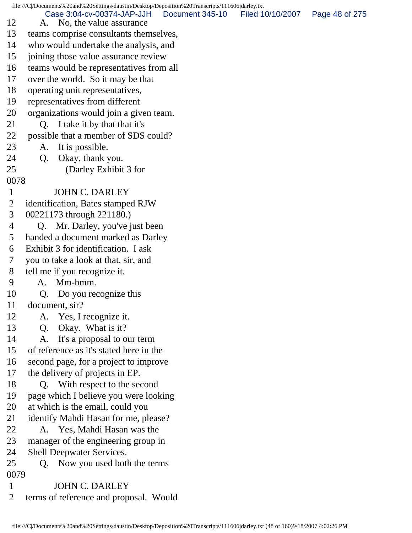file:///C|/Documents%20and%20Settings/daustin/Desktop/Deposition%20Transcripts/111606jdarley.txt 12 A. No, the value assurance 13 teams comprise consultants themselves, 14 who would undertake the analysis, and 15 joining those value assurance review 16 teams would be representatives from all 17 over the world. So it may be that 18 operating unit representatives, 19 representatives from different 20 organizations would join a given team. 21 O. I take it by that that it's 22 possible that a member of SDS could? 23 A. It is possible. 24 Q. Okay, thank you. 25 (Darley Exhibit 3 for 0078 1 JOHN C. DARLEY 2 identification, Bates stamped RJW 3 00221173 through 221180.) 4 Q. Mr. Darley, you've just been 5 handed a document marked as Darley 6 Exhibit 3 for identification. I ask 7 you to take a look at that, sir, and 8 tell me if you recognize it. 9 A. Mm-hmm. 10 Q. Do you recognize this 11 document, sir? 12 A. Yes, I recognize it. 13 Q. Okay. What is it? 14 A. It's a proposal to our term 15 of reference as it's stated here in the 16 second page, for a project to improve 17 the delivery of projects in EP. 18 Q. With respect to the second 19 page which I believe you were looking 20 at which is the email, could you 21 identify Mahdi Hasan for me, please? 22 A. Yes, Mahdi Hasan was the 23 manager of the engineering group in 24 Shell Deepwater Services. 25 Q. Now you used both the terms 0079 1 JOHN C. DARLEY 2 terms of reference and proposal. Would Case 3:04-cv-00374-JAP-JJH Document 345-10 Filed 10/10/2007 Page 48 of 275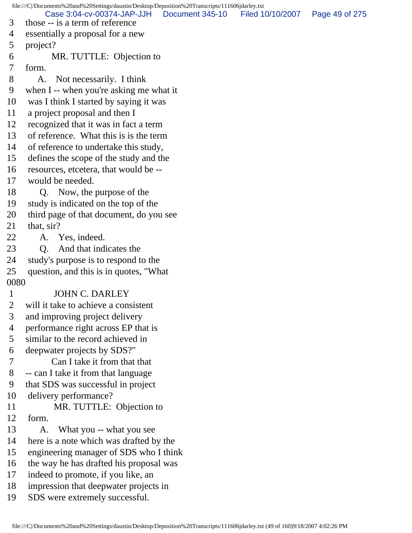file:///C|/Documents%20and%20Settings/daustin/Desktop/Deposition%20Transcripts/111606jdarley.txt 3 those -- is a term of reference 4 essentially a proposal for a new 5 project? 6 MR. TUTTLE: Objection to 7 form. 8 A. Not necessarily. I think 9 when I -- when you're asking me what it 10 was I think I started by saying it was 11 a project proposal and then I 12 recognized that it was in fact a term 13 of reference. What this is is the term 14 of reference to undertake this study, 15 defines the scope of the study and the 16 resources, etcetera, that would be -- 17 would be needed. 18 Q. Now, the purpose of the 19 study is indicated on the top of the 20 third page of that document, do you see 21 that, sir? 22 A. Yes, indeed. 23 Q. And that indicates the 24 study's purpose is to respond to the 25 question, and this is in quotes, "What 0080 1 JOHN C. DARLEY 2 will it take to achieve a consistent 3 and improving project delivery 4 performance right across EP that is 5 similar to the record achieved in 6 deepwater projects by SDS?" 7 Can I take it from that that 8 -- can I take it from that language 9 that SDS was successful in project 10 delivery performance? 11 MR. TUTTLE: Objection to 12 form. 13 A. What you -- what you see 14 here is a note which was drafted by the 15 engineering manager of SDS who I think 16 the way he has drafted his proposal was 17 indeed to promote, if you like, an 18 impression that deepwater projects in 19 SDS were extremely successful. Case 3:04-cv-00374-JAP-JJH Document 345-10 Filed 10/10/2007 Page 49 of 275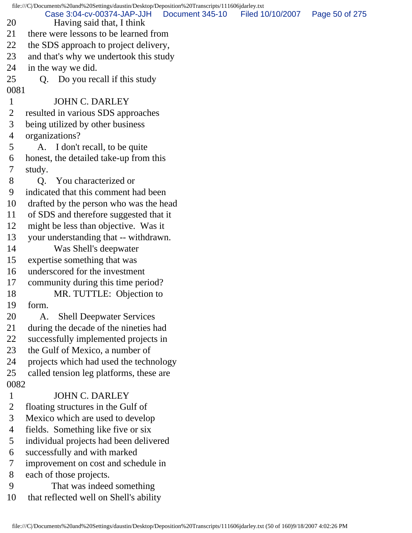file:///C|/Documents%20and%20Settings/daustin/Desktop/Deposition%20Transcripts/111606jdarley.txt 20 Having said that, I think 21 there were lessons to be learned from 22 the SDS approach to project delivery, 23 and that's why we undertook this study 24 in the way we did. 25 Q. Do you recall if this study 0081 1 JOHN C. DARLEY 2 resulted in various SDS approaches 3 being utilized by other business 4 organizations? 5 A. I don't recall, to be quite 6 honest, the detailed take-up from this 7 study. 8 Q. You characterized or 9 indicated that this comment had been 10 drafted by the person who was the head 11 of SDS and therefore suggested that it 12 might be less than objective. Was it 13 your understanding that -- withdrawn. 14 Was Shell's deepwater 15 expertise something that was 16 underscored for the investment 17 community during this time period? 18 MR. TUTTLE: Objection to 19 form. 20 A. Shell Deepwater Services 21 during the decade of the nineties had 22 successfully implemented projects in 23 the Gulf of Mexico, a number of 24 projects which had used the technology 25 called tension leg platforms, these are 0082 1 JOHN C. DARLEY 2 floating structures in the Gulf of 3 Mexico which are used to develop 4 fields. Something like five or six 5 individual projects had been delivered 6 successfully and with marked 7 improvement on cost and schedule in 8 each of those projects. 9 That was indeed something 10 that reflected well on Shell's ability Case 3:04-cv-00374-JAP-JJH Document 345-10 Filed 10/10/2007 Page 50 of 275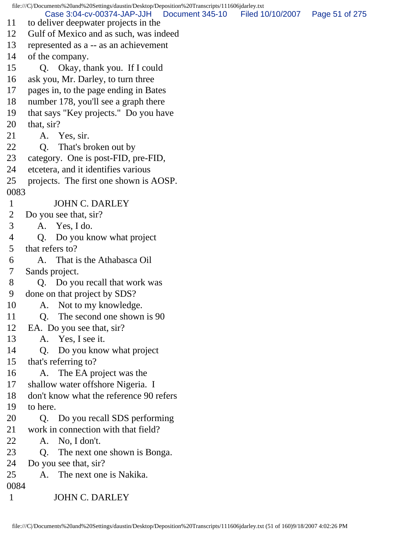file:///C|/Documents%20and%20Settings/daustin/Desktop/Deposition%20Transcripts/111606jdarley.txt 11 to deliver deepwater projects in the 12 Gulf of Mexico and as such, was indeed 13 represented as a -- as an achievement 14 of the company. 15 Q. Okay, thank you. If I could 16 ask you, Mr. Darley, to turn three 17 pages in, to the page ending in Bates 18 number 178, you'll see a graph there 19 that says "Key projects." Do you have 20 that, sir? 21 A. Yes, sir. 22 Q. That's broken out by 23 category. One is post-FID, pre-FID, 24 etcetera, and it identifies various 25 projects. The first one shown is AOSP. 0083 1 JOHN C. DARLEY 2 Do you see that, sir? 3 A. Yes, I do. 4 Q. Do you know what project 5 that refers to? 6 A. That is the Athabasca Oil 7 Sands project. 8 Q. Do you recall that work was 9 done on that project by SDS? 10 A. Not to my knowledge. 11 Q. The second one shown is 90 12 EA. Do you see that, sir? 13 A. Yes, I see it. 14 Q. Do you know what project 15 that's referring to? 16 A. The EA project was the 17 shallow water offshore Nigeria. I 18 don't know what the reference 90 refers 19 to here. 20 Q. Do you recall SDS performing 21 work in connection with that field? 22 A. No, I don't. 23 Q. The next one shown is Bonga. 24 Do you see that, sir? 25 A. The next one is Nakika. 0084 1 JOHN C. DARLEY Case 3:04-cv-00374-JAP-JJH Document 345-10 Filed 10/10/2007 Page 51 of 275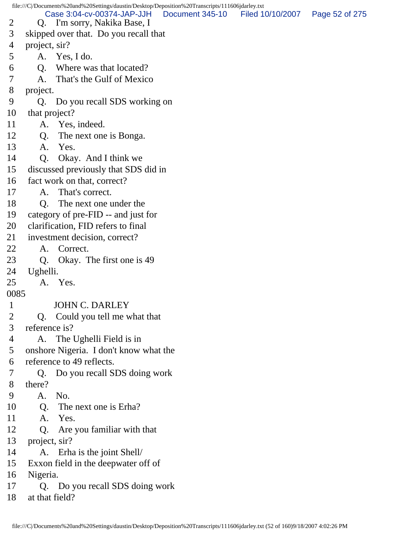file:///C|/Documents%20and%20Settings/daustin/Desktop/Deposition%20Transcripts/111606jdarley.txt 2 Q. I'm sorry, Nakika Base, I 3 skipped over that. Do you recall that 4 project, sir? 5 A. Yes, I do. 6 Q. Where was that located? 7 A. That's the Gulf of Mexico 8 project. 9 Q. Do you recall SDS working on 10 that project? 11 A. Yes, indeed. 12 Q. The next one is Bonga. 13 A. Yes. 14 Q. Okay. And I think we 15 discussed previously that SDS did in 16 fact work on that, correct? 17 A. That's correct. 18 Q. The next one under the 19 category of pre-FID -- and just for 20 clarification, FID refers to final 21 investment decision, correct? 22 A. Correct. 23 Q. Okay. The first one is 49 24 Ughelli. 25 A. Yes. 0085 1 JOHN C. DARLEY 2 Q. Could you tell me what that 3 reference is? 4 A. The Ughelli Field is in 5 onshore Nigeria. I don't know what the 6 reference to 49 reflects. 7 Q. Do you recall SDS doing work 8 there? 9 A. No. 10 O. The next one is Erha? 11 A. Yes. 12 Q. Are you familiar with that 13 project, sir? 14 A. Erha is the joint Shell/ 15 Exxon field in the deepwater off of 16 Nigeria. 17 Q. Do you recall SDS doing work 18 at that field? Case 3:04-cv-00374-JAP-JJH Document 345-10 Filed 10/10/2007 Page 52 of 275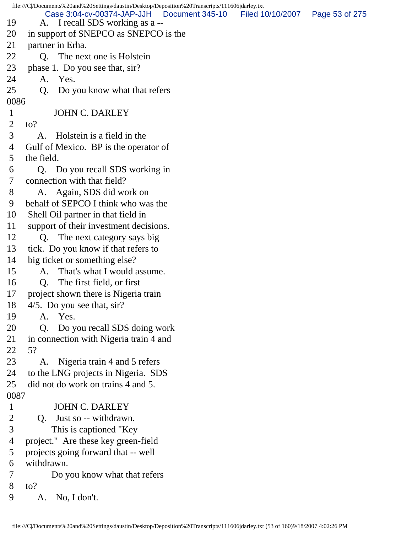|                | file:///C//Documents%20and%20Settings/daustin/Desktop/Deposition%20Transcripts/111606jdarley.txt  |                |
|----------------|---------------------------------------------------------------------------------------------------|----------------|
| 19             | Case 3:04-cv-00374-JAP-JJH<br>Document 345-10 Filed 10/10/2007<br>A. I recall SDS working as a -- | Page 53 of 275 |
| 20             | in support of SNEPCO as SNEPCO is the                                                             |                |
| 21             | partner in Erha.                                                                                  |                |
| 22             | The next one is Holstein<br>Q.                                                                    |                |
| 23             | phase 1. Do you see that, sir?                                                                    |                |
| 24             | A. Yes.                                                                                           |                |
| 25             | Do you know what that refers<br>Q.                                                                |                |
| 0086           |                                                                                                   |                |
| $\mathbf{1}$   | <b>JOHN C. DARLEY</b>                                                                             |                |
| $\overline{2}$ | $\mathfrak{to}?$                                                                                  |                |
| 3              | Holstein is a field in the<br>A.                                                                  |                |
| 4              | Gulf of Mexico. BP is the operator of                                                             |                |
| 5              | the field.                                                                                        |                |
| 6              | Q. Do you recall SDS working in                                                                   |                |
| 7              | connection with that field?                                                                       |                |
| 8              | A. Again, SDS did work on                                                                         |                |
| 9              | behalf of SEPCO I think who was the                                                               |                |
| 10             | Shell Oil partner in that field in                                                                |                |
| 11             | support of their investment decisions.                                                            |                |
| 12             | The next category says big<br>Q.                                                                  |                |
| 13             | tick. Do you know if that refers to                                                               |                |
| 14             | big ticket or something else?                                                                     |                |
| 15             | That's what I would assume.<br>A.                                                                 |                |
| 16             | The first field, or first<br>Q.                                                                   |                |
| 17             | project shown there is Nigeria train                                                              |                |
| 18             | $4/5$ . Do you see that, sir?                                                                     |                |
| 19             | A. Yes.                                                                                           |                |
| 20             | Do you recall SDS doing work<br>Q.                                                                |                |
| 21             | in connection with Nigeria train 4 and                                                            |                |
| 22             | 5?                                                                                                |                |
| 23             | Nigeria train 4 and 5 refers<br>A.                                                                |                |
| 24             | to the LNG projects in Nigeria. SDS                                                               |                |
| 25             | did not do work on trains 4 and 5.                                                                |                |
| 0087           |                                                                                                   |                |
| $\mathbf{1}$   | <b>JOHN C. DARLEY</b>                                                                             |                |
| $\overline{2}$ | Just so -- withdrawn.<br>Q.                                                                       |                |
| 3              | This is captioned "Key"                                                                           |                |
| 4              | project." Are these key green-field                                                               |                |
| 5              | projects going forward that -- well                                                               |                |
| 6              | withdrawn.                                                                                        |                |
| 7              | Do you know what that refers                                                                      |                |
| 8              | $\mathfrak{to}?$                                                                                  |                |
| 9              | No, I don't.<br>A.                                                                                |                |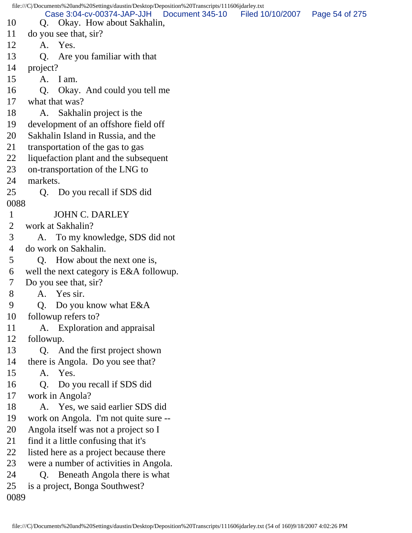file:///C|/Documents%20and%20Settings/daustin/Desktop/Deposition%20Transcripts/111606jdarley.txt 10 Q. Okay. How about Sakhalin, 11 do you see that, sir? 12 A. Yes. 13 Q. Are you familiar with that 14 project? 15 A. I am. 16 Q. Okay. And could you tell me 17 what that was? 18 A. Sakhalin project is the 19 development of an offshore field off 20 Sakhalin Island in Russia, and the 21 transportation of the gas to gas 22 liquefaction plant and the subsequent 23 on-transportation of the LNG to 24 markets. 25 Q. Do you recall if SDS did 0088 1 JOHN C. DARLEY 2 work at Sakhalin? 3 A. To my knowledge, SDS did not 4 do work on Sakhalin. 5 Q. How about the next one is, 6 well the next category is E&A followup. 7 Do you see that, sir? 8 A. Yes sir. 9 Q. Do you know what E&A 10 followup refers to? 11 A. Exploration and appraisal 12 followup. 13 Q. And the first project shown 14 there is Angola. Do you see that? 15 A. Yes. 16 Q. Do you recall if SDS did 17 work in Angola? 18 A. Yes, we said earlier SDS did 19 work on Angola. I'm not quite sure -- 20 Angola itself was not a project so I 21 find it a little confusing that it's 22 listed here as a project because there 23 were a number of activities in Angola. 24 Q. Beneath Angola there is what 25 is a project, Bonga Southwest? 0089 Case 3:04-cv-00374-JAP-JJH Document 345-10 Filed 10/10/2007 Page 54 of 275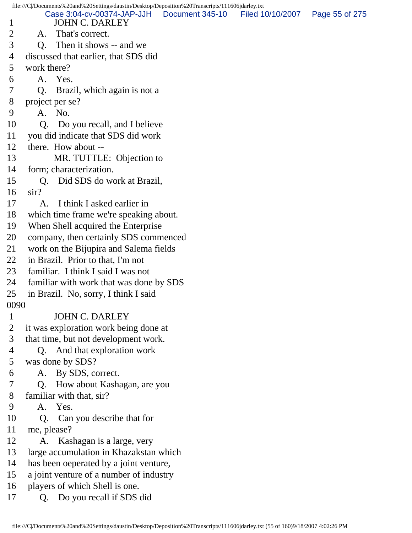1 JOHN C. DARLEY 2 A. That's correct. 3 Q. Then it shows -- and we 4 discussed that earlier, that SDS did 5 work there? 6 A. Yes. 7 Q. Brazil, which again is not a 8 project per se? 9 A. No. 10 Q. Do you recall, and I believe 11 you did indicate that SDS did work 12 there. How about -- 13 MR. TUTTLE: Objection to 14 form; characterization. 15 Q. Did SDS do work at Brazil, 16 sir? 17 A. I think I asked earlier in 18 which time frame we're speaking about. 19 When Shell acquired the Enterprise 20 company, then certainly SDS commenced 21 work on the Bijupira and Salema fields 22 in Brazil. Prior to that, I'm not 23 familiar. I think I said I was not 24 familiar with work that was done by SDS 25 in Brazil. No, sorry, I think I said 0090 1 JOHN C. DARLEY 2 it was exploration work being done at 3 that time, but not development work. 4 Q. And that exploration work 5 was done by SDS? 6 A. By SDS, correct. 7 Q. How about Kashagan, are you 8 familiar with that, sir? 9 A. Yes. 10 Q. Can you describe that for 11 me, please? 12 A. Kashagan is a large, very 13 large accumulation in Khazakstan which 14 has been oeperated by a joint venture, 15 a joint venture of a number of industry 16 players of which Shell is one. 17 Q. Do you recall if SDS did Case 3:04-cv-00374-JAP-JJH Document 345-10 Filed 10/10/2007 Page 55 of 275

file:///C|/Documents%20and%20Settings/daustin/Desktop/Deposition%20Transcripts/111606jdarley.txt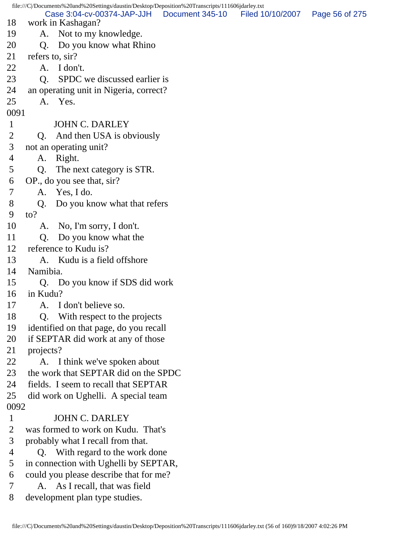|                |                 | file:///C /Documents%20and%20Settings/daustin/Desktop/Deposition%20Transcripts/111606jdarley.txt |                                  |                |
|----------------|-----------------|--------------------------------------------------------------------------------------------------|----------------------------------|----------------|
| 18             |                 | Case 3:04-cv-00374-JAP-JJH<br>work in Kashagan?                                                  | Document 345-10 Filed 10/10/2007 | Page 56 of 275 |
| 19             |                 | A. Not to my knowledge.                                                                          |                                  |                |
| 20             | Q.              | Do you know what Rhino                                                                           |                                  |                |
| 21             | refers to, sir? |                                                                                                  |                                  |                |
| 22             | A.              | I don't.                                                                                         |                                  |                |
| 23             | Q.              | SPDC we discussed earlier is                                                                     |                                  |                |
| 24             |                 | an operating unit in Nigeria, correct?                                                           |                                  |                |
| 25             |                 | A. Yes.                                                                                          |                                  |                |
| 0091           |                 |                                                                                                  |                                  |                |
| $\mathbf{1}$   |                 | <b>JOHN C. DARLEY</b>                                                                            |                                  |                |
| $\overline{2}$ | Q.              | And then USA is obviously                                                                        |                                  |                |
| 3              |                 | not an operating unit?                                                                           |                                  |                |
| 4              | A.              | Right.                                                                                           |                                  |                |
| 5              | Q.              | The next category is STR.                                                                        |                                  |                |
| 6              |                 | OP., do you see that, sir?                                                                       |                                  |                |
| $\overline{7}$ |                 | A. Yes, I do.                                                                                    |                                  |                |
| 8              | Q.              | Do you know what that refers                                                                     |                                  |                |
| 9              | $\mathrm{to}$ ? |                                                                                                  |                                  |                |
| 10             | A.              | No, I'm sorry, I don't.                                                                          |                                  |                |
| 11             | Q.              | Do you know what the                                                                             |                                  |                |
| 12             |                 | reference to Kudu is?                                                                            |                                  |                |
| 13             |                 | A. Kudu is a field offshore                                                                      |                                  |                |
| 14             | Namibia.        |                                                                                                  |                                  |                |
| 15             |                 | Q. Do you know if SDS did work                                                                   |                                  |                |
| 16             | in Kudu?        |                                                                                                  |                                  |                |
| 17             |                 | A. I don't believe so.                                                                           |                                  |                |
| 18             | Q.              | With respect to the projects                                                                     |                                  |                |
| 19             |                 | identified on that page, do you recall                                                           |                                  |                |
| 20             |                 | if SEPTAR did work at any of those                                                               |                                  |                |
| 21             | projects?       |                                                                                                  |                                  |                |
| 22             |                 | A. I think we've spoken about                                                                    |                                  |                |
| 23             |                 | the work that SEPTAR did on the SPDC                                                             |                                  |                |
| 24             |                 | fields. I seem to recall that SEPTAR                                                             |                                  |                |
| 25             |                 | did work on Ughelli. A special team                                                              |                                  |                |
| 0092           |                 |                                                                                                  |                                  |                |
| $\mathbf{1}$   |                 | <b>JOHN C. DARLEY</b>                                                                            |                                  |                |
| $\overline{2}$ |                 | was formed to work on Kudu. That's                                                               |                                  |                |
| 3              |                 | probably what I recall from that.                                                                |                                  |                |
| 4              |                 | Q. With regard to the work done                                                                  |                                  |                |
| 5              |                 | in connection with Ughelli by SEPTAR,                                                            |                                  |                |
| 6<br>7         |                 | could you please describe that for me?                                                           |                                  |                |
|                |                 | A. As I recall, that was field                                                                   |                                  |                |
| 8              |                 | development plan type studies.                                                                   |                                  |                |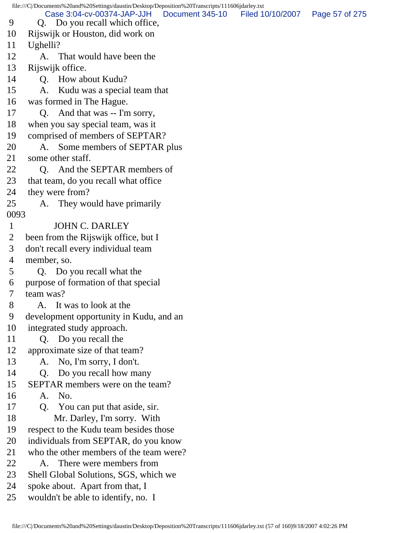file:///C|/Documents%20and%20Settings/daustin/Desktop/Deposition%20Transcripts/111606jdarley.txt 9 Q. Do you recall which office, 10 Rijswijk or Houston, did work on 11 Ughelli? 12 A. That would have been the 13 Rijswijk office. 14 Q. How about Kudu? 15 A. Kudu was a special team that 16 was formed in The Hague. 17 Q. And that was -- I'm sorry, 18 when you say special team, was it 19 comprised of members of SEPTAR? 20 A. Some members of SEPTAR plus 21 some other staff. 22 Q. And the SEPTAR members of 23 that team, do you recall what office 24 they were from? 25 A. They would have primarily 0093 1 JOHN C. DARLEY 2 been from the Rijswijk office, but I 3 don't recall every individual team 4 member, so. 5 Q. Do you recall what the 6 purpose of formation of that special 7 team was? 8 A. It was to look at the 9 development opportunity in Kudu, and an 10 integrated study approach. 11 Q. Do you recall the 12 approximate size of that team? 13 A. No, I'm sorry, I don't. 14 Q. Do you recall how many 15 SEPTAR members were on the team? 16 A. No. 17 Q. You can put that aside, sir. 18 Mr. Darley, I'm sorry. With 19 respect to the Kudu team besides those 20 individuals from SEPTAR, do you know 21 who the other members of the team were? 22 A. There were members from 23 Shell Global Solutions, SGS, which we 24 spoke about. Apart from that, I 25 wouldn't be able to identify, no. I Case 3:04-cv-00374-JAP-JJH Document 345-10 Filed 10/10/2007 Page 57 of 275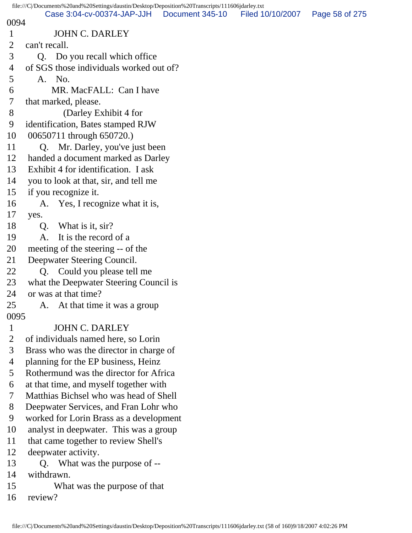|                | file:///C /Documents%20and%20Settings/daustin/Desktop/Deposition%20Transcripts/111606jdarley.txt |                 |                  |                |  |
|----------------|--------------------------------------------------------------------------------------------------|-----------------|------------------|----------------|--|
| 0094           | Case 3:04-cv-00374-JAP-JJH                                                                       | Document 345-10 | Filed 10/10/2007 | Page 58 of 275 |  |
| $\mathbf{1}$   | <b>JOHN C. DARLEY</b>                                                                            |                 |                  |                |  |
| $\overline{2}$ | can't recall.                                                                                    |                 |                  |                |  |
| 3              | Q. Do you recall which office                                                                    |                 |                  |                |  |
| 4              | of SGS those individuals worked out of?                                                          |                 |                  |                |  |
| 5              | A. No.                                                                                           |                 |                  |                |  |
| 6              | MR. MacFALL: Can I have                                                                          |                 |                  |                |  |
| $\overline{7}$ | that marked, please.                                                                             |                 |                  |                |  |
| 8              | (Darley Exhibit 4 for                                                                            |                 |                  |                |  |
| 9              | identification, Bates stamped RJW                                                                |                 |                  |                |  |
| 10             | 00650711 through 650720.)                                                                        |                 |                  |                |  |
| 11             | Q. Mr. Darley, you've just been                                                                  |                 |                  |                |  |
| 12             | handed a document marked as Darley                                                               |                 |                  |                |  |
| 13             | Exhibit 4 for identification. I ask                                                              |                 |                  |                |  |
| 14             | you to look at that, sir, and tell me                                                            |                 |                  |                |  |
| 15             | if you recognize it.                                                                             |                 |                  |                |  |
| 16             | A. Yes, I recognize what it is,                                                                  |                 |                  |                |  |
| 17             | yes.                                                                                             |                 |                  |                |  |
| 18             | What is it, sir?<br>Q.                                                                           |                 |                  |                |  |
| 19             | It is the record of a<br>A.                                                                      |                 |                  |                |  |
| 20             | meeting of the steering -- of the                                                                |                 |                  |                |  |
| 21             | Deepwater Steering Council.                                                                      |                 |                  |                |  |
| 22             | Q. Could you please tell me                                                                      |                 |                  |                |  |
| 23             | what the Deepwater Steering Council is                                                           |                 |                  |                |  |
| 24             | or was at that time?                                                                             |                 |                  |                |  |
| 25             | A. At that time it was a group                                                                   |                 |                  |                |  |
| 0095           |                                                                                                  |                 |                  |                |  |
| $\mathbf{1}$   | <b>JOHN C. DARLEY</b>                                                                            |                 |                  |                |  |
| $\overline{2}$ | of individuals named here, so Lorin                                                              |                 |                  |                |  |
| 3              | Brass who was the director in charge of                                                          |                 |                  |                |  |
| $\overline{4}$ | planning for the EP business, Heinz                                                              |                 |                  |                |  |
| 5              | Rothermund was the director for Africa                                                           |                 |                  |                |  |
| 6              | at that time, and myself together with                                                           |                 |                  |                |  |
| 7              | Matthias Bichsel who was head of Shell                                                           |                 |                  |                |  |
| 8              | Deepwater Services, and Fran Lohr who                                                            |                 |                  |                |  |
| 9              | worked for Lorin Brass as a development                                                          |                 |                  |                |  |
| 10             | analyst in deepwater. This was a group                                                           |                 |                  |                |  |
| 11             | that came together to review Shell's                                                             |                 |                  |                |  |
| 12<br>13       | deepwater activity.                                                                              |                 |                  |                |  |
| 14             | Q. What was the purpose of --<br>withdrawn.                                                      |                 |                  |                |  |
| 15             | What was the purpose of that                                                                     |                 |                  |                |  |
| 16             | review?                                                                                          |                 |                  |                |  |
|                |                                                                                                  |                 |                  |                |  |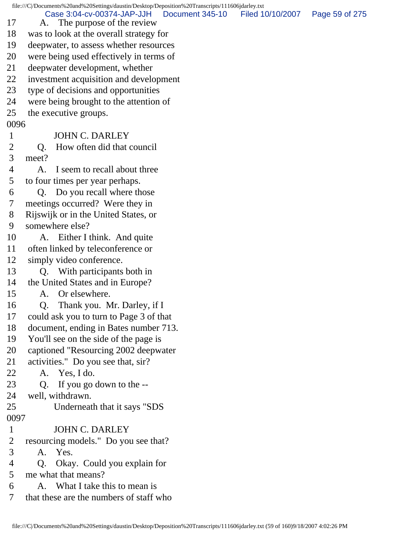file:///C|/Documents%20and%20Settings/daustin/Desktop/Deposition%20Transcripts/111606jdarley.txt 17 A. The purpose of the review 18 was to look at the overall strategy for 19 deepwater, to assess whether resources 20 were being used effectively in terms of 21 deepwater development, whether 22 investment acquisition and development 23 type of decisions and opportunities 24 were being brought to the attention of 25 the executive groups. 0096 1 JOHN C. DARLEY 2 Q. How often did that council 3 meet? 4 A. I seem to recall about three 5 to four times per year perhaps. 6 Q. Do you recall where those 7 meetings occurred? Were they in 8 Rijswijk or in the United States, or 9 somewhere else? 10 A. Either I think. And quite 11 often linked by teleconference or 12 simply video conference. 13 Q. With participants both in 14 the United States and in Europe? 15 A. Or elsewhere. 16 Q. Thank you. Mr. Darley, if I 17 could ask you to turn to Page 3 of that 18 document, ending in Bates number 713. 19 You'll see on the side of the page is 20 captioned "Resourcing 2002 deepwater 21 activities." Do you see that, sir? 22 A. Yes, I do. 23 Q. If you go down to the -- 24 well, withdrawn. 25 Underneath that it says "SDS 0097 1 JOHN C. DARLEY 2 resourcing models." Do you see that? 3 A. Yes. 4 Q. Okay. Could you explain for 5 me what that means? 6 A. What I take this to mean is 7 that these are the numbers of staff who Case 3:04-cv-00374-JAP-JJH Document 345-10 Filed 10/10/2007 Page 59 of 275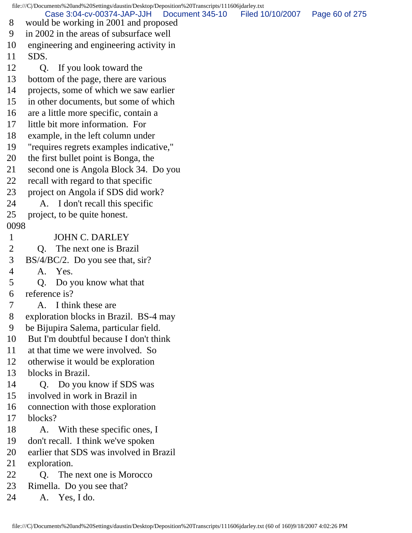file:///C|/Documents%20and%20Settings/daustin/Desktop/Deposition%20Transcripts/111606jdarley.txt 8 would be working in 2001 and proposed 9 in 2002 in the areas of subsurface well 10 engineering and engineering activity in 11 SDS. 12 Q. If you look toward the 13 bottom of the page, there are various 14 projects, some of which we saw earlier 15 in other documents, but some of which 16 are a little more specific, contain a 17 little bit more information. For 18 example, in the left column under 19 "requires regrets examples indicative," 20 the first bullet point is Bonga, the 21 second one is Angola Block 34. Do you 22 recall with regard to that specific 23 project on Angola if SDS did work? 24 A. I don't recall this specific 25 project, to be quite honest. 0098 1 JOHN C. DARLEY 2 Q. The next one is Brazil 3 BS/4/BC/2. Do you see that, sir? 4 A. Yes. 5 Q. Do you know what that 6 reference is? 7 A. I think these are 8 exploration blocks in Brazil. BS-4 may 9 be Bijupira Salema, particular field. 10 But I'm doubtful because I don't think 11 at that time we were involved. So 12 otherwise it would be exploration 13 blocks in Brazil. 14 Q. Do you know if SDS was 15 involved in work in Brazil in 16 connection with those exploration 17 blocks? 18 A. With these specific ones, I 19 don't recall. I think we've spoken 20 earlier that SDS was involved in Brazil 21 exploration. 22 Q. The next one is Morocco 23 Rimella. Do you see that? 24 A. Yes, I do. Case 3:04-cv-00374-JAP-JJH Document 345-10 Filed 10/10/2007 Page 60 of 275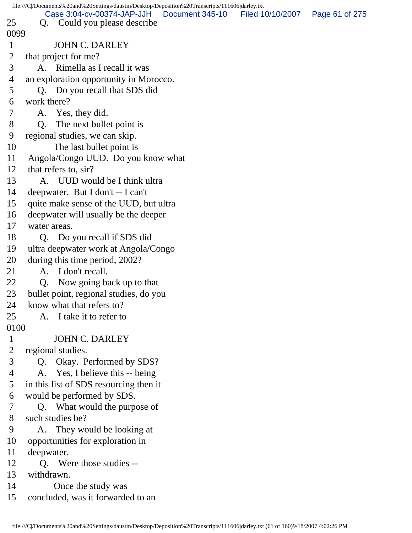|                | file:///C/Documents%20and%20Settings/daustin/Desktop/Deposition%20Transcripts/111606jdarley.txt |                  |                |  |  |
|----------------|-------------------------------------------------------------------------------------------------|------------------|----------------|--|--|
| 25             | Case 3:04-cv-00374-JAP-JJH<br>Document 345-10<br>Q. Could you please describe                   | Filed 10/10/2007 | Page 61 of 275 |  |  |
| 0099           |                                                                                                 |                  |                |  |  |
| $\mathbf{1}$   | <b>JOHN C. DARLEY</b>                                                                           |                  |                |  |  |
| $\overline{2}$ | that project for me?                                                                            |                  |                |  |  |
| 3              | A. Rimella as I recall it was                                                                   |                  |                |  |  |
| 4              | an exploration opportunity in Morocco.                                                          |                  |                |  |  |
| 5              | Q. Do you recall that SDS did                                                                   |                  |                |  |  |
|                | work there?                                                                                     |                  |                |  |  |
| 6              |                                                                                                 |                  |                |  |  |
| 7              | A. Yes, they did.                                                                               |                  |                |  |  |
| 8              | O.<br>The next bullet point is                                                                  |                  |                |  |  |
| 9              | regional studies, we can skip.                                                                  |                  |                |  |  |
| 10             | The last bullet point is                                                                        |                  |                |  |  |
| 11             | Angola/Congo UUD. Do you know what                                                              |                  |                |  |  |
| 12             | that refers to, sir?                                                                            |                  |                |  |  |
| 13             | A. UUD would be I think ultra                                                                   |                  |                |  |  |
| 14             | deepwater. But I don't -- I can't                                                               |                  |                |  |  |
| 15             | quite make sense of the UUD, but ultra                                                          |                  |                |  |  |
| 16             | deepwater will usually be the deeper                                                            |                  |                |  |  |
| 17             | water areas.                                                                                    |                  |                |  |  |
| 18             | Q. Do you recall if SDS did                                                                     |                  |                |  |  |
| 19             | ultra deepwater work at Angola/Congo                                                            |                  |                |  |  |
| 20             | during this time period, 2002?                                                                  |                  |                |  |  |
| 21             | A. I don't recall.                                                                              |                  |                |  |  |
| 22             | Q <sub>r</sub><br>Now going back up to that                                                     |                  |                |  |  |
| 23             | bullet point, regional studies, do you                                                          |                  |                |  |  |
| 24             | know what that refers to?                                                                       |                  |                |  |  |
| 25             | A. I take it to refer to                                                                        |                  |                |  |  |
| 0100           |                                                                                                 |                  |                |  |  |
| $\mathbf{1}$   | <b>JOHN C. DARLEY</b>                                                                           |                  |                |  |  |
| $\overline{2}$ | regional studies.                                                                               |                  |                |  |  |
| 3              | Q. Okay. Performed by SDS?                                                                      |                  |                |  |  |
| 4              | A. Yes, I believe this -- being                                                                 |                  |                |  |  |
| 5              | in this list of SDS resourcing then it                                                          |                  |                |  |  |
| 6              | would be performed by SDS.                                                                      |                  |                |  |  |
| 7              | Q. What would the purpose of                                                                    |                  |                |  |  |
| 8              | such studies be?                                                                                |                  |                |  |  |
| 9              | They would be looking at<br>A.                                                                  |                  |                |  |  |
| 10             | opportunities for exploration in                                                                |                  |                |  |  |
| 11             | deepwater.                                                                                      |                  |                |  |  |
| 12             | Q. Were those studies --                                                                        |                  |                |  |  |
| 13             | withdrawn.                                                                                      |                  |                |  |  |
| 14             | Once the study was                                                                              |                  |                |  |  |
| 15             | concluded, was it forwarded to an                                                               |                  |                |  |  |
|                |                                                                                                 |                  |                |  |  |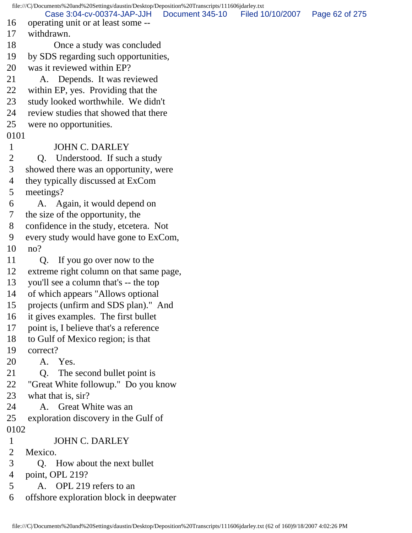file:///C|/Documents%20and%20Settings/daustin/Desktop/Deposition%20Transcripts/111606jdarley.txt 16 operating unit or at least some -- 17 withdrawn. 18 Once a study was concluded 19 by SDS regarding such opportunities, 20 was it reviewed within EP? 21 A. Depends. It was reviewed 22 within EP, yes. Providing that the 23 study looked worthwhile. We didn't 24 review studies that showed that there 25 were no opportunities. 0101 1 JOHN C. DARLEY 2 Q. Understood. If such a study 3 showed there was an opportunity, were 4 they typically discussed at ExCom 5 meetings? 6 A. Again, it would depend on 7 the size of the opportunity, the 8 confidence in the study, etcetera. Not 9 every study would have gone to ExCom, 10 no? 11 Q. If you go over now to the 12 extreme right column on that same page, 13 you'll see a column that's -- the top 14 of which appears "Allows optional 15 projects (unfirm and SDS plan)." And 16 it gives examples. The first bullet 17 point is, I believe that's a reference 18 to Gulf of Mexico region; is that 19 correct? 20 A. Yes. 21 Q. The second bullet point is 22 "Great White followup." Do you know 23 what that is, sir? 24 A. Great White was an 25 exploration discovery in the Gulf of 0102 1 JOHN C. DARLEY 2 Mexico. 3 Q. How about the next bullet 4 point, OPL 219? 5 A. OPL 219 refers to an 6 offshore exploration block in deepwater Case 3:04-cv-00374-JAP-JJH Document 345-10 Filed 10/10/2007 Page 62 of 275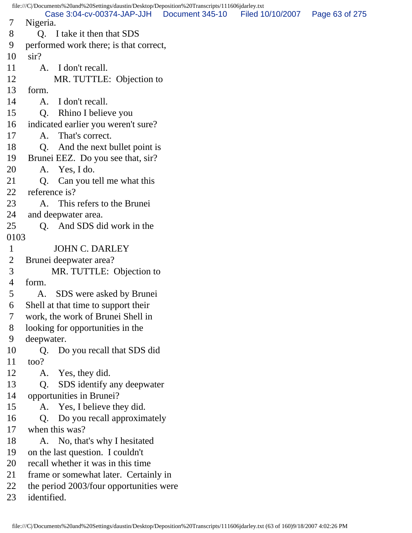file:///C|/Documents%20and%20Settings/daustin/Desktop/Deposition%20Transcripts/111606jdarley.txt 7 Nigeria. 8 Q. I take it then that SDS 9 performed work there; is that correct, 10 sir? 11 A. I don't recall. 12 MR. TUTTLE: Objection to 13 form. 14 A. I don't recall. 15 Q. Rhino I believe you 16 indicated earlier you weren't sure? 17 A. That's correct. 18 Q. And the next bullet point is 19 Brunei EEZ. Do you see that, sir? 20 A. Yes, I do. 21 Q. Can you tell me what this 22 reference is? 23 A. This refers to the Brunei 24 and deepwater area. 25 Q. And SDS did work in the 0103 1 JOHN C. DARLEY 2 Brunei deepwater area? 3 MR. TUTTLE: Objection to 4 form. 5 A. SDS were asked by Brunei 6 Shell at that time to support their 7 work, the work of Brunei Shell in 8 looking for opportunities in the 9 deepwater. 10 Q. Do you recall that SDS did 11 too? 12 A. Yes, they did. 13 Q. SDS identify any deepwater 14 opportunities in Brunei? 15 A. Yes, I believe they did. 16 Q. Do you recall approximately 17 when this was? 18 A. No, that's why I hesitated 19 on the last question. I couldn't 20 recall whether it was in this time 21 frame or somewhat later. Certainly in 22 the period 2003/four opportunities were 23 identified. Case 3:04-cv-00374-JAP-JJH Document 345-10 Filed 10/10/2007 Page 63 of 275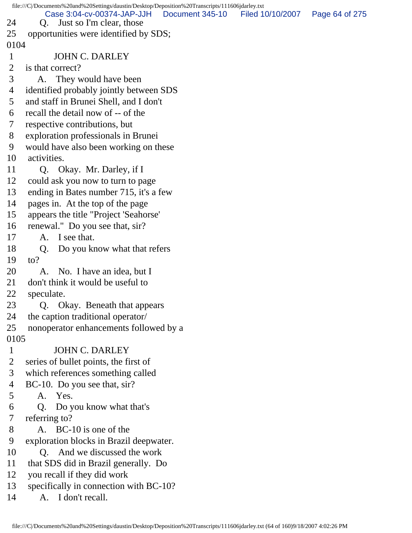file:///C|/Documents%20and%20Settings/daustin/Desktop/Deposition%20Transcripts/111606jdarley.txt 24 Q. Just so I'm clear, those 25 opportunities were identified by SDS; 0104 1 JOHN C. DARLEY 2 is that correct? 3 A. They would have been 4 identified probably jointly between SDS 5 and staff in Brunei Shell, and I don't 6 recall the detail now of -- of the 7 respective contributions, but 8 exploration professionals in Brunei 9 would have also been working on these 10 activities. 11 Q. Okay. Mr. Darley, if I 12 could ask you now to turn to page 13 ending in Bates number 715, it's a few 14 pages in. At the top of the page 15 appears the title "Project 'Seahorse' 16 renewal." Do you see that, sir? 17 A. I see that. 18 Q. Do you know what that refers 19 to? 20 A. No. I have an idea, but I 21 don't think it would be useful to 22 speculate. 23 Q. Okay. Beneath that appears 24 the caption traditional operator/ 25 nonoperator enhancements followed by a 0105 1 JOHN C. DARLEY 2 series of bullet points, the first of 3 which references something called 4 BC-10. Do you see that, sir? 5 A. Yes. 6 Q. Do you know what that's 7 referring to? 8 A. BC-10 is one of the 9 exploration blocks in Brazil deepwater. 10 O. And we discussed the work 11 that SDS did in Brazil generally. Do 12 you recall if they did work 13 specifically in connection with BC-10? 14 A. I don't recall. Case 3:04-cv-00374-JAP-JJH Document 345-10 Filed 10/10/2007 Page 64 of 275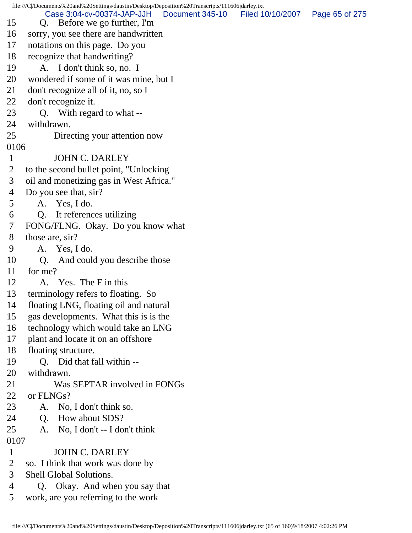file:///C|/Documents%20and%20Settings/daustin/Desktop/Deposition%20Transcripts/111606jdarley.txt 15 Q. Before we go further, I'm 16 sorry, you see there are handwritten 17 notations on this page. Do you 18 recognize that handwriting? 19 A. I don't think so, no. I 20 wondered if some of it was mine, but I 21 don't recognize all of it, no, so I 22 don't recognize it. 23 Q. With regard to what -- 24 withdrawn. 25 Directing your attention now 0106 1 JOHN C. DARLEY 2 to the second bullet point, "Unlocking 3 oil and monetizing gas in West Africa." 4 Do you see that, sir? 5 A. Yes, I do. 6 Q. It references utilizing 7 FONG/FLNG. Okay. Do you know what 8 those are, sir? 9 A. Yes, I do. 10 Q. And could you describe those 11 for me? 12 A. Yes. The F in this 13 terminology refers to floating. So 14 floating LNG, floating oil and natural 15 gas developments. What this is is the 16 technology which would take an LNG 17 plant and locate it on an offshore 18 floating structure. 19 Q. Did that fall within -- 20 withdrawn. 21 Was SEPTAR involved in FONGs 22 or FLNGs? 23 A. No, I don't think so. 24 Q. How about SDS? 25 A. No, I don't -- I don't think 0107 1 JOHN C. DARLEY 2 so. I think that work was done by 3 Shell Global Solutions. 4 Q. Okay. And when you say that 5 work, are you referring to the work Case 3:04-cv-00374-JAP-JJH Document 345-10 Filed 10/10/2007 Page 65 of 275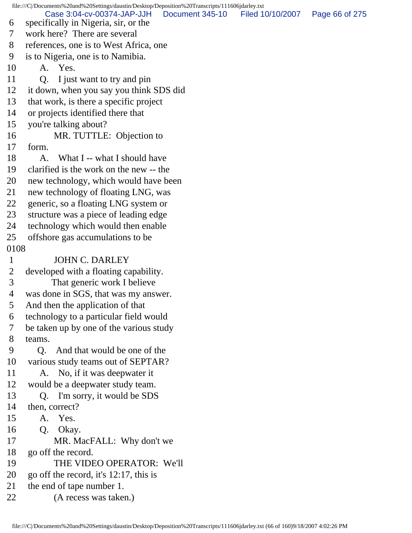file:///C|/Documents%20and%20Settings/daustin/Desktop/Deposition%20Transcripts/111606jdarley.txt 6 specifically in Nigeria, sir, or the 7 work here? There are several 8 references, one is to West Africa, one 9 is to Nigeria, one is to Namibia. 10 A. Yes. 11 Q. I just want to try and pin 12 it down, when you say you think SDS did 13 that work, is there a specific project 14 or projects identified there that 15 you're talking about? 16 MR. TUTTLE: Objection to 17 form. 18 A. What I -- what I should have 19 clarified is the work on the new -- the 20 new technology, which would have been 21 new technology of floating LNG, was 22 generic, so a floating LNG system or 23 structure was a piece of leading edge 24 technology which would then enable 25 offshore gas accumulations to be 0108 1 JOHN C. DARLEY 2 developed with a floating capability. 3 That generic work I believe 4 was done in SGS, that was my answer. 5 And then the application of that 6 technology to a particular field would 7 be taken up by one of the various study 8 teams. 9 Q. And that would be one of the 10 various study teams out of SEPTAR? 11 A. No, if it was deepwater it 12 would be a deepwater study team. 13 Q. I'm sorry, it would be SDS 14 then, correct? 15 A. Yes. 16 Q. Okay. 17 MR. MacFALL: Why don't we 18 go off the record. 19 THE VIDEO OPERATOR: We'll 20 go off the record, it's 12:17, this is 21 the end of tape number 1. 22 (A recess was taken.) Case 3:04-cv-00374-JAP-JJH Document 345-10 Filed 10/10/2007 Page 66 of 275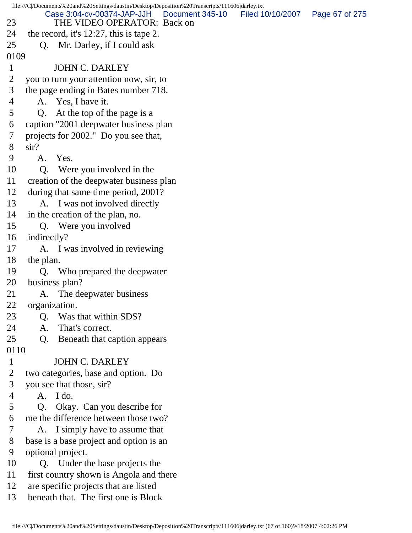file:///C|/Documents%20and%20Settings/daustin/Desktop/Deposition%20Transcripts/111606jdarley.txt 23 THE VIDEO OPERATOR: Back on 24 the record, it's 12:27, this is tape 2. 25 O. Mr. Darley, if I could ask 0109 1 JOHN C. DARLEY 2 you to turn your attention now, sir, to 3 the page ending in Bates number 718. 4 A. Yes, I have it. 5 Q. At the top of the page is a 6 caption "2001 deepwater business plan 7 projects for 2002." Do you see that, 8 sir? 9 A. Yes. 10 Q. Were you involved in the 11 creation of the deepwater business plan 12 during that same time period, 2001? 13 A. I was not involved directly 14 in the creation of the plan, no. 15 Q. Were you involved 16 indirectly? 17 A. I was involved in reviewing 18 the plan. 19 Q. Who prepared the deepwater 20 business plan? 21 A. The deepwater business 22 organization. 23 Q. Was that within SDS? 24 A. That's correct. 25 Q. Beneath that caption appears 0110 1 JOHN C. DARLEY 2 two categories, base and option. Do 3 you see that those, sir? 4 A. I do. 5 Q. Okay. Can you describe for 6 me the difference between those two? 7 A. I simply have to assume that 8 base is a base project and option is an 9 optional project. 10 Q. Under the base projects the 11 first country shown is Angola and there 12 are specific projects that are listed 13 beneath that. The first one is Block Case 3:04-cv-00374-JAP-JJH Document 345-10 Filed 10/10/2007 Page 67 of 275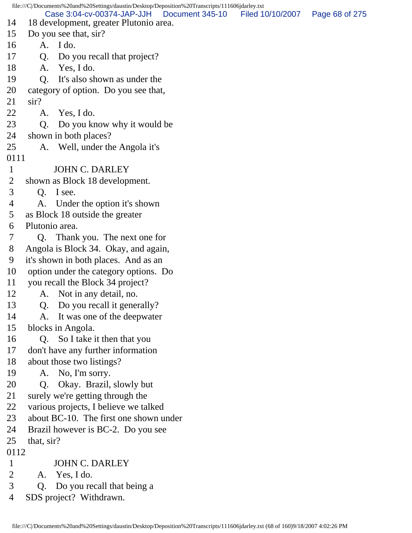file:///C|/Documents%20and%20Settings/daustin/Desktop/Deposition%20Transcripts/111606jdarley.txt 14 18 development, greater Plutonio area. 15 Do you see that, sir? 16 A. I do. 17 Q. Do you recall that project? 18 A. Yes, I do. 19 Q. It's also shown as under the 20 category of option. Do you see that, 21 sir? 22 A. Yes, I do. 23 Q. Do you know why it would be 24 shown in both places? 25 A. Well, under the Angola it's 0111 1 JOHN C. DARLEY 2 shown as Block 18 development. 3 Q. I see. 4 A. Under the option it's shown 5 as Block 18 outside the greater 6 Plutonio area. 7 Q. Thank you. The next one for 8 Angola is Block 34. Okay, and again, 9 it's shown in both places. And as an 10 option under the category options. Do 11 you recall the Block 34 project? 12 A. Not in any detail, no. 13 Q. Do you recall it generally? 14 A. It was one of the deepwater 15 blocks in Angola. 16 Q. So I take it then that you 17 don't have any further information 18 about those two listings? 19 A. No, I'm sorry. 20 Q. Okay. Brazil, slowly but 21 surely we're getting through the 22 various projects, I believe we talked 23 about BC-10. The first one shown under 24 Brazil however is BC-2. Do you see 25 that, sir? 0112 1 JOHN C. DARLEY 2 A. Yes, I do. 3 Q. Do you recall that being a 4 SDS project? Withdrawn. Case 3:04-cv-00374-JAP-JJH Document 345-10 Filed 10/10/2007 Page 68 of 275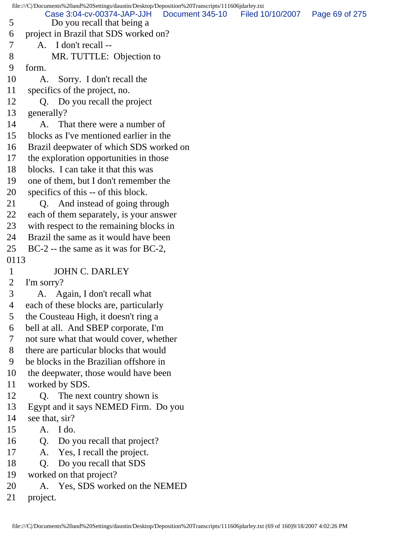file:///C|/Documents%20and%20Settings/daustin/Desktop/Deposition%20Transcripts/111606jdarley.txt 5 Do you recall that being a 6 project in Brazil that SDS worked on? 7 A. I don't recall -- 8 MR. TUTTLE: Objection to 9 form. 10 A. Sorry. I don't recall the 11 specifics of the project, no. 12 Q. Do you recall the project 13 generally? 14 A. That there were a number of 15 blocks as I've mentioned earlier in the 16 Brazil deepwater of which SDS worked on 17 the exploration opportunities in those 18 blocks. I can take it that this was 19 one of them, but I don't remember the 20 specifics of this -- of this block. 21 Q. And instead of going through 22 each of them separately, is your answer 23 with respect to the remaining blocks in 24 Brazil the same as it would have been 25 BC-2 -- the same as it was for BC-2, 0113 1 JOHN C. DARLEY 2 I'm sorry? 3 A. Again, I don't recall what 4 each of these blocks are, particularly 5 the Cousteau High, it doesn't ring a 6 bell at all. And SBEP corporate, I'm 7 not sure what that would cover, whether 8 there are particular blocks that would 9 be blocks in the Brazilian offshore in 10 the deepwater, those would have been 11 worked by SDS. 12 Q. The next country shown is 13 Egypt and it says NEMED Firm. Do you 14 see that, sir? 15 A. I do. 16 Q. Do you recall that project? 17 A. Yes, I recall the project. 18 Q. Do you recall that SDS 19 worked on that project? 20 A. Yes, SDS worked on the NEMED 21 project. Case 3:04-cv-00374-JAP-JJH Document 345-10 Filed 10/10/2007 Page 69 of 275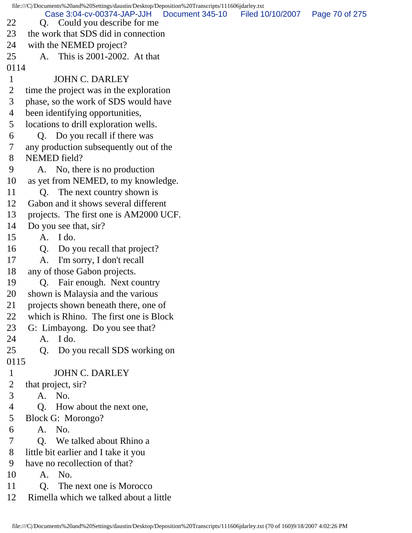file:///C|/Documents%20and%20Settings/daustin/Desktop/Deposition%20Transcripts/111606jdarley.txt 22 Q. Could you describe for me 23 the work that SDS did in connection 24 with the NEMED project? 25 A. This is 2001-2002. At that 0114 1 JOHN C. DARLEY 2 time the project was in the exploration 3 phase, so the work of SDS would have 4 been identifying opportunities, 5 locations to drill exploration wells. 6 Q. Do you recall if there was 7 any production subsequently out of the 8 NEMED field? 9 A. No, there is no production 10 as yet from NEMED, to my knowledge. 11 Q. The next country shown is 12 Gabon and it shows several different 13 projects. The first one is AM2000 UCF. 14 Do you see that, sir? 15 A. I do. 16 Q. Do you recall that project? 17 A. I'm sorry, I don't recall 18 any of those Gabon projects. 19 Q. Fair enough. Next country 20 shown is Malaysia and the various 21 projects shown beneath there, one of 22 which is Rhino. The first one is Block 23 G: Limbayong. Do you see that? 24 A. I do. 25 Q. Do you recall SDS working on 0115 1 JOHN C. DARLEY 2 that project, sir? 3 A. No. 4 Q. How about the next one, 5 Block G: Morongo? 6 A. No. 7 Q. We talked about Rhino a 8 little bit earlier and I take it you 9 have no recollection of that? 10 A. No. 11 Q. The next one is Morocco 12 Rimella which we talked about a little Case 3:04-cv-00374-JAP-JJH Document 345-10 Filed 10/10/2007 Page 70 of 275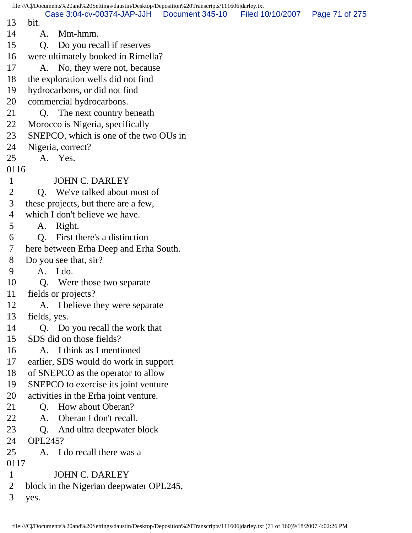|                |                | file:///C//Documents%20and%20Settings/daustin/Desktop/Deposition%20Transcripts/111606jdarley.txt |                 |                  |                |
|----------------|----------------|--------------------------------------------------------------------------------------------------|-----------------|------------------|----------------|
| 13             | bit.           | Case 3:04-cv-00374-JAP-JJH                                                                       | Document 345-10 | Filed 10/10/2007 | Page 71 of 275 |
| 14             | A.             | Mm-hmm.                                                                                          |                 |                  |                |
| 15             | Q.             | Do you recall if reserves                                                                        |                 |                  |                |
| 16             |                | were ultimately booked in Rimella?                                                               |                 |                  |                |
| 17             |                | A. No, they were not, because                                                                    |                 |                  |                |
| 18             |                | the exploration wells did not find                                                               |                 |                  |                |
| 19             |                | hydrocarbons, or did not find                                                                    |                 |                  |                |
| 20             |                | commercial hydrocarbons.                                                                         |                 |                  |                |
| 21             | Q.             | The next country beneath                                                                         |                 |                  |                |
| 22             |                | Morocco is Nigeria, specifically                                                                 |                 |                  |                |
| 23             |                | SNEPCO, which is one of the two OUs in                                                           |                 |                  |                |
| 24             |                | Nigeria, correct?                                                                                |                 |                  |                |
| 25             |                | A. Yes.                                                                                          |                 |                  |                |
| 0116           |                |                                                                                                  |                 |                  |                |
| $\mathbf{1}$   |                | <b>JOHN C. DARLEY</b>                                                                            |                 |                  |                |
| $\overline{2}$ |                | Q. We've talked about most of                                                                    |                 |                  |                |
| 3              |                | these projects, but there are a few,                                                             |                 |                  |                |
| 4              |                | which I don't believe we have.                                                                   |                 |                  |                |
| 5              | A.             | Right.                                                                                           |                 |                  |                |
| 6              | Q.             | First there's a distinction                                                                      |                 |                  |                |
| 7              |                | here between Erha Deep and Erha South.                                                           |                 |                  |                |
| 8              |                | Do you see that, sir?                                                                            |                 |                  |                |
| 9              |                | $A.$ I do.                                                                                       |                 |                  |                |
| 10             |                | Q. Were those two separate                                                                       |                 |                  |                |
| 11             |                | fields or projects?                                                                              |                 |                  |                |
| 12             |                | A. I believe they were separate                                                                  |                 |                  |                |
| 13             | fields, yes.   |                                                                                                  |                 |                  |                |
| 14             |                | Q. Do you recall the work that                                                                   |                 |                  |                |
| 15             |                | SDS did on those fields?                                                                         |                 |                  |                |
| 16             |                | A. I think as I mentioned                                                                        |                 |                  |                |
| 17             |                | earlier, SDS would do work in support                                                            |                 |                  |                |
| 18             |                | of SNEPCO as the operator to allow                                                               |                 |                  |                |
| 19             |                | SNEPCO to exercise its joint venture                                                             |                 |                  |                |
| 20             |                | activities in the Erha joint venture.                                                            |                 |                  |                |
| 21             | Q.             | How about Oberan?                                                                                |                 |                  |                |
| 22             | A.             | Oberan I don't recall.                                                                           |                 |                  |                |
| 23             | Q.             | And ultra deepwater block                                                                        |                 |                  |                |
| 24             | <b>OPL245?</b> |                                                                                                  |                 |                  |                |
| 25             |                | A. I do recall there was a                                                                       |                 |                  |                |
| 0117           |                |                                                                                                  |                 |                  |                |
| $\mathbf{1}$   |                | <b>JOHN C. DARLEY</b>                                                                            |                 |                  |                |
| $\overline{2}$ |                | block in the Nigerian deepwater OPL245,                                                          |                 |                  |                |
| 3              | yes.           |                                                                                                  |                 |                  |                |
|                |                |                                                                                                  |                 |                  |                |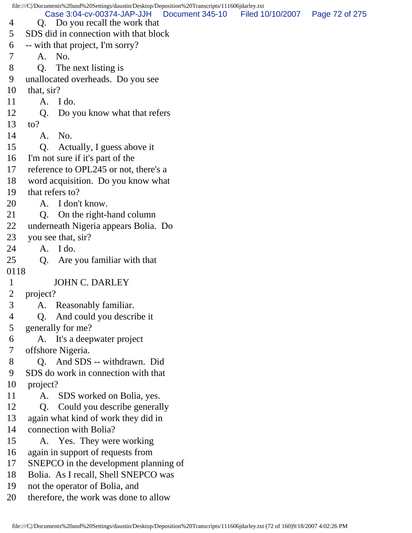file:///C|/Documents%20and%20Settings/daustin/Desktop/Deposition%20Transcripts/111606jdarley.txt 4 Q. Do you recall the work that 5 SDS did in connection with that block 6 -- with that project, I'm sorry? 7 A. No. 8 Q. The next listing is 9 unallocated overheads. Do you see 10 that, sir? 11 A. I do. 12 Q. Do you know what that refers 13 to? 14 A. No. 15 Q. Actually, I guess above it 16 I'm not sure if it's part of the 17 reference to OPL245 or not, there's a 18 word acquisition. Do you know what 19 that refers to? 20 A. I don't know. 21 Q. On the right-hand column 22 underneath Nigeria appears Bolia. Do 23 you see that, sir? 24 A. I do. 25 Q. Are you familiar with that 0118 1 JOHN C. DARLEY 2 project? 3 A. Reasonably familiar. 4 Q. And could you describe it 5 generally for me? 6 A. It's a deepwater project 7 offshore Nigeria. 8 Q. And SDS -- withdrawn. Did 9 SDS do work in connection with that 10 project? 11 A. SDS worked on Bolia, yes. 12 Q. Could you describe generally 13 again what kind of work they did in 14 connection with Bolia? 15 A. Yes. They were working 16 again in support of requests from 17 SNEPCO in the development planning of 18 Bolia. As I recall, Shell SNEPCO was 19 not the operator of Bolia, and 20 therefore, the work was done to allow Case 3:04-cv-00374-JAP-JJH Document 345-10 Filed 10/10/2007 Page 72 of 275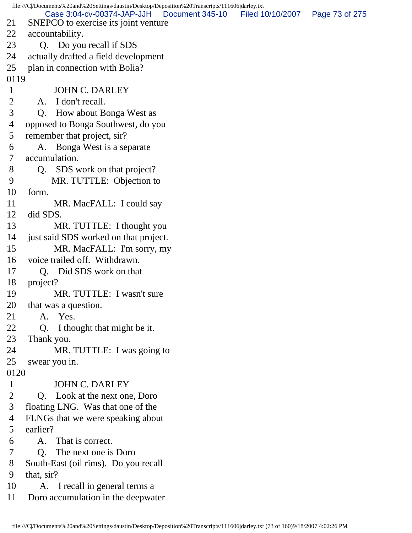|                | file:///C /Documents%20and%20Settings/daustin/Desktop/Deposition%20Transcripts/111606jdarley.txt |                  |                |
|----------------|--------------------------------------------------------------------------------------------------|------------------|----------------|
| 21             | Case 3:04-cv-00374-JAP-JJH<br>Document 345-10<br>SNEPCO to exercise its joint venture            | Filed 10/10/2007 | Page 73 of 275 |
| 22             | accountability.                                                                                  |                  |                |
| 23             | Q. Do you recall if SDS                                                                          |                  |                |
| 24             | actually drafted a field development                                                             |                  |                |
| 25             | plan in connection with Bolia?                                                                   |                  |                |
| 0119           |                                                                                                  |                  |                |
| $\mathbf{1}$   | <b>JOHN C. DARLEY</b>                                                                            |                  |                |
| $\overline{2}$ | A. I don't recall.                                                                               |                  |                |
| 3              | How about Bonga West as<br>Q.                                                                    |                  |                |
| 4              | opposed to Bonga Southwest, do you                                                               |                  |                |
| 5              | remember that project, sir?                                                                      |                  |                |
| 6              | Bonga West is a separate<br>A.                                                                   |                  |                |
| 7              | accumulation.                                                                                    |                  |                |
| 8              | SDS work on that project?<br>Q.                                                                  |                  |                |
| 9              | MR. TUTTLE: Objection to                                                                         |                  |                |
| 10             | form.                                                                                            |                  |                |
| 11             | MR. MacFALL: I could say                                                                         |                  |                |
| 12             | did SDS.                                                                                         |                  |                |
| 13             | MR. TUTTLE: I thought you                                                                        |                  |                |
| 14             | just said SDS worked on that project.                                                            |                  |                |
| 15             | MR. MacFALL: I'm sorry, my                                                                       |                  |                |
| 16             | voice trailed off. Withdrawn.                                                                    |                  |                |
| 17             | Q. Did SDS work on that                                                                          |                  |                |
| 18             | project?                                                                                         |                  |                |
| 19             | MR. TUTTLE: I wasn't sure                                                                        |                  |                |
| 20             | that was a question.                                                                             |                  |                |
| 21             | A. Yes.                                                                                          |                  |                |
| 22             | Q <sub>r</sub><br>I thought that might be it.                                                    |                  |                |
| 23             | Thank you.                                                                                       |                  |                |
| 24             | MR. TUTTLE: I was going to                                                                       |                  |                |
| 25             | swear you in.                                                                                    |                  |                |
| 0120           |                                                                                                  |                  |                |
| $\mathbf{1}$   | <b>JOHN C. DARLEY</b>                                                                            |                  |                |
| $\overline{2}$ | Q. Look at the next one, Doro                                                                    |                  |                |
| 3              | floating LNG. Was that one of the                                                                |                  |                |
| 4              | FLNGs that we were speaking about                                                                |                  |                |
| 5              | earlier?                                                                                         |                  |                |
| 6              | That is correct.<br>A.                                                                           |                  |                |
| 7              | The next one is Doro<br>O.                                                                       |                  |                |
| 8              | South-East (oil rims). Do you recall                                                             |                  |                |
| 9              | that, sir?                                                                                       |                  |                |
| 10             | A. I recall in general terms a                                                                   |                  |                |
| 11             | Doro accumulation in the deepwater                                                               |                  |                |
|                |                                                                                                  |                  |                |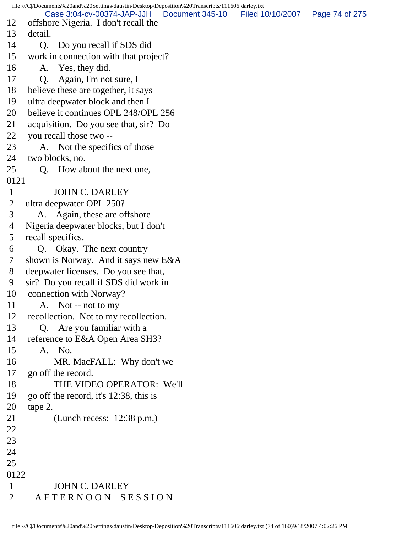file:///C|/Documents%20and%20Settings/daustin/Desktop/Deposition%20Transcripts/111606jdarley.txt 12 offshore Nigeria. I don't recall the 13 detail. 14 Q. Do you recall if SDS did 15 work in connection with that project? 16 A. Yes, they did. 17 Q. Again, I'm not sure, I 18 believe these are together, it says 19 ultra deepwater block and then I 20 believe it continues OPL 248/OPL 256 21 acquisition. Do you see that, sir? Do 22 you recall those two -- 23 A. Not the specifics of those 24 two blocks, no. 25 Q. How about the next one, 0121 1 JOHN C. DARLEY 2 ultra deepwater OPL 250? 3 A. Again, these are offshore 4 Nigeria deepwater blocks, but I don't 5 recall specifics. 6 Q. Okay. The next country 7 shown is Norway. And it says new E&A 8 deepwater licenses. Do you see that, 9 sir? Do you recall if SDS did work in 10 connection with Norway? 11 A. Not -- not to my 12 recollection. Not to my recollection. 13 Q. Are you familiar with a 14 reference to E&A Open Area SH3? 15 A. No. 16 MR. MacFALL: Why don't we 17 go off the record. 18 THE VIDEO OPERATOR: We'll 19 go off the record, it's 12:38, this is 20 tape 2. 21 (Lunch recess: 12:38 p.m.) 22 23 24 25 0122 1 JOHN C. DARLEY 2 A F T E R N O O N S E S S I O N Case 3:04-cv-00374-JAP-JJH Document 345-10 Filed 10/10/2007 Page 74 of 275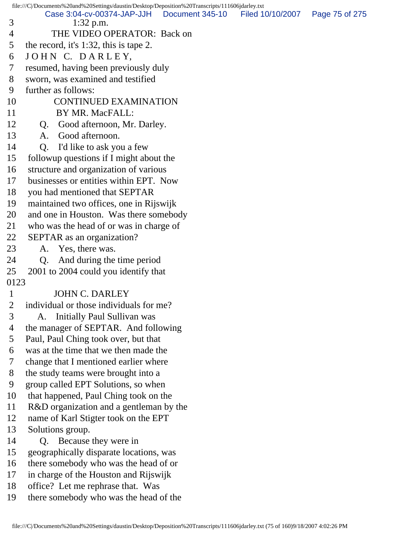file:///C|/Documents%20and%20Settings/daustin/Desktop/Deposition%20Transcripts/111606jdarley.txt 3 1:32 p.m. 4 THE VIDEO OPERATOR: Back on 5 the record, it's 1:32, this is tape 2. 6 JOHN C. DARLEY, 7 resumed, having been previously duly 8 sworn, was examined and testified 9 further as follows: 10 CONTINUED EXAMINATION 11 BY MR. MacFALL: 12 Q. Good afternoon, Mr. Darley. 13 A. Good afternoon. 14 Q. I'd like to ask you a few 15 followup questions if I might about the 16 structure and organization of various 17 businesses or entities within EPT. Now 18 you had mentioned that SEPTAR 19 maintained two offices, one in Rijswijk 20 and one in Houston. Was there somebody 21 who was the head of or was in charge of 22 SEPTAR as an organization? 23 A. Yes, there was. 24 Q. And during the time period 25 2001 to 2004 could you identify that 0123 1 JOHN C. DARLEY 2 individual or those individuals for me? 3 A. Initially Paul Sullivan was 4 the manager of SEPTAR. And following 5 Paul, Paul Ching took over, but that 6 was at the time that we then made the 7 change that I mentioned earlier where 8 the study teams were brought into a 9 group called EPT Solutions, so when 10 that happened, Paul Ching took on the 11 R&D organization and a gentleman by the 12 name of Karl Stigter took on the EPT 13 Solutions group. 14 Q. Because they were in 15 geographically disparate locations, was 16 there somebody who was the head of or 17 in charge of the Houston and Rijswijk 18 office? Let me rephrase that. Was 19 there somebody who was the head of the Case 3:04-cv-00374-JAP-JJH Document 345-10 Filed 10/10/2007 Page 75 of 275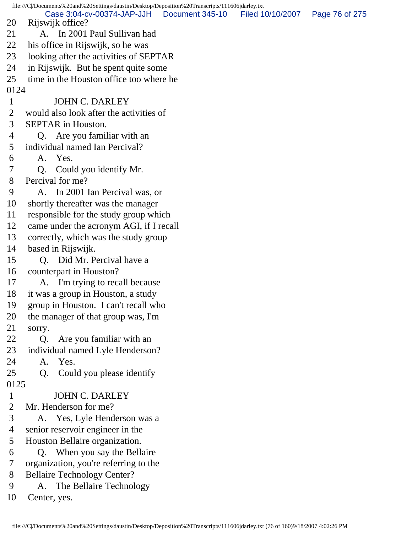file:///C|/Documents%20and%20Settings/daustin/Desktop/Deposition%20Transcripts/111606jdarley.txt 20 Rijswijk office? 21 A. In 2001 Paul Sullivan had 22 his office in Rijswijk, so he was 23 looking after the activities of SEPTAR 24 in Rijswijk. But he spent quite some 25 time in the Houston office too where he 0124 1 JOHN C. DARLEY 2 would also look after the activities of 3 SEPTAR in Houston. 4 Q. Are you familiar with an 5 individual named Ian Percival? 6 A. Yes. 7 Q. Could you identify Mr. 8 Percival for me? 9 A. In 2001 Ian Percival was, or 10 shortly thereafter was the manager 11 responsible for the study group which 12 came under the acronym AGI, if I recall 13 correctly, which was the study group 14 based in Rijswijk. 15 Q. Did Mr. Percival have a 16 counterpart in Houston? 17 A. I'm trying to recall because 18 it was a group in Houston, a study 19 group in Houston. I can't recall who 20 the manager of that group was, I'm 21 sorry. 22 Q. Are you familiar with an 23 individual named Lyle Henderson? 24 A. Yes. 25 Q. Could you please identify 0125 1 JOHN C. DARLEY 2 Mr. Henderson for me? 3 A. Yes, Lyle Henderson was a 4 senior reservoir engineer in the 5 Houston Bellaire organization. 6 Q. When you say the Bellaire 7 organization, you're referring to the 8 Bellaire Technology Center? 9 A. The Bellaire Technology 10 Center, yes. Case 3:04-cv-00374-JAP-JJH Document 345-10 Filed 10/10/2007 Page 76 of 275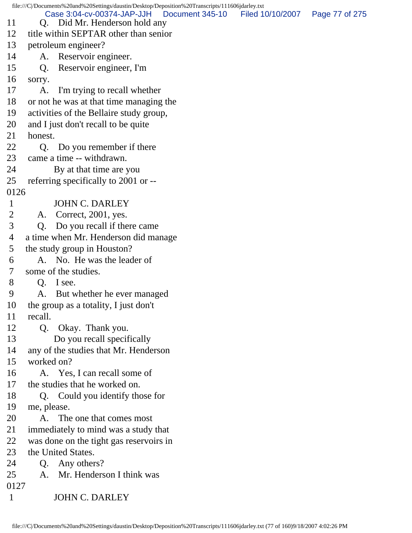file:///C|/Documents%20and%20Settings/daustin/Desktop/Deposition%20Transcripts/111606jdarley.txt 11 Q. Did Mr. Henderson hold any 12 title within SEPTAR other than senior 13 petroleum engineer? 14 A. Reservoir engineer. 15 Q. Reservoir engineer, I'm 16 sorry. 17 A. I'm trying to recall whether 18 or not he was at that time managing the 19 activities of the Bellaire study group, 20 and I just don't recall to be quite 21 honest. 22 Q. Do you remember if there 23 came a time -- withdrawn. 24 By at that time are you 25 referring specifically to 2001 or -- 0126 1 JOHN C. DARLEY 2 A. Correct, 2001, yes. 3 Q. Do you recall if there came 4 a time when Mr. Henderson did manage 5 the study group in Houston? 6 A. No. He was the leader of 7 some of the studies. 8 Q. I see. 9 A. But whether he ever managed 10 the group as a totality, I just don't 11 recall. 12 Q. Okay. Thank you. 13 Do you recall specifically 14 any of the studies that Mr. Henderson 15 worked on? 16 A. Yes, I can recall some of 17 the studies that he worked on. 18 Q. Could you identify those for 19 me, please. 20 A. The one that comes most 21 immediately to mind was a study that 22 was done on the tight gas reservoirs in 23 the United States. 24 O. Any others? 25 A. Mr. Henderson I think was 0127 1 JOHN C. DARLEY Case 3:04-cv-00374-JAP-JJH Document 345-10 Filed 10/10/2007 Page 77 of 275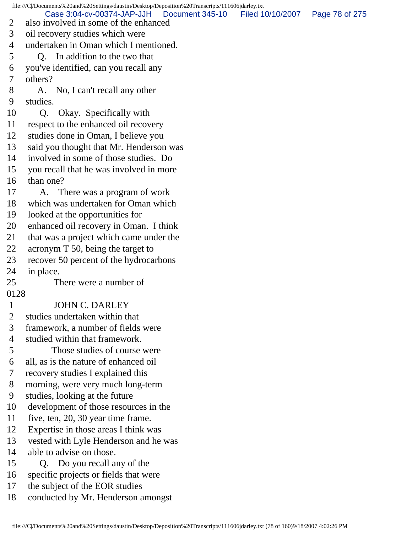file:///C|/Documents%20and%20Settings/daustin/Desktop/Deposition%20Transcripts/111606jdarley.txt 2 also involved in some of the enhanced 3 oil recovery studies which were 4 undertaken in Oman which I mentioned. 5 Q. In addition to the two that 6 you've identified, can you recall any 7 others? 8 A. No, I can't recall any other 9 studies. 10 Q. Okay. Specifically with 11 respect to the enhanced oil recovery 12 studies done in Oman, I believe you 13 said you thought that Mr. Henderson was 14 involved in some of those studies. Do 15 you recall that he was involved in more 16 than one? 17 A. There was a program of work 18 which was undertaken for Oman which 19 looked at the opportunities for 20 enhanced oil recovery in Oman. I think 21 that was a project which came under the 22 acronym T 50, being the target to 23 recover 50 percent of the hydrocarbons 24 in place. 25 There were a number of 0128 1 JOHN C. DARLEY 2 studies undertaken within that 3 framework, a number of fields were 4 studied within that framework. 5 Those studies of course were 6 all, as is the nature of enhanced oil 7 recovery studies I explained this 8 morning, were very much long-term 9 studies, looking at the future 10 development of those resources in the 11 five, ten, 20, 30 year time frame. 12 Expertise in those areas I think was 13 vested with Lyle Henderson and he was 14 able to advise on those. 15 Q. Do you recall any of the 16 specific projects or fields that were 17 the subject of the EOR studies 18 conducted by Mr. Henderson amongst Case 3:04-cv-00374-JAP-JJH Document 345-10 Filed 10/10/2007 Page 78 of 275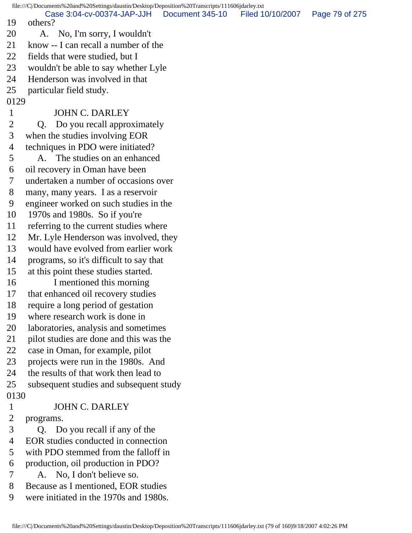file:///C|/Documents%20and%20Settings/daustin/Desktop/Deposition%20Transcripts/111606jdarley.txt 19 others? 20 A. No, I'm sorry, I wouldn't 21 know -- I can recall a number of the 22 fields that were studied, but I 23 wouldn't be able to say whether Lyle 24 Henderson was involved in that 25 particular field study. 0129 1 JOHN C. DARLEY 2 Q. Do you recall approximately 3 when the studies involving EOR 4 techniques in PDO were initiated? 5 A. The studies on an enhanced 6 oil recovery in Oman have been 7 undertaken a number of occasions over 8 many, many years. I as a reservoir 9 engineer worked on such studies in the 10 1970s and 1980s. So if you're 11 referring to the current studies where 12 Mr. Lyle Henderson was involved, they 13 would have evolved from earlier work 14 programs, so it's difficult to say that 15 at this point these studies started. 16 I mentioned this morning 17 that enhanced oil recovery studies 18 require a long period of gestation 19 where research work is done in 20 laboratories, analysis and sometimes 21 pilot studies are done and this was the 22 case in Oman, for example, pilot 23 projects were run in the 1980s. And 24 the results of that work then lead to 25 subsequent studies and subsequent study 0130 1 JOHN C. DARLEY 2 programs. 3 Q. Do you recall if any of the 4 EOR studies conducted in connection 5 with PDO stemmed from the falloff in 6 production, oil production in PDO? 7 A. No, I don't believe so. 8 Because as I mentioned, EOR studies 9 were initiated in the 1970s and 1980s. Case 3:04-cv-00374-JAP-JJH Document 345-10 Filed 10/10/2007 Page 79 of 275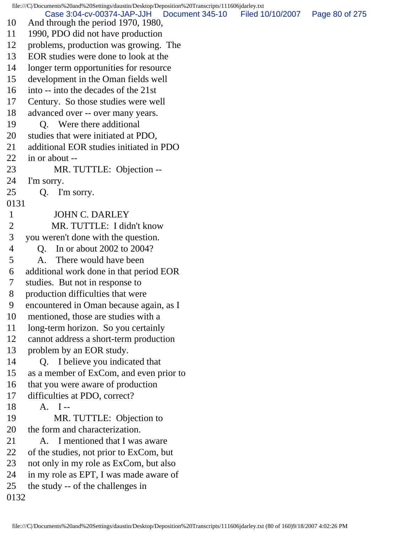file:///C|/Documents%20and%20Settings/daustin/Desktop/Deposition%20Transcripts/111606jdarley.txt 10 And through the period 1970, 1980, 11 1990, PDO did not have production 12 problems, production was growing. The 13 EOR studies were done to look at the 14 longer term opportunities for resource 15 development in the Oman fields well 16 into -- into the decades of the 21st 17 Century. So those studies were well 18 advanced over -- over many years. 19 Q. Were there additional 20 studies that were initiated at PDO, 21 additional EOR studies initiated in PDO 22 in or about -- 23 MR. TUTTLE: Objection -- 24 I'm sorry. 25 Q. I'm sorry. 0131 1 JOHN C. DARLEY 2 MR. TUTTLE: I didn't know 3 you weren't done with the question. 4 Q. In or about 2002 to 2004? 5 A. There would have been 6 additional work done in that period EOR 7 studies. But not in response to 8 production difficulties that were 9 encountered in Oman because again, as I 10 mentioned, those are studies with a 11 long-term horizon. So you certainly 12 cannot address a short-term production 13 problem by an EOR study. 14 Q. I believe you indicated that 15 as a member of ExCom, and even prior to 16 that you were aware of production 17 difficulties at PDO, correct? 18 A. I -- 19 MR. TUTTLE: Objection to 20 the form and characterization. 21 A. I mentioned that I was aware 22 of the studies, not prior to ExCom, but 23 not only in my role as ExCom, but also 24 in my role as EPT, I was made aware of 25 the study -- of the challenges in 0132 Case 3:04-cv-00374-JAP-JJH Document 345-10 Filed 10/10/2007 Page 80 of 275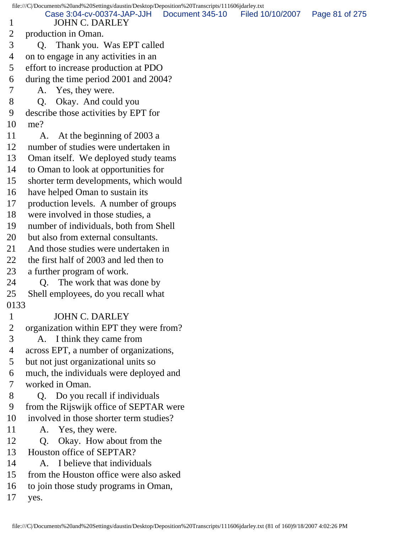file:///C|/Documents%20and%20Settings/daustin/Desktop/Deposition%20Transcripts/111606jdarley.txt 1 JOHN C. DARLEY 2 production in Oman. 3 Q. Thank you. Was EPT called 4 on to engage in any activities in an 5 effort to increase production at PDO 6 during the time period 2001 and 2004? 7 A. Yes, they were. 8 Q. Okay. And could you 9 describe those activities by EPT for 10 me? 11 A. At the beginning of 2003 a 12 number of studies were undertaken in 13 Oman itself. We deployed study teams 14 to Oman to look at opportunities for 15 shorter term developments, which would 16 have helped Oman to sustain its 17 production levels. A number of groups 18 were involved in those studies, a 19 number of individuals, both from Shell 20 but also from external consultants. 21 And those studies were undertaken in 22 the first half of 2003 and led then to 23 a further program of work. 24 Q. The work that was done by 25 Shell employees, do you recall what 0133 1 JOHN C. DARLEY 2 organization within EPT they were from? 3 A. I think they came from 4 across EPT, a number of organizations, 5 but not just organizational units so 6 much, the individuals were deployed and 7 worked in Oman. 8 Q. Do you recall if individuals 9 from the Rijswijk office of SEPTAR were 10 involved in those shorter term studies? 11 A. Yes, they were. 12 O. Okay. How about from the 13 Houston office of SEPTAR? 14 A. I believe that individuals 15 from the Houston office were also asked 16 to join those study programs in Oman, 17 yes. Case 3:04-cv-00374-JAP-JJH Document 345-10 Filed 10/10/2007 Page 81 of 275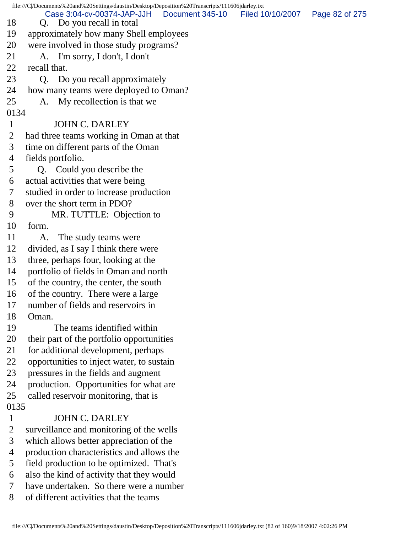|              | file:///C/Documents%20and%20Settings/daustin/Desktop/Deposition%20Transcripts/111606jdarley.txt |                 |                  |                |
|--------------|-------------------------------------------------------------------------------------------------|-----------------|------------------|----------------|
| 18           | Case 3:04-cv-00374-JAP-JJH<br>Q. Do you recall in total                                         | Document 345-10 | Filed 10/10/2007 | Page 82 of 275 |
| 19           | approximately how many Shell employees                                                          |                 |                  |                |
| 20           | were involved in those study programs?                                                          |                 |                  |                |
| 21           | A. I'm sorry, I don't, I don't                                                                  |                 |                  |                |
| 22           | recall that.                                                                                    |                 |                  |                |
| 23           | Do you recall approximately<br>Q.                                                               |                 |                  |                |
| 24           | how many teams were deployed to Oman?                                                           |                 |                  |                |
| 25           | My recollection is that we<br>A.                                                                |                 |                  |                |
| 0134         |                                                                                                 |                 |                  |                |
| $\mathbf{1}$ | <b>JOHN C. DARLEY</b>                                                                           |                 |                  |                |
| 2            | had three teams working in Oman at that                                                         |                 |                  |                |
| 3            | time on different parts of the Oman                                                             |                 |                  |                |
| 4            | fields portfolio.                                                                               |                 |                  |                |
| 5            | Q. Could you describe the                                                                       |                 |                  |                |
| 6            | actual activities that were being                                                               |                 |                  |                |
| 7            | studied in order to increase production                                                         |                 |                  |                |
| 8            | over the short term in PDO?                                                                     |                 |                  |                |
| 9            | MR. TUTTLE: Objection to                                                                        |                 |                  |                |
| 10           | form.                                                                                           |                 |                  |                |
| 11           | A.<br>The study teams were                                                                      |                 |                  |                |
| 12           | divided, as I say I think there were                                                            |                 |                  |                |
| 13           | three, perhaps four, looking at the                                                             |                 |                  |                |
| 14           | portfolio of fields in Oman and north                                                           |                 |                  |                |
| 15           | of the country, the center, the south                                                           |                 |                  |                |
| 16           | of the country. There were a large                                                              |                 |                  |                |
| 17           | number of fields and reservoirs in                                                              |                 |                  |                |
| 18           | Oman.                                                                                           |                 |                  |                |
| 19           | The teams identified within                                                                     |                 |                  |                |
| 20           | their part of the portfolio opportunities                                                       |                 |                  |                |
| 21           | for additional development, perhaps                                                             |                 |                  |                |
| 22           | opportunities to inject water, to sustain                                                       |                 |                  |                |
| 23           | pressures in the fields and augment                                                             |                 |                  |                |
| 24           | production. Opportunities for what are                                                          |                 |                  |                |
| 25           | called reservoir monitoring, that is                                                            |                 |                  |                |
| 0135         |                                                                                                 |                 |                  |                |
| $\mathbf{1}$ | <b>JOHN C. DARLEY</b>                                                                           |                 |                  |                |
| 2            | surveillance and monitoring of the wells                                                        |                 |                  |                |
| 3            | which allows better appreciation of the                                                         |                 |                  |                |
| 4            | production characteristics and allows the                                                       |                 |                  |                |
| 5            | field production to be optimized. That's                                                        |                 |                  |                |
| 6            | also the kind of activity that they would                                                       |                 |                  |                |
| 7            | have undertaken. So there were a number                                                         |                 |                  |                |
| 8            | of different activities that the teams                                                          |                 |                  |                |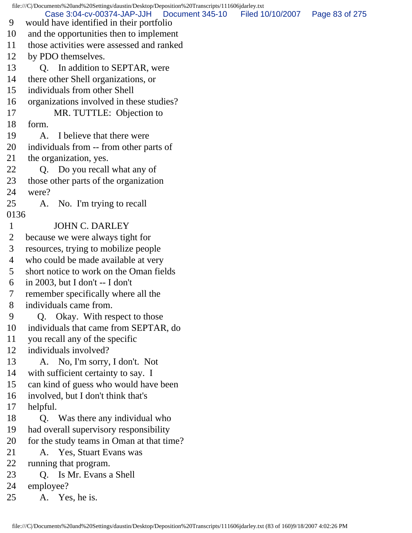file:///C|/Documents%20and%20Settings/daustin/Desktop/Deposition%20Transcripts/111606jdarley.txt 9 would have identified in their portfolio 10 and the opportunities then to implement 11 those activities were assessed and ranked 12 by PDO themselves. 13 O. In addition to SEPTAR, were 14 there other Shell organizations, or 15 individuals from other Shell 16 organizations involved in these studies? 17 MR. TUTTLE: Objection to 18 form. 19 A. I believe that there were 20 individuals from -- from other parts of 21 the organization, yes. 22 O. Do you recall what any of 23 those other parts of the organization 24 were? 25 A. No. I'm trying to recall 0136 1 JOHN C. DARLEY 2 because we were always tight for 3 resources, trying to mobilize people 4 who could be made available at very 5 short notice to work on the Oman fields 6 in 2003, but I don't -- I don't 7 remember specifically where all the 8 individuals came from. 9 Q. Okay. With respect to those 10 individuals that came from SEPTAR, do 11 you recall any of the specific 12 individuals involved? 13 A. No, I'm sorry, I don't. Not 14 with sufficient certainty to say. I 15 can kind of guess who would have been 16 involved, but I don't think that's 17 helpful. 18 Q. Was there any individual who 19 had overall supervisory responsibility 20 for the study teams in Oman at that time? 21 A. Yes, Stuart Evans was 22 running that program. 23 Q. Is Mr. Evans a Shell 24 employee? 25 A. Yes, he is. Case 3:04-cv-00374-JAP-JJH Document 345-10 Filed 10/10/2007 Page 83 of 275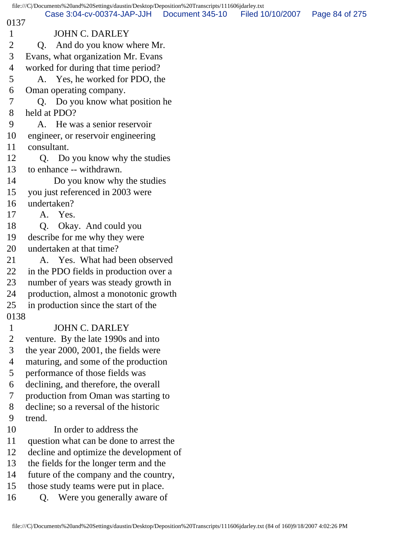|                | file:///C /Documents%20and%20Settings/daustin/Desktop/Deposition%20Transcripts/111606jdarley.txt |                 |                  |                |
|----------------|--------------------------------------------------------------------------------------------------|-----------------|------------------|----------------|
| 0137           | Case 3:04-cv-00374-JAP-JJH                                                                       | Document 345-10 | Filed 10/10/2007 | Page 84 of 275 |
| $\mathbf{1}$   | <b>JOHN C. DARLEY</b>                                                                            |                 |                  |                |
| 2              | And do you know where Mr.<br>Q.                                                                  |                 |                  |                |
| 3              | Evans, what organization Mr. Evans                                                               |                 |                  |                |
| 4              | worked for during that time period?                                                              |                 |                  |                |
| 5              | A. Yes, he worked for PDO, the                                                                   |                 |                  |                |
| 6              | Oman operating company.                                                                          |                 |                  |                |
| $\tau$         | Q. Do you know what position he                                                                  |                 |                  |                |
| 8              | held at PDO?                                                                                     |                 |                  |                |
| 9              | He was a senior reservoir<br>A.                                                                  |                 |                  |                |
| 10             | engineer, or reservoir engineering                                                               |                 |                  |                |
| 11             | consultant.                                                                                      |                 |                  |                |
| 12             | Q. Do you know why the studies                                                                   |                 |                  |                |
| 13             | to enhance -- withdrawn.                                                                         |                 |                  |                |
| 14             | Do you know why the studies                                                                      |                 |                  |                |
| 15             | you just referenced in 2003 were                                                                 |                 |                  |                |
| 16             | undertaken?                                                                                      |                 |                  |                |
| 17             | A. Yes.                                                                                          |                 |                  |                |
| 18             | Okay. And could you<br>$Q_{\rm{c}}$                                                              |                 |                  |                |
| 19             | describe for me why they were                                                                    |                 |                  |                |
| 20             | undertaken at that time?                                                                         |                 |                  |                |
| 21             | A. Yes. What had been observed                                                                   |                 |                  |                |
| 22             | in the PDO fields in production over a                                                           |                 |                  |                |
| 23             | number of years was steady growth in                                                             |                 |                  |                |
| 24             | production, almost a monotonic growth                                                            |                 |                  |                |
| 25             | in production since the start of the                                                             |                 |                  |                |
| 0138           |                                                                                                  |                 |                  |                |
| $\mathbf{1}$   | <b>JOHN C. DARLEY</b>                                                                            |                 |                  |                |
| $\overline{2}$ | venture. By the late 1990s and into                                                              |                 |                  |                |
| 3              | the year 2000, 2001, the fields were                                                             |                 |                  |                |
| $\overline{4}$ | maturing, and some of the production                                                             |                 |                  |                |
| 5              | performance of those fields was                                                                  |                 |                  |                |
| 6              | declining, and therefore, the overall                                                            |                 |                  |                |
| 7              | production from Oman was starting to                                                             |                 |                  |                |
| 8              | decline; so a reversal of the historic                                                           |                 |                  |                |
| 9              | trend.                                                                                           |                 |                  |                |
| 10             | In order to address the                                                                          |                 |                  |                |
| 11             | question what can be done to arrest the                                                          |                 |                  |                |
| 12             | decline and optimize the development of                                                          |                 |                  |                |
| 13             | the fields for the longer term and the                                                           |                 |                  |                |
| 14             | future of the company and the country,                                                           |                 |                  |                |
| 15             | those study teams were put in place.                                                             |                 |                  |                |
| 16             | Q. Were you generally aware of                                                                   |                 |                  |                |
|                |                                                                                                  |                 |                  |                |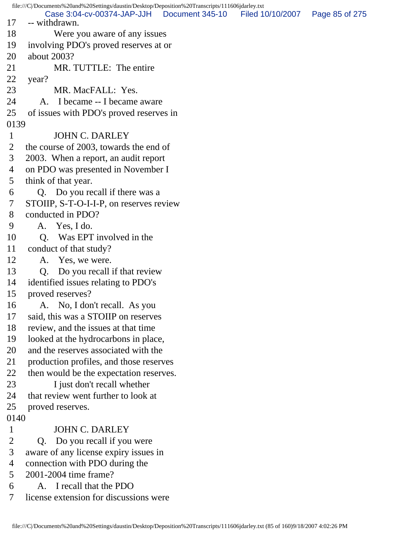file:///C|/Documents%20and%20Settings/daustin/Desktop/Deposition%20Transcripts/111606jdarley.txt 17 -- withdrawn. 18 Were you aware of any issues 19 involving PDO's proved reserves at or 20 about 2003? 21 MR. TUTTLE: The entire 22 year? 23 MR. MacFALL: Yes. 24 A. I became -- I became aware 25 of issues with PDO's proved reserves in 0139 1 JOHN C. DARLEY 2 the course of 2003, towards the end of 3 2003. When a report, an audit report 4 on PDO was presented in November I 5 think of that year. 6 Q. Do you recall if there was a 7 STOIIP, S-T-O-I-I-P, on reserves review 8 conducted in PDO? 9 A. Yes, I do. 10 O. Was EPT involved in the 11 conduct of that study? 12 A. Yes, we were. 13 Q. Do you recall if that review 14 identified issues relating to PDO's 15 proved reserves? 16 A. No, I don't recall. As you 17 said, this was a STOIIP on reserves 18 review, and the issues at that time 19 looked at the hydrocarbons in place, 20 and the reserves associated with the 21 production profiles, and those reserves 22 then would be the expectation reserves. 23 I just don't recall whether 24 that review went further to look at 25 proved reserves. 0140 1 JOHN C. DARLEY 2 Q. Do you recall if you were 3 aware of any license expiry issues in 4 connection with PDO during the 5 2001-2004 time frame? 6 A. I recall that the PDO 7 license extension for discussions were Case 3:04-cv-00374-JAP-JJH Document 345-10 Filed 10/10/2007 Page 85 of 275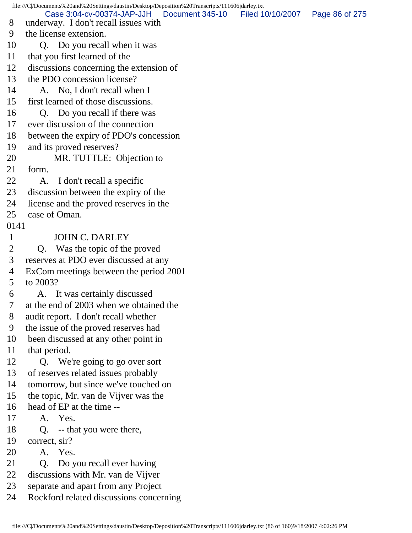file:///C|/Documents%20and%20Settings/daustin/Desktop/Deposition%20Transcripts/111606jdarley.txt 8 underway. I don't recall issues with 9 the license extension. 10 Q. Do you recall when it was 11 that you first learned of the 12 discussions concerning the extension of 13 the PDO concession license? 14 A. No, I don't recall when I 15 first learned of those discussions. 16 Q. Do you recall if there was 17 ever discussion of the connection 18 between the expiry of PDO's concession 19 and its proved reserves? 20 MR. TUTTLE: Objection to 21 form. 22 A. I don't recall a specific 23 discussion between the expiry of the 24 license and the proved reserves in the 25 case of Oman. 0141 1 JOHN C. DARLEY 2 Q. Was the topic of the proved 3 reserves at PDO ever discussed at any 4 ExCom meetings between the period 2001 5 to 2003? 6 A. It was certainly discussed 7 at the end of 2003 when we obtained the 8 audit report. I don't recall whether 9 the issue of the proved reserves had 10 been discussed at any other point in 11 that period. 12 Q. We're going to go over sort 13 of reserves related issues probably 14 tomorrow, but since we've touched on 15 the topic, Mr. van de Vijver was the 16 head of EP at the time -- 17 A. Yes. 18 Q. -- that you were there, 19 correct, sir? 20 A. Yes. 21 Q. Do you recall ever having 22 discussions with Mr. van de Vijver 23 separate and apart from any Project 24 Rockford related discussions concerning Case 3:04-cv-00374-JAP-JJH Document 345-10 Filed 10/10/2007 Page 86 of 275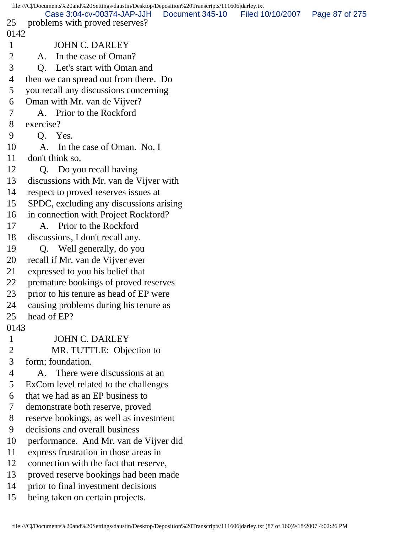|                | file:///C//Documents%20and%20Settings/daustin/Desktop/Deposition%20Transcripts/111606jdarley.txt |                 |                  |                |
|----------------|--------------------------------------------------------------------------------------------------|-----------------|------------------|----------------|
| 25             | Case 3:04-cv-00374-JAP-JJH<br>problems with proved reserves?                                     | Document 345-10 | Filed 10/10/2007 | Page 87 of 275 |
| 0142           |                                                                                                  |                 |                  |                |
| $\mathbf{1}$   | <b>JOHN C. DARLEY</b>                                                                            |                 |                  |                |
| $\overline{2}$ | In the case of Oman?<br>A.                                                                       |                 |                  |                |
| 3              | Q. Let's start with Oman and                                                                     |                 |                  |                |
| 4              | then we can spread out from there. Do                                                            |                 |                  |                |
| 5              | you recall any discussions concerning                                                            |                 |                  |                |
| 6              | Oman with Mr. van de Vijver?                                                                     |                 |                  |                |
| 7              | A. Prior to the Rockford                                                                         |                 |                  |                |
| 8              | exercise?                                                                                        |                 |                  |                |
| 9              | Q. Yes.                                                                                          |                 |                  |                |
| 10             | In the case of Oman. No, I<br>A.                                                                 |                 |                  |                |
| 11             | don't think so.                                                                                  |                 |                  |                |
| 12             | Q. Do you recall having                                                                          |                 |                  |                |
| 13             | discussions with Mr. van de Vijver with                                                          |                 |                  |                |
| 14             | respect to proved reserves issues at                                                             |                 |                  |                |
| 15             | SPDC, excluding any discussions arising                                                          |                 |                  |                |
| 16             | in connection with Project Rockford?                                                             |                 |                  |                |
| 17             | A. Prior to the Rockford                                                                         |                 |                  |                |
| 18             | discussions, I don't recall any.                                                                 |                 |                  |                |
| 19             | Q. Well generally, do you                                                                        |                 |                  |                |
| 20             | recall if Mr. van de Vijver ever                                                                 |                 |                  |                |
| 21             | expressed to you his belief that                                                                 |                 |                  |                |
| 22             | premature bookings of proved reserves                                                            |                 |                  |                |
| 23             | prior to his tenure as head of EP were                                                           |                 |                  |                |
| 24             | causing problems during his tenure as                                                            |                 |                  |                |
| 25             | head of EP?                                                                                      |                 |                  |                |
| 0143           |                                                                                                  |                 |                  |                |
| $\mathbf{1}$   | <b>JOHN C. DARLEY</b>                                                                            |                 |                  |                |
| $\overline{2}$ | MR. TUTTLE: Objection to                                                                         |                 |                  |                |
| 3              | form; foundation.                                                                                |                 |                  |                |
| 4              | There were discussions at an<br>A.                                                               |                 |                  |                |
| 5              | ExCom level related to the challenges                                                            |                 |                  |                |
| 6              | that we had as an EP business to                                                                 |                 |                  |                |
| 7              | demonstrate both reserve, proved                                                                 |                 |                  |                |
| 8              | reserve bookings, as well as investment                                                          |                 |                  |                |
| 9              | decisions and overall business                                                                   |                 |                  |                |
| 10             | performance. And Mr. van de Vijver did                                                           |                 |                  |                |
| 11             | express frustration in those areas in                                                            |                 |                  |                |
| 12             | connection with the fact that reserve,                                                           |                 |                  |                |
| 13             | proved reserve bookings had been made                                                            |                 |                  |                |
| 14             | prior to final investment decisions                                                              |                 |                  |                |
| 15             | being taken on certain projects.                                                                 |                 |                  |                |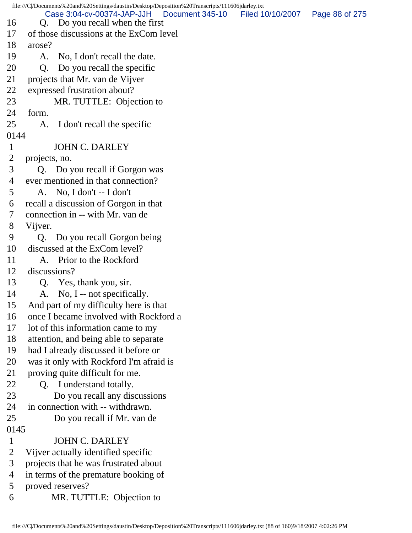file:///C|/Documents%20and%20Settings/daustin/Desktop/Deposition%20Transcripts/111606jdarley.txt 16 Q. Do you recall when the first 17 of those discussions at the ExCom level 18 arose? 19 A. No, I don't recall the date. 20 Q. Do you recall the specific 21 projects that Mr. van de Vijver 22 expressed frustration about? 23 MR. TUTTLE: Objection to 24 form. 25 A. I don't recall the specific 0144 1 JOHN C. DARLEY 2 projects, no. 3 Q. Do you recall if Gorgon was 4 ever mentioned in that connection? 5 A. No, I don't -- I don't 6 recall a discussion of Gorgon in that 7 connection in -- with Mr. van de 8 Vijver. 9 Q. Do you recall Gorgon being 10 discussed at the ExCom level? 11 A. Prior to the Rockford 12 discussions? 13 Q. Yes, thank you, sir. 14 A. No, I -- not specifically. 15 And part of my difficulty here is that 16 once I became involved with Rockford a 17 lot of this information came to my 18 attention, and being able to separate 19 had I already discussed it before or 20 was it only with Rockford I'm afraid is 21 proving quite difficult for me. 22 Q. I understand totally. 23 Do you recall any discussions 24 in connection with -- withdrawn. 25 Do you recall if Mr. van de 0145 1 JOHN C. DARLEY 2 Vijver actually identified specific 3 projects that he was frustrated about 4 in terms of the premature booking of 5 proved reserves? 6 MR. TUTTLE: Objection to Case 3:04-cv-00374-JAP-JJH Document 345-10 Filed 10/10/2007 Page 88 of 275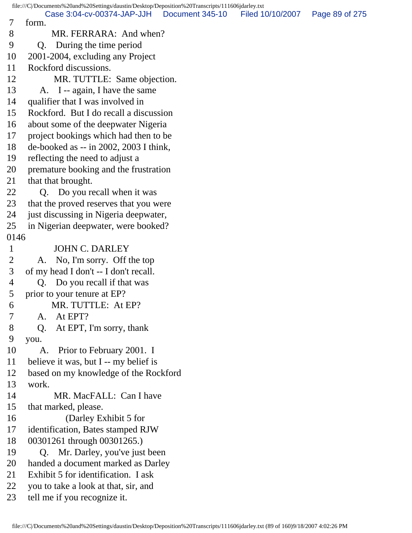file:///C|/Documents%20and%20Settings/daustin/Desktop/Deposition%20Transcripts/111606jdarley.txt 7 form. 8 MR. FERRARA: And when? 9 Q. During the time period 10 2001-2004, excluding any Project 11 Rockford discussions. 12 MR. TUTTLE: Same objection. 13 A. I -- again, I have the same 14 qualifier that I was involved in 15 Rockford. But I do recall a discussion 16 about some of the deepwater Nigeria 17 project bookings which had then to be 18 de-booked as -- in 2002, 2003 I think, 19 reflecting the need to adjust a 20 premature booking and the frustration 21 that that brought. 22 Q. Do you recall when it was 23 that the proved reserves that you were 24 just discussing in Nigeria deepwater, 25 in Nigerian deepwater, were booked? 0146 1 JOHN C. DARLEY 2 A. No, I'm sorry. Off the top 3 of my head I don't -- I don't recall. 4 Q. Do you recall if that was 5 prior to your tenure at EP? 6 MR. TUTTLE: At EP? 7 A. At EPT? 8 Q. At EPT, I'm sorry, thank 9 you. 10 A. Prior to February 2001. I 11 believe it was, but I -- my belief is 12 based on my knowledge of the Rockford 13 work. 14 MR. MacFALL: Can I have 15 that marked, please. 16 (Darley Exhibit 5 for 17 identification, Bates stamped RJW 18 00301261 through 00301265.) 19 Q. Mr. Darley, you've just been 20 handed a document marked as Darley 21 Exhibit 5 for identification. I ask 22 you to take a look at that, sir, and 23 tell me if you recognize it. Case 3:04-cv-00374-JAP-JJH Document 345-10 Filed 10/10/2007 Page 89 of 275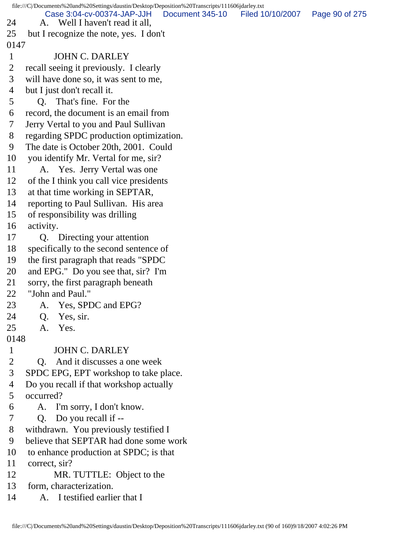file:///C|/Documents%20and%20Settings/daustin/Desktop/Deposition%20Transcripts/111606jdarley.txt 24 A. Well I haven't read it all, 25 but I recognize the note, yes. I don't 0147 1 JOHN C. DARLEY 2 recall seeing it previously. I clearly 3 will have done so, it was sent to me, 4 but I just don't recall it. 5 Q. That's fine. For the 6 record, the document is an email from 7 Jerry Vertal to you and Paul Sullivan 8 regarding SPDC production optimization. 9 The date is October 20th, 2001. Could 10 you identify Mr. Vertal for me, sir? 11 A. Yes. Jerry Vertal was one 12 of the I think you call vice presidents 13 at that time working in SEPTAR, 14 reporting to Paul Sullivan. His area 15 of responsibility was drilling 16 activity. 17 Q. Directing your attention 18 specifically to the second sentence of 19 the first paragraph that reads "SPDC 20 and EPG." Do you see that, sir? I'm 21 sorry, the first paragraph beneath 22 "John and Paul." 23 A. Yes, SPDC and EPG? 24 Q. Yes, sir. 25 A. Yes. 0148 1 JOHN C. DARLEY 2 Q. And it discusses a one week 3 SPDC EPG, EPT workshop to take place. 4 Do you recall if that workshop actually 5 occurred? 6 A. I'm sorry, I don't know. 7 Q. Do you recall if -- 8 withdrawn. You previously testified I 9 believe that SEPTAR had done some work 10 to enhance production at SPDC; is that 11 correct, sir? 12 MR. TUTTLE: Object to the 13 form, characterization. 14 A. I testified earlier that I Case 3:04-cv-00374-JAP-JJH Document 345-10 Filed 10/10/2007 Page 90 of 275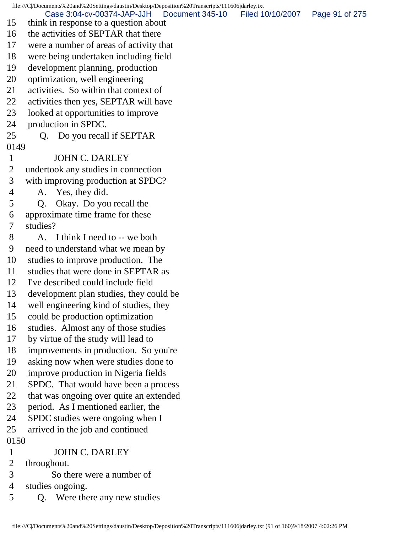file:///C|/Documents%20and%20Settings/daustin/Desktop/Deposition%20Transcripts/111606jdarley.txt 15 think in response to a question about 16 the activities of SEPTAR that there 17 were a number of areas of activity that 18 were being undertaken including field 19 development planning, production 20 optimization, well engineering 21 activities. So within that context of 22 activities then yes, SEPTAR will have 23 looked at opportunities to improve 24 production in SPDC. 25 Q. Do you recall if SEPTAR 0149 1 JOHN C. DARLEY 2 undertook any studies in connection 3 with improving production at SPDC? 4 A. Yes, they did. 5 Q. Okay. Do you recall the 6 approximate time frame for these 7 studies? 8 A. I think I need to -- we both 9 need to understand what we mean by 10 studies to improve production. The 11 studies that were done in SEPTAR as 12 I've described could include field 13 development plan studies, they could be 14 well engineering kind of studies, they 15 could be production optimization 16 studies. Almost any of those studies 17 by virtue of the study will lead to 18 improvements in production. So you're 19 asking now when were studies done to 20 improve production in Nigeria fields 21 SPDC. That would have been a process 22 that was ongoing over quite an extended 23 period. As I mentioned earlier, the 24 SPDC studies were ongoing when I 25 arrived in the job and continued 0150 1 JOHN C. DARLEY 2 throughout. 3 So there were a number of 4 studies ongoing. 5 Q. Were there any new studies Case 3:04-cv-00374-JAP-JJH Document 345-10 Filed 10/10/2007 Page 91 of 275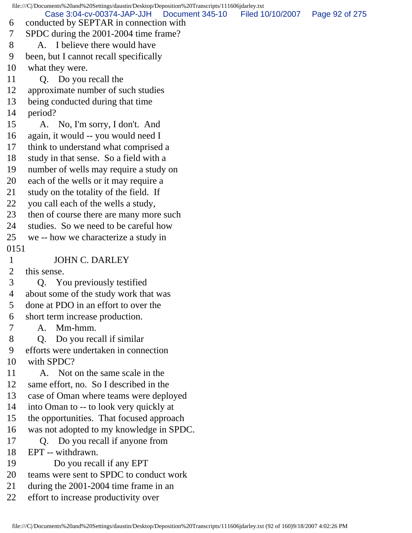file:///C|/Documents%20and%20Settings/daustin/Desktop/Deposition%20Transcripts/111606jdarley.txt 6 conducted by SEPTAR in connection with 7 SPDC during the 2001-2004 time frame? 8 A. I believe there would have 9 been, but I cannot recall specifically 10 what they were. 11 Q. Do you recall the 12 approximate number of such studies 13 being conducted during that time 14 period? 15 A. No, I'm sorry, I don't. And 16 again, it would -- you would need I 17 think to understand what comprised a 18 study in that sense. So a field with a 19 number of wells may require a study on 20 each of the wells or it may require a 21 study on the totality of the field. If 22 you call each of the wells a study, 23 then of course there are many more such 24 studies. So we need to be careful how 25 we -- how we characterize a study in 0151 1 JOHN C. DARLEY 2 this sense. 3 Q. You previously testified 4 about some of the study work that was 5 done at PDO in an effort to over the 6 short term increase production. 7 A. Mm-hmm. 8 Q. Do you recall if similar 9 efforts were undertaken in connection 10 with SPDC? 11 A. Not on the same scale in the 12 same effort, no. So I described in the 13 case of Oman where teams were deployed 14 into Oman to -- to look very quickly at 15 the opportunities. That focused approach 16 was not adopted to my knowledge in SPDC. 17 Q. Do you recall if anyone from 18 EPT -- withdrawn. 19 Do you recall if any EPT 20 teams were sent to SPDC to conduct work 21 during the 2001-2004 time frame in an 22 effort to increase productivity over Case 3:04-cv-00374-JAP-JJH Document 345-10 Filed 10/10/2007 Page 92 of 275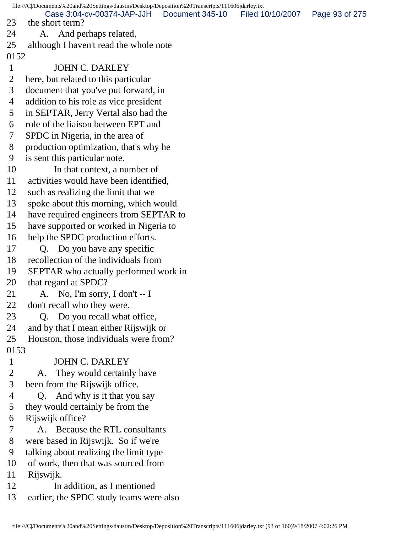file:///C|/Documents%20and%20Settings/daustin/Desktop/Deposition%20Transcripts/111606jdarley.txt 23 the short term? 24 A. And perhaps related, 25 although I haven't read the whole note 0152 1 JOHN C. DARLEY 2 here, but related to this particular 3 document that you've put forward, in 4 addition to his role as vice president 5 in SEPTAR, Jerry Vertal also had the 6 role of the liaison between EPT and 7 SPDC in Nigeria, in the area of 8 production optimization, that's why he 9 is sent this particular note. 10 In that context, a number of 11 activities would have been identified, 12 such as realizing the limit that we 13 spoke about this morning, which would 14 have required engineers from SEPTAR to 15 have supported or worked in Nigeria to 16 help the SPDC production efforts. 17 Q. Do you have any specific 18 recollection of the individuals from 19 SEPTAR who actually performed work in 20 that regard at SPDC? 21 A. No, I'm sorry, I don't  $- I$ 22 don't recall who they were. 23 Q. Do you recall what office, 24 and by that I mean either Rijswijk or 25 Houston, those individuals were from? 0153 1 JOHN C. DARLEY 2 A. They would certainly have 3 been from the Rijswijk office. 4 Q. And why is it that you say 5 they would certainly be from the 6 Rijswijk office? 7 A. Because the RTL consultants 8 were based in Rijswijk. So if we're 9 talking about realizing the limit type 10 of work, then that was sourced from 11 Rijswijk. 12 In addition, as I mentioned 13 earlier, the SPDC study teams were also Case 3:04-cv-00374-JAP-JJH Document 345-10 Filed 10/10/2007 Page 93 of 275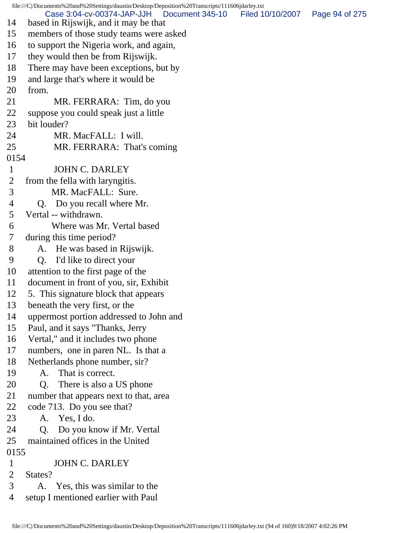file:///C|/Documents%20and%20Settings/daustin/Desktop/Deposition%20Transcripts/111606jdarley.txt 14 based in Rijswijk, and it may be that 15 members of those study teams were asked 16 to support the Nigeria work, and again, 17 they would then be from Rijswijk. 18 There may have been exceptions, but by 19 and large that's where it would be 20 from. 21 MR. FERRARA: Tim, do you 22 suppose you could speak just a little 23 bit louder? 24 MR. MacFALL: I will. 25 MR. FERRARA: That's coming 0154 1 JOHN C. DARLEY 2 from the fella with laryngitis. 3 MR. MacFALL: Sure. 4 Q. Do you recall where Mr. 5 Vertal -- withdrawn. 6 Where was Mr. Vertal based 7 during this time period? 8 A. He was based in Rijswijk. 9 Q. I'd like to direct your 10 attention to the first page of the 11 document in front of you, sir, Exhibit 12 5. This signature block that appears 13 beneath the very first, or the 14 uppermost portion addressed to John and 15 Paul, and it says "Thanks, Jerry 16 Vertal," and it includes two phone 17 numbers, one in paren NL. Is that a 18 Netherlands phone number, sir? 19 A. That is correct. 20 Q. There is also a US phone 21 number that appears next to that, area 22 code 713. Do you see that? 23 A. Yes, I do. 24 Q. Do you know if Mr. Vertal 25 maintained offices in the United 0155 1 JOHN C. DARLEY 2 States? 3 A. Yes, this was similar to the 4 setup I mentioned earlier with Paul Case 3:04-cv-00374-JAP-JJH Document 345-10 Filed 10/10/2007 Page 94 of 275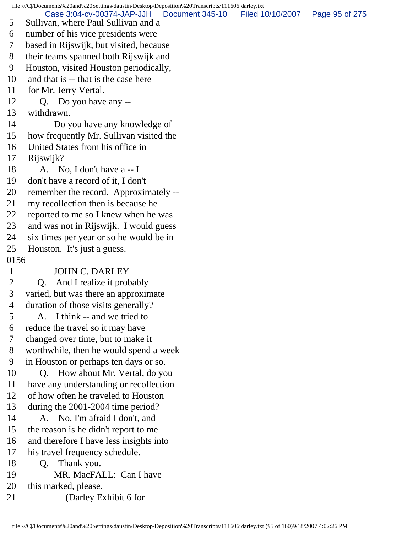file:///C|/Documents%20and%20Settings/daustin/Desktop/Deposition%20Transcripts/111606jdarley.txt Case 3:04-cv-00374-JAP-JJH Document 345-10 Filed 10/10/2007 Page 95 of 275

- 5 Sullivan, where Paul Sullivan and a
- 6 number of his vice presidents were
- 7 based in Rijswijk, but visited, because
- 8 their teams spanned both Rijswijk and
- 9 Houston, visited Houston periodically,
- 10 and that is -- that is the case here
- 11 for Mr. Jerry Vertal.
- 12 Q. Do you have any --
- 13 withdrawn.
- 14 Do you have any knowledge of
- 15 how frequently Mr. Sullivan visited the
- 16 United States from his office in
- 17 Rijswijk?
- 18  $\quad$  A. No, I don't have a -- I
- 19 don't have a record of it, I don't
- 20 remember the record. Approximately --
- 21 my recollection then is because he
- 22 reported to me so I knew when he was
- 23 and was not in Rijswijk. I would guess
- 24 six times per year or so he would be in
- 25 Houston. It's just a guess.
- 0156

## 1 JOHN C. DARLEY

- 2 Q. And I realize it probably
- 3 varied, but was there an approximate
- 4 duration of those visits generally?
- 5 A. I think -- and we tried to
- 6 reduce the travel so it may have
- 7 changed over time, but to make it
- 8 worthwhile, then he would spend a week
- 9 in Houston or perhaps ten days or so.
- 10 Q. How about Mr. Vertal, do you
- 11 have any understanding or recollection
- 12 of how often he traveled to Houston
- 13 during the 2001-2004 time period?
- 14 A. No, I'm afraid I don't, and
- 15 the reason is he didn't report to me
- 16 and therefore I have less insights into
- 17 his travel frequency schedule.
- 18 Q. Thank you.
- 19 MR. MacFALL: Can I have
- 20 this marked, please.
- 21 (Darley Exhibit 6 for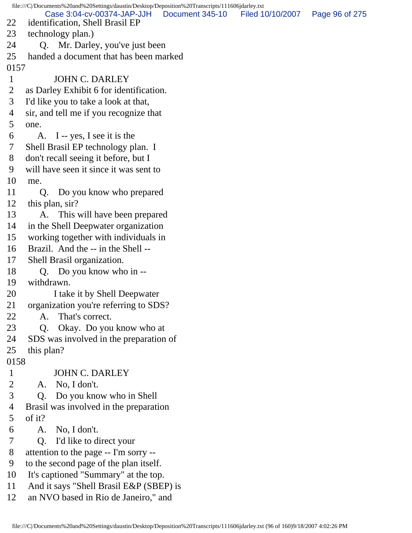file:///C|/Documents%20and%20Settings/daustin/Desktop/Deposition%20Transcripts/111606jdarley.txt 22 identification, Shell Brasil EP 23 technology plan.) 24 Q. Mr. Darley, you've just been 25 handed a document that has been marked 0157 1 JOHN C. DARLEY 2 as Darley Exhibit 6 for identification. 3 I'd like you to take a look at that, 4 sir, and tell me if you recognize that 5 one. 6 A. I -- yes, I see it is the 7 Shell Brasil EP technology plan. I 8 don't recall seeing it before, but I 9 will have seen it since it was sent to 10 me. 11 Q. Do you know who prepared 12 this plan, sir? 13 A. This will have been prepared 14 in the Shell Deepwater organization 15 working together with individuals in 16 Brazil. And the -- in the Shell -- 17 Shell Brasil organization. 18 Q. Do you know who in -- 19 withdrawn. 20 I take it by Shell Deepwater 21 organization you're referring to SDS? 22 A. That's correct. 23 Q. Okay. Do you know who at 24 SDS was involved in the preparation of 25 this plan? 0158 1 JOHN C. DARLEY 2 A. No, I don't. 3 Q. Do you know who in Shell 4 Brasil was involved in the preparation 5 of it? 6 A. No, I don't. 7 Q. I'd like to direct your 8 attention to the page -- I'm sorry -- 9 to the second page of the plan itself. 10 It's captioned "Summary" at the top. 11 And it says "Shell Brasil E&P (SBEP) is 12 an NVO based in Rio de Janeiro," and Case 3:04-cv-00374-JAP-JJH Document 345-10 Filed 10/10/2007 Page 96 of 275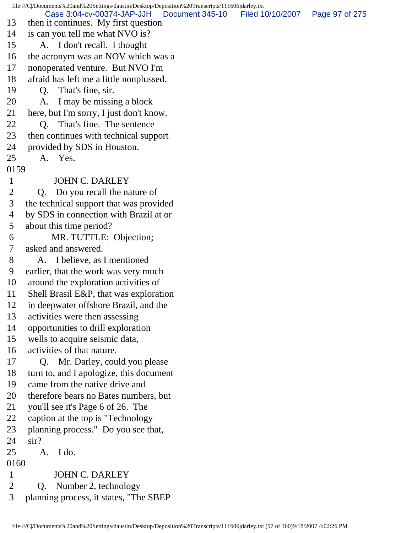file:///C|/Documents%20and%20Settings/daustin/Desktop/Deposition%20Transcripts/111606jdarley.txt 13 then it continues. My first question 14 is can you tell me what NVO is? 15 A. I don't recall. I thought 16 the acronym was an NOV which was a 17 nonoperated venture. But NVO I'm 18 afraid has left me a little nonplussed. 19 Q. That's fine, sir. 20 A. I may be missing a block 21 here, but I'm sorry, I just don't know. 22 O. That's fine. The sentence 23 then continues with technical support 24 provided by SDS in Houston. 25 A. Yes. 0159 1 JOHN C. DARLEY 2 Q. Do you recall the nature of 3 the technical support that was provided 4 by SDS in connection with Brazil at or 5 about this time period? 6 MR. TUTTLE: Objection; 7 asked and answered. 8 A. I believe, as I mentioned 9 earlier, that the work was very much 10 around the exploration activities of 11 Shell Brasil E&P, that was exploration 12 in deepwater offshore Brazil, and the 13 activities were then assessing 14 opportunities to drill exploration 15 wells to acquire seismic data, 16 activities of that nature. 17 Q. Mr. Darley, could you please 18 turn to, and I apologize, this document 19 came from the native drive and 20 therefore bears no Bates numbers, but 21 you'll see it's Page 6 of 26. The 22 caption at the top is "Technology 23 planning process." Do you see that, 24 sir? 25 A. I do. 0160 1 JOHN C. DARLEY 2 Q. Number 2, technology 3 planning process, it states, "The SBEP Case 3:04-cv-00374-JAP-JJH Document 345-10 Filed 10/10/2007 Page 97 of 275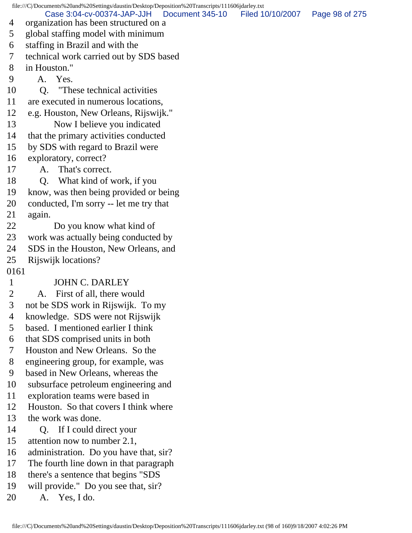file:///C|/Documents%20and%20Settings/daustin/Desktop/Deposition%20Transcripts/111606jdarley.txt 4 organization has been structured on a 5 global staffing model with minimum 6 staffing in Brazil and with the 7 technical work carried out by SDS based 8 in Houston." 9 A. Yes. 10 Q. "These technical activities 11 are executed in numerous locations, 12 e.g. Houston, New Orleans, Rijswijk." 13 Now I believe you indicated 14 that the primary activities conducted 15 by SDS with regard to Brazil were 16 exploratory, correct? 17 A. That's correct. 18 Q. What kind of work, if you 19 know, was then being provided or being 20 conducted, I'm sorry -- let me try that 21 again. 22 Do you know what kind of 23 work was actually being conducted by 24 SDS in the Houston, New Orleans, and 25 Rijswijk locations? 0161 1 JOHN C. DARLEY 2 A. First of all, there would 3 not be SDS work in Rijswijk. To my 4 knowledge. SDS were not Rijswijk 5 based. I mentioned earlier I think 6 that SDS comprised units in both 7 Houston and New Orleans. So the 8 engineering group, for example, was 9 based in New Orleans, whereas the 10 subsurface petroleum engineering and 11 exploration teams were based in 12 Houston. So that covers I think where 13 the work was done. 14 Q. If I could direct your 15 attention now to number 2.1, 16 administration. Do you have that, sir? 17 The fourth line down in that paragraph 18 there's a sentence that begins "SDS 19 will provide." Do you see that, sir? 20 A. Yes, I do. Case 3:04-cv-00374-JAP-JJH Document 345-10 Filed 10/10/2007 Page 98 of 275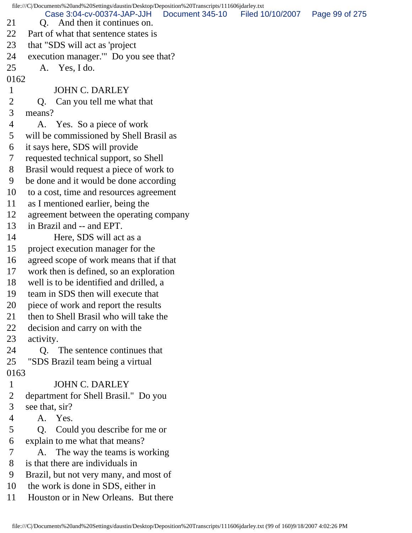file:///C|/Documents%20and%20Settings/daustin/Desktop/Deposition%20Transcripts/111606jdarley.txt 21 O. And then it continues on. 22 Part of what that sentence states is 23 that "SDS will act as 'project 24 execution manager.'" Do you see that? 25 A. Yes, I do. 0162 1 JOHN C. DARLEY 2 Q. Can you tell me what that 3 means? 4 A. Yes. So a piece of work 5 will be commissioned by Shell Brasil as 6 it says here, SDS will provide 7 requested technical support, so Shell 8 Brasil would request a piece of work to 9 be done and it would be done according 10 to a cost, time and resources agreement 11 as I mentioned earlier, being the 12 agreement between the operating company 13 in Brazil and -- and EPT. 14 Here, SDS will act as a 15 project execution manager for the 16 agreed scope of work means that if that 17 work then is defined, so an exploration 18 well is to be identified and drilled, a 19 team in SDS then will execute that 20 piece of work and report the results 21 then to Shell Brasil who will take the 22 decision and carry on with the 23 activity. 24 Q. The sentence continues that 25 "SDS Brazil team being a virtual 0163 1 JOHN C. DARLEY 2 department for Shell Brasil." Do you 3 see that, sir? 4 A. Yes. 5 Q. Could you describe for me or 6 explain to me what that means? 7 A. The way the teams is working 8 is that there are individuals in 9 Brazil, but not very many, and most of 10 the work is done in SDS, either in 11 Houston or in New Orleans. But there Case 3:04-cv-00374-JAP-JJH Document 345-10 Filed 10/10/2007 Page 99 of 275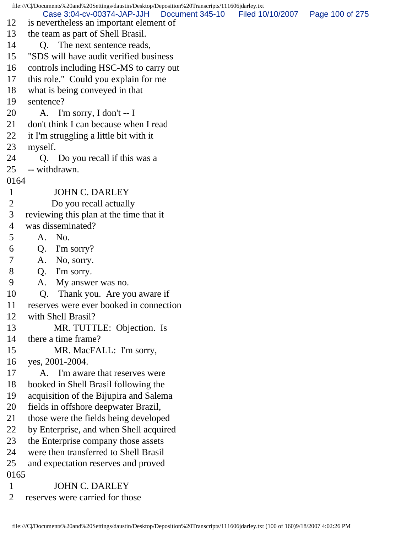file:///C|/Documents%20and%20Settings/daustin/Desktop/Deposition%20Transcripts/111606jdarley.txt 12 is nevertheless an important element of 13 the team as part of Shell Brasil. 14 O. The next sentence reads, 15 "SDS will have audit verified business 16 controls including HSC-MS to carry out 17 this role." Could you explain for me 18 what is being conveyed in that 19 sentence? 20 A. I'm sorry, I don't -- I 21 don't think I can because when I read 22 it I'm struggling a little bit with it 23 myself. 24 Q. Do you recall if this was a 25 -- withdrawn. 0164 1 JOHN C. DARLEY 2 Do you recall actually 3 reviewing this plan at the time that it 4 was disseminated? 5 A. No. 6 Q. I'm sorry? 7 A. No, sorry. 8 Q. I'm sorry. 9 A. My answer was no. 10 Q. Thank you. Are you aware if 11 reserves were ever booked in connection 12 with Shell Brasil? 13 MR. TUTTLE: Objection. Is 14 there a time frame? 15 MR. MacFALL: I'm sorry, 16 yes, 2001-2004. 17 A. I'm aware that reserves were 18 booked in Shell Brasil following the 19 acquisition of the Bijupira and Salema 20 fields in offshore deepwater Brazil, 21 those were the fields being developed 22 by Enterprise, and when Shell acquired 23 the Enterprise company those assets 24 were then transferred to Shell Brasil 25 and expectation reserves and proved 0165 1 JOHN C. DARLEY 2 reserves were carried for those Case 3:04-cv-00374-JAP-JJH Document 345-10 Filed 10/10/2007 Page 100 of 275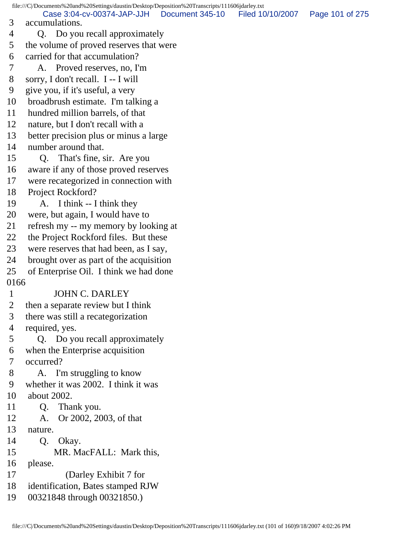file:///C|/Documents%20and%20Settings/daustin/Desktop/Deposition%20Transcripts/111606jdarley.txt 3 accumulations. 4 Q. Do you recall approximately 5 the volume of proved reserves that were 6 carried for that accumulation? 7 A. Proved reserves, no, I'm 8 sorry, I don't recall. I -- I will 9 give you, if it's useful, a very 10 broadbrush estimate. I'm talking a 11 hundred million barrels, of that 12 nature, but I don't recall with a 13 better precision plus or minus a large 14 number around that. 15 Q. That's fine, sir. Are you 16 aware if any of those proved reserves 17 were recategorized in connection with 18 Project Rockford? 19 A. I think -- I think they 20 were, but again, I would have to 21 refresh my -- my memory by looking at 22 the Project Rockford files. But these 23 were reserves that had been, as I say, 24 brought over as part of the acquisition 25 of Enterprise Oil. I think we had done 0166 1 JOHN C. DARLEY 2 then a separate review but I think 3 there was still a recategorization 4 required, yes. 5 Q. Do you recall approximately 6 when the Enterprise acquisition 7 occurred? 8 A. I'm struggling to know 9 whether it was 2002. I think it was 10 about 2002. 11 Q. Thank you. 12 A. Or 2002, 2003, of that 13 nature. 14 O. Okay. 15 MR. MacFALL: Mark this, 16 please. 17 (Darley Exhibit 7 for 18 identification, Bates stamped RJW 19 00321848 through 00321850.) Case 3:04-cv-00374-JAP-JJH Document 345-10 Filed 10/10/2007 Page 101 of 275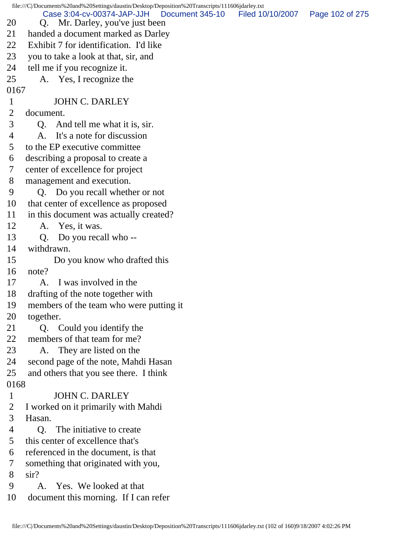|              | file:///C /Documents%20and%20Settings/daustin/Desktop/Deposition%20Transcripts/111606jdarley.txt |                  |                 |
|--------------|--------------------------------------------------------------------------------------------------|------------------|-----------------|
| 20           | Case 3:04-cv-00374-JAP-JJH<br>Document 345-10<br>Q. Mr. Darley, you've just been                 | Filed 10/10/2007 | Page 102 of 275 |
| 21           | handed a document marked as Darley                                                               |                  |                 |
| 22           | Exhibit 7 for identification. I'd like                                                           |                  |                 |
| 23           | you to take a look at that, sir, and                                                             |                  |                 |
| 24           | tell me if you recognize it.                                                                     |                  |                 |
| 25           | A. Yes, I recognize the                                                                          |                  |                 |
| 0167         |                                                                                                  |                  |                 |
| $\mathbf{1}$ | <b>JOHN C. DARLEY</b>                                                                            |                  |                 |
| 2            | document.                                                                                        |                  |                 |
| 3            | And tell me what it is, sir.<br>Q.                                                               |                  |                 |
| 4            | It's a note for discussion<br>A.                                                                 |                  |                 |
| 5            | to the EP executive committee                                                                    |                  |                 |
| 6            | describing a proposal to create a                                                                |                  |                 |
| 7            | center of excellence for project                                                                 |                  |                 |
| 8            | management and execution.                                                                        |                  |                 |
| 9            | Q. Do you recall whether or not                                                                  |                  |                 |
| 10           | that center of excellence as proposed                                                            |                  |                 |
| 11           | in this document was actually created?                                                           |                  |                 |
| 12           | A. Yes, it was.                                                                                  |                  |                 |
| 13           | Do you recall who --<br>Q.                                                                       |                  |                 |
| 14           | withdrawn.                                                                                       |                  |                 |
| 15           | Do you know who drafted this                                                                     |                  |                 |
| 16           | note?                                                                                            |                  |                 |
| 17           | I was involved in the<br>A.                                                                      |                  |                 |
| 18           | drafting of the note together with                                                               |                  |                 |
| 19           | members of the team who were putting it                                                          |                  |                 |
| 20           | together.                                                                                        |                  |                 |
| 21           | Q. Could you identify the                                                                        |                  |                 |
| 22           | members of that team for me?                                                                     |                  |                 |
| 23           | A. They are listed on the                                                                        |                  |                 |
| 24           | second page of the note, Mahdi Hasan                                                             |                  |                 |
| 25           | and others that you see there. I think                                                           |                  |                 |
| 0168         |                                                                                                  |                  |                 |
| $\mathbf{1}$ | <b>JOHN C. DARLEY</b>                                                                            |                  |                 |
| 2            | I worked on it primarily with Mahdi                                                              |                  |                 |
| 3            | Hasan.                                                                                           |                  |                 |
| 4            | Q. The initiative to create                                                                      |                  |                 |
| 5            | this center of excellence that's                                                                 |                  |                 |
| 6            | referenced in the document, is that                                                              |                  |                 |
| 7            | something that originated with you,                                                              |                  |                 |
| 8            | $\sin$ ?                                                                                         |                  |                 |
| 9            | A. Yes. We looked at that                                                                        |                  |                 |
| 10           | document this morning. If I can refer                                                            |                  |                 |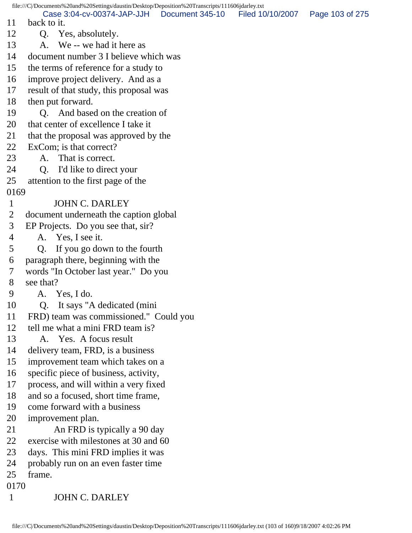file:///C|/Documents%20and%20Settings/daustin/Desktop/Deposition%20Transcripts/111606jdarley.txt 11 back to it. 12 Q. Yes, absolutely. 13 A. We -- we had it here as 14 document number 3 I believe which was 15 the terms of reference for a study to 16 improve project delivery. And as a 17 result of that study, this proposal was 18 then put forward. 19 Q. And based on the creation of 20 that center of excellence I take it 21 that the proposal was approved by the 22 ExCom; is that correct? 23 A. That is correct. 24 Q. I'd like to direct your 25 attention to the first page of the 0169 1 JOHN C. DARLEY 2 document underneath the caption global 3 EP Projects. Do you see that, sir? 4 A. Yes, I see it. 5 Q. If you go down to the fourth 6 paragraph there, beginning with the 7 words "In October last year." Do you 8 see that? 9 A. Yes, I do. 10 Q. It says "A dedicated (mini 11 FRD) team was commissioned." Could you 12 tell me what a mini FRD team is? 13 A. Yes. A focus result 14 delivery team, FRD, is a business 15 improvement team which takes on a 16 specific piece of business, activity, 17 process, and will within a very fixed 18 and so a focused, short time frame, 19 come forward with a business 20 improvement plan. 21 An FRD is typically a 90 day 22 exercise with milestones at 30 and 60 23 days. This mini FRD implies it was 24 probably run on an even faster time 25 frame. 0170 1 JOHN C. DARLEY Case 3:04-cv-00374-JAP-JJH Document 345-10 Filed 10/10/2007 Page 103 of 275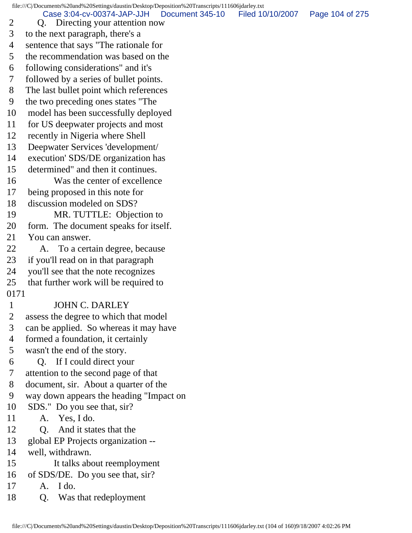file:///C|/Documents%20and%20Settings/daustin/Desktop/Deposition%20Transcripts/111606jdarley.txt 2 Q. Directing your attention now 3 to the next paragraph, there's a Case 3:04-cv-00374-JAP-JJH Document 345-10 Filed 10/10/2007 Page 104 of 275

4 sentence that says "The rationale for

5 the recommendation was based on the

- 6 following considerations" and it's
- 7 followed by a series of bullet points.
- 8 The last bullet point which references
- 9 the two preceding ones states "The
- 10 model has been successfully deployed
- 11 for US deepwater projects and most
- 12 recently in Nigeria where Shell
- 13 Deepwater Services 'development/
- 14 execution' SDS/DE organization has
- 15 determined" and then it continues.
- 16 Was the center of excellence
- 17 being proposed in this note for
- 18 discussion modeled on SDS?
- 19 MR. TUTTLE: Objection to
- 20 form. The document speaks for itself.
- 21 You can answer.
- 22 A. To a certain degree, because
- 23 if you'll read on in that paragraph
- 24 you'll see that the note recognizes
- 25 that further work will be required to
- 0171

## 1 JOHN C. DARLEY

- 2 assess the degree to which that model
- 3 can be applied. So whereas it may have
- 4 formed a foundation, it certainly
- 5 wasn't the end of the story.
- 6 Q. If I could direct your
- 7 attention to the second page of that
- 8 document, sir. About a quarter of the
- 9 way down appears the heading "Impact on
- 10 SDS." Do you see that, sir?
- 11 A. Yes, I do.
- 12 Q. And it states that the
- 13 global EP Projects organization --
- 14 well, withdrawn.
- 15 It talks about reemployment
- 16 of SDS/DE. Do you see that, sir?
- 17 A. I do.
- 18 Q. Was that redeployment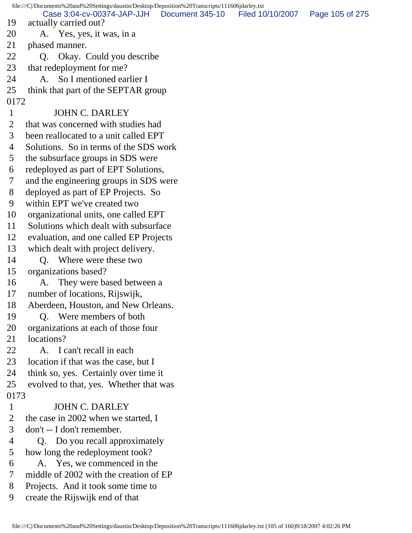|              | file:///C /Documents%20and%20Settings/daustin/Desktop/Deposition%20Transcripts/111606jdarley.txt |                 |                  |                 |
|--------------|--------------------------------------------------------------------------------------------------|-----------------|------------------|-----------------|
| 19           | Case 3:04-cv-00374-JAP-JJH<br>actually carried out?                                              | Document 345-10 | Filed 10/10/2007 | Page 105 of 275 |
| 20           | A. Yes, yes, it was, in a                                                                        |                 |                  |                 |
| 21           | phased manner.                                                                                   |                 |                  |                 |
| 22           | Q. Okay. Could you describe                                                                      |                 |                  |                 |
| 23           | that redeployment for me?                                                                        |                 |                  |                 |
| 24           | So I mentioned earlier I<br>$A_{1}$                                                              |                 |                  |                 |
| 25           | think that part of the SEPTAR group                                                              |                 |                  |                 |
| 0172         |                                                                                                  |                 |                  |                 |
| $\mathbf{1}$ | <b>JOHN C. DARLEY</b>                                                                            |                 |                  |                 |
| 2            | that was concerned with studies had                                                              |                 |                  |                 |
| 3            | been reallocated to a unit called EPT                                                            |                 |                  |                 |
| 4            | Solutions. So in terms of the SDS work                                                           |                 |                  |                 |
| 5            | the subsurface groups in SDS were                                                                |                 |                  |                 |
| 6            | redeployed as part of EPT Solutions,                                                             |                 |                  |                 |
| 7            | and the engineering groups in SDS were                                                           |                 |                  |                 |
| 8            | deployed as part of EP Projects. So                                                              |                 |                  |                 |
| 9            | within EPT we've created two                                                                     |                 |                  |                 |
| 10           | organizational units, one called EPT                                                             |                 |                  |                 |
| 11           | Solutions which dealt with subsurface                                                            |                 |                  |                 |
| 12           | evaluation, and one called EP Projects                                                           |                 |                  |                 |
| 13           | which dealt with project delivery.                                                               |                 |                  |                 |
| 14           | Where were these two<br>O.                                                                       |                 |                  |                 |
| 15           | organizations based?                                                                             |                 |                  |                 |
| 16           | They were based between a<br>A.                                                                  |                 |                  |                 |
| 17           | number of locations, Rijswijk,                                                                   |                 |                  |                 |
| 18           | Aberdeen, Houston, and New Orleans.                                                              |                 |                  |                 |
| 19           | Q. Were members of both                                                                          |                 |                  |                 |
| 20           | organizations at each of those four                                                              |                 |                  |                 |
| 21           | locations?                                                                                       |                 |                  |                 |
| 22           | A. I can't recall in each                                                                        |                 |                  |                 |
| 23           | location if that was the case, but I                                                             |                 |                  |                 |
| 24           | think so, yes. Certainly over time it                                                            |                 |                  |                 |
| 25           | evolved to that, yes. Whether that was                                                           |                 |                  |                 |
| 0173         |                                                                                                  |                 |                  |                 |
| $\mathbf{1}$ | <b>JOHN C. DARLEY</b>                                                                            |                 |                  |                 |
| 2            | the case in 2002 when we started, I                                                              |                 |                  |                 |
| 3            | don't -- I don't remember.                                                                       |                 |                  |                 |
| 4            | Q. Do you recall approximately                                                                   |                 |                  |                 |
| 5            | how long the redeployment took?                                                                  |                 |                  |                 |
| 6            | A. Yes, we commenced in the                                                                      |                 |                  |                 |
| 7            | middle of 2002 with the creation of EP                                                           |                 |                  |                 |
| 8            | Projects. And it took some time to                                                               |                 |                  |                 |
| 9            | create the Rijswijk end of that                                                                  |                 |                  |                 |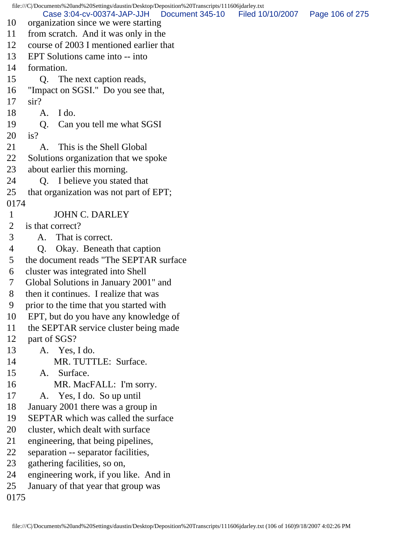file:///C|/Documents%20and%20Settings/daustin/Desktop/Deposition%20Transcripts/111606jdarley.txt 10 organization since we were starting 11 from scratch. And it was only in the 12 course of 2003 I mentioned earlier that 13 EPT Solutions came into -- into 14 formation. 15 Q. The next caption reads, 16 "Impact on SGSI." Do you see that, 17 sir? 18 A. I do. 19 Q. Can you tell me what SGSI 20 is? 21 A. This is the Shell Global 22 Solutions organization that we spoke 23 about earlier this morning. 24 Q. I believe you stated that 25 that organization was not part of EPT; 0174 1 JOHN C. DARLEY 2 is that correct? 3 A. That is correct. 4 Q. Okay. Beneath that caption 5 the document reads "The SEPTAR surface 6 cluster was integrated into Shell 7 Global Solutions in January 2001" and 8 then it continues. I realize that was 9 prior to the time that you started with 10 EPT, but do you have any knowledge of 11 the SEPTAR service cluster being made 12 part of SGS? 13 A. Yes, I do. 14 MR. TUTTLE: Surface. 15 A. Surface. 16 MR. MacFALL: I'm sorry. 17 A. Yes, I do. So up until 18 January 2001 there was a group in 19 SEPTAR which was called the surface 20 cluster, which dealt with surface 21 engineering, that being pipelines, 22 separation -- separator facilities, 23 gathering facilities, so on, 24 engineering work, if you like. And in 25 January of that year that group was 0175 Case 3:04-cv-00374-JAP-JJH Document 345-10 Filed 10/10/2007 Page 106 of 275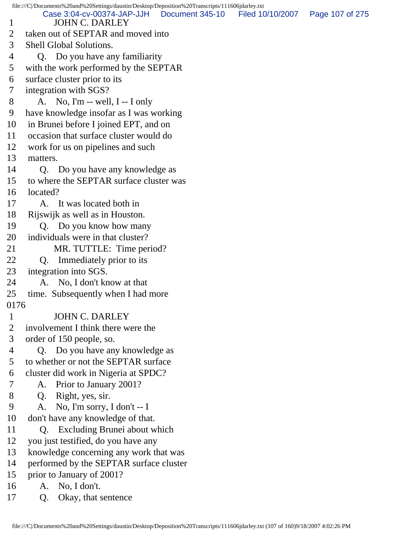file:///C|/Documents%20and%20Settings/daustin/Desktop/Deposition%20Transcripts/111606jdarley.txt 1 JOHN C. DARLEY 2 taken out of SEPTAR and moved into 3 Shell Global Solutions. 4 Q. Do you have any familiarity 5 with the work performed by the SEPTAR 6 surface cluster prior to its 7 integration with SGS? 8 A. No, I'm -- well, I -- I only 9 have knowledge insofar as I was working 10 in Brunei before I joined EPT, and on 11 occasion that surface cluster would do 12 work for us on pipelines and such 13 matters. 14 Q. Do you have any knowledge as 15 to where the SEPTAR surface cluster was 16 located? 17 A. It was located both in 18 Rijswijk as well as in Houston. 19 Q. Do you know how many 20 individuals were in that cluster? 21 MR. TUTTLE: Time period? 22 Q. Immediately prior to its 23 integration into SGS. 24 A. No, I don't know at that 25 time. Subsequently when I had more 0176 1 JOHN C. DARLEY 2 involvement I think there were the 3 order of 150 people, so. 4 Q. Do you have any knowledge as 5 to whether or not the SEPTAR surface 6 cluster did work in Nigeria at SPDC? 7 A. Prior to January 2001? 8 Q. Right, yes, sir. 9 A. No, I'm sorry, I don't -- I 10 don't have any knowledge of that. 11 Q. Excluding Brunei about which 12 you just testified, do you have any 13 knowledge concerning any work that was 14 performed by the SEPTAR surface cluster 15 prior to January of 2001? 16 A. No, I don't. 17 Q. Okay, that sentence Case 3:04-cv-00374-JAP-JJH Document 345-10 Filed 10/10/2007 Page 107 of 275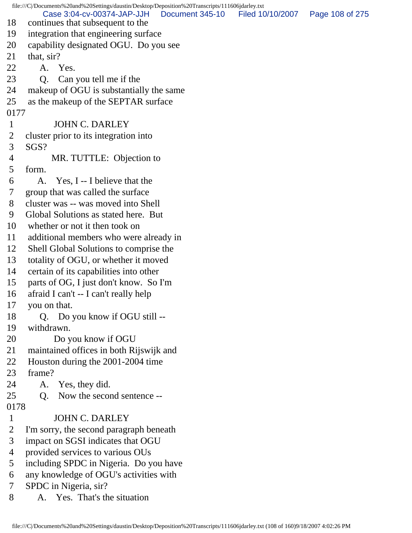file:///C|/Documents%20and%20Settings/daustin/Desktop/Deposition%20Transcripts/111606jdarley.txt 18 continues that subsequent to the 19 integration that engineering surface 20 capability designated OGU. Do you see 21 that, sir? 22 A. Yes. 23 Q. Can you tell me if the 24 makeup of OGU is substantially the same 25 as the makeup of the SEPTAR surface 0177 1 JOHN C. DARLEY 2 cluster prior to its integration into 3 SGS? 4 MR. TUTTLE: Objection to 5 form. 6 A. Yes, I -- I believe that the 7 group that was called the surface 8 cluster was -- was moved into Shell 9 Global Solutions as stated here. But 10 whether or not it then took on 11 additional members who were already in 12 Shell Global Solutions to comprise the 13 totality of OGU, or whether it moved 14 certain of its capabilities into other 15 parts of OG, I just don't know. So I'm 16 afraid I can't -- I can't really help 17 you on that. 18 Q. Do you know if OGU still -- 19 withdrawn. 20 Do you know if OGU 21 maintained offices in both Rijswijk and 22 Houston during the 2001-2004 time 23 frame? 24 A. Yes, they did. 25 Q. Now the second sentence -- 0178 1 JOHN C. DARLEY 2 I'm sorry, the second paragraph beneath 3 impact on SGSI indicates that OGU 4 provided services to various OUs 5 including SPDC in Nigeria. Do you have 6 any knowledge of OGU's activities with 7 SPDC in Nigeria, sir? 8 A. Yes. That's the situation Case 3:04-cv-00374-JAP-JJH Document 345-10 Filed 10/10/2007 Page 108 of 275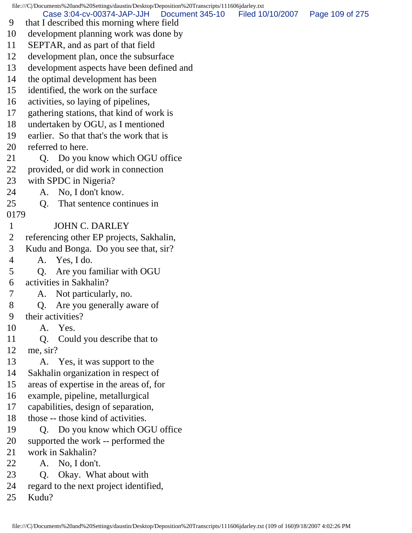file:///C|/Documents%20and%20Settings/daustin/Desktop/Deposition%20Transcripts/111606jdarley.txt 9 that I described this morning where field 10 development planning work was done by 11 SEPTAR, and as part of that field 12 development plan, once the subsurface 13 development aspects have been defined and 14 the optimal development has been 15 identified, the work on the surface 16 activities, so laying of pipelines, 17 gathering stations, that kind of work is 18 undertaken by OGU, as I mentioned 19 earlier. So that that's the work that is 20 referred to here. 21 Q. Do you know which OGU office 22 provided, or did work in connection 23 with SPDC in Nigeria? 24 A. No, I don't know. 25 Q. That sentence continues in 0179 1 JOHN C. DARLEY 2 referencing other EP projects, Sakhalin, 3 Kudu and Bonga. Do you see that, sir? 4 A. Yes, I do. 5 Q. Are you familiar with OGU 6 activities in Sakhalin? 7 A. Not particularly, no. 8 Q. Are you generally aware of 9 their activities? 10 A. Yes. 11 Q. Could you describe that to 12 me, sir? 13 A. Yes, it was support to the 14 Sakhalin organization in respect of 15 areas of expertise in the areas of, for 16 example, pipeline, metallurgical 17 capabilities, design of separation, 18 those -- those kind of activities. 19 Q. Do you know which OGU office 20 supported the work -- performed the 21 work in Sakhalin? 22 A. No, I don't. 23 Q. Okay. What about with 24 regard to the next project identified, 25 Kudu? Case 3:04-cv-00374-JAP-JJH Document 345-10 Filed 10/10/2007 Page 109 of 275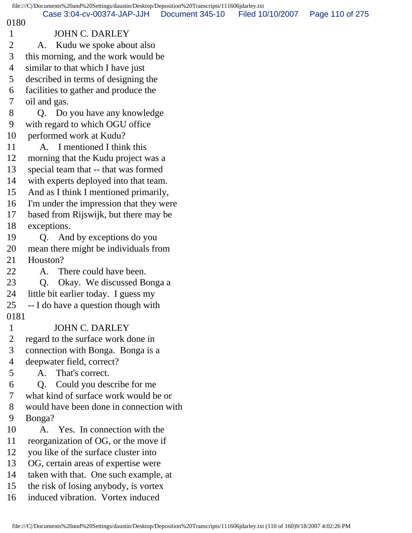| file:///C /Documents%20and%20Settings/daustin/Desktop/Deposition%20Transcripts/111606jdarley.txt |                                                                |                 |                  |                 |  |
|--------------------------------------------------------------------------------------------------|----------------------------------------------------------------|-----------------|------------------|-----------------|--|
| 0180                                                                                             | Case 3:04-cv-00374-JAP-JJH                                     | Document 345-10 | Filed 10/10/2007 | Page 110 of 275 |  |
| $\mathbf{1}$                                                                                     | <b>JOHN C. DARLEY</b>                                          |                 |                  |                 |  |
| $\overline{2}$                                                                                   | Kudu we spoke about also<br>A.                                 |                 |                  |                 |  |
| 3                                                                                                | this morning, and the work would be                            |                 |                  |                 |  |
| 4                                                                                                | similar to that which I have just                              |                 |                  |                 |  |
| 5                                                                                                | described in terms of designing the                            |                 |                  |                 |  |
| 6                                                                                                | facilities to gather and produce the                           |                 |                  |                 |  |
| 7                                                                                                | oil and gas.                                                   |                 |                  |                 |  |
| 8                                                                                                | Q. Do you have any knowledge                                   |                 |                  |                 |  |
| 9                                                                                                | with regard to which OGU office                                |                 |                  |                 |  |
| 10                                                                                               | performed work at Kudu?                                        |                 |                  |                 |  |
| 11                                                                                               | A. I mentioned I think this                                    |                 |                  |                 |  |
| 12                                                                                               | morning that the Kudu project was a                            |                 |                  |                 |  |
| 13                                                                                               | special team that -- that was formed                           |                 |                  |                 |  |
| 14                                                                                               | with experts deployed into that team.                          |                 |                  |                 |  |
| 15                                                                                               | And as I think I mentioned primarily,                          |                 |                  |                 |  |
| 16                                                                                               | I'm under the impression that they were                        |                 |                  |                 |  |
| 17                                                                                               | based from Rijswijk, but there may be                          |                 |                  |                 |  |
| 18                                                                                               | exceptions.                                                    |                 |                  |                 |  |
| 19                                                                                               | Q. And by exceptions do you                                    |                 |                  |                 |  |
| 20                                                                                               | mean there might be individuals from                           |                 |                  |                 |  |
| 21                                                                                               | Houston?                                                       |                 |                  |                 |  |
| 22                                                                                               | There could have been.<br>A.                                   |                 |                  |                 |  |
| 23                                                                                               | Okay. We discussed Bonga a<br>Q.                               |                 |                  |                 |  |
| 24                                                                                               | little bit earlier today. I guess my                           |                 |                  |                 |  |
|                                                                                                  | 25<br>-- I do have a question though with                      |                 |                  |                 |  |
| 0181                                                                                             |                                                                |                 |                  |                 |  |
| $\mathbf{1}$<br>$\overline{2}$                                                                   | <b>JOHN C. DARLEY</b>                                          |                 |                  |                 |  |
| 3                                                                                                | regard to the surface work done in                             |                 |                  |                 |  |
| 4                                                                                                | connection with Bonga. Bonga is a<br>deepwater field, correct? |                 |                  |                 |  |
| 5                                                                                                | That's correct.<br>А.                                          |                 |                  |                 |  |
| 6                                                                                                | O.<br>Could you describe for me                                |                 |                  |                 |  |
| 7                                                                                                | what kind of surface work would be or                          |                 |                  |                 |  |
| 8                                                                                                | would have been done in connection with                        |                 |                  |                 |  |
| 9                                                                                                | Bonga?                                                         |                 |                  |                 |  |
| 10                                                                                               | A. Yes. In connection with the                                 |                 |                  |                 |  |
| 11                                                                                               | reorganization of OG, or the move if                           |                 |                  |                 |  |
| 12                                                                                               | you like of the surface cluster into                           |                 |                  |                 |  |
| 13                                                                                               | OG, certain areas of expertise were                            |                 |                  |                 |  |
| 14                                                                                               | taken with that. One such example, at                          |                 |                  |                 |  |
| 15                                                                                               | the risk of losing anybody, is vortex                          |                 |                  |                 |  |
| 16                                                                                               | induced vibration. Vortex induced                              |                 |                  |                 |  |
|                                                                                                  |                                                                |                 |                  |                 |  |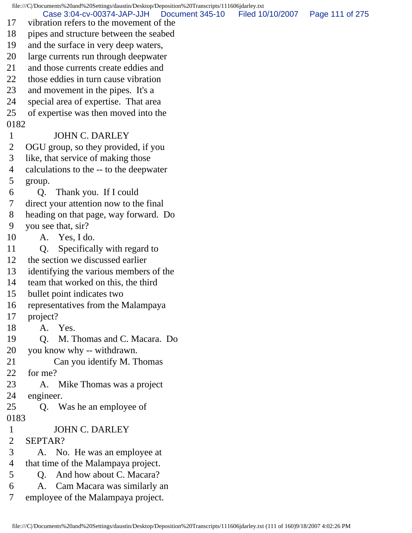file:///C|/Documents%20and%20Settings/daustin/Desktop/Deposition%20Transcripts/111606jdarley.txt 17 vibration refers to the movement of the 18 pipes and structure between the seabed 19 and the surface in very deep waters, 20 large currents run through deepwater 21 and those currents create eddies and 22 those eddies in turn cause vibration 23 and movement in the pipes. It's a 24 special area of expertise. That area 25 of expertise was then moved into the 0182 1 JOHN C. DARLEY 2 OGU group, so they provided, if you 3 like, that service of making those 4 calculations to the -- to the deepwater 5 group. 6 Q. Thank you. If I could 7 direct your attention now to the final 8 heading on that page, way forward. Do 9 you see that, sir? 10 A. Yes, I do. 11 Q. Specifically with regard to 12 the section we discussed earlier 13 identifying the various members of the 14 team that worked on this, the third 15 bullet point indicates two 16 representatives from the Malampaya 17 project? 18 A. Yes. 19 Q. M. Thomas and C. Macara. Do 20 you know why -- withdrawn. 21 Can you identify M. Thomas 22 for me? 23 A. Mike Thomas was a project 24 engineer. 25 Q. Was he an employee of 0183 1 JOHN C. DARLEY 2 SEPTAR? 3 A. No. He was an employee at 4 that time of the Malampaya project. 5 Q. And how about C. Macara? 6 A. Cam Macara was similarly an 7 employee of the Malampaya project. Case 3:04-cv-00374-JAP-JJH Document 345-10 Filed 10/10/2007 Page 111 of 275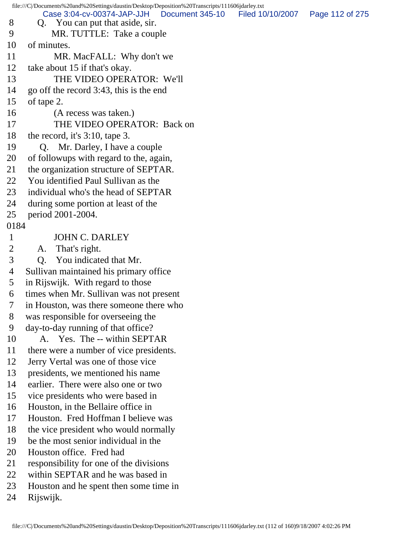file:///C|/Documents%20and%20Settings/daustin/Desktop/Deposition%20Transcripts/111606jdarley.txt 8 Q. You can put that aside, sir. 9 MR. TUTTLE: Take a couple 10 of minutes. 11 MR. MacFALL: Why don't we 12 take about 15 if that's okay. 13 THE VIDEO OPERATOR: We'll 14 go off the record 3:43, this is the end 15 of tape 2. 16 (A recess was taken.) 17 THE VIDEO OPERATOR: Back on 18 the record, it's 3:10, tape 3. 19 Q. Mr. Darley, I have a couple 20 of followups with regard to the, again, 21 the organization structure of SEPTAR. 22 You identified Paul Sullivan as the 23 individual who's the head of SEPTAR 24 during some portion at least of the 25 period 2001-2004. 0184 1 JOHN C. DARLEY 2 A. That's right. 3 Q. You indicated that Mr. 4 Sullivan maintained his primary office 5 in Rijswijk. With regard to those 6 times when Mr. Sullivan was not present 7 in Houston, was there someone there who 8 was responsible for overseeing the 9 day-to-day running of that office? 10 A. Yes. The -- within SEPTAR 11 there were a number of vice presidents. 12 Jerry Vertal was one of those vice 13 presidents, we mentioned his name 14 earlier. There were also one or two 15 vice presidents who were based in 16 Houston, in the Bellaire office in 17 Houston. Fred Hoffman I believe was 18 the vice president who would normally 19 be the most senior individual in the 20 Houston office. Fred had 21 responsibility for one of the divisions 22 within SEPTAR and he was based in 23 Houston and he spent then some time in 24 Rijswijk. Case 3:04-cv-00374-JAP-JJH Document 345-10 Filed 10/10/2007 Page 112 of 275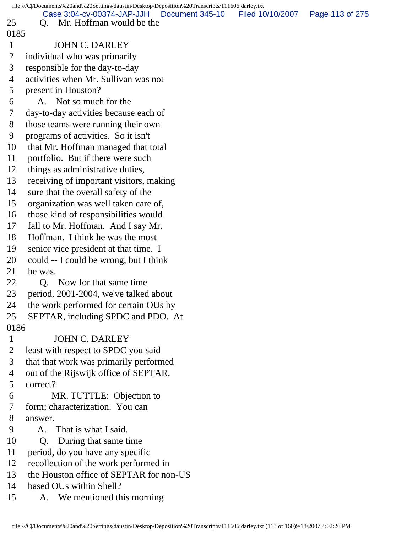|                | file:///C /Documents%20and%20Settings/daustin/Desktop/Deposition%20Transcripts/111606jdarley.txt |  |                 |                  |                 |  |
|----------------|--------------------------------------------------------------------------------------------------|--|-----------------|------------------|-----------------|--|
| 25             | Case 3:04-cv-00374-JAP-JJH<br>Mr. Hoffman would be the                                           |  | Document 345-10 | Filed 10/10/2007 | Page 113 of 275 |  |
| 0185           | Q.                                                                                               |  |                 |                  |                 |  |
| $\mathbf{1}$   | <b>JOHN C. DARLEY</b>                                                                            |  |                 |                  |                 |  |
|                |                                                                                                  |  |                 |                  |                 |  |
| $\overline{2}$ | individual who was primarily                                                                     |  |                 |                  |                 |  |
| 3              | responsible for the day-to-day                                                                   |  |                 |                  |                 |  |
| 4              | activities when Mr. Sullivan was not                                                             |  |                 |                  |                 |  |
| 5              | present in Houston?                                                                              |  |                 |                  |                 |  |
| 6              | A. Not so much for the                                                                           |  |                 |                  |                 |  |
| 7              | day-to-day activities because each of                                                            |  |                 |                  |                 |  |
| 8              | those teams were running their own                                                               |  |                 |                  |                 |  |
| 9              | programs of activities. So it isn't                                                              |  |                 |                  |                 |  |
| 10             | that Mr. Hoffman managed that total                                                              |  |                 |                  |                 |  |
| 11             | portfolio. But if there were such                                                                |  |                 |                  |                 |  |
| 12             | things as administrative duties,                                                                 |  |                 |                  |                 |  |
| 13             | receiving of important visitors, making                                                          |  |                 |                  |                 |  |
| 14             | sure that the overall safety of the                                                              |  |                 |                  |                 |  |
| 15             | organization was well taken care of,                                                             |  |                 |                  |                 |  |
| 16             | those kind of responsibilities would                                                             |  |                 |                  |                 |  |
| 17             | fall to Mr. Hoffman. And I say Mr.                                                               |  |                 |                  |                 |  |
| 18             | Hoffman. I think he was the most                                                                 |  |                 |                  |                 |  |
| 19             | senior vice president at that time. I                                                            |  |                 |                  |                 |  |
| 20             | could -- I could be wrong, but I think                                                           |  |                 |                  |                 |  |
| 21             | he was.                                                                                          |  |                 |                  |                 |  |
| 22             | Now for that same time.<br>O.                                                                    |  |                 |                  |                 |  |
| 23             | period, 2001-2004, we've talked about                                                            |  |                 |                  |                 |  |
| 24             | the work performed for certain OUs by                                                            |  |                 |                  |                 |  |
| 25             | SEPTAR, including SPDC and PDO. At                                                               |  |                 |                  |                 |  |
|                | 0186                                                                                             |  |                 |                  |                 |  |
| $\mathbf{1}$   | <b>JOHN C. DARLEY</b>                                                                            |  |                 |                  |                 |  |
| $\overline{2}$ | least with respect to SPDC you said                                                              |  |                 |                  |                 |  |
| 3              | that that work was primarily performed                                                           |  |                 |                  |                 |  |
| 4              | out of the Rijswijk office of SEPTAR,                                                            |  |                 |                  |                 |  |
| 5              | correct?                                                                                         |  |                 |                  |                 |  |
| 6              | MR. TUTTLE: Objection to                                                                         |  |                 |                  |                 |  |
| 7              | form; characterization. You can                                                                  |  |                 |                  |                 |  |
| 8              | answer.                                                                                          |  |                 |                  |                 |  |
| 9              | That is what I said.<br>А.                                                                       |  |                 |                  |                 |  |
| 10             | During that same time<br>Q <sub>1</sub>                                                          |  |                 |                  |                 |  |
| 11             | period, do you have any specific                                                                 |  |                 |                  |                 |  |
| 12             | recollection of the work performed in                                                            |  |                 |                  |                 |  |
| 13             | the Houston office of SEPTAR for non-US                                                          |  |                 |                  |                 |  |
| 14             | based OUs within Shell?                                                                          |  |                 |                  |                 |  |
|                |                                                                                                  |  |                 |                  |                 |  |
| 15             | We mentioned this morning<br>A.                                                                  |  |                 |                  |                 |  |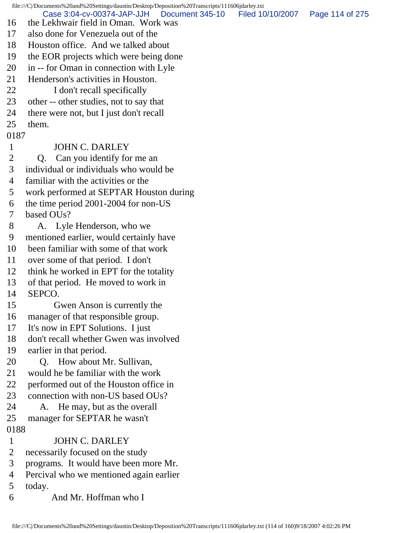file:///C|/Documents%20and%20Settings/daustin/Desktop/Deposition%20Transcripts/111606jdarley.txt 16 the Lekhwair field in Oman. Work was 17 also done for Venezuela out of the 18 Houston office. And we talked about 19 the EOR projects which were being done 20 in -- for Oman in connection with Lyle 21 Henderson's activities in Houston. 22 I don't recall specifically 23 other -- other studies, not to say that 24 there were not, but I just don't recall 25 them. 0187 1 JOHN C. DARLEY 2 Q. Can you identify for me an 3 individual or individuals who would be 4 familiar with the activities or the 5 work performed at SEPTAR Houston during 6 the time period 2001-2004 for non-US 7 based OUs? 8 A. Lyle Henderson, who we 9 mentioned earlier, would certainly have 10 been familiar with some of that work 11 over some of that period. I don't 12 think he worked in EPT for the totality 13 of that period. He moved to work in 14 SEPCO. 15 Gwen Anson is currently the 16 manager of that responsible group. 17 It's now in EPT Solutions. I just 18 don't recall whether Gwen was involved 19 earlier in that period. 20 Q. How about Mr. Sullivan, 21 would he be familiar with the work 22 performed out of the Houston office in 23 connection with non-US based OUs? 24 A. He may, but as the overall 25 manager for SEPTAR he wasn't 0188 1 JOHN C. DARLEY 2 necessarily focused on the study 3 programs. It would have been more Mr. 4 Percival who we mentioned again earlier 5 today. 6 And Mr. Hoffman who I Case 3:04-cv-00374-JAP-JJH Document 345-10 Filed 10/10/2007 Page 114 of 275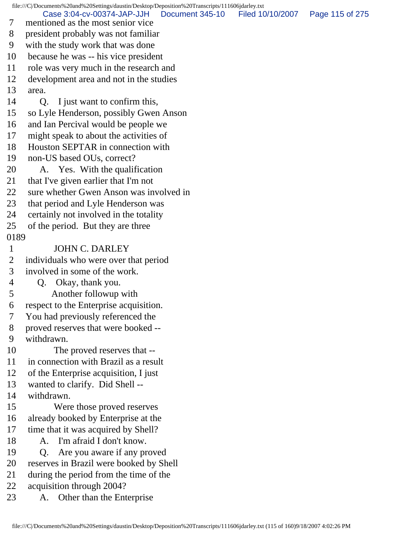file:///C|/Documents%20and%20Settings/daustin/Desktop/Deposition%20Transcripts/111606jdarley.txt 7 mentioned as the most senior vice 8 president probably was not familiar 9 with the study work that was done 10 because he was -- his vice president 11 role was very much in the research and 12 development area and not in the studies 13 area. 14 Q. I just want to confirm this, 15 so Lyle Henderson, possibly Gwen Anson 16 and Ian Percival would be people we 17 might speak to about the activities of 18 Houston SEPTAR in connection with 19 non-US based OUs, correct? 20 A. Yes. With the qualification 21 that I've given earlier that I'm not 22 sure whether Gwen Anson was involved in 23 that period and Lyle Henderson was 24 certainly not involved in the totality 25 of the period. But they are three 0189 1 JOHN C. DARLEY 2 individuals who were over that period 3 involved in some of the work. 4 Q. Okay, thank you. 5 Another followup with 6 respect to the Enterprise acquisition. 7 You had previously referenced the 8 proved reserves that were booked -- 9 withdrawn. 10 The proved reserves that -- 11 in connection with Brazil as a result 12 of the Enterprise acquisition, I just 13 wanted to clarify. Did Shell -- 14 withdrawn. 15 Were those proved reserves 16 already booked by Enterprise at the 17 time that it was acquired by Shell? 18 A. I'm afraid I don't know. 19 Q. Are you aware if any proved 20 reserves in Brazil were booked by Shell 21 during the period from the time of the 22 acquisition through 2004? Case 3:04-cv-00374-JAP-JJH Document 345-10 Filed 10/10/2007 Page 115 of 275

23 A. Other than the Enterprise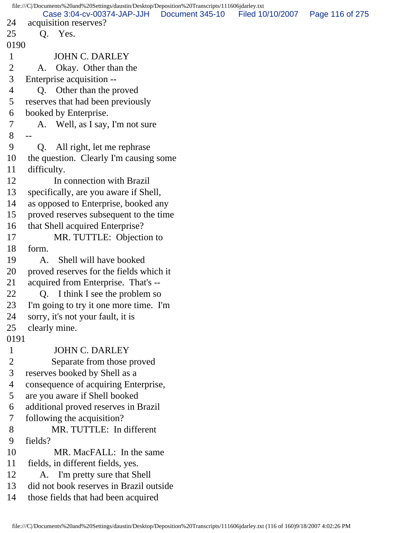```
file:///C|/Documents%20and%20Settings/daustin/Desktop/Deposition%20Transcripts/111606jdarley.txt
24 acquisition reserves?
25 Q. Yes.
0190
1 JOHN C. DARLEY
 2 A. Okay. Other than the
 3 Enterprise acquisition --
 4 Q. Other than the proved
 5 reserves that had been previously
 6 booked by Enterprise.
 7 A. Well, as I say, I'm not sure
 8 --
 9 Q. All right, let me rephrase
10 the question. Clearly I'm causing some
11 difficulty.
12 In connection with Brazil
13 specifically, are you aware if Shell,
14 as opposed to Enterprise, booked any
15 proved reserves subsequent to the time
16 that Shell acquired Enterprise?
17 MR. TUTTLE: Objection to
18 form.
19 A. Shell will have booked
20 proved reserves for the fields which it
21 acquired from Enterprise. That's --
22 O. I think I see the problem so
23 I'm going to try it one more time. I'm
24 sorry, it's not your fault, it is
25 clearly mine.
0191
1 JOHN C. DARLEY
 2 Separate from those proved
 3 reserves booked by Shell as a
 4 consequence of acquiring Enterprise,
 5 are you aware if Shell booked
 6 additional proved reserves in Brazil
 7 following the acquisition?
 8 MR. TUTTLE: In different
 9 fields?
10 MR. MacFALL: In the same
11 fields, in different fields, yes.
12 A. I'm pretty sure that Shell
13 did not book reserves in Brazil outside
14 those fields that had been acquired
        Case 3:04-cv-00374-JAP-JJH Document 345-10 Filed 10/10/2007 Page 116 of 275
```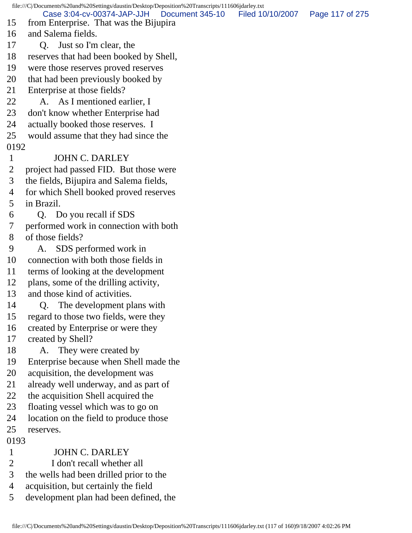file:///C|/Documents%20and%20Settings/daustin/Desktop/Deposition%20Transcripts/111606jdarley.txt 15 from Enterprise. That was the Bijupira 16 and Salema fields. 17 Q. Just so I'm clear, the 18 reserves that had been booked by Shell, 19 were those reserves proved reserves 20 that had been previously booked by 21 Enterprise at those fields? 22 A. As I mentioned earlier, I 23 don't know whether Enterprise had 24 actually booked those reserves. I 25 would assume that they had since the 0192 1 JOHN C. DARLEY 2 project had passed FID. But those were 3 the fields, Bijupira and Salema fields, 4 for which Shell booked proved reserves 5 in Brazil. 6 Q. Do you recall if SDS 7 performed work in connection with both 8 of those fields? 9 A. SDS performed work in 10 connection with both those fields in 11 terms of looking at the development 12 plans, some of the drilling activity, 13 and those kind of activities. 14 Q. The development plans with 15 regard to those two fields, were they 16 created by Enterprise or were they 17 created by Shell? 18 A. They were created by 19 Enterprise because when Shell made the 20 acquisition, the development was 21 already well underway, and as part of 22 the acquisition Shell acquired the 23 floating vessel which was to go on 24 location on the field to produce those 25 reserves. 0193 1 JOHN C. DARLEY 2 I don't recall whether all 3 the wells had been drilled prior to the 4 acquisition, but certainly the field 5 development plan had been defined, the Case 3:04-cv-00374-JAP-JJH Document 345-10 Filed 10/10/2007 Page 117 of 275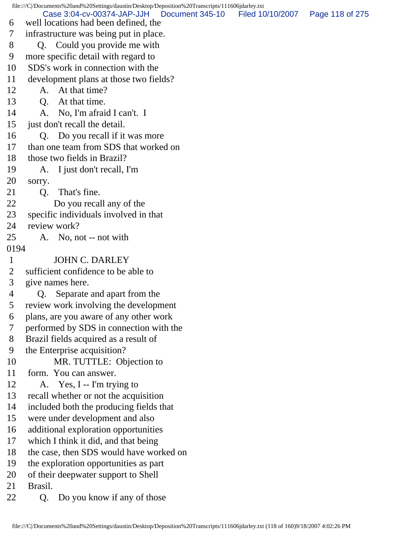file:///C|/Documents%20and%20Settings/daustin/Desktop/Deposition%20Transcripts/111606jdarley.txt 6 well locations had been defined, the 7 infrastructure was being put in place. 8 Q. Could you provide me with 9 more specific detail with regard to 10 SDS's work in connection with the 11 development plans at those two fields? 12 A. At that time? 13 Q. At that time. 14 A. No, I'm afraid I can't. I 15 just don't recall the detail. 16 Q. Do you recall if it was more 17 than one team from SDS that worked on 18 those two fields in Brazil? 19 A. I just don't recall, I'm 20 sorry. 21 Q. That's fine. 22 Do you recall any of the 23 specific individuals involved in that 24 review work? 25 A. No, not -- not with 0194 1 JOHN C. DARLEY 2 sufficient confidence to be able to 3 give names here. 4 Q. Separate and apart from the 5 review work involving the development 6 plans, are you aware of any other work 7 performed by SDS in connection with the 8 Brazil fields acquired as a result of 9 the Enterprise acquisition? 10 MR. TUTTLE: Objection to 11 form. You can answer. 12 A. Yes, I -- I'm trying to 13 recall whether or not the acquisition 14 included both the producing fields that 15 were under development and also 16 additional exploration opportunities 17 which I think it did, and that being 18 the case, then SDS would have worked on 19 the exploration opportunities as part 20 of their deepwater support to Shell 21 Brasil. 22 Q. Do you know if any of those Case 3:04-cv-00374-JAP-JJH Document 345-10 Filed 10/10/2007 Page 118 of 275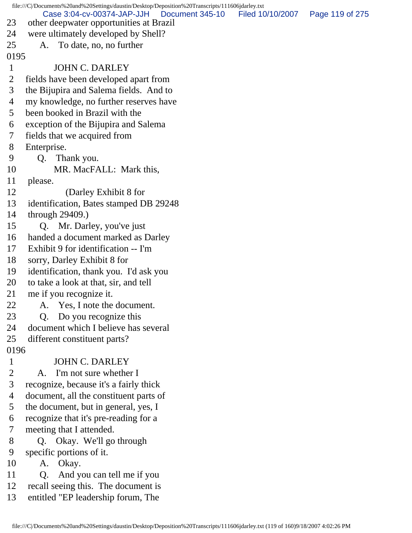| Case 3:04-cv-00374-JAP-JJH<br>Document 345-10<br>Filed 10/10/2007<br>Page 119 of 275<br>23<br>other deepwater opportunities at Brazil<br>were ultimately developed by Shell?<br>24<br>25<br>To date, no, no further<br>A.<br>0195<br><b>JOHN C. DARLEY</b><br>$\mathbf{1}$<br>$\overline{2}$<br>fields have been developed apart from<br>3<br>the Bijupira and Salema fields. And to<br>my knowledge, no further reserves have<br>4<br>been booked in Brazil with the<br>5<br>exception of the Bijupira and Salema<br>6<br>fields that we acquired from<br>7<br>8<br>Enterprise.<br>9<br>Q. Thank you.<br>MR. MacFALL: Mark this,<br>10<br>11<br>please. |  |
|----------------------------------------------------------------------------------------------------------------------------------------------------------------------------------------------------------------------------------------------------------------------------------------------------------------------------------------------------------------------------------------------------------------------------------------------------------------------------------------------------------------------------------------------------------------------------------------------------------------------------------------------------------|--|
|                                                                                                                                                                                                                                                                                                                                                                                                                                                                                                                                                                                                                                                          |  |
|                                                                                                                                                                                                                                                                                                                                                                                                                                                                                                                                                                                                                                                          |  |
|                                                                                                                                                                                                                                                                                                                                                                                                                                                                                                                                                                                                                                                          |  |
|                                                                                                                                                                                                                                                                                                                                                                                                                                                                                                                                                                                                                                                          |  |
|                                                                                                                                                                                                                                                                                                                                                                                                                                                                                                                                                                                                                                                          |  |
|                                                                                                                                                                                                                                                                                                                                                                                                                                                                                                                                                                                                                                                          |  |
|                                                                                                                                                                                                                                                                                                                                                                                                                                                                                                                                                                                                                                                          |  |
|                                                                                                                                                                                                                                                                                                                                                                                                                                                                                                                                                                                                                                                          |  |
|                                                                                                                                                                                                                                                                                                                                                                                                                                                                                                                                                                                                                                                          |  |
|                                                                                                                                                                                                                                                                                                                                                                                                                                                                                                                                                                                                                                                          |  |
|                                                                                                                                                                                                                                                                                                                                                                                                                                                                                                                                                                                                                                                          |  |
|                                                                                                                                                                                                                                                                                                                                                                                                                                                                                                                                                                                                                                                          |  |
|                                                                                                                                                                                                                                                                                                                                                                                                                                                                                                                                                                                                                                                          |  |
|                                                                                                                                                                                                                                                                                                                                                                                                                                                                                                                                                                                                                                                          |  |
|                                                                                                                                                                                                                                                                                                                                                                                                                                                                                                                                                                                                                                                          |  |
|                                                                                                                                                                                                                                                                                                                                                                                                                                                                                                                                                                                                                                                          |  |
| (Darley Exhibit 8 for<br>12                                                                                                                                                                                                                                                                                                                                                                                                                                                                                                                                                                                                                              |  |
| identification, Bates stamped DB 29248<br>13                                                                                                                                                                                                                                                                                                                                                                                                                                                                                                                                                                                                             |  |
| through $29409$ .)<br>14                                                                                                                                                                                                                                                                                                                                                                                                                                                                                                                                                                                                                                 |  |
| Q. Mr. Darley, you've just<br>15                                                                                                                                                                                                                                                                                                                                                                                                                                                                                                                                                                                                                         |  |
| handed a document marked as Darley<br>16                                                                                                                                                                                                                                                                                                                                                                                                                                                                                                                                                                                                                 |  |
| Exhibit 9 for identification -- I'm<br>17                                                                                                                                                                                                                                                                                                                                                                                                                                                                                                                                                                                                                |  |
| sorry, Darley Exhibit 8 for<br>18                                                                                                                                                                                                                                                                                                                                                                                                                                                                                                                                                                                                                        |  |
| identification, thank you. I'd ask you<br>19                                                                                                                                                                                                                                                                                                                                                                                                                                                                                                                                                                                                             |  |
| to take a look at that, sir, and tell<br>20                                                                                                                                                                                                                                                                                                                                                                                                                                                                                                                                                                                                              |  |
| 21<br>me if you recognize it.                                                                                                                                                                                                                                                                                                                                                                                                                                                                                                                                                                                                                            |  |
| 22<br>A. Yes, I note the document.                                                                                                                                                                                                                                                                                                                                                                                                                                                                                                                                                                                                                       |  |
| 23<br>Do you recognize this<br>Q.                                                                                                                                                                                                                                                                                                                                                                                                                                                                                                                                                                                                                        |  |
| 24<br>document which I believe has several                                                                                                                                                                                                                                                                                                                                                                                                                                                                                                                                                                                                               |  |
| 25<br>different constituent parts?                                                                                                                                                                                                                                                                                                                                                                                                                                                                                                                                                                                                                       |  |
| 0196                                                                                                                                                                                                                                                                                                                                                                                                                                                                                                                                                                                                                                                     |  |
| <b>JOHN C. DARLEY</b><br>$\mathbf{1}$                                                                                                                                                                                                                                                                                                                                                                                                                                                                                                                                                                                                                    |  |
| $\overline{2}$<br>A. I'm not sure whether I                                                                                                                                                                                                                                                                                                                                                                                                                                                                                                                                                                                                              |  |
| 3<br>recognize, because it's a fairly thick                                                                                                                                                                                                                                                                                                                                                                                                                                                                                                                                                                                                              |  |
| document, all the constituent parts of<br>$\overline{4}$                                                                                                                                                                                                                                                                                                                                                                                                                                                                                                                                                                                                 |  |
| the document, but in general, yes, I<br>5                                                                                                                                                                                                                                                                                                                                                                                                                                                                                                                                                                                                                |  |
| recognize that it's pre-reading for a<br>6                                                                                                                                                                                                                                                                                                                                                                                                                                                                                                                                                                                                               |  |
| 7<br>meeting that I attended.                                                                                                                                                                                                                                                                                                                                                                                                                                                                                                                                                                                                                            |  |
| 8<br>Q. Okay. We'll go through                                                                                                                                                                                                                                                                                                                                                                                                                                                                                                                                                                                                                           |  |
| 9<br>specific portions of it.                                                                                                                                                                                                                                                                                                                                                                                                                                                                                                                                                                                                                            |  |
| 10<br>A. Okay.                                                                                                                                                                                                                                                                                                                                                                                                                                                                                                                                                                                                                                           |  |
| And you can tell me if you<br>11<br>Q.                                                                                                                                                                                                                                                                                                                                                                                                                                                                                                                                                                                                                   |  |
| 12<br>recall seeing this. The document is                                                                                                                                                                                                                                                                                                                                                                                                                                                                                                                                                                                                                |  |
| entitled "EP leadership forum, The<br>13                                                                                                                                                                                                                                                                                                                                                                                                                                                                                                                                                                                                                 |  |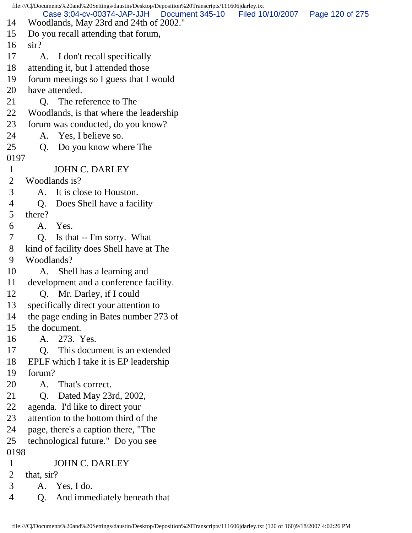|                | file:///C /Documents%20and%20Settings/daustin/Desktop/Deposition%20Transcripts/111606jdarley.txt |                  |                 |
|----------------|--------------------------------------------------------------------------------------------------|------------------|-----------------|
| 14             | Case 3:04-cv-00374-JAP-JJH<br>Document 345-10<br>Woodlands, May 23rd and 24th of 2002."          | Filed 10/10/2007 | Page 120 of 275 |
| 15             | Do you recall attending that forum,                                                              |                  |                 |
| 16             | $\sin$ ?                                                                                         |                  |                 |
| 17             | I don't recall specifically<br>A.                                                                |                  |                 |
| 18             | attending it, but I attended those                                                               |                  |                 |
| 19             | forum meetings so I guess that I would                                                           |                  |                 |
| 20             | have attended.                                                                                   |                  |                 |
| 21             | The reference to The<br>Q.                                                                       |                  |                 |
| 22             | Woodlands, is that where the leadership                                                          |                  |                 |
| 23             | forum was conducted, do you know?                                                                |                  |                 |
| 24             | Yes, I believe so.<br>A.                                                                         |                  |                 |
| 25             | Do you know where The<br>Q <sub>1</sub>                                                          |                  |                 |
| 0197           |                                                                                                  |                  |                 |
| 1              | <b>JOHN C. DARLEY</b>                                                                            |                  |                 |
| 2              | Woodlands is?                                                                                    |                  |                 |
| 3              | It is close to Houston.<br>А.                                                                    |                  |                 |
| 4              | Does Shell have a facility<br>Q.                                                                 |                  |                 |
| 5              | there?                                                                                           |                  |                 |
| 6              | Yes.<br>A.                                                                                       |                  |                 |
| 7              | $\overline{O}$ .<br>Is that -- I'm sorry. What                                                   |                  |                 |
| 8              | kind of facility does Shell have at The                                                          |                  |                 |
| 9              | Woodlands?                                                                                       |                  |                 |
| 10             | Shell has a learning and<br>A.                                                                   |                  |                 |
| 11             | development and a conference facility.                                                           |                  |                 |
| 12             | Mr. Darley, if I could<br>Q.                                                                     |                  |                 |
| 13             | specifically direct your attention to                                                            |                  |                 |
| 14             | the page ending in Bates number 273 of                                                           |                  |                 |
| 15             | the document.                                                                                    |                  |                 |
| 16             | 273. Yes.<br>A.                                                                                  |                  |                 |
| 17             | Q. This document is an extended                                                                  |                  |                 |
| 18             | EPLF which I take it is EP leadership                                                            |                  |                 |
| 19             | forum?                                                                                           |                  |                 |
| 20             | That's correct.<br>A.                                                                            |                  |                 |
| 21             | Dated May 23rd, 2002,<br>Q.                                                                      |                  |                 |
| 22<br>23       | agenda. I'd like to direct your<br>attention to the bottom third of the                          |                  |                 |
| 24             | page, there's a caption there, "The                                                              |                  |                 |
| 25             | technological future." Do you see                                                                |                  |                 |
| 0198           |                                                                                                  |                  |                 |
| $\mathbf{1}$   | <b>JOHN C. DARLEY</b>                                                                            |                  |                 |
| $\overline{2}$ | that, sir?                                                                                       |                  |                 |
| 3              | A. Yes, I do.                                                                                    |                  |                 |
| 4              | And immediately beneath that<br>Q.                                                               |                  |                 |
|                |                                                                                                  |                  |                 |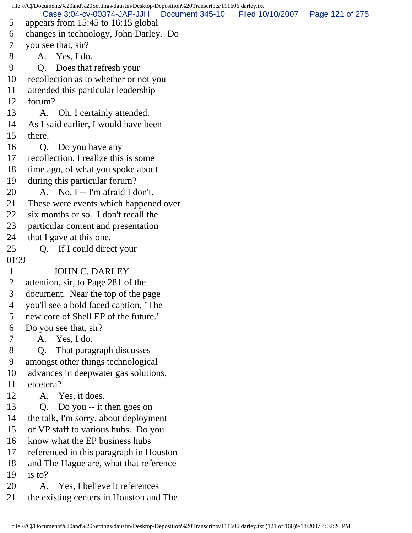file:///C|/Documents%20and%20Settings/daustin/Desktop/Deposition%20Transcripts/111606jdarley.txt 5 appears from 15:45 to 16:15 global 6 changes in technology, John Darley. Do 7 you see that, sir? 8 A. Yes, I do. 9 Q. Does that refresh your 10 recollection as to whether or not you 11 attended this particular leadership 12 forum? 13 A. Oh, I certainly attended. 14 As I said earlier, I would have been 15 there. 16 Q. Do you have any 17 recollection, I realize this is some 18 time ago, of what you spoke about 19 during this particular forum? 20 A. No, I -- I'm afraid I don't. 21 These were events which happened over 22 six months or so. I don't recall the 23 particular content and presentation 24 that I gave at this one. 25 Q. If I could direct your 0199 1 JOHN C. DARLEY 2 attention, sir, to Page 281 of the 3 document. Near the top of the page 4 you'll see a bold faced caption, "The 5 new core of Shell EP of the future." 6 Do you see that, sir? 7 A. Yes, I do. 8 Q. That paragraph discusses 9 amongst other things technological 10 advances in deepwater gas solutions, 11 etcetera? 12 A. Yes, it does. 13 Q. Do you -- it then goes on 14 the talk, I'm sorry, about deployment 15 of VP staff to various hubs. Do you 16 know what the EP business hubs 17 referenced in this paragraph in Houston 18 and The Hague are, what that reference 19 is to? 20 A. Yes, I believe it references 21 the existing centers in Houston and The Case 3:04-cv-00374-JAP-JJH Document 345-10 Filed 10/10/2007 Page 121 of 275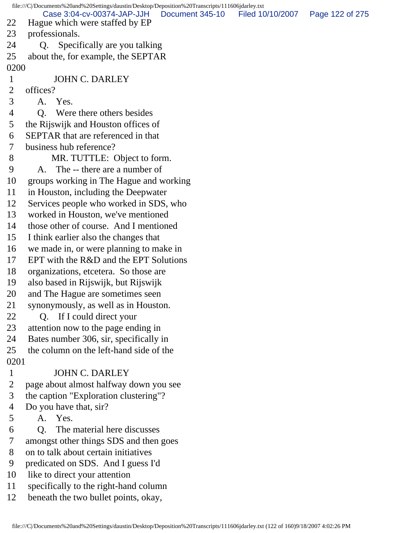| file:///C /Documents%20and%20Settings/daustin/Desktop/Deposition%20Transcripts/111606jdarley.txt |                                                              |                 |                  |                 |  |
|--------------------------------------------------------------------------------------------------|--------------------------------------------------------------|-----------------|------------------|-----------------|--|
| 22                                                                                               | Case 3:04-cv-00374-JAP-JJH<br>Hague which were staffed by EP | Document 345-10 | Filed 10/10/2007 | Page 122 of 275 |  |
| 23                                                                                               | professionals.                                               |                 |                  |                 |  |
| 24                                                                                               | Specifically are you talking<br>Q.                           |                 |                  |                 |  |
| 25                                                                                               | about the, for example, the SEPTAR                           |                 |                  |                 |  |
| 0200                                                                                             |                                                              |                 |                  |                 |  |
| $\mathbf 1$                                                                                      | <b>JOHN C. DARLEY</b>                                        |                 |                  |                 |  |
| $\overline{2}$                                                                                   | offices?                                                     |                 |                  |                 |  |
| 3                                                                                                | A. Yes.                                                      |                 |                  |                 |  |
| 4                                                                                                | Q. Were there others besides                                 |                 |                  |                 |  |
| 5                                                                                                | the Rijswijk and Houston offices of                          |                 |                  |                 |  |
| 6                                                                                                | <b>SEPTAR</b> that are referenced in that                    |                 |                  |                 |  |
| 7                                                                                                | business hub reference?                                      |                 |                  |                 |  |
| 8                                                                                                | MR. TUTTLE: Object to form.                                  |                 |                  |                 |  |
| 9                                                                                                | A. The -- there are a number of                              |                 |                  |                 |  |
| 10                                                                                               | groups working in The Hague and working                      |                 |                  |                 |  |
| 11                                                                                               | in Houston, including the Deepwater                          |                 |                  |                 |  |
| 12                                                                                               | Services people who worked in SDS, who                       |                 |                  |                 |  |
| 13                                                                                               | worked in Houston, we've mentioned                           |                 |                  |                 |  |
| 14                                                                                               | those other of course. And I mentioned                       |                 |                  |                 |  |
| 15                                                                                               | I think earlier also the changes that                        |                 |                  |                 |  |
| 16                                                                                               | we made in, or were planning to make in                      |                 |                  |                 |  |
| 17                                                                                               | EPT with the R&D and the EPT Solutions                       |                 |                  |                 |  |
| 18                                                                                               | organizations, etcetera. So those are                        |                 |                  |                 |  |
| 19                                                                                               | also based in Rijswijk, but Rijswijk                         |                 |                  |                 |  |
| 20                                                                                               | and The Hague are sometimes seen                             |                 |                  |                 |  |
| 21                                                                                               | synonymously, as well as in Houston.                         |                 |                  |                 |  |
| 22                                                                                               | Q. If I could direct your                                    |                 |                  |                 |  |
| 23                                                                                               | attention now to the page ending in                          |                 |                  |                 |  |
| 24                                                                                               | Bates number 306, sir, specifically in                       |                 |                  |                 |  |
| 25                                                                                               | the column on the left-hand side of the                      |                 |                  |                 |  |
| 0201                                                                                             |                                                              |                 |                  |                 |  |
| $\mathbf{1}$                                                                                     | <b>JOHN C. DARLEY</b>                                        |                 |                  |                 |  |
| $\overline{2}$                                                                                   | page about almost halfway down you see                       |                 |                  |                 |  |
| 3                                                                                                | the caption "Exploration clustering"?                        |                 |                  |                 |  |
| 4                                                                                                | Do you have that, sir?                                       |                 |                  |                 |  |
| 5                                                                                                | A. Yes.                                                      |                 |                  |                 |  |
| 6                                                                                                | Q. The material here discusses                               |                 |                  |                 |  |
| 7                                                                                                | amongst other things SDS and then goes                       |                 |                  |                 |  |
| 8                                                                                                | on to talk about certain initiatives                         |                 |                  |                 |  |
| 9                                                                                                | predicated on SDS. And I guess I'd                           |                 |                  |                 |  |
| 10                                                                                               | like to direct your attention                                |                 |                  |                 |  |
| 11                                                                                               | specifically to the right-hand column                        |                 |                  |                 |  |
| 12                                                                                               | beneath the two bullet points, okay,                         |                 |                  |                 |  |
|                                                                                                  |                                                              |                 |                  |                 |  |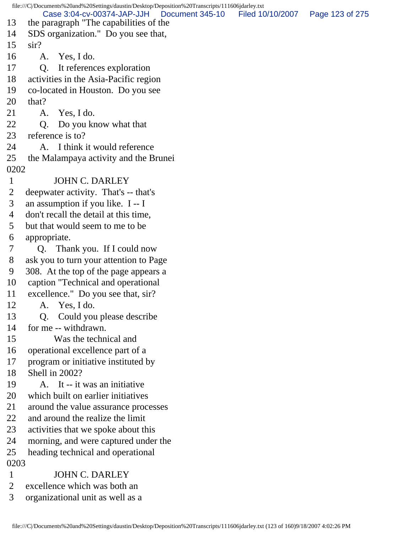file:///C|/Documents%20and%20Settings/daustin/Desktop/Deposition%20Transcripts/111606jdarley.txt 13 the paragraph "The capabilities of the 14 SDS organization." Do you see that, 15 sir? 16 A. Yes, I do. 17 Q. It references exploration 18 activities in the Asia-Pacific region 19 co-located in Houston. Do you see 20 that? 21 A. Yes, I do. 22 Q. Do you know what that 23 reference is to? 24 A. I think it would reference 25 the Malampaya activity and the Brunei 0202 1 JOHN C. DARLEY 2 deepwater activity. That's -- that's 3 an assumption if you like. I -- I 4 don't recall the detail at this time, 5 but that would seem to me to be 6 appropriate. 7 Q. Thank you. If I could now 8 ask you to turn your attention to Page 9 308. At the top of the page appears a 10 caption "Technical and operational 11 excellence." Do you see that, sir? 12 A. Yes, I do. 13 Q. Could you please describe 14 for me -- withdrawn. 15 Was the technical and 16 operational excellence part of a 17 program or initiative instituted by 18 Shell in 2002? 19 A. It -- it was an initiative 20 which built on earlier initiatives 21 around the value assurance processes 22 and around the realize the limit 23 activities that we spoke about this 24 morning, and were captured under the 25 heading technical and operational 0203 1 JOHN C. DARLEY 2 excellence which was both an 3 organizational unit as well as a Case 3:04-cv-00374-JAP-JJH Document 345-10 Filed 10/10/2007 Page 123 of 275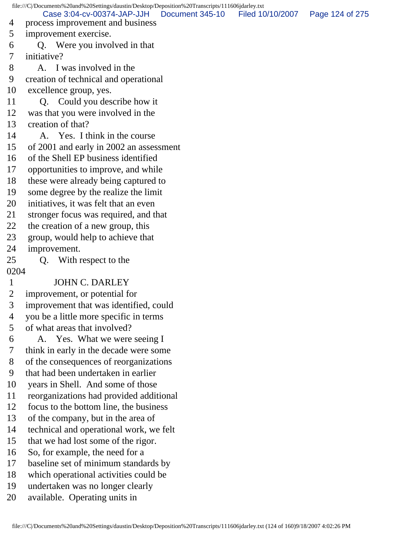file:///C|/Documents%20and%20Settings/daustin/Desktop/Deposition%20Transcripts/111606jdarley.txt 4 process improvement and business 5 improvement exercise. 6 Q. Were you involved in that 7 initiative? 8 A. I was involved in the 9 creation of technical and operational 10 excellence group, yes. 11 Q. Could you describe how it 12 was that you were involved in the 13 creation of that? 14 A. Yes. I think in the course 15 of 2001 and early in 2002 an assessment 16 of the Shell EP business identified 17 opportunities to improve, and while 18 these were already being captured to 19 some degree by the realize the limit 20 initiatives, it was felt that an even 21 stronger focus was required, and that 22 the creation of a new group, this 23 group, would help to achieve that 24 improvement. 25 Q. With respect to the 0204 1 JOHN C. DARLEY 2 improvement, or potential for 3 improvement that was identified, could 4 you be a little more specific in terms 5 of what areas that involved? 6 A. Yes. What we were seeing I 7 think in early in the decade were some 8 of the consequences of reorganizations 9 that had been undertaken in earlier 10 years in Shell. And some of those 11 reorganizations had provided additional 12 focus to the bottom line, the business 13 of the company, but in the area of 14 technical and operational work, we felt 15 that we had lost some of the rigor. 16 So, for example, the need for a 17 baseline set of minimum standards by 18 which operational activities could be 19 undertaken was no longer clearly 20 available. Operating units in Case 3:04-cv-00374-JAP-JJH Document 345-10 Filed 10/10/2007 Page 124 of 275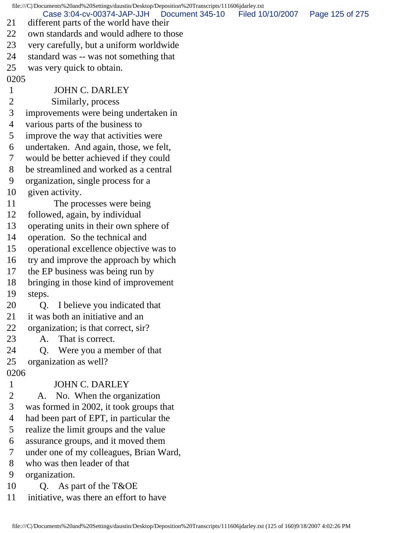file:///C|/Documents%20and%20Settings/daustin/Desktop/Deposition%20Transcripts/111606jdarley.txt 21 different parts of the world have their 22 own standards and would adhere to those 23 very carefully, but a uniform worldwide 24 standard was -- was not something that 25 was very quick to obtain. 0205 1 JOHN C. DARLEY 2 Similarly, process 3 improvements were being undertaken in 4 various parts of the business to 5 improve the way that activities were 6 undertaken. And again, those, we felt, 7 would be better achieved if they could 8 be streamlined and worked as a central 9 organization, single process for a 10 given activity. 11 The processes were being 12 followed, again, by individual 13 operating units in their own sphere of 14 operation. So the technical and 15 operational excellence objective was to 16 try and improve the approach by which 17 the EP business was being run by 18 bringing in those kind of improvement 19 steps. 20 Q. I believe you indicated that 21 it was both an initiative and an 22 organization; is that correct, sir? 23 A. That is correct. 24 Q. Were you a member of that 25 organization as well? 0206 1 JOHN C. DARLEY 2 A. No. When the organization 3 was formed in 2002, it took groups that 4 had been part of EPT, in particular the 5 realize the limit groups and the value 6 assurance groups, and it moved them 7 under one of my colleagues, Brian Ward, 8 who was then leader of that 9 organization. 10 Q. As part of the T&OE 11 initiative, was there an effort to have Case 3:04-cv-00374-JAP-JJH Document 345-10 Filed 10/10/2007 Page 125 of 275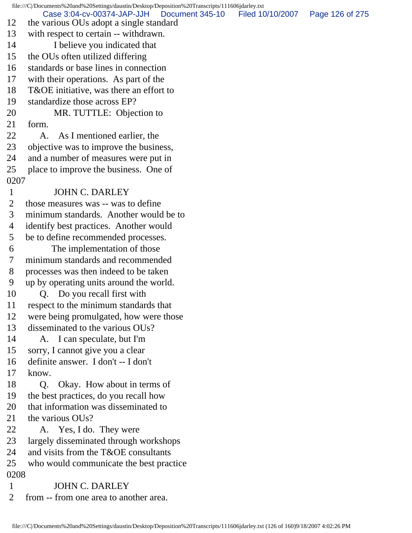file:///C|/Documents%20and%20Settings/daustin/Desktop/Deposition%20Transcripts/111606jdarley.txt 12 the various OUs adopt a single standard 13 with respect to certain -- withdrawn. 14 I believe you indicated that 15 the OUs often utilized differing 16 standards or base lines in connection 17 with their operations. As part of the 18 T&OE initiative, was there an effort to 19 standardize those across EP? 20 MR. TUTTLE: Objection to 21 form. 22 A. As I mentioned earlier, the 23 objective was to improve the business, 24 and a number of measures were put in 25 place to improve the business. One of 0207 1 JOHN C. DARLEY 2 those measures was -- was to define 3 minimum standards. Another would be to 4 identify best practices. Another would 5 be to define recommended processes. 6 The implementation of those 7 minimum standards and recommended 8 processes was then indeed to be taken 9 up by operating units around the world. 10 O. Do you recall first with 11 respect to the minimum standards that 12 were being promulgated, how were those 13 disseminated to the various OUs? 14 A. I can speculate, but I'm 15 sorry, I cannot give you a clear 16 definite answer. I don't -- I don't 17 know. 18 Q. Okay. How about in terms of 19 the best practices, do you recall how 20 that information was disseminated to 21 the various OUs? 22 A. Yes, I do. They were 23 largely disseminated through workshops 24 and visits from the T&OE consultants 25 who would communicate the best practice 0208 1 JOHN C. DARLEY 2 from -- from one area to another area. Case 3:04-cv-00374-JAP-JJH Document 345-10 Filed 10/10/2007 Page 126 of 275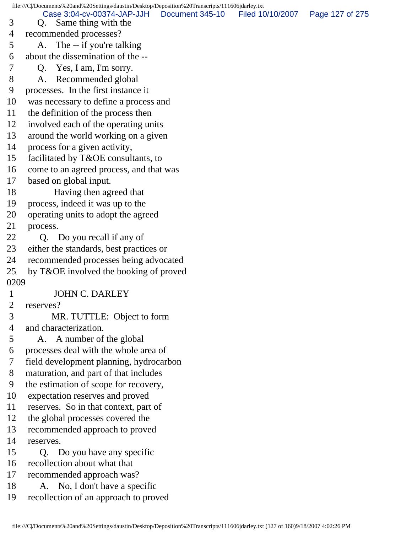file:///C|/Documents%20and%20Settings/daustin/Desktop/Deposition%20Transcripts/111606jdarley.txt 3 Q. Same thing with the 4 recommended processes? 5 A. The -- if you're talking 6 about the dissemination of the -- 7 Q. Yes, I am, I'm sorry. 8 A. Recommended global 9 processes. In the first instance it 10 was necessary to define a process and 11 the definition of the process then 12 involved each of the operating units 13 around the world working on a given 14 process for a given activity, 15 facilitated by T&OE consultants, to 16 come to an agreed process, and that was 17 based on global input. 18 Having then agreed that 19 process, indeed it was up to the 20 operating units to adopt the agreed 21 process. 22 O. Do you recall if any of 23 either the standards, best practices or 24 recommended processes being advocated 25 by T&OE involved the booking of proved 0209 1 JOHN C. DARLEY 2 reserves? 3 MR. TUTTLE: Object to form 4 and characterization. 5 A. A number of the global 6 processes deal with the whole area of 7 field development planning, hydrocarbon 8 maturation, and part of that includes 9 the estimation of scope for recovery, 10 expectation reserves and proved 11 reserves. So in that context, part of 12 the global processes covered the 13 recommended approach to proved 14 reserves. 15 Q. Do you have any specific 16 recollection about what that 17 recommended approach was? 18 A. No, I don't have a specific 19 recollection of an approach to proved Case 3:04-cv-00374-JAP-JJH Document 345-10 Filed 10/10/2007 Page 127 of 275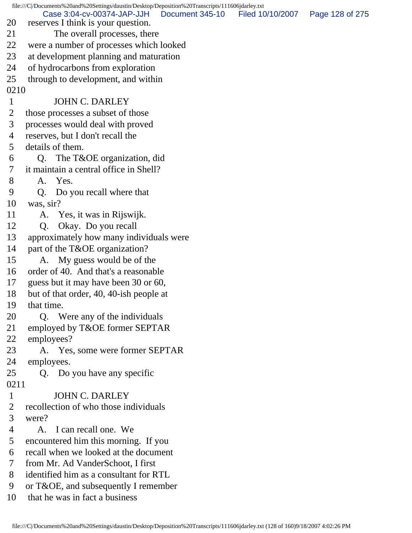file:///C|/Documents%20and%20Settings/daustin/Desktop/Deposition%20Transcripts/111606jdarley.txt 20 reserves I think is your question. 21 The overall processes, there 22 were a number of processes which looked 23 at development planning and maturation 24 of hydrocarbons from exploration 25 through to development, and within 0210 1 JOHN C. DARLEY 2 those processes a subset of those 3 processes would deal with proved 4 reserves, but I don't recall the 5 details of them. 6 Q. The T&OE organization, did 7 it maintain a central office in Shell? 8 A. Yes. 9 Q. Do you recall where that 10 was, sir? 11 A. Yes, it was in Rijswijk. 12 Q. Okay. Do you recall 13 approximately how many individuals were 14 part of the T&OE organization? 15 A. My guess would be of the 16 order of 40. And that's a reasonable 17 guess but it may have been 30 or 60, 18 but of that order, 40, 40-ish people at 19 that time. 20 Q. Were any of the individuals 21 employed by T&OE former SEPTAR 22 employees? 23 A. Yes, some were former SEPTAR 24 employees. 25 Q. Do you have any specific 0211 1 JOHN C. DARLEY 2 recollection of who those individuals 3 were? 4 A. I can recall one. We 5 encountered him this morning. If you 6 recall when we looked at the document 7 from Mr. Ad VanderSchoot, I first 8 identified him as a consultant for RTL 9 or T&OE, and subsequently I remember 10 that he was in fact a business Case 3:04-cv-00374-JAP-JJH Document 345-10 Filed 10/10/2007 Page 128 of 275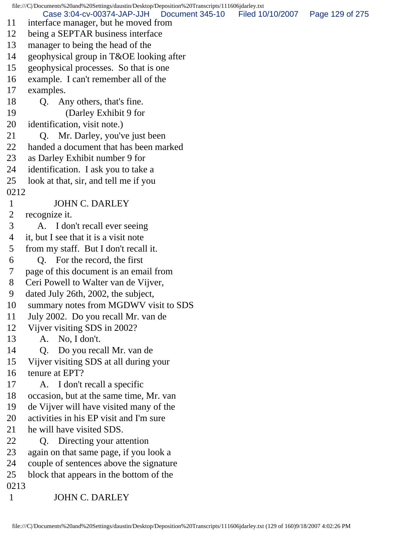file:///C|/Documents%20and%20Settings/daustin/Desktop/Deposition%20Transcripts/111606jdarley.txt 11 interface manager, but he moved from 12 being a SEPTAR business interface 13 manager to being the head of the 14 geophysical group in T&OE looking after 15 geophysical processes. So that is one 16 example. I can't remember all of the 17 examples. 18 Q. Any others, that's fine. 19 (Darley Exhibit 9 for 20 identification, visit note.) 21 Q. Mr. Darley, you've just been 22 handed a document that has been marked 23 as Darley Exhibit number 9 for 24 identification. I ask you to take a 25 look at that, sir, and tell me if you 0212 1 JOHN C. DARLEY 2 recognize it. 3 A. I don't recall ever seeing 4 it, but I see that it is a visit note 5 from my staff. But I don't recall it. 6 Q. For the record, the first 7 page of this document is an email from 8 Ceri Powell to Walter van de Vijver, 9 dated July 26th, 2002, the subject, 10 summary notes from MGDWV visit to SDS 11 July 2002. Do you recall Mr. van de 12 Vijver visiting SDS in 2002? 13 A. No, I don't. 14 Q. Do you recall Mr. van de 15 Vijver visiting SDS at all during your 16 tenure at EPT? 17 A. I don't recall a specific 18 occasion, but at the same time, Mr. van 19 de Vijver will have visited many of the 20 activities in his EP visit and I'm sure 21 he will have visited SDS. 22 Q. Directing your attention 23 again on that same page, if you look a 24 couple of sentences above the signature 25 block that appears in the bottom of the 0213 1 JOHN C. DARLEY Case 3:04-cv-00374-JAP-JJH Document 345-10 Filed 10/10/2007 Page 129 of 275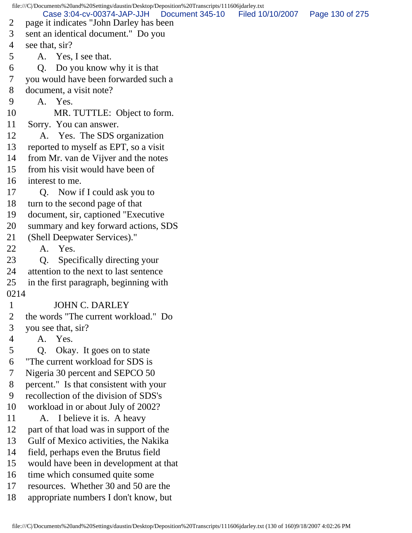file:///C|/Documents%20and%20Settings/daustin/Desktop/Deposition%20Transcripts/111606jdarley.txt 2 page it indicates "John Darley has been 3 sent an identical document." Do you 4 see that, sir? 5 A. Yes, I see that. 6 Q. Do you know why it is that 7 you would have been forwarded such a 8 document, a visit note? 9 A. Yes. 10 MR. TUTTLE: Object to form. 11 Sorry. You can answer. 12 A. Yes. The SDS organization 13 reported to myself as EPT, so a visit 14 from Mr. van de Vijver and the notes 15 from his visit would have been of 16 interest to me. 17 Q. Now if I could ask you to 18 turn to the second page of that 19 document, sir, captioned "Executive 20 summary and key forward actions, SDS 21 (Shell Deepwater Services)." 22 A. Yes. 23 Q. Specifically directing your 24 attention to the next to last sentence 25 in the first paragraph, beginning with 0214 1 JOHN C. DARLEY 2 the words "The current workload." Do 3 you see that, sir? 4 A. Yes. 5 Q. Okay. It goes on to state 6 "The current workload for SDS is 7 Nigeria 30 percent and SEPCO 50 8 percent." Is that consistent with your 9 recollection of the division of SDS's 10 workload in or about July of 2002? 11 A. I believe it is. A heavy 12 part of that load was in support of the 13 Gulf of Mexico activities, the Nakika 14 field, perhaps even the Brutus field 15 would have been in development at that 16 time which consumed quite some 17 resources. Whether 30 and 50 are the 18 appropriate numbers I don't know, but Case 3:04-cv-00374-JAP-JJH Document 345-10 Filed 10/10/2007 Page 130 of 275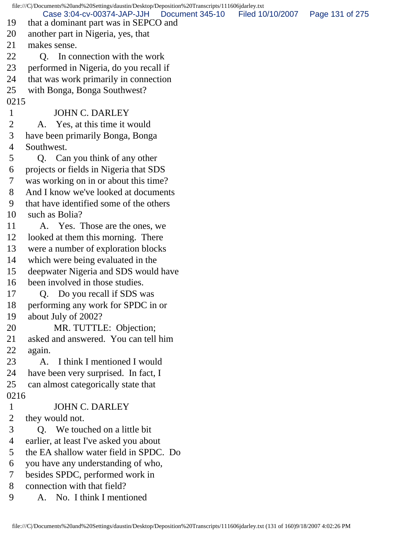|                                | file:///C /Documents%20and%20Settings/daustin/Desktop/Deposition%20Transcripts/111606jdarley.txt |                  |                 |
|--------------------------------|--------------------------------------------------------------------------------------------------|------------------|-----------------|
| 19                             | Case 3:04-cv-00374-JAP-JJH<br>Document 345-10<br>that a dominant part was in SEPCO and           | Filed 10/10/2007 | Page 131 of 275 |
| 20                             | another part in Nigeria, yes, that                                                               |                  |                 |
| 21                             | makes sense.                                                                                     |                  |                 |
| 22                             |                                                                                                  |                  |                 |
|                                | In connection with the work<br>O.                                                                |                  |                 |
| 23                             | performed in Nigeria, do you recall if                                                           |                  |                 |
| 24                             | that was work primarily in connection                                                            |                  |                 |
| 25                             | with Bonga, Bonga Southwest?                                                                     |                  |                 |
| 0215                           | <b>JOHN C. DARLEY</b>                                                                            |                  |                 |
| $\mathbf{1}$<br>$\overline{2}$ | A. Yes, at this time it would                                                                    |                  |                 |
|                                |                                                                                                  |                  |                 |
| 3                              | have been primarily Bonga, Bonga                                                                 |                  |                 |
| 4                              | Southwest.                                                                                       |                  |                 |
| 5                              | Q. Can you think of any other                                                                    |                  |                 |
| 6                              | projects or fields in Nigeria that SDS                                                           |                  |                 |
| 7                              | was working on in or about this time?                                                            |                  |                 |
| 8                              | And I know we've looked at documents                                                             |                  |                 |
| 9                              | that have identified some of the others                                                          |                  |                 |
| 10                             | such as Bolia?                                                                                   |                  |                 |
| 11                             | A. Yes. Those are the ones, we                                                                   |                  |                 |
| 12                             | looked at them this morning. There                                                               |                  |                 |
| 13                             | were a number of exploration blocks                                                              |                  |                 |
| 14                             | which were being evaluated in the                                                                |                  |                 |
| 15                             | deepwater Nigeria and SDS would have                                                             |                  |                 |
| 16                             | been involved in those studies.                                                                  |                  |                 |
| 17                             | Do you recall if SDS was<br>Q.                                                                   |                  |                 |
| 18                             | performing any work for SPDC in or                                                               |                  |                 |
| 19                             | about July of 2002?                                                                              |                  |                 |
| 20                             | MR. TUTTLE: Objection;                                                                           |                  |                 |
| 21                             | asked and answered. You can tell him                                                             |                  |                 |
| 22                             | again.                                                                                           |                  |                 |
| 23                             | I think I mentioned I would<br>A.                                                                |                  |                 |
| 24                             | have been very surprised. In fact, I                                                             |                  |                 |
| 25                             | can almost categorically state that                                                              |                  |                 |
| 0216                           |                                                                                                  |                  |                 |
| $\mathbf{1}$                   | <b>JOHN C. DARLEY</b>                                                                            |                  |                 |
| $\overline{2}$                 | they would not.                                                                                  |                  |                 |
| 3                              | Q. We touched on a little bit                                                                    |                  |                 |
| 4                              | earlier, at least I've asked you about                                                           |                  |                 |
| 5                              | the EA shallow water field in SPDC. Do                                                           |                  |                 |
| 6                              | you have any understanding of who,                                                               |                  |                 |
| 7                              | besides SPDC, performed work in                                                                  |                  |                 |
| 8                              | connection with that field?                                                                      |                  |                 |
| 9                              | No. I think I mentioned<br>A.                                                                    |                  |                 |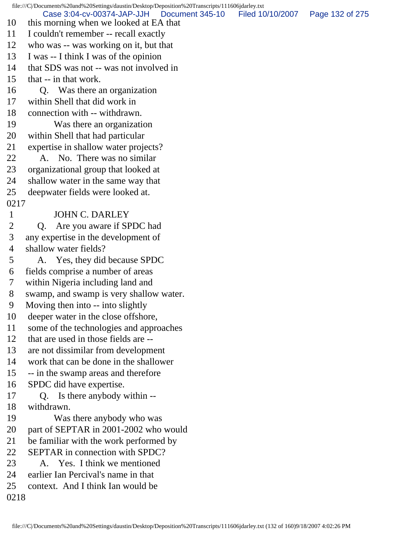file:///C|/Documents%20and%20Settings/daustin/Desktop/Deposition%20Transcripts/111606jdarley.txt 10 this morning when we looked at EA that 11 I couldn't remember -- recall exactly 12 who was -- was working on it, but that 13 I was -- I think I was of the opinion 14 that SDS was not -- was not involved in 15 that -- in that work. 16 Q. Was there an organization 17 within Shell that did work in 18 connection with -- withdrawn. 19 Was there an organization 20 within Shell that had particular 21 expertise in shallow water projects? 22 A. No. There was no similar 23 organizational group that looked at 24 shallow water in the same way that 25 deepwater fields were looked at. 0217 1 JOHN C. DARLEY 2 Q. Are you aware if SPDC had 3 any expertise in the development of 4 shallow water fields? 5 A. Yes, they did because SPDC 6 fields comprise a number of areas 7 within Nigeria including land and 8 swamp, and swamp is very shallow water. 9 Moving then into -- into slightly 10 deeper water in the close offshore, 11 some of the technologies and approaches 12 that are used in those fields are -- 13 are not dissimilar from development 14 work that can be done in the shallower 15 -- in the swamp areas and therefore 16 SPDC did have expertise. 17 Q. Is there anybody within -- 18 withdrawn. 19 Was there anybody who was 20 part of SEPTAR in 2001-2002 who would 21 be familiar with the work performed by 22 SEPTAR in connection with SPDC? 23 A. Yes. I think we mentioned 24 earlier Ian Percival's name in that 25 context. And I think Ian would be 0218 Case 3:04-cv-00374-JAP-JJH Document 345-10 Filed 10/10/2007 Page 132 of 275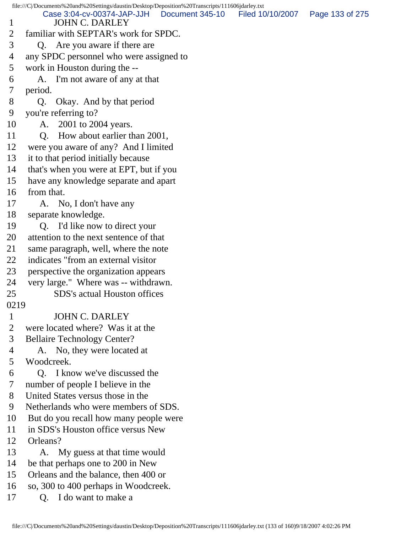file:///C|/Documents%20and%20Settings/daustin/Desktop/Deposition%20Transcripts/111606jdarley.txt 1 JOHN C. DARLEY 2 familiar with SEPTAR's work for SPDC. 3 Q. Are you aware if there are 4 any SPDC personnel who were assigned to 5 work in Houston during the -- 6 A. I'm not aware of any at that 7 period. 8 Q. Okay. And by that period 9 you're referring to? 10 A. 2001 to 2004 years. 11 Q. How about earlier than 2001, 12 were you aware of any? And I limited 13 it to that period initially because 14 that's when you were at EPT, but if you 15 have any knowledge separate and apart 16 from that. 17 A. No, I don't have any 18 separate knowledge. 19 Q. I'd like now to direct your 20 attention to the next sentence of that 21 same paragraph, well, where the note 22 indicates "from an external visitor 23 perspective the organization appears 24 very large." Where was -- withdrawn. 25 SDS's actual Houston offices 0219 1 JOHN C. DARLEY 2 were located where? Was it at the 3 Bellaire Technology Center? 4 A. No, they were located at 5 Woodcreek. 6 Q. I know we've discussed the 7 number of people I believe in the 8 United States versus those in the 9 Netherlands who were members of SDS. 10 But do you recall how many people were 11 in SDS's Houston office versus New 12 Orleans? 13 A. My guess at that time would 14 be that perhaps one to 200 in New 15 Orleans and the balance, then 400 or 16 so, 300 to 400 perhaps in Woodcreek. 17 O. I do want to make a Case 3:04-cv-00374-JAP-JJH Document 345-10 Filed 10/10/2007 Page 133 of 275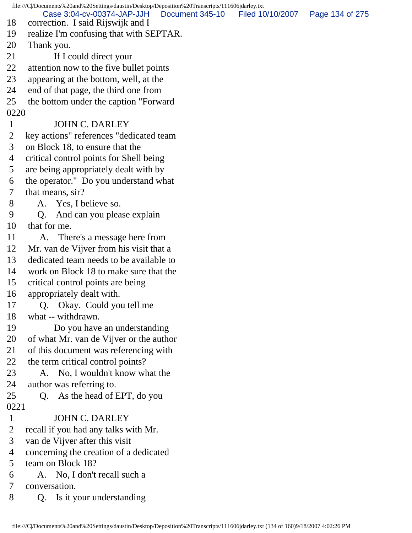file:///C|/Documents%20and%20Settings/daustin/Desktop/Deposition%20Transcripts/111606jdarley.txt 18 correction. I said Rijswijk and I 19 realize I'm confusing that with SEPTAR. 20 Thank you. 21 If I could direct your 22 attention now to the five bullet points 23 appearing at the bottom, well, at the 24 end of that page, the third one from 25 the bottom under the caption "Forward 0220 1 JOHN C. DARLEY 2 key actions" references "dedicated team 3 on Block 18, to ensure that the 4 critical control points for Shell being 5 are being appropriately dealt with by 6 the operator." Do you understand what 7 that means, sir? 8 A. Yes, I believe so. 9 Q. And can you please explain 10 that for me. 11 A. There's a message here from 12 Mr. van de Vijver from his visit that a 13 dedicated team needs to be available to 14 work on Block 18 to make sure that the 15 critical control points are being 16 appropriately dealt with. 17 Q. Okay. Could you tell me 18 what -- withdrawn. 19 Do you have an understanding 20 of what Mr. van de Vijver or the author 21 of this document was referencing with 22 the term critical control points? 23 A. No, I wouldn't know what the 24 author was referring to. 25 Q. As the head of EPT, do you 0221 1 JOHN C. DARLEY 2 recall if you had any talks with Mr. 3 van de Vijver after this visit 4 concerning the creation of a dedicated 5 team on Block 18? 6 A. No, I don't recall such a 7 conversation. 8 Q. Is it your understanding Case 3:04-cv-00374-JAP-JJH Document 345-10 Filed 10/10/2007 Page 134 of 275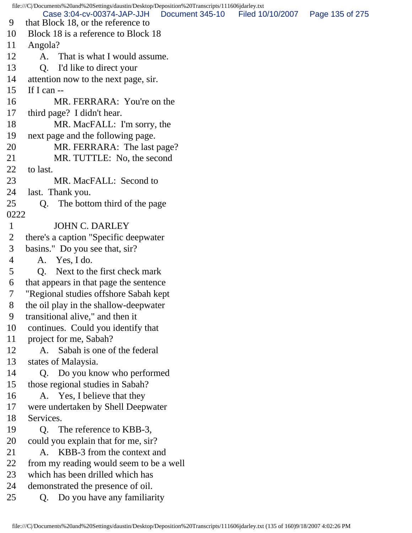file:///C|/Documents%20and%20Settings/daustin/Desktop/Deposition%20Transcripts/111606jdarley.txt 9 that Block 18, or the reference to 10 Block 18 is a reference to Block 18 11 Angola? 12 A. That is what I would assume. 13 O. I'd like to direct your 14 attention now to the next page, sir. 15 If I can -- 16 MR. FERRARA: You're on the 17 third page? I didn't hear. 18 MR. MacFALL: I'm sorry, the 19 next page and the following page. 20 MR. FERRARA: The last page? 21 MR. TUTTLE: No, the second 22 to last. 23 MR. MacFALL: Second to 24 last. Thank you. 25 Q. The bottom third of the page 0222 1 JOHN C. DARLEY 2 there's a caption "Specific deepwater 3 basins." Do you see that, sir? 4 A. Yes, I do. 5 Q. Next to the first check mark 6 that appears in that page the sentence 7 "Regional studies offshore Sabah kept 8 the oil play in the shallow-deepwater 9 transitional alive," and then it 10 continues. Could you identify that 11 project for me, Sabah? 12 A. Sabah is one of the federal 13 states of Malaysia. 14 Q. Do you know who performed 15 those regional studies in Sabah? 16 A. Yes, I believe that they 17 were undertaken by Shell Deepwater 18 Services. 19 Q. The reference to KBB-3, 20 could you explain that for me, sir? 21 A. KBB-3 from the context and 22 from my reading would seem to be a well 23 which has been drilled which has 24 demonstrated the presence of oil. 25 Q. Do you have any familiarity Case 3:04-cv-00374-JAP-JJH Document 345-10 Filed 10/10/2007 Page 135 of 275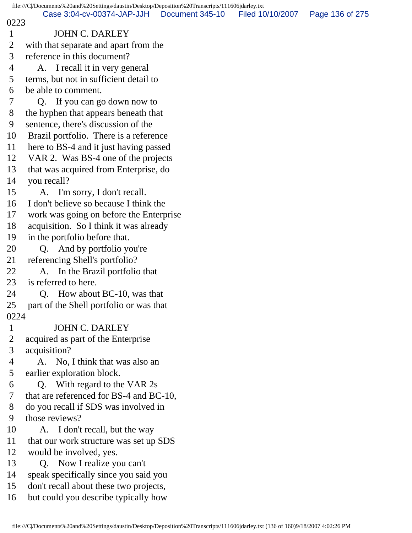file:///C|/Documents%20and%20Settings/daustin/Desktop/Deposition%20Transcripts/111606jdarley.txt 0223 1 JOHN C. DARLEY 2 with that separate and apart from the 3 reference in this document? 4 A. I recall it in very general 5 terms, but not in sufficient detail to 6 be able to comment. 7 Q. If you can go down now to 8 the hyphen that appears beneath that 9 sentence, there's discussion of the 10 Brazil portfolio. There is a reference 11 here to BS-4 and it just having passed 12 VAR 2. Was BS-4 one of the projects 13 that was acquired from Enterprise, do 14 you recall? 15 A. I'm sorry, I don't recall. 16 I don't believe so because I think the 17 work was going on before the Enterprise 18 acquisition. So I think it was already 19 in the portfolio before that. 20 Q. And by portfolio you're 21 referencing Shell's portfolio? 22 A. In the Brazil portfolio that 23 is referred to here. 24 Q. How about BC-10, was that 25 part of the Shell portfolio or was that 0224 1 JOHN C. DARLEY 2 acquired as part of the Enterprise 3 acquisition? 4 A. No, I think that was also an 5 earlier exploration block. 6 Q. With regard to the VAR 2s 7 that are referenced for BS-4 and BC-10, 8 do you recall if SDS was involved in 9 those reviews? 10 A. I don't recall, but the way 11 that our work structure was set up SDS 12 would be involved, yes. 13 Q. Now I realize you can't 14 speak specifically since you said you 15 don't recall about these two projects, 16 but could you describe typically how Case 3:04-cv-00374-JAP-JJH Document 345-10 Filed 10/10/2007 Page 136 of 275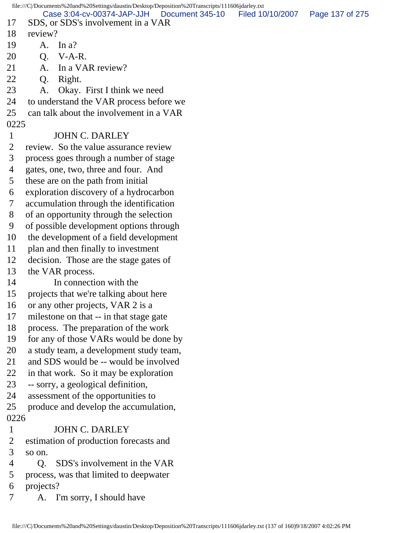file:///C|/Documents%20and%20Settings/daustin/Desktop/Deposition%20Transcripts/111606jdarley.txt 17 SDS, or SDS's involvement in a VAR 18 review? 19 A. In a? 20 Q. V-A-R. 21 A. In a VAR review? 22 Q. Right. 23 A. Okay. First I think we need 24 to understand the VAR process before we 25 can talk about the involvement in a VAR 0225 1 JOHN C. DARLEY 2 review. So the value assurance review 3 process goes through a number of stage 4 gates, one, two, three and four. And 5 these are on the path from initial 6 exploration discovery of a hydrocarbon 7 accumulation through the identification 8 of an opportunity through the selection 9 of possible development options through 10 the development of a field development 11 plan and then finally to investment 12 decision. Those are the stage gates of 13 the VAR process. 14 In connection with the 15 projects that we're talking about here 16 or any other projects, VAR 2 is a 17 milestone on that -- in that stage gate 18 process. The preparation of the work 19 for any of those VARs would be done by 20 a study team, a development study team, 21 and SDS would be -- would be involved 22 in that work. So it may be exploration 23 -- sorry, a geological definition, 24 assessment of the opportunities to 25 produce and develop the accumulation, 0226 1 JOHN C. DARLEY 2 estimation of production forecasts and 3 so on. 4 Q. SDS's involvement in the VAR 5 process, was that limited to deepwater 6 projects? 7 A. I'm sorry, I should have Case 3:04-cv-00374-JAP-JJH Document 345-10 Filed 10/10/2007 Page 137 of 275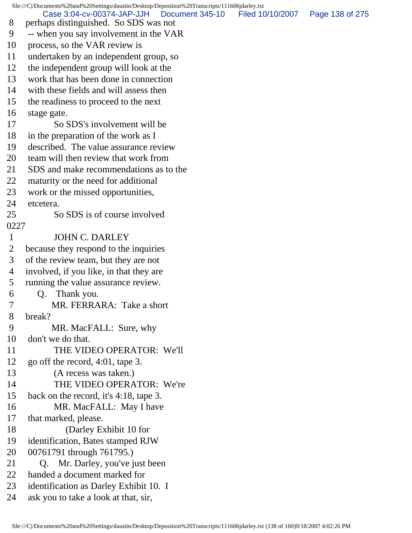file:///C|/Documents%20and%20Settings/daustin/Desktop/Deposition%20Transcripts/111606jdarley.txt 8 perhaps distinguished. So SDS was not 9 -- when you say involvement in the VAR 10 process, so the VAR review is 11 undertaken by an independent group, so 12 the independent group will look at the 13 work that has been done in connection 14 with these fields and will assess then 15 the readiness to proceed to the next 16 stage gate. 17 So SDS's involvement will be 18 in the preparation of the work as I 19 described. The value assurance review 20 team will then review that work from 21 SDS and make recommendations as to the 22 maturity or the need for additional 23 work or the missed opportunities, 24 etcetera. 25 So SDS is of course involved 0227 1 JOHN C. DARLEY 2 because they respond to the inquiries 3 of the review team, but they are not 4 involved, if you like, in that they are 5 running the value assurance review. 6 Q. Thank you. 7 MR. FERRARA: Take a short 8 break? 9 MR. MacFALL: Sure, why 10 don't we do that. 11 THE VIDEO OPERATOR: We'll 12 go off the record, 4:01, tape 3. 13 (A recess was taken.) 14 THE VIDEO OPERATOR: We're 15 back on the record, it's 4:18, tape 3. 16 MR. MacFALL: May I have 17 that marked, please. 18 (Darley Exhibit 10 for 19 identification, Bates stamped RJW 20 00761791 through 761795.) 21 Q. Mr. Darley, you've just been 22 handed a document marked for 23 identification as Darley Exhibit 10. I 24 ask you to take a look at that, sir, Case 3:04-cv-00374-JAP-JJH Document 345-10 Filed 10/10/2007 Page 138 of 275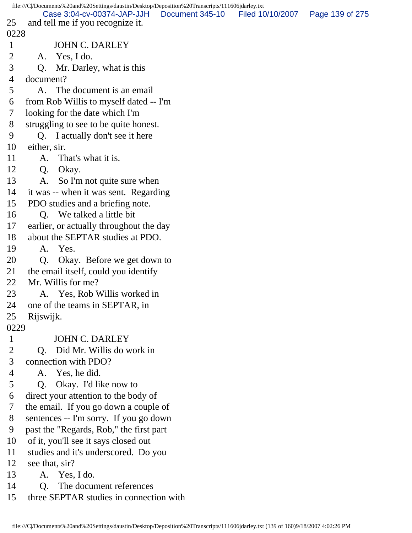file:///C|/Documents%20and%20Settings/daustin/Desktop/Deposition%20Transcripts/111606jdarley.txt 25 and tell me if you recognize it. 0228 1 JOHN C. DARLEY 2 A. Yes, I do. 3 Q. Mr. Darley, what is this 4 document? 5 A. The document is an email 6 from Rob Willis to myself dated -- I'm 7 looking for the date which I'm 8 struggling to see to be quite honest. 9 Q. I actually don't see it here 10 either, sir. 11 A. That's what it is. 12 Q. Okay. 13 A. So I'm not quite sure when 14 it was -- when it was sent. Regarding 15 PDO studies and a briefing note. 16 Q. We talked a little bit 17 earlier, or actually throughout the day 18 about the SEPTAR studies at PDO. 19 A. Yes. 20 Q. Okay. Before we get down to 21 the email itself, could you identify 22 Mr. Willis for me? 23 A. Yes, Rob Willis worked in 24 one of the teams in SEPTAR, in 25 Rijswijk. 0229 1 JOHN C. DARLEY 2 Q. Did Mr. Willis do work in 3 connection with PDO? 4 A. Yes, he did. 5 Q. Okay. I'd like now to 6 direct your attention to the body of 7 the email. If you go down a couple of 8 sentences -- I'm sorry. If you go down 9 past the "Regards, Rob," the first part 10 of it, you'll see it says closed out 11 studies and it's underscored. Do you 12 see that, sir? 13 A. Yes, I do. 14 O. The document references 15 three SEPTAR studies in connection with Case 3:04-cv-00374-JAP-JJH Document 345-10 Filed 10/10/2007 Page 139 of 275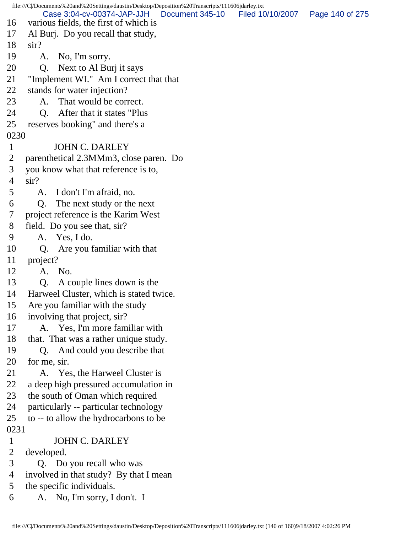file:///C|/Documents%20and%20Settings/daustin/Desktop/Deposition%20Transcripts/111606jdarley.txt 16 various fields, the first of which is 17 Al Burj. Do you recall that study, 18 sir? 19 A. No, I'm sorry. 20 Q. Next to Al Burj it says 21 "Implement WI." Am I correct that that 22 stands for water injection? 23 A. That would be correct. 24 O. After that it states "Plus 25 reserves booking" and there's a 0230 1 JOHN C. DARLEY 2 parenthetical 2.3MMm3, close paren. Do 3 you know what that reference is to, 4 sir? 5 A. I don't I'm afraid, no. 6 Q. The next study or the next 7 project reference is the Karim West 8 field. Do you see that, sir? 9 A. Yes, I do. 10 Q. Are you familiar with that 11 project? 12 A. No. 13 Q. A couple lines down is the 14 Harweel Cluster, which is stated twice. 15 Are you familiar with the study 16 involving that project, sir? 17 A. Yes, I'm more familiar with 18 that. That was a rather unique study. 19 Q. And could you describe that 20 for me, sir. 21 A. Yes, the Harweel Cluster is 22 a deep high pressured accumulation in 23 the south of Oman which required 24 particularly -- particular technology 25 to -- to allow the hydrocarbons to be 0231 1 JOHN C. DARLEY 2 developed. 3 Q. Do you recall who was 4 involved in that study? By that I mean 5 the specific individuals. 6 A. No, I'm sorry, I don't. I Case 3:04-cv-00374-JAP-JJH Document 345-10 Filed 10/10/2007 Page 140 of 275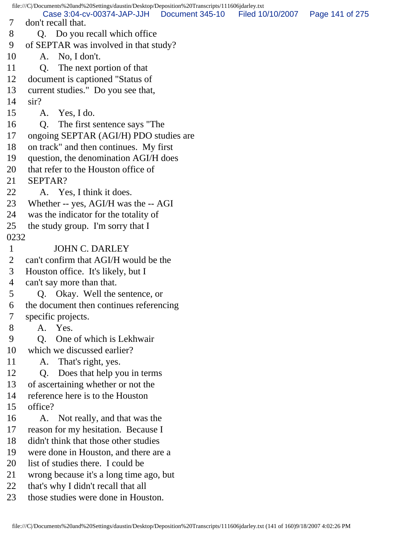file:///C|/Documents%20and%20Settings/daustin/Desktop/Deposition%20Transcripts/111606jdarley.txt 7 don't recall that. 8 Q. Do you recall which office 9 of SEPTAR was involved in that study? 10 A. No, I don't. 11 O. The next portion of that 12 document is captioned "Status of 13 current studies." Do you see that, 14 sir? 15 A. Yes, I do. 16 Q. The first sentence says "The 17 ongoing SEPTAR (AGI/H) PDO studies are 18 on track" and then continues. My first 19 question, the denomination AGI/H does 20 that refer to the Houston office of 21 SEPTAR? 22 A. Yes, I think it does. 23 Whether -- yes, AGI/H was the -- AGI 24 was the indicator for the totality of 25 the study group. I'm sorry that I 0232 1 JOHN C. DARLEY 2 can't confirm that AGI/H would be the 3 Houston office. It's likely, but I 4 can't say more than that. 5 Q. Okay. Well the sentence, or 6 the document then continues referencing 7 specific projects. 8 A. Yes. 9 Q. One of which is Lekhwair 10 which we discussed earlier? 11 A. That's right, yes. 12 Q. Does that help you in terms 13 of ascertaining whether or not the 14 reference here is to the Houston 15 office? 16 A. Not really, and that was the 17 reason for my hesitation. Because I 18 didn't think that those other studies 19 were done in Houston, and there are a 20 list of studies there. I could be 21 wrong because it's a long time ago, but 22 that's why I didn't recall that all 23 those studies were done in Houston. Case 3:04-cv-00374-JAP-JJH Document 345-10 Filed 10/10/2007 Page 141 of 275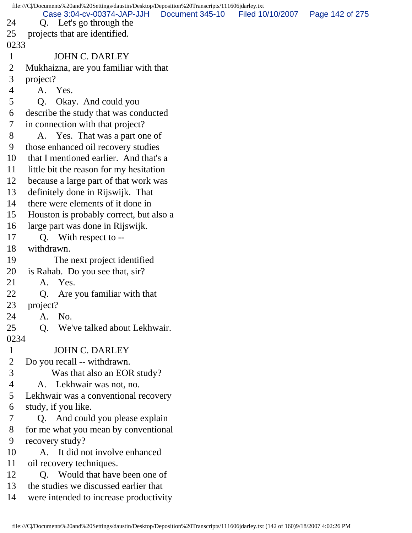file:///C|/Documents%20and%20Settings/daustin/Desktop/Deposition%20Transcripts/111606jdarley.txt 24 Q. Let's go through the 25 projects that are identified. 0233 1 JOHN C. DARLEY 2 Mukhaizna, are you familiar with that 3 project? 4 A. Yes. 5 Q. Okay. And could you 6 describe the study that was conducted 7 in connection with that project? 8 A. Yes. That was a part one of 9 those enhanced oil recovery studies 10 that I mentioned earlier. And that's a 11 little bit the reason for my hesitation 12 because a large part of that work was 13 definitely done in Rijswijk. That 14 there were elements of it done in 15 Houston is probably correct, but also a 16 large part was done in Rijswijk. 17 Q. With respect to -- 18 withdrawn. 19 The next project identified 20 is Rahab. Do you see that, sir? 21 A. Yes. 22 Q. Are you familiar with that 23 project? 24 A. No. 25 Q. We've talked about Lekhwair. 0234 1 JOHN C. DARLEY 2 Do you recall -- withdrawn. 3 Was that also an EOR study? 4 A. Lekhwair was not, no. 5 Lekhwair was a conventional recovery 6 study, if you like. 7 Q. And could you please explain 8 for me what you mean by conventional 9 recovery study? 10 A. It did not involve enhanced 11 oil recovery techniques. 12 Q. Would that have been one of 13 the studies we discussed earlier that 14 were intended to increase productivity Case 3:04-cv-00374-JAP-JJH Document 345-10 Filed 10/10/2007 Page 142 of 275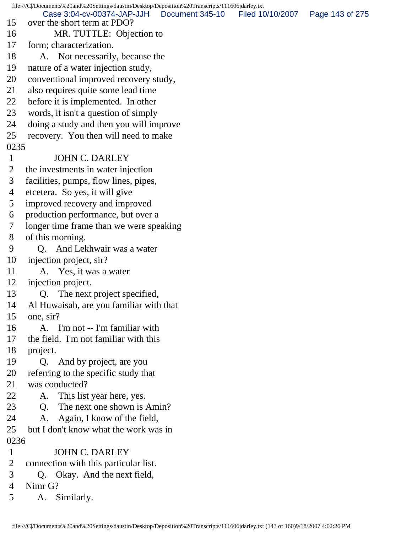file:///C|/Documents%20and%20Settings/daustin/Desktop/Deposition%20Transcripts/111606jdarley.txt 15 over the short term at PDO? 16 MR. TUTTLE: Objection to 17 form; characterization. 18 A. Not necessarily, because the 19 nature of a water injection study, 20 conventional improved recovery study, 21 also requires quite some lead time 22 before it is implemented. In other 23 words, it isn't a question of simply 24 doing a study and then you will improve 25 recovery. You then will need to make 0235 1 JOHN C. DARLEY 2 the investments in water injection 3 facilities, pumps, flow lines, pipes, 4 etcetera. So yes, it will give 5 improved recovery and improved 6 production performance, but over a 7 longer time frame than we were speaking 8 of this morning. 9 Q. And Lekhwair was a water 10 injection project, sir? 11 A. Yes, it was a water 12 injection project. 13 O. The next project specified, 14 Al Huwaisah, are you familiar with that 15 one, sir? 16 A. I'm not -- I'm familiar with 17 the field. I'm not familiar with this 18 project. 19 Q. And by project, are you 20 referring to the specific study that 21 was conducted? 22 A. This list year here, yes. 23 Q. The next one shown is Amin? 24 A. Again, I know of the field, 25 but I don't know what the work was in 0236 1 JOHN C. DARLEY 2 connection with this particular list. 3 Q. Okay. And the next field, 4 Nimr G? 5 A. Similarly. Case 3:04-cv-00374-JAP-JJH Document 345-10 Filed 10/10/2007 Page 143 of 275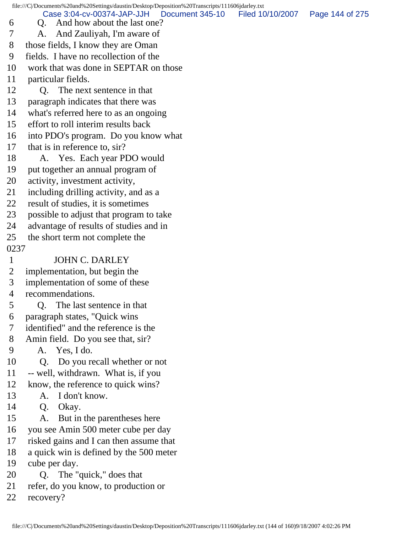file:///C|/Documents%20and%20Settings/daustin/Desktop/Deposition%20Transcripts/111606jdarley.txt 6 Q. And how about the last one? 7 A. And Zauliyah, I'm aware of 8 those fields, I know they are Oman 9 fields. I have no recollection of the 10 work that was done in SEPTAR on those 11 particular fields. 12 Q. The next sentence in that 13 paragraph indicates that there was 14 what's referred here to as an ongoing 15 effort to roll interim results back 16 into PDO's program. Do you know what 17 that is in reference to, sir? 18 A. Yes. Each year PDO would 19 put together an annual program of 20 activity, investment activity, 21 including drilling activity, and as a 22 result of studies, it is sometimes 23 possible to adjust that program to take 24 advantage of results of studies and in 25 the short term not complete the 0237 1 JOHN C. DARLEY 2 implementation, but begin the 3 implementation of some of these 4 recommendations. 5 Q. The last sentence in that 6 paragraph states, "Quick wins 7 identified" and the reference is the 8 Amin field. Do you see that, sir? 9 A. Yes, I do. 10 Q. Do you recall whether or not 11 -- well, withdrawn. What is, if you 12 know, the reference to quick wins? 13 A. I don't know. 14 Q. Okay. 15 A. But in the parentheses here 16 you see Amin 500 meter cube per day 17 risked gains and I can then assume that 18 a quick win is defined by the 500 meter 19 cube per day. 20 Q. The "quick," does that 21 refer, do you know, to production or 22 recovery? Case 3:04-cv-00374-JAP-JJH Document 345-10 Filed 10/10/2007 Page 144 of 275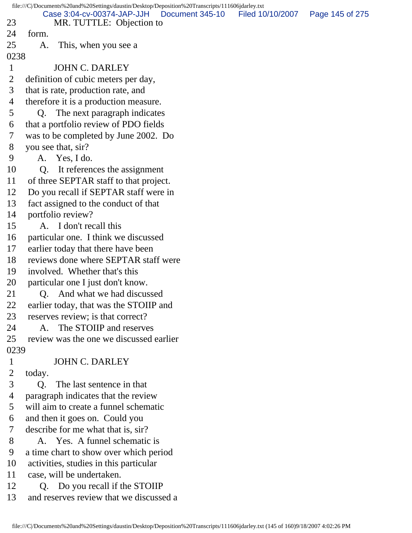|                                     | file:///C /Documents%20and%20Settings/daustin/Desktop/Deposition%20Transcripts/111606jdarley.txt                                                                                                                                                                     |                  |                 |
|-------------------------------------|----------------------------------------------------------------------------------------------------------------------------------------------------------------------------------------------------------------------------------------------------------------------|------------------|-----------------|
|                                     | Case 3:04-cv-00374-JAP-JJH<br>Document 345-10                                                                                                                                                                                                                        | Filed 10/10/2007 | Page 145 of 275 |
| 23<br>24                            | MR. TUTTLE: Objection to                                                                                                                                                                                                                                             |                  |                 |
|                                     | form.                                                                                                                                                                                                                                                                |                  |                 |
| 25                                  | This, when you see a<br>A.                                                                                                                                                                                                                                           |                  |                 |
| 0238                                |                                                                                                                                                                                                                                                                      |                  |                 |
| $\mathbf{1}$                        | <b>JOHN C. DARLEY</b>                                                                                                                                                                                                                                                |                  |                 |
| 2                                   | definition of cubic meters per day,                                                                                                                                                                                                                                  |                  |                 |
| 3                                   | that is rate, production rate, and                                                                                                                                                                                                                                   |                  |                 |
| $\overline{4}$                      | therefore it is a production measure.                                                                                                                                                                                                                                |                  |                 |
| 5                                   | The next paragraph indicates<br>Q.                                                                                                                                                                                                                                   |                  |                 |
| 6                                   | that a portfolio review of PDO fields                                                                                                                                                                                                                                |                  |                 |
| 7                                   | was to be completed by June 2002. Do                                                                                                                                                                                                                                 |                  |                 |
| 8                                   | you see that, sir?                                                                                                                                                                                                                                                   |                  |                 |
| 9                                   | A. Yes, I do.                                                                                                                                                                                                                                                        |                  |                 |
| 10                                  | Q <sub>r</sub><br>It references the assignment                                                                                                                                                                                                                       |                  |                 |
| 11                                  | of three SEPTAR staff to that project.                                                                                                                                                                                                                               |                  |                 |
| 12                                  | Do you recall if SEPTAR staff were in                                                                                                                                                                                                                                |                  |                 |
| 13                                  | fact assigned to the conduct of that                                                                                                                                                                                                                                 |                  |                 |
| 14                                  | portfolio review?                                                                                                                                                                                                                                                    |                  |                 |
| 15                                  | A. I don't recall this                                                                                                                                                                                                                                               |                  |                 |
| 16                                  | particular one. I think we discussed                                                                                                                                                                                                                                 |                  |                 |
| 17                                  | earlier today that there have been                                                                                                                                                                                                                                   |                  |                 |
| 18                                  | reviews done where SEPTAR staff were                                                                                                                                                                                                                                 |                  |                 |
| 19                                  | involved. Whether that's this                                                                                                                                                                                                                                        |                  |                 |
| 20                                  | particular one I just don't know.                                                                                                                                                                                                                                    |                  |                 |
| 21                                  | And what we had discussed<br>Q.                                                                                                                                                                                                                                      |                  |                 |
| 22                                  | earlier today, that was the STOIIP and                                                                                                                                                                                                                               |                  |                 |
| 23                                  | reserves review; is that correct?                                                                                                                                                                                                                                    |                  |                 |
| 24                                  | The STOIIP and reserves<br>A.                                                                                                                                                                                                                                        |                  |                 |
| 25                                  | review was the one we discussed earlier                                                                                                                                                                                                                              |                  |                 |
| 0239                                |                                                                                                                                                                                                                                                                      |                  |                 |
| $\mathbf 1$                         | <b>JOHN C. DARLEY</b>                                                                                                                                                                                                                                                |                  |                 |
| $\overline{2}$                      | today.                                                                                                                                                                                                                                                               |                  |                 |
| 3                                   | The last sentence in that<br>Q.                                                                                                                                                                                                                                      |                  |                 |
| $\overline{4}$                      | paragraph indicates that the review                                                                                                                                                                                                                                  |                  |                 |
| 5                                   | will aim to create a funnel schematic                                                                                                                                                                                                                                |                  |                 |
| 6                                   | and then it goes on. Could you                                                                                                                                                                                                                                       |                  |                 |
|                                     |                                                                                                                                                                                                                                                                      |                  |                 |
|                                     |                                                                                                                                                                                                                                                                      |                  |                 |
|                                     |                                                                                                                                                                                                                                                                      |                  |                 |
|                                     |                                                                                                                                                                                                                                                                      |                  |                 |
|                                     |                                                                                                                                                                                                                                                                      |                  |                 |
|                                     |                                                                                                                                                                                                                                                                      |                  |                 |
|                                     |                                                                                                                                                                                                                                                                      |                  |                 |
| 7<br>8<br>9<br>10<br>11<br>12<br>13 | describe for me what that is, sir?<br>A. Yes. A funnel schematic is<br>a time chart to show over which period<br>activities, studies in this particular<br>case, will be undertaken.<br>Do you recall if the STOIIP<br>Q.<br>and reserves review that we discussed a |                  |                 |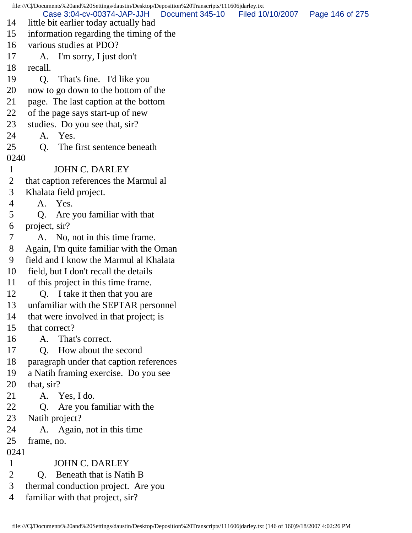file:///C|/Documents%20and%20Settings/daustin/Desktop/Deposition%20Transcripts/111606jdarley.txt 14 little bit earlier today actually had 15 information regarding the timing of the 16 various studies at PDO? 17 A. I'm sorry, I just don't 18 recall. 19 Q. That's fine. I'd like you 20 now to go down to the bottom of the 21 page. The last caption at the bottom 22 of the page says start-up of new 23 studies. Do you see that, sir? 24 A. Yes. 25 Q. The first sentence beneath 0240 1 JOHN C. DARLEY 2 that caption references the Marmul al 3 Khalata field project. 4 A. Yes. 5 Q. Are you familiar with that 6 project, sir? 7 A. No, not in this time frame. 8 Again, I'm quite familiar with the Oman 9 field and I know the Marmul al Khalata 10 field, but I don't recall the details 11 of this project in this time frame. 12 O. I take it then that you are 13 unfamiliar with the SEPTAR personnel 14 that were involved in that project; is 15 that correct? 16 A. That's correct. 17 Q. How about the second 18 paragraph under that caption references 19 a Natih framing exercise. Do you see 20 that, sir? 21 A. Yes, I do. 22 Q. Are you familiar with the 23 Natih project? 24 A. Again, not in this time 25 frame, no. 0241 1 JOHN C. DARLEY 2 Q. Beneath that is Natih B 3 thermal conduction project. Are you 4 familiar with that project, sir? Case 3:04-cv-00374-JAP-JJH Document 345-10 Filed 10/10/2007 Page 146 of 275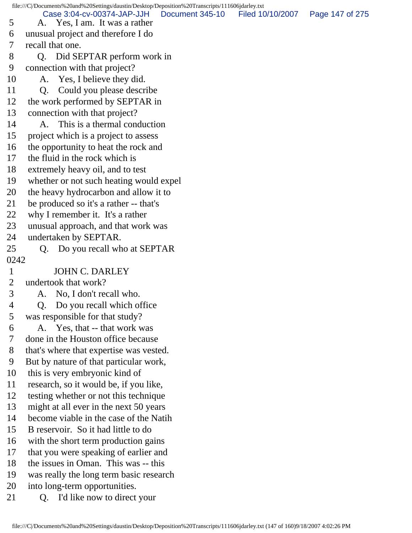Case 3:04-cv-00374-JAP-JJH Document 345-10 Filed 10/10/2007 Page 147 of 275

5 A. Yes, I am. It was a rather

6 unusual project and therefore I do

- 7 recall that one.
- 8 Q. Did SEPTAR perform work in
- 9 connection with that project?
- 10 A. Yes, I believe they did.
- 11 Q. Could you please describe
- 12 the work performed by SEPTAR in
- 13 connection with that project?
- 14 A. This is a thermal conduction
- 15 project which is a project to assess
- 16 the opportunity to heat the rock and
- 17 the fluid in the rock which is
- 18 extremely heavy oil, and to test
- 19 whether or not such heating would expel
- 20 the heavy hydrocarbon and allow it to
- 21 be produced so it's a rather -- that's
- 22 why I remember it. It's a rather
- 23 unusual approach, and that work was
- 24 undertaken by SEPTAR.
- 

25 Q. Do you recall who at SEPTAR

0242

1 JOHN C. DARLEY

2 undertook that work?

- 3 A. No, I don't recall who.
- 4 Q. Do you recall which office
- 5 was responsible for that study?
- 6 A. Yes, that -- that work was
- 7 done in the Houston office because
- 8 that's where that expertise was vested.
- 9 But by nature of that particular work,
- 10 this is very embryonic kind of
- 11 research, so it would be, if you like,
- 12 testing whether or not this technique
- 13 might at all ever in the next 50 years
- 14 become viable in the case of the Natih
- 15 B reservoir. So it had little to do
- 16 with the short term production gains
- 17 that you were speaking of earlier and
- 18 the issues in Oman. This was -- this
- 19 was really the long term basic research
- 20 into long-term opportunities.
- 21 O. I'd like now to direct your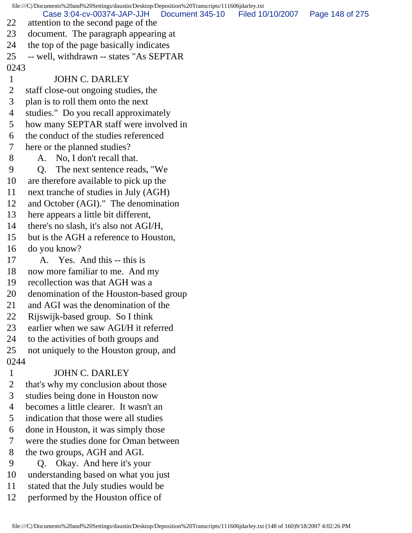file:///C|/Documents%20and%20Settings/daustin/Desktop/Deposition%20Transcripts/111606jdarley.txt 22 attention to the second page of the 23 document. The paragraph appearing at 24 the top of the page basically indicates 25 -- well, withdrawn -- states "As SEPTAR 0243 1 JOHN C. DARLEY 2 staff close-out ongoing studies, the 3 plan is to roll them onto the next 4 studies." Do you recall approximately 5 how many SEPTAR staff were involved in 6 the conduct of the studies referenced 7 here or the planned studies? 8 A. No, I don't recall that. 9 Q. The next sentence reads, "We 10 are therefore available to pick up the 11 next tranche of studies in July (AGH) 12 and October (AGI)." The denomination 13 here appears a little bit different, 14 there's no slash, it's also not AGI/H, 15 but is the AGH a reference to Houston, 16 do you know? 17 A. Yes. And this -- this is 18 now more familiar to me. And my 19 recollection was that AGH was a 20 denomination of the Houston-based group 21 and AGI was the denomination of the 22 Rijswijk-based group. So I think 23 earlier when we saw AGI/H it referred 24 to the activities of both groups and 25 not uniquely to the Houston group, and 0244 1 JOHN C. DARLEY 2 that's why my conclusion about those 3 studies being done in Houston now 4 becomes a little clearer. It wasn't an 5 indication that those were all studies 6 done in Houston, it was simply those 7 were the studies done for Oman between 8 the two groups, AGH and AGI. 9 Q. Okay. And here it's your 10 understanding based on what you just 11 stated that the July studies would be Case 3:04-cv-00374-JAP-JJH Document 345-10 Filed 10/10/2007 Page 148 of 275

12 performed by the Houston office of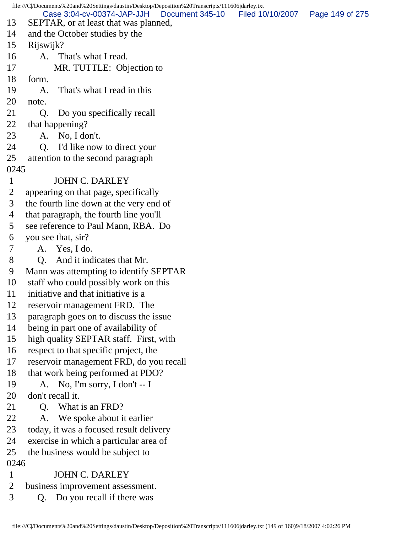file:///C|/Documents%20and%20Settings/daustin/Desktop/Deposition%20Transcripts/111606jdarley.txt 13 SEPTAR, or at least that was planned, 14 and the October studies by the 15 Rijswijk? 16 A. That's what I read. 17 MR. TUTTLE: Objection to 18 form. 19 A. That's what I read in this 20 note. 21 Q. Do you specifically recall 22 that happening? 23 A. No, I don't. 24 Q. I'd like now to direct your 25 attention to the second paragraph 0245 1 JOHN C. DARLEY 2 appearing on that page, specifically 3 the fourth line down at the very end of 4 that paragraph, the fourth line you'll 5 see reference to Paul Mann, RBA. Do 6 you see that, sir? 7 A. Yes, I do. 8 Q. And it indicates that Mr. 9 Mann was attempting to identify SEPTAR 10 staff who could possibly work on this 11 initiative and that initiative is a 12 reservoir management FRD. The 13 paragraph goes on to discuss the issue 14 being in part one of availability of 15 high quality SEPTAR staff. First, with 16 respect to that specific project, the 17 reservoir management FRD, do you recall 18 that work being performed at PDO? 19 A. No, I'm sorry, I don't -- I 20 don't recall it. 21 Q. What is an FRD? 22 A. We spoke about it earlier 23 today, it was a focused result delivery 24 exercise in which a particular area of 25 the business would be subject to 0246 1 JOHN C. DARLEY 2 business improvement assessment. 3 Q. Do you recall if there was Case 3:04-cv-00374-JAP-JJH Document 345-10 Filed 10/10/2007 Page 149 of 275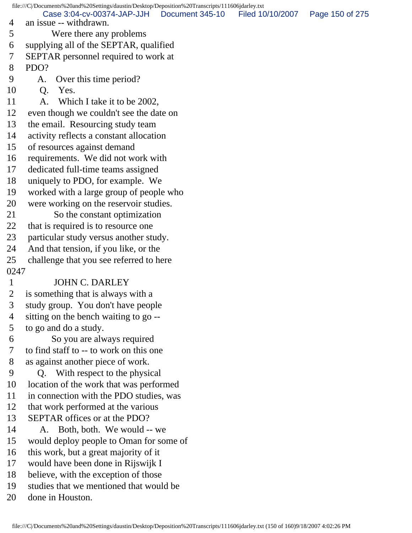file:///C|/Documents%20and%20Settings/daustin/Desktop/Deposition%20Transcripts/111606jdarley.txt 4 an issue -- withdrawn. 5 Were there any problems 6 supplying all of the SEPTAR, qualified 7 SEPTAR personnel required to work at 8 PDO? 9 A. Over this time period? 10 Q. Yes. 11 A. Which I take it to be 2002, 12 even though we couldn't see the date on 13 the email. Resourcing study team 14 activity reflects a constant allocation 15 of resources against demand 16 requirements. We did not work with 17 dedicated full-time teams assigned 18 uniquely to PDO, for example. We 19 worked with a large group of people who 20 were working on the reservoir studies. 21 So the constant optimization 22 that is required is to resource one 23 particular study versus another study. 24 And that tension, if you like, or the 25 challenge that you see referred to here 0247 1 JOHN C. DARLEY 2 is something that is always with a 3 study group. You don't have people 4 sitting on the bench waiting to go -- 5 to go and do a study. 6 So you are always required 7 to find staff to -- to work on this one 8 as against another piece of work. 9 Q. With respect to the physical 10 location of the work that was performed 11 in connection with the PDO studies, was 12 that work performed at the various 13 SEPTAR offices or at the PDO? 14 A. Both, both. We would -- we 15 would deploy people to Oman for some of 16 this work, but a great majority of it 17 would have been done in Rijswijk I 18 believe, with the exception of those 19 studies that we mentioned that would be 20 done in Houston. Case 3:04-cv-00374-JAP-JJH Document 345-10 Filed 10/10/2007 Page 150 of 275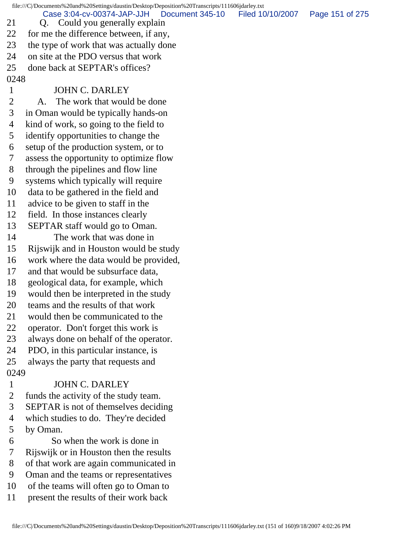file:///C|/Documents%20and%20Settings/daustin/Desktop/Deposition%20Transcripts/111606jdarley.txt 21 Q. Could you generally explain 22 for me the difference between, if any, 23 the type of work that was actually done 24 on site at the PDO versus that work 25 done back at SEPTAR's offices? 0248 1 JOHN C. DARLEY 2 A. The work that would be done 3 in Oman would be typically hands-on 4 kind of work, so going to the field to 5 identify opportunities to change the 6 setup of the production system, or to 7 assess the opportunity to optimize flow 8 through the pipelines and flow line 9 systems which typically will require 10 data to be gathered in the field and 11 advice to be given to staff in the 12 field. In those instances clearly 13 SEPTAR staff would go to Oman. 14 The work that was done in 15 Rijswijk and in Houston would be study 16 work where the data would be provided, 17 and that would be subsurface data, 18 geological data, for example, which 19 would then be interpreted in the study 20 teams and the results of that work 21 would then be communicated to the 22 operator. Don't forget this work is 23 always done on behalf of the operator. 24 PDO, in this particular instance, is 25 always the party that requests and 0249 1 JOHN C. DARLEY 2 funds the activity of the study team. 3 SEPTAR is not of themselves deciding 4 which studies to do. They're decided 5 by Oman. 6 So when the work is done in 7 Rijswijk or in Houston then the results 8 of that work are again communicated in 9 Oman and the teams or representatives 10 of the teams will often go to Oman to 11 present the results of their work back Case 3:04-cv-00374-JAP-JJH Document 345-10 Filed 10/10/2007 Page 151 of 275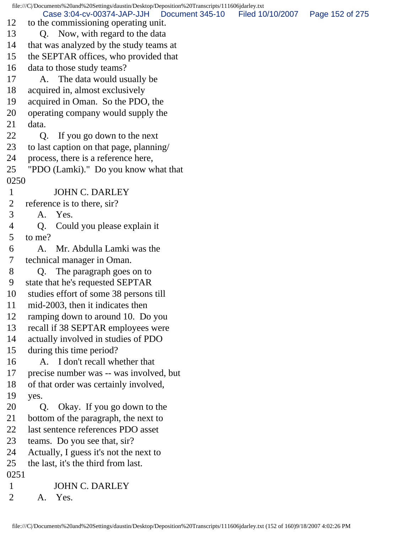file:///C|/Documents%20and%20Settings/daustin/Desktop/Deposition%20Transcripts/111606jdarley.txt 12 to the commissioning operating unit. 13 Q. Now, with regard to the data 14 that was analyzed by the study teams at 15 the SEPTAR offices, who provided that 16 data to those study teams? 17 A. The data would usually be 18 acquired in, almost exclusively 19 acquired in Oman. So the PDO, the 20 operating company would supply the 21 data. 22 Q. If you go down to the next 23 to last caption on that page, planning/ 24 process, there is a reference here, 25 "PDO (Lamki)." Do you know what that 0250 1 JOHN C. DARLEY 2 reference is to there, sir? 3 A. Yes. 4 Q. Could you please explain it 5 to me? 6 A. Mr. Abdulla Lamki was the 7 technical manager in Oman. 8 Q. The paragraph goes on to 9 state that he's requested SEPTAR 10 studies effort of some 38 persons till 11 mid-2003, then it indicates then 12 ramping down to around 10. Do you 13 recall if 38 SEPTAR employees were 14 actually involved in studies of PDO 15 during this time period? 16 A. I don't recall whether that 17 precise number was -- was involved, but 18 of that order was certainly involved, 19 yes. 20 Q. Okay. If you go down to the 21 bottom of the paragraph, the next to 22 last sentence references PDO asset 23 teams. Do you see that, sir? 24 Actually, I guess it's not the next to 25 the last, it's the third from last. 0251 1 JOHN C. DARLEY 2 A. Yes. Case 3:04-cv-00374-JAP-JJH Document 345-10 Filed 10/10/2007 Page 152 of 275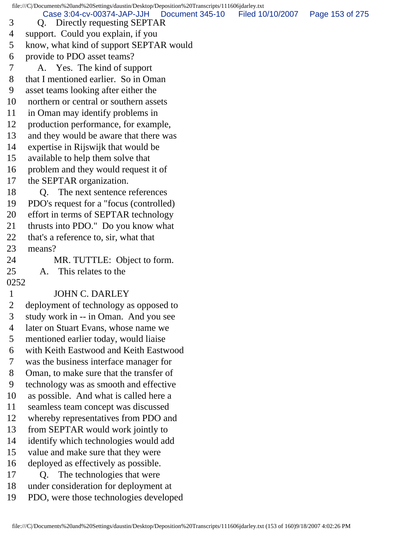file:///C|/Documents%20and%20Settings/daustin/Desktop/Deposition%20Transcripts/111606jdarley.txt 3 Q. Directly requesting SEPTAR 4 support. Could you explain, if you 5 know, what kind of support SEPTAR would 6 provide to PDO asset teams? 7 A. Yes. The kind of support 8 that I mentioned earlier. So in Oman 9 asset teams looking after either the 10 northern or central or southern assets 11 in Oman may identify problems in 12 production performance, for example, 13 and they would be aware that there was 14 expertise in Rijswijk that would be 15 available to help them solve that 16 problem and they would request it of 17 the SEPTAR organization. 18 Q. The next sentence references 19 PDO's request for a "focus (controlled) 20 effort in terms of SEPTAR technology 21 thrusts into PDO." Do you know what 22 that's a reference to, sir, what that 23 means? 24 MR. TUTTLE: Object to form. 25 A. This relates to the 0252 1 JOHN C. DARLEY 2 deployment of technology as opposed to 3 study work in -- in Oman. And you see 4 later on Stuart Evans, whose name we 5 mentioned earlier today, would liaise 6 with Keith Eastwood and Keith Eastwood 7 was the business interface manager for 8 Oman, to make sure that the transfer of 9 technology was as smooth and effective 10 as possible. And what is called here a 11 seamless team concept was discussed 12 whereby representatives from PDO and 13 from SEPTAR would work jointly to 14 identify which technologies would add 15 value and make sure that they were 16 deployed as effectively as possible. 17 Q. The technologies that were 18 under consideration for deployment at 19 PDO, were those technologies developed Case 3:04-cv-00374-JAP-JJH Document 345-10 Filed 10/10/2007 Page 153 of 275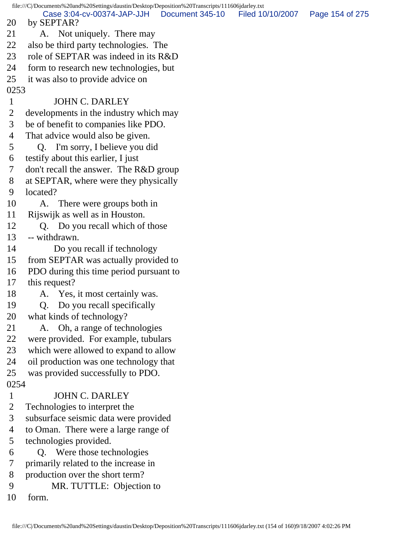file:///C|/Documents%20and%20Settings/daustin/Desktop/Deposition%20Transcripts/111606jdarley.txt 20 by SEPTAR? 21 A. Not uniquely. There may 22 also be third party technologies. The 23 role of SEPTAR was indeed in its R&D 24 form to research new technologies, but 25 it was also to provide advice on 0253 1 JOHN C. DARLEY 2 developments in the industry which may 3 be of benefit to companies like PDO. 4 That advice would also be given. 5 Q. I'm sorry, I believe you did 6 testify about this earlier, I just 7 don't recall the answer. The R&D group 8 at SEPTAR, where were they physically 9 located? 10 A. There were groups both in 11 Rijswijk as well as in Houston. 12 Q. Do you recall which of those 13 -- withdrawn. 14 Do you recall if technology 15 from SEPTAR was actually provided to 16 PDO during this time period pursuant to 17 this request? 18 A. Yes, it most certainly was. 19 Q. Do you recall specifically 20 what kinds of technology? 21 A. Oh, a range of technologies 22 were provided. For example, tubulars 23 which were allowed to expand to allow 24 oil production was one technology that 25 was provided successfully to PDO. 0254 1 JOHN C. DARLEY 2 Technologies to interpret the 3 subsurface seismic data were provided 4 to Oman. There were a large range of 5 technologies provided. 6 Q. Were those technologies 7 primarily related to the increase in 8 production over the short term? 9 MR. TUTTLE: Objection to 10 form. Case 3:04-cv-00374-JAP-JJH Document 345-10 Filed 10/10/2007 Page 154 of 275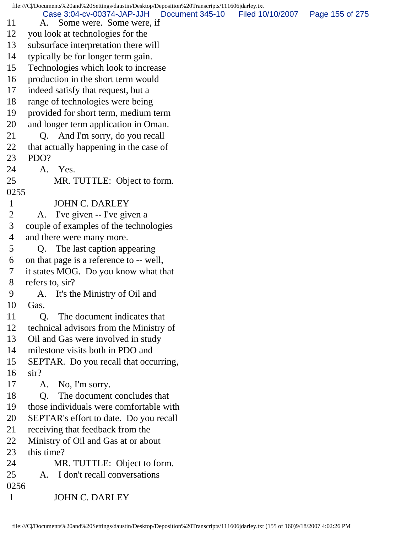file:///C|/Documents%20and%20Settings/daustin/Desktop/Deposition%20Transcripts/111606jdarley.txt 11 A. Some were. Some were, if 12 you look at technologies for the 13 subsurface interpretation there will 14 typically be for longer term gain. 15 Technologies which look to increase 16 production in the short term would 17 indeed satisfy that request, but a 18 range of technologies were being 19 provided for short term, medium term 20 and longer term application in Oman. 21 Q. And I'm sorry, do you recall 22 that actually happening in the case of 23 PDO? 24 A. Yes. 25 MR. TUTTLE: Object to form. 0255 1 JOHN C. DARLEY 2 A. I've given -- I've given a 3 couple of examples of the technologies 4 and there were many more. 5 Q. The last caption appearing 6 on that page is a reference to -- well, 7 it states MOG. Do you know what that 8 refers to, sir? 9 A. It's the Ministry of Oil and 10 Gas. 11 Q. The document indicates that 12 technical advisors from the Ministry of 13 Oil and Gas were involved in study 14 milestone visits both in PDO and 15 SEPTAR. Do you recall that occurring, 16 sir? 17 A. No, I'm sorry. 18 Q. The document concludes that 19 those individuals were comfortable with 20 SEPTAR's effort to date. Do you recall 21 receiving that feedback from the 22 Ministry of Oil and Gas at or about 23 this time? 24 MR. TUTTLE: Object to form. 25 A. I don't recall conversations 0256 1 JOHN C. DARLEY Case 3:04-cv-00374-JAP-JJH Document 345-10 Filed 10/10/2007 Page 155 of 275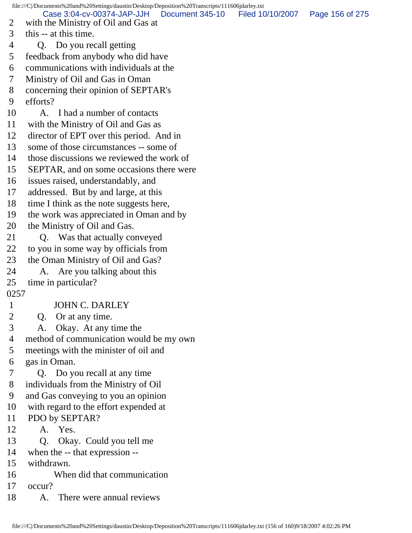file:///C|/Documents%20and%20Settings/daustin/Desktop/Deposition%20Transcripts/111606jdarley.txt 2 with the Ministry of Oil and Gas at 3 this -- at this time. 4 Q. Do you recall getting 5 feedback from anybody who did have 6 communications with individuals at the 7 Ministry of Oil and Gas in Oman 8 concerning their opinion of SEPTAR's 9 efforts? 10 A. I had a number of contacts 11 with the Ministry of Oil and Gas as 12 director of EPT over this period. And in 13 some of those circumstances -- some of 14 those discussions we reviewed the work of 15 SEPTAR, and on some occasions there were 16 issues raised, understandably, and 17 addressed. But by and large, at this 18 time I think as the note suggests here, 19 the work was appreciated in Oman and by 20 the Ministry of Oil and Gas. 21 Q. Was that actually conveyed 22 to you in some way by officials from 23 the Oman Ministry of Oil and Gas? 24 A. Are you talking about this 25 time in particular? 0257 1 JOHN C. DARLEY 2 Q. Or at any time. 3 A. Okay. At any time the 4 method of communication would be my own 5 meetings with the minister of oil and 6 gas in Oman. 7 Q. Do you recall at any time 8 individuals from the Ministry of Oil 9 and Gas conveying to you an opinion 10 with regard to the effort expended at 11 PDO by SEPTAR? 12 A. Yes. 13 O. Okay. Could you tell me 14 when the -- that expression -- 15 withdrawn. 16 When did that communication 17 occur? 18 A. There were annual reviews Case 3:04-cv-00374-JAP-JJH Document 345-10 Filed 10/10/2007 Page 156 of 275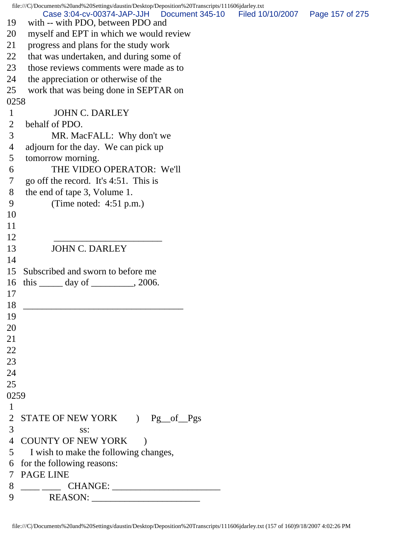file:///C|/Documents%20and%20Settings/daustin/Desktop/Deposition%20Transcripts/111606jdarley.txt 19 with -- with PDO, between PDO and 20 myself and EPT in which we would review 21 progress and plans for the study work 22 that was undertaken, and during some of 23 those reviews comments were made as to 24 the appreciation or otherwise of the 25 work that was being done in SEPTAR on 0258 1 JOHN C. DARLEY 2 behalf of PDO. 3 MR. MacFALL: Why don't we 4 adjourn for the day. We can pick up 5 tomorrow morning. 6 THE VIDEO OPERATOR: We'll 7 go off the record. It's 4:51. This is 8 the end of tape 3, Volume 1. 9 (Time noted: 4:51 p.m.) 10 11 12 \_\_\_\_\_\_\_\_\_\_\_\_\_\_\_\_\_\_\_\_\_\_\_ 13 JOHN C. DARLEY 14 15 Subscribed and sworn to before me 16 this \_\_\_\_\_\_ day of \_\_\_\_\_\_\_\_\_, 2006. 17 18 \_\_\_\_\_\_\_\_\_\_\_\_\_\_\_\_\_\_\_\_\_\_\_\_\_\_\_\_\_\_\_\_\_\_ 19 20 21 22 23 24 25 0259 1 2 STATE OF NEW YORK ) Pg of Pgs 3 ss: 4 COUNTY OF NEW YORK ) 5 I wish to make the following changes, 6 for the following reasons: 7 PAGE LINE 8 \_\_\_\_ \_\_\_\_ CHANGE: \_\_\_\_\_\_\_\_\_\_\_\_\_\_\_\_\_\_\_\_\_\_\_ 9 REASON: \_\_\_\_\_\_\_\_\_\_\_\_\_\_\_\_\_\_\_\_\_\_\_ Case 3:04-cv-00374-JAP-JJH Document 345-10 Filed 10/10/2007 Page 157 of 275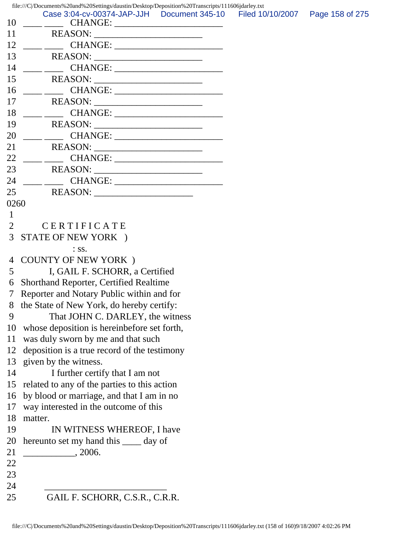file:///C|/Documents%20and%20Settings/daustin/Desktop/Deposition%20Transcripts/111606jdarley.txt

|      | file:///C/Documents%20and%20Settings/daustin/Desktop/Deposition%20Transcripts/111606jdarley.txt         |  |                 |
|------|---------------------------------------------------------------------------------------------------------|--|-----------------|
| 10   | Case 3:04-cv-00374-JAP-JJH  Document 345-10  Filed 10/10/2007                                           |  | Page 158 of 275 |
| 11   |                                                                                                         |  |                 |
| 12   |                                                                                                         |  |                 |
| 13   |                                                                                                         |  |                 |
| 14   |                                                                                                         |  |                 |
| 15   | REASON:                                                                                                 |  |                 |
| 16   | $\frac{1}{\sqrt{2\pi}}\left(\frac{1}{\sqrt{2\pi}}\right)^{1/2}\left(\frac{1}{\sqrt{2\pi}}\right)^{1/2}$ |  |                 |
| 17   | REASON:                                                                                                 |  |                 |
| 18   |                                                                                                         |  |                 |
| 19   |                                                                                                         |  |                 |
| 20   |                                                                                                         |  |                 |
| 21   |                                                                                                         |  |                 |
| 22   | CHANGE:                                                                                                 |  |                 |
| 23   |                                                                                                         |  |                 |
| 24   |                                                                                                         |  |                 |
| 25   |                                                                                                         |  |                 |
| 0260 |                                                                                                         |  |                 |
| 1    |                                                                                                         |  |                 |
| 2    | CERTIFICATE                                                                                             |  |                 |
| 3    | STATE OF NEW YORK )                                                                                     |  |                 |
|      | $:$ SS.                                                                                                 |  |                 |
| 4    | <b>COUNTY OF NEW YORK</b> )                                                                             |  |                 |
| 5    | I, GAIL F. SCHORR, a Certified                                                                          |  |                 |
| 6    | <b>Shorthand Reporter, Certified Realtime</b>                                                           |  |                 |
|      | Reporter and Notary Public within and for                                                               |  |                 |
|      | 8 the State of New York, do hereby certify:                                                             |  |                 |
| 9    | That JOHN C. DARLEY, the witness                                                                        |  |                 |
| 10   | whose deposition is hereinbefore set forth,                                                             |  |                 |
| 11   | was duly sworn by me and that such                                                                      |  |                 |
| 12   | deposition is a true record of the testimony                                                            |  |                 |
| 13   | given by the witness.                                                                                   |  |                 |
| 14   | I further certify that I am not                                                                         |  |                 |
| 15   | related to any of the parties to this action                                                            |  |                 |
| 16   | by blood or marriage, and that I am in no                                                               |  |                 |
| 17   | way interested in the outcome of this                                                                   |  |                 |
| 18   | matter.                                                                                                 |  |                 |
| 19   | IN WITNESS WHEREOF, I have                                                                              |  |                 |
| 20   | hereunto set my hand this _____ day of                                                                  |  |                 |
| 21   | , 2006.                                                                                                 |  |                 |
| 22   |                                                                                                         |  |                 |
| 23   |                                                                                                         |  |                 |
| 24   |                                                                                                         |  |                 |
| 25   | GAIL F. SCHORR, C.S.R., C.R.R.                                                                          |  |                 |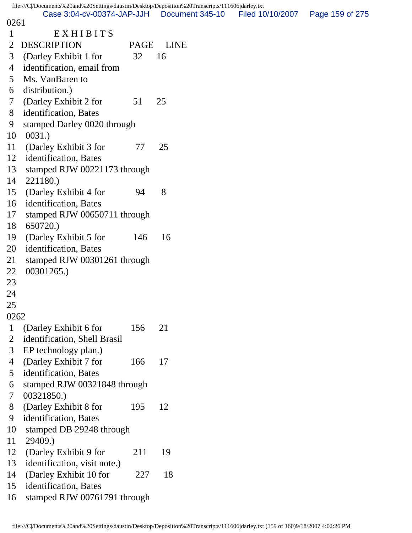file:///C|/Documents%20and%20Settings/daustin/Desktop/Deposition%20Transcripts/111606jdarley.txt 0261 Case 3:04-cv-00374-JAP-JJH Document 345-10 Filed 10/10/2007 Page 159 of 275

| 1               | EXHIBITS                                              |      |             |
|-----------------|-------------------------------------------------------|------|-------------|
| $\overline{2}$  | <b>DESCRIPTION</b>                                    | PAGE | <b>LINE</b> |
| 3               | (Darley Exhibit 1 for                                 | 32   | 16          |
| $\overline{4}$  | identification, email from                            |      |             |
| 5               | Ms. VanBaren to                                       |      |             |
| 6               | distribution.)                                        |      |             |
| $7\overline{ }$ | (Darley Exhibit 2 for                                 | 51   | 25          |
| 8               | identification, Bates                                 |      |             |
| 9               | stamped Darley 0020 through                           |      |             |
| 10              | 0031.)                                                |      |             |
| 11              | (Darley Exhibit 3 for                                 | 77   | 25          |
| 12              | identification, Bates                                 |      |             |
| 13              | stamped RJW 00221173 through                          |      |             |
| 14              | 221180.)                                              |      |             |
| 15              | (Darley Exhibit 4 for                                 | 94   | 8           |
| 16              | identification, Bates                                 |      |             |
| 17              | stamped RJW 00650711 through                          |      |             |
| 18              | 650720.)                                              |      |             |
| 19              | (Darley Exhibit 5 for                                 | 146  | 16          |
| 20              | identification, Bates                                 |      |             |
| 21              | stamped RJW 00301261 through                          |      |             |
| 22              | 00301265.)                                            |      |             |
| 23              |                                                       |      |             |
| 24              |                                                       |      |             |
| 25<br>0262      |                                                       |      |             |
|                 |                                                       |      |             |
| 1               | (Darley Exhibit 6 for                                 | 156  | 21          |
| 2<br>3          | identification, Shell Brasil                          |      |             |
| $\overline{4}$  | EP technology plan.)                                  | 166  | 17          |
| 5               | (Darley Exhibit 7 for                                 |      |             |
| 6               | identification, Bates<br>stamped RJW 00321848 through |      |             |
| 7               | 00321850.)                                            |      |             |
| 8               | (Darley Exhibit 8 for                                 | 195  | 12          |
| 9               | identification, Bates                                 |      |             |
| 10              | stamped DB 29248 through                              |      |             |
| 11              | 29409.)                                               |      |             |
| 12              | (Darley Exhibit 9 for                                 | 211  | 19          |
| 13              | identification, visit note.)                          |      |             |
| 14              | (Darley Exhibit 10 for                                | 227  | 18          |
| 15              | identification, Bates                                 |      |             |
| 16              | stamped RJW 00761791 through                          |      |             |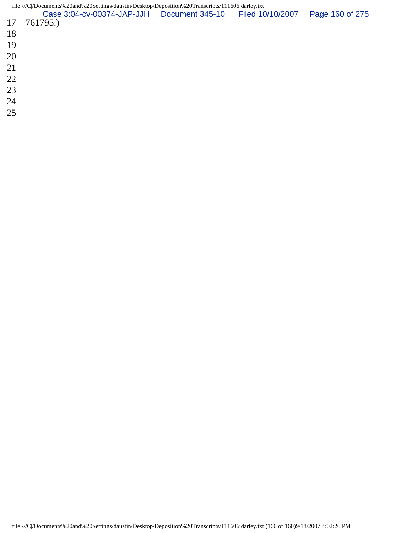|    | file:///C/Documents%20and%20Settings/daustin/Desktop/Deposition%20Transcripts/111606jdarley.txt |  |                 |
|----|-------------------------------------------------------------------------------------------------|--|-----------------|
|    | Case 3:04-cv-00374-JAP-JJH  Document 345-10  Filed 10/10/2007                                   |  | Page 160 of 275 |
|    | 17 761795.)                                                                                     |  |                 |
| 18 |                                                                                                 |  |                 |
| 19 |                                                                                                 |  |                 |
| 20 |                                                                                                 |  |                 |
| 21 |                                                                                                 |  |                 |

- 
- 
- 
- 
-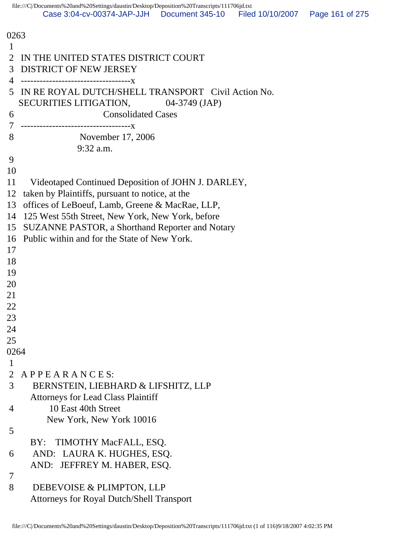| 0263                                                         |  |
|--------------------------------------------------------------|--|
| 1                                                            |  |
| IN THE UNITED STATES DISTRICT COURT<br>2                     |  |
| <b>DISTRICT OF NEW JERSEY</b><br>3                           |  |
| 4<br>------------------------------------X                   |  |
| IN RE ROYAL DUTCH/SHELL TRANSPORT Civil Action No.<br>5      |  |
| SECURITIES LITIGATION, 04-3749 (JAP)                         |  |
| <b>Consolidated Cases</b><br>6                               |  |
| $\tau$                                                       |  |
| 8<br>November 17, 2006                                       |  |
| $9:32$ a.m.                                                  |  |
| 9                                                            |  |
| 10                                                           |  |
| 11                                                           |  |
| Videotaped Continued Deposition of JOHN J. DARLEY,           |  |
| taken by Plaintiffs, pursuant to notice, at the<br>12        |  |
| offices of LeBoeuf, Lamb, Greene & MacRae, LLP,<br>13        |  |
| 125 West 55th Street, New York, New York, before<br>14       |  |
| <b>SUZANNE PASTOR, a Shorthand Reporter and Notary</b><br>15 |  |
| Public within and for the State of New York.<br>16           |  |
| 17                                                           |  |
| 18                                                           |  |
| 19                                                           |  |
| 20                                                           |  |
| 21                                                           |  |
| 22                                                           |  |
| 23                                                           |  |
| 24                                                           |  |
| 25                                                           |  |
| 0264                                                         |  |
| 1                                                            |  |
| $\overline{2}$<br>APPEARANCES                                |  |
| 3<br>BERNSTEIN, LIEBHARD & LIFSHITZ, LLP                     |  |
| <b>Attorneys for Lead Class Plaintiff</b>                    |  |
| 10 East 40th Street<br>4                                     |  |
| New York, New York 10016                                     |  |
| 5                                                            |  |
| BY: TIMOTHY MacFALL, ESQ.                                    |  |
| AND: LAURA K. HUGHES, ESQ.<br>6                              |  |
| AND: JEFFREY M. HABER, ESQ.                                  |  |
| 7                                                            |  |
| 8<br>DEBEVOISE & PLIMPTON, LLP                               |  |
| <b>Attorneys for Royal Dutch/Shell Transport</b>             |  |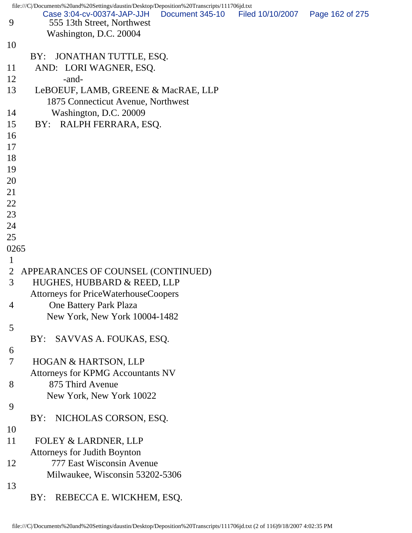|                | file:///C//Documents%20and%20Settings/daustin/Desktop/Deposition%20Transcripts/111706jd.txt |                 |                  |                 |
|----------------|---------------------------------------------------------------------------------------------|-----------------|------------------|-----------------|
| 9              | Case 3:04-cv-00374-JAP-JJH<br>555 13th Street, Northwest                                    | Document 345-10 | Filed 10/10/2007 | Page 162 of 275 |
|                | Washington, D.C. 20004                                                                      |                 |                  |                 |
| 10             |                                                                                             |                 |                  |                 |
|                | JONATHAN TUTTLE, ESQ.<br>BY:                                                                |                 |                  |                 |
| 11             | AND: LORI WAGNER, ESQ.                                                                      |                 |                  |                 |
| 12             | -and-                                                                                       |                 |                  |                 |
| 13             | LeBOEUF, LAMB, GREENE & MacRAE, LLP                                                         |                 |                  |                 |
|                | 1875 Connecticut Avenue, Northwest                                                          |                 |                  |                 |
| 14             | Washington, D.C. 20009                                                                      |                 |                  |                 |
| 15             | RALPH FERRARA, ESQ.<br>BY:                                                                  |                 |                  |                 |
| 16             |                                                                                             |                 |                  |                 |
| 17             |                                                                                             |                 |                  |                 |
| 18             |                                                                                             |                 |                  |                 |
| 19             |                                                                                             |                 |                  |                 |
| 20             |                                                                                             |                 |                  |                 |
| 21             |                                                                                             |                 |                  |                 |
| 22             |                                                                                             |                 |                  |                 |
| 23             |                                                                                             |                 |                  |                 |
| 24             |                                                                                             |                 |                  |                 |
| 25             |                                                                                             |                 |                  |                 |
| 0265           |                                                                                             |                 |                  |                 |
| $\mathbf{1}$   |                                                                                             |                 |                  |                 |
| $\overline{2}$ | APPEARANCES OF COUNSEL (CONTINUED)                                                          |                 |                  |                 |
| 3              | HUGHES, HUBBARD & REED, LLP                                                                 |                 |                  |                 |
|                | <b>Attorneys for PriceWaterhouseCoopers</b>                                                 |                 |                  |                 |
| 4              | One Battery Park Plaza                                                                      |                 |                  |                 |
|                | New York, New York 10004-1482                                                               |                 |                  |                 |
| 5              |                                                                                             |                 |                  |                 |
|                | SAVVAS A. FOUKAS, ESQ.<br>BY:                                                               |                 |                  |                 |
| 6              |                                                                                             |                 |                  |                 |
| 7              | HOGAN & HARTSON, LLP                                                                        |                 |                  |                 |
|                | Attorneys for KPMG Accountants NV                                                           |                 |                  |                 |
| 8              | 875 Third Avenue                                                                            |                 |                  |                 |
|                | New York, New York 10022                                                                    |                 |                  |                 |
| 9              |                                                                                             |                 |                  |                 |
|                | NICHOLAS CORSON, ESQ.<br>BY:                                                                |                 |                  |                 |
| 10             |                                                                                             |                 |                  |                 |
| 11             | FOLEY & LARDNER, LLP                                                                        |                 |                  |                 |
|                | <b>Attorneys for Judith Boynton</b>                                                         |                 |                  |                 |
| 12             | 777 East Wisconsin Avenue                                                                   |                 |                  |                 |
|                | Milwaukee, Wisconsin 53202-5306                                                             |                 |                  |                 |
| 13             |                                                                                             |                 |                  |                 |
|                | REBECCA E. WICKHEM, ESQ.<br>BY:                                                             |                 |                  |                 |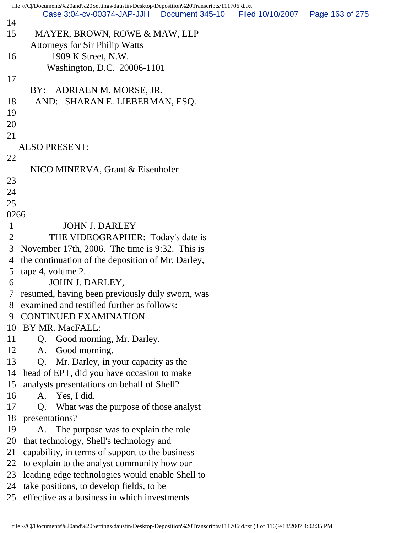file:///C|/Documents%20and%20Settings/daustin/Desktop/Deposition%20Transcripts/111706jd.txt 14 15 MAYER, BROWN, ROWE & MAW, LLP Attorneys for Sir Philip Watts 16 1909 K Street, N.W. Washington, D.C. 20006-1101 17 BY: ADRIAEN M. MORSE, JR. 18 AND: SHARAN E. LIEBERMAN, ESQ. 19 20 21 ALSO PRESENT: 22 NICO MINERVA, Grant & Eisenhofer 23 24 25 0266 1 JOHN J. DARLEY 2 THE VIDEOGRAPHER: Today's date is 3 November 17th, 2006. The time is 9:32. This is 4 the continuation of the deposition of Mr. Darley, 5 tape 4, volume 2. 6 JOHN J. DARLEY, 7 resumed, having been previously duly sworn, was 8 examined and testified further as follows: 9 CONTINUED EXAMINATION 10 BY MR. MacFALL: 11 Q. Good morning, Mr. Darley. 12 A. Good morning. 13 Q. Mr. Darley, in your capacity as the 14 head of EPT, did you have occasion to make 15 analysts presentations on behalf of Shell? 16 A. Yes, I did. 17 Q. What was the purpose of those analyst 18 presentations? 19 A. The purpose was to explain the role 20 that technology, Shell's technology and 21 capability, in terms of support to the business 22 to explain to the analyst community how our 23 leading edge technologies would enable Shell to 24 take positions, to develop fields, to be 25 effective as a business in which investments Case 3:04-cv-00374-JAP-JJH Document 345-10 Filed 10/10/2007 Page 163 of 275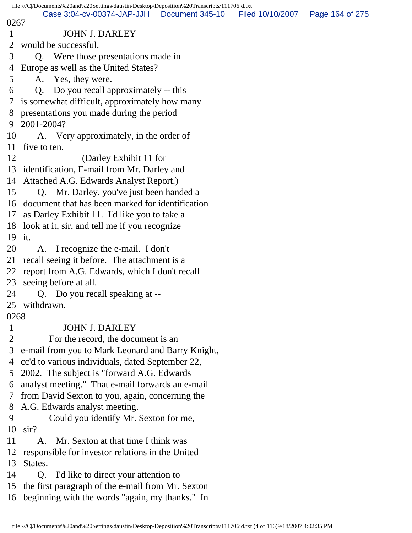|                | file:///C /Documents%20and%20Settings/daustin/Desktop/Deposition%20Transcripts/111706jd.txt |                  |                 |
|----------------|---------------------------------------------------------------------------------------------|------------------|-----------------|
| 0267           | Case 3:04-cv-00374-JAP-JJH   Document 345-10                                                | Filed 10/10/2007 | Page 164 of 275 |
| $\mathbf{1}$   | <b>JOHN J. DARLEY</b>                                                                       |                  |                 |
| 2              | would be successful.                                                                        |                  |                 |
| 3              | Q. Were those presentations made in                                                         |                  |                 |
| 4              | Europe as well as the United States?                                                        |                  |                 |
| 5              | A. Yes, they were.                                                                          |                  |                 |
| 6              | Q. Do you recall approximately -- this                                                      |                  |                 |
| 7              | is somewhat difficult, approximately how many                                               |                  |                 |
| 8              | presentations you made during the period                                                    |                  |                 |
| 9              | 2001-2004?                                                                                  |                  |                 |
| 10             | A. Very approximately, in the order of                                                      |                  |                 |
| 11             | five to ten.                                                                                |                  |                 |
| 12             | (Darley Exhibit 11 for                                                                      |                  |                 |
|                | 13 identification, E-mail from Mr. Darley and                                               |                  |                 |
| 14             | Attached A.G. Edwards Analyst Report.)                                                      |                  |                 |
| 15             | Q. Mr. Darley, you've just been handed a                                                    |                  |                 |
|                | 16 document that has been marked for identification                                         |                  |                 |
| 17             | as Darley Exhibit 11. I'd like you to take a                                                |                  |                 |
| 18             | look at it, sir, and tell me if you recognize                                               |                  |                 |
|                | 19 it.                                                                                      |                  |                 |
| 20             | A. I recognize the e-mail. I don't                                                          |                  |                 |
| 21             | recall seeing it before. The attachment is a                                                |                  |                 |
| 22             | report from A.G. Edwards, which I don't recall                                              |                  |                 |
| 23             | seeing before at all.                                                                       |                  |                 |
| 24             | Q. Do you recall speaking at --                                                             |                  |                 |
| 25             | withdrawn.                                                                                  |                  |                 |
| 0268           |                                                                                             |                  |                 |
| 1              | <b>JOHN J. DARLEY</b>                                                                       |                  |                 |
| $\overline{2}$ | For the record, the document is an                                                          |                  |                 |
| 3              | e-mail from you to Mark Leonard and Barry Knight,                                           |                  |                 |
| 4              | cc'd to various individuals, dated September 22,                                            |                  |                 |
| 5              | 2002. The subject is "forward A.G. Edwards"                                                 |                  |                 |
| 6              | analyst meeting." That e-mail forwards an e-mail                                            |                  |                 |
| 7              | from David Sexton to you, again, concerning the                                             |                  |                 |
| 8              | A.G. Edwards analyst meeting.                                                               |                  |                 |
| 9              | Could you identify Mr. Sexton for me,                                                       |                  |                 |
| 10             | $\sin$ ?                                                                                    |                  |                 |
| 11             | Mr. Sexton at that time I think was<br>A.                                                   |                  |                 |
| 12             | responsible for investor relations in the United                                            |                  |                 |
| 13             | States.                                                                                     |                  |                 |
| 14             | I'd like to direct your attention to<br>Q.                                                  |                  |                 |
| 15             | the first paragraph of the e-mail from Mr. Sexton                                           |                  |                 |
| 16             | beginning with the words "again, my thanks." In                                             |                  |                 |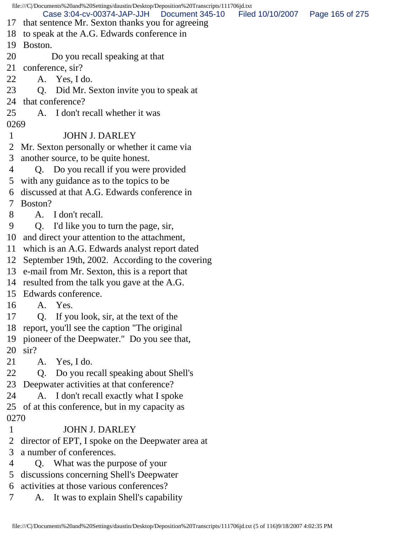file:///C|/Documents%20and%20Settings/daustin/Desktop/Deposition%20Transcripts/111706jd.txt 17 that sentence Mr. Sexton thanks you for agreeing 18 to speak at the A.G. Edwards conference in 19 Boston. 20 Do you recall speaking at that 21 conference, sir? 22 A. Yes, I do. 23 Q. Did Mr. Sexton invite you to speak at 24 that conference? 25 A. I don't recall whether it was 0269 1 JOHN J. DARLEY 2 Mr. Sexton personally or whether it came via 3 another source, to be quite honest. 4 Q. Do you recall if you were provided 5 with any guidance as to the topics to be 6 discussed at that A.G. Edwards conference in 7 Boston? 8 A. I don't recall. 9 Q. I'd like you to turn the page, sir, 10 and direct your attention to the attachment, 11 which is an A.G. Edwards analyst report dated 12 September 19th, 2002. According to the covering 13 e-mail from Mr. Sexton, this is a report that 14 resulted from the talk you gave at the A.G. 15 Edwards conference. 16 A. Yes. 17 Q. If you look, sir, at the text of the 18 report, you'll see the caption "The original 19 pioneer of the Deepwater." Do you see that, 20 sir? 21 A. Yes, I do. 22 Q. Do you recall speaking about Shell's 23 Deepwater activities at that conference? 24 A. I don't recall exactly what I spoke 25 of at this conference, but in my capacity as 0270 1 JOHN J. DARLEY 2 director of EPT, I spoke on the Deepwater area at 3 a number of conferences. 4 Q. What was the purpose of your 5 discussions concerning Shell's Deepwater 6 activities at those various conferences? 7 A. It was to explain Shell's capability Case 3:04-cv-00374-JAP-JJH Document 345-10 Filed 10/10/2007 Page 165 of 275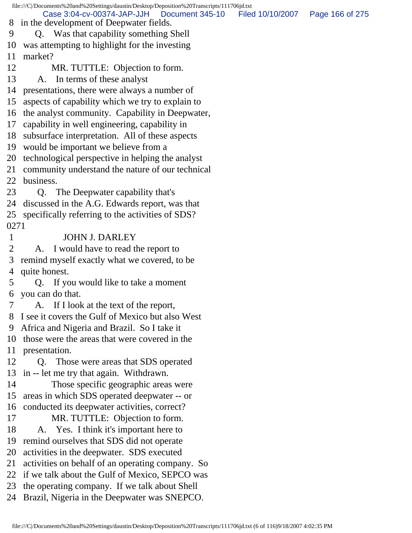file:///C|/Documents%20and%20Settings/daustin/Desktop/Deposition%20Transcripts/111706jd.txt 8 in the development of Deepwater fields. 9 Q. Was that capability something Shell 10 was attempting to highlight for the investing 11 market? 12 MR. TUTTLE: Objection to form. 13 A. In terms of these analyst 14 presentations, there were always a number of 15 aspects of capability which we try to explain to 16 the analyst community. Capability in Deepwater, 17 capability in well engineering, capability in 18 subsurface interpretation. All of these aspects 19 would be important we believe from a 20 technological perspective in helping the analyst 21 community understand the nature of our technical 22 business. 23 Q. The Deepwater capability that's 24 discussed in the A.G. Edwards report, was that 25 specifically referring to the activities of SDS? 0271 1 JOHN J. DARLEY 2 A. I would have to read the report to 3 remind myself exactly what we covered, to be 4 quite honest. 5 Q. If you would like to take a moment 6 you can do that. 7 A. If I look at the text of the report, 8 I see it covers the Gulf of Mexico but also West 9 Africa and Nigeria and Brazil. So I take it 10 those were the areas that were covered in the 11 presentation. 12 Q. Those were areas that SDS operated 13 in -- let me try that again. Withdrawn. 14 Those specific geographic areas were 15 areas in which SDS operated deepwater -- or 16 conducted its deepwater activities, correct? 17 MR. TUTTLE: Objection to form. 18 A. Yes. I think it's important here to 19 remind ourselves that SDS did not operate 20 activities in the deepwater. SDS executed 21 activities on behalf of an operating company. So 22 if we talk about the Gulf of Mexico, SEPCO was 23 the operating company. If we talk about Shell 24 Brazil, Nigeria in the Deepwater was SNEPCO. Case 3:04-cv-00374-JAP-JJH Document 345-10 Filed 10/10/2007 Page 166 of 275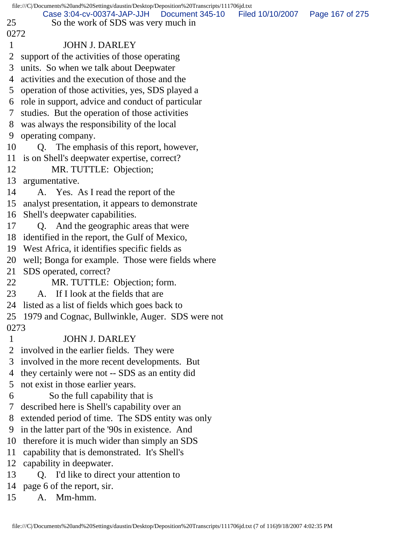|                | file:///C//Documents%20and%20Settings/daustin/Desktop/Deposition%20Transcripts/111706jd.txt |  |                                   |  |  |  |
|----------------|---------------------------------------------------------------------------------------------|--|-----------------------------------|--|--|--|
|                | Case 3:04-cv-00374-JAP-JJH   Document 345-10                                                |  | Filed 10/10/2007  Page 167 of 275 |  |  |  |
| 25             | So the work of SDS was very much in                                                         |  |                                   |  |  |  |
| 0272           |                                                                                             |  |                                   |  |  |  |
| $\mathbf{1}$   | <b>JOHN J. DARLEY</b>                                                                       |  |                                   |  |  |  |
| 2              | support of the activities of those operating                                                |  |                                   |  |  |  |
| 3              | units. So when we talk about Deepwater                                                      |  |                                   |  |  |  |
| 4              | activities and the execution of those and the                                               |  |                                   |  |  |  |
| 5              | operation of those activities, yes, SDS played a                                            |  |                                   |  |  |  |
|                | 6 role in support, advice and conduct of particular                                         |  |                                   |  |  |  |
| 7              | studies. But the operation of those activities                                              |  |                                   |  |  |  |
| 8              | was always the responsibility of the local                                                  |  |                                   |  |  |  |
| 9              | operating company.                                                                          |  |                                   |  |  |  |
| 10             | Q. The emphasis of this report, however,                                                    |  |                                   |  |  |  |
|                | 11 is on Shell's deepwater expertise, correct?                                              |  |                                   |  |  |  |
| 12             | MR. TUTTLE: Objection;                                                                      |  |                                   |  |  |  |
|                | 13 argumentative.                                                                           |  |                                   |  |  |  |
| 14             | A. Yes. As I read the report of the                                                         |  |                                   |  |  |  |
|                | 15 analyst presentation, it appears to demonstrate                                          |  |                                   |  |  |  |
|                | 16 Shell's deepwater capabilities.                                                          |  |                                   |  |  |  |
| 17             | Q. And the geographic areas that were                                                       |  |                                   |  |  |  |
|                | 18 identified in the report, the Gulf of Mexico,                                            |  |                                   |  |  |  |
|                | 19 West Africa, it identifies specific fields as                                            |  |                                   |  |  |  |
|                | 20 well; Bonga for example. Those were fields where                                         |  |                                   |  |  |  |
|                | 21 SDS operated, correct?                                                                   |  |                                   |  |  |  |
| 22             | MR. TUTTLE: Objection; form.                                                                |  |                                   |  |  |  |
|                | 23<br>A. If I look at the fields that are                                                   |  |                                   |  |  |  |
|                | 24 listed as a list of fields which goes back to                                            |  |                                   |  |  |  |
|                | 25 1979 and Cognac, Bullwinkle, Auger. SDS were not                                         |  |                                   |  |  |  |
| 0273           |                                                                                             |  |                                   |  |  |  |
| $\mathbf{1}$   | <b>JOHN J. DARLEY</b>                                                                       |  |                                   |  |  |  |
| $\overline{2}$ | involved in the earlier fields. They were                                                   |  |                                   |  |  |  |
| 3              | involved in the more recent developments. But                                               |  |                                   |  |  |  |
| 4              | they certainly were not -- SDS as an entity did                                             |  |                                   |  |  |  |
| 5              | not exist in those earlier years.                                                           |  |                                   |  |  |  |
| 6              | So the full capability that is                                                              |  |                                   |  |  |  |
| 7              | described here is Shell's capability over an                                                |  |                                   |  |  |  |
| 8              | extended period of time. The SDS entity was only                                            |  |                                   |  |  |  |
| 9              | in the latter part of the '90s in existence. And                                            |  |                                   |  |  |  |
| 10             | therefore it is much wider than simply an SDS                                               |  |                                   |  |  |  |
| 11             | capability that is demonstrated. It's Shell's                                               |  |                                   |  |  |  |
| 12             | capability in deepwater.                                                                    |  |                                   |  |  |  |
| 13             | Q. I'd like to direct your attention to                                                     |  |                                   |  |  |  |
| 14             | page 6 of the report, sir.                                                                  |  |                                   |  |  |  |
| 15             | Mm-hmm.<br>A.                                                                               |  |                                   |  |  |  |
|                |                                                                                             |  |                                   |  |  |  |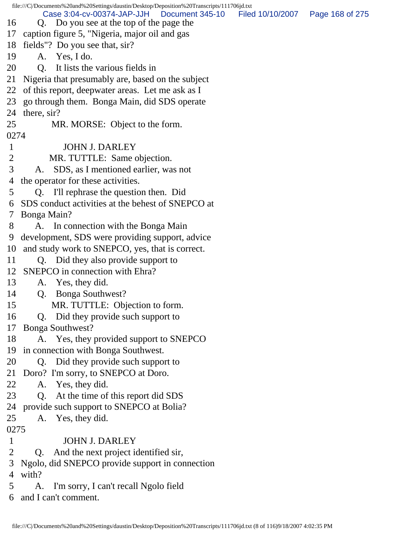file:///C|/Documents%20and%20Settings/daustin/Desktop/Deposition%20Transcripts/111706jd.txt 16 Q. Do you see at the top of the page the 17 caption figure 5, "Nigeria, major oil and gas 18 fields"? Do you see that, sir? 19 A. Yes, I do. 20 Q. It lists the various fields in 21 Nigeria that presumably are, based on the subject 22 of this report, deepwater areas. Let me ask as I 23 go through them. Bonga Main, did SDS operate 24 there, sir? 25 MR. MORSE: Object to the form. 0274 1 JOHN J. DARLEY 2 MR. TUTTLE: Same objection. 3 A. SDS, as I mentioned earlier, was not 4 the operator for these activities. 5 Q. I'll rephrase the question then. Did 6 SDS conduct activities at the behest of SNEPCO at 7 Bonga Main? 8 A. In connection with the Bonga Main 9 development, SDS were providing support, advice 10 and study work to SNEPCO, yes, that is correct. 11 Q. Did they also provide support to 12 SNEPCO in connection with Ehra? 13 A. Yes, they did. 14 Q. Bonga Southwest? 15 MR. TUTTLE: Objection to form. 16 Q. Did they provide such support to 17 Bonga Southwest? 18 A. Yes, they provided support to SNEPCO 19 in connection with Bonga Southwest. 20 Q. Did they provide such support to 21 Doro? I'm sorry, to SNEPCO at Doro. 22 A. Yes, they did. 23 Q. At the time of this report did SDS 24 provide such support to SNEPCO at Bolia? 25 A. Yes, they did. 0275 1 JOHN J. DARLEY 2 Q. And the next project identified sir, 3 Ngolo, did SNEPCO provide support in connection 4 with? 5 A. I'm sorry, I can't recall Ngolo field 6 and I can't comment. Case 3:04-cv-00374-JAP-JJH Document 345-10 Filed 10/10/2007 Page 168 of 275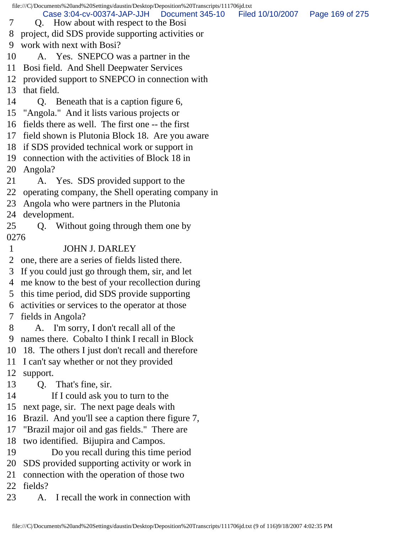file:///C|/Documents%20and%20Settings/daustin/Desktop/Deposition%20Transcripts/111706jd.txt 7 Q. How about with respect to the Bosi 8 project, did SDS provide supporting activities or 9 work with next with Bosi? 10 A. Yes. SNEPCO was a partner in the 11 Bosi field. And Shell Deepwater Services 12 provided support to SNEPCO in connection with 13 that field. 14 Q. Beneath that is a caption figure 6, 15 "Angola." And it lists various projects or 16 fields there as well. The first one -- the first 17 field shown is Plutonia Block 18. Are you aware 18 if SDS provided technical work or support in 19 connection with the activities of Block 18 in 20 Angola? 21 A. Yes. SDS provided support to the 22 operating company, the Shell operating company in 23 Angola who were partners in the Plutonia 24 development. 25 Q. Without going through them one by 0276 1 JOHN J. DARLEY 2 one, there are a series of fields listed there. 3 If you could just go through them, sir, and let 4 me know to the best of your recollection during 5 this time period, did SDS provide supporting 6 activities or services to the operator at those 7 fields in Angola? 8 A. I'm sorry, I don't recall all of the 9 names there. Cobalto I think I recall in Block 10 18. The others I just don't recall and therefore 11 I can't say whether or not they provided 12 support. 13 Q. That's fine, sir. 14 If I could ask you to turn to the 15 next page, sir. The next page deals with 16 Brazil. And you'll see a caption there figure 7, 17 "Brazil major oil and gas fields." There are 18 two identified. Bijupira and Campos. 19 Do you recall during this time period 20 SDS provided supporting activity or work in 21 connection with the operation of those two 22 fields? 23 A. I recall the work in connection with Case 3:04-cv-00374-JAP-JJH Document 345-10 Filed 10/10/2007 Page 169 of 275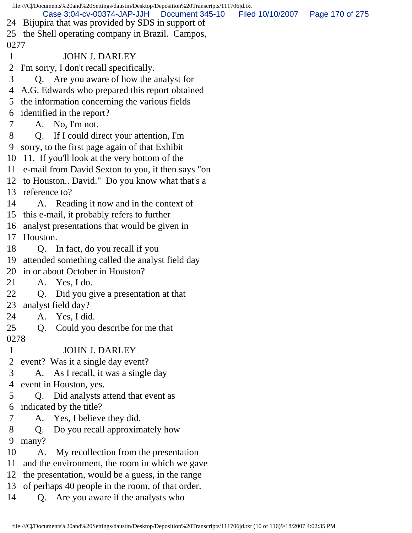file:///C|/Documents%20and%20Settings/daustin/Desktop/Deposition%20Transcripts/111706jd.txt 24 Bijupira that was provided by SDS in support of 25 the Shell operating company in Brazil. Campos, 0277 1 JOHN J. DARLEY 2 I'm sorry, I don't recall specifically. 3 Q. Are you aware of how the analyst for 4 A.G. Edwards who prepared this report obtained 5 the information concerning the various fields 6 identified in the report? 7 A. No, I'm not. 8 Q. If I could direct your attention, I'm 9 sorry, to the first page again of that Exhibit 10 11. If you'll look at the very bottom of the 11 e-mail from David Sexton to you, it then says "on 12 to Houston.. David." Do you know what that's a 13 reference to? 14 A. Reading it now and in the context of 15 this e-mail, it probably refers to further 16 analyst presentations that would be given in 17 Houston. 18 Q. In fact, do you recall if you 19 attended something called the analyst field day 20 in or about October in Houston? 21 A. Yes, I do. 22 Q. Did you give a presentation at that 23 analyst field day? 24 A. Yes, I did. 25 Q. Could you describe for me that 0278 1 JOHN J. DARLEY 2 event? Was it a single day event? 3 A. As I recall, it was a single day 4 event in Houston, yes. 5 Q. Did analysts attend that event as 6 indicated by the title? 7 A. Yes, I believe they did. 8 Q. Do you recall approximately how 9 many? 10 A. My recollection from the presentation 11 and the environment, the room in which we gave 12 the presentation, would be a guess, in the range 13 of perhaps 40 people in the room, of that order. Case 3:04-cv-00374-JAP-JJH Document 345-10 Filed 10/10/2007 Page 170 of 275

14 Q. Are you aware if the analysts who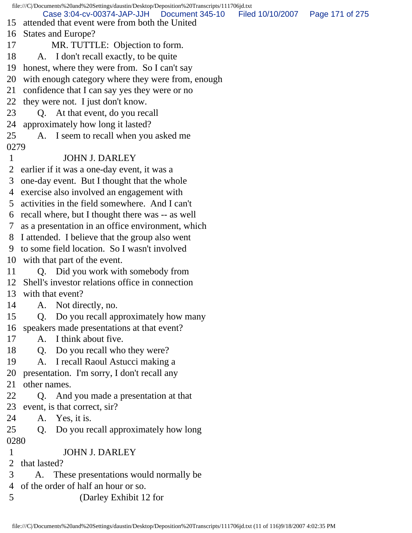file:///C|/Documents%20and%20Settings/daustin/Desktop/Deposition%20Transcripts/111706jd.txt 15 attended that event were from both the United 16 States and Europe? 17 MR. TUTTLE: Objection to form. 18 A. I don't recall exactly, to be quite 19 honest, where they were from. So I can't say 20 with enough category where they were from, enough 21 confidence that I can say yes they were or no 22 they were not. I just don't know. 23 Q. At that event, do you recall 24 approximately how long it lasted? 25 A. I seem to recall when you asked me 0279 1 JOHN J. DARLEY 2 earlier if it was a one-day event, it was a 3 one-day event. But I thought that the whole 4 exercise also involved an engagement with 5 activities in the field somewhere. And I can't 6 recall where, but I thought there was -- as well 7 as a presentation in an office environment, which 8 I attended. I believe that the group also went 9 to some field location. So I wasn't involved 10 with that part of the event. 11 O. Did you work with somebody from 12 Shell's investor relations office in connection 13 with that event? 14 A. Not directly, no. 15 Q. Do you recall approximately how many 16 speakers made presentations at that event? 17 A. I think about five. 18 Q. Do you recall who they were? 19 A. I recall Raoul Astucci making a 20 presentation. I'm sorry, I don't recall any 21 other names. 22 Q. And you made a presentation at that 23 event, is that correct, sir? 24 A. Yes, it is. 25 Q. Do you recall approximately how long 0280 1 JOHN J. DARLEY 2 that lasted? 3 A. These presentations would normally be 4 of the order of half an hour or so. 5 (Darley Exhibit 12 for Case 3:04-cv-00374-JAP-JJH Document 345-10 Filed 10/10/2007 Page 171 of 275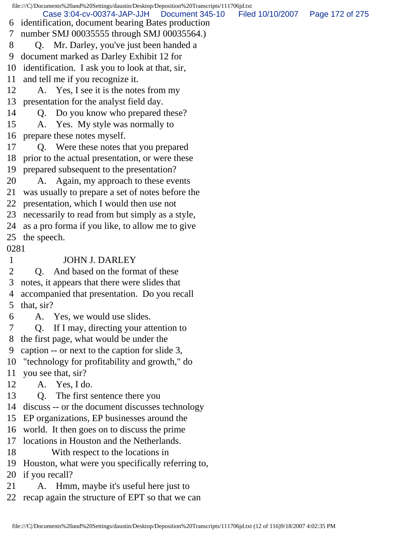file:///C|/Documents%20and%20Settings/daustin/Desktop/Deposition%20Transcripts/111706jd.txt 6 identification, document bearing Bates production 7 number SMJ 00035555 through SMJ 00035564.) 8 Q. Mr. Darley, you've just been handed a 9 document marked as Darley Exhibit 12 for 10 identification. I ask you to look at that, sir, 11 and tell me if you recognize it. 12 A. Yes, I see it is the notes from my 13 presentation for the analyst field day. 14 Q. Do you know who prepared these? 15 A. Yes. My style was normally to 16 prepare these notes myself. 17 Q. Were these notes that you prepared 18 prior to the actual presentation, or were these 19 prepared subsequent to the presentation? 20 A. Again, my approach to these events 21 was usually to prepare a set of notes before the 22 presentation, which I would then use not 23 necessarily to read from but simply as a style, 24 as a pro forma if you like, to allow me to give 25 the speech. 0281 1 JOHN J. DARLEY 2 O. And based on the format of these 3 notes, it appears that there were slides that 4 accompanied that presentation. Do you recall 5 that, sir? 6 A. Yes, we would use slides. 7 Q. If I may, directing your attention to 8 the first page, what would be under the 9 caption -- or next to the caption for slide 3, 10 "technology for profitability and growth," do 11 you see that, sir? 12 A. Yes, I do. 13 Q. The first sentence there you 14 discuss -- or the document discusses technology 15 EP organizations, EP businesses around the 16 world. It then goes on to discuss the prime 17 locations in Houston and the Netherlands. 18 With respect to the locations in 19 Houston, what were you specifically referring to, 20 if you recall? 21 A. Hmm, maybe it's useful here just to 22 recap again the structure of EPT so that we can Case 3:04-cv-00374-JAP-JJH Document 345-10 Filed 10/10/2007 Page 172 of 275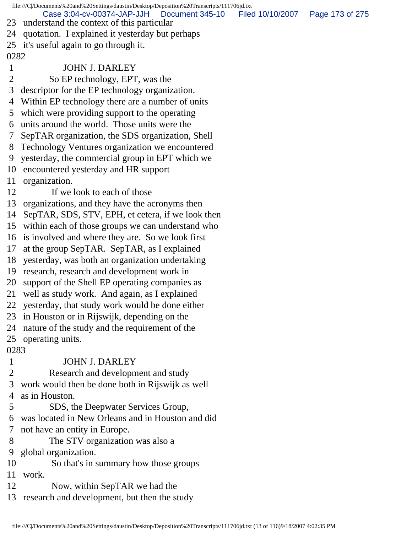file:///C|/Documents%20and%20Settings/daustin/Desktop/Deposition%20Transcripts/111706jd.txt 23 understand the context of this particular 24 quotation. I explained it yesterday but perhaps 25 it's useful again to go through it. 0282 1 JOHN J. DARLEY 2 So EP technology, EPT, was the 3 descriptor for the EP technology organization. 4 Within EP technology there are a number of units 5 which were providing support to the operating 6 units around the world. Those units were the 7 SepTAR organization, the SDS organization, Shell 8 Technology Ventures organization we encountered 9 yesterday, the commercial group in EPT which we 10 encountered yesterday and HR support 11 organization. 12 If we look to each of those 13 organizations, and they have the acronyms then 14 SepTAR, SDS, STV, EPH, et cetera, if we look then 15 within each of those groups we can understand who 16 is involved and where they are. So we look first 17 at the group SepTAR. SepTAR, as I explained 18 yesterday, was both an organization undertaking 19 research, research and development work in 20 support of the Shell EP operating companies as 21 well as study work. And again, as I explained 22 yesterday, that study work would be done either 23 in Houston or in Rijswijk, depending on the 24 nature of the study and the requirement of the 25 operating units. 0283 1 JOHN J. DARLEY 2 Research and development and study 3 work would then be done both in Rijswijk as well 4 as in Houston. 5 SDS, the Deepwater Services Group, 6 was located in New Orleans and in Houston and did 7 not have an entity in Europe. 8 The STV organization was also a 9 global organization. 10 So that's in summary how those groups 11 work. 12 Now, within SepTAR we had the 13 research and development, but then the study Case 3:04-cv-00374-JAP-JJH Document 345-10 Filed 10/10/2007 Page 173 of 275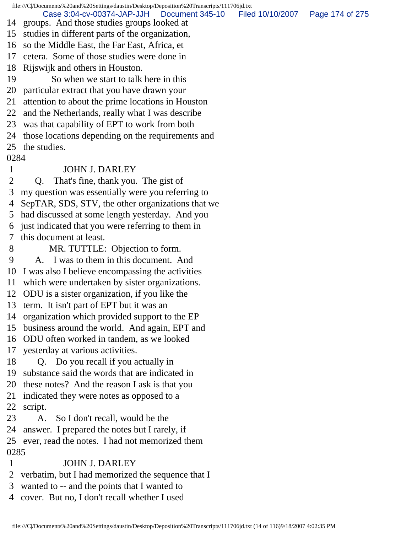file:///C|/Documents%20and%20Settings/daustin/Desktop/Deposition%20Transcripts/111706jd.txt 14 groups. And those studies groups looked at 15 studies in different parts of the organization, 16 so the Middle East, the Far East, Africa, et 17 cetera. Some of those studies were done in 18 Rijswijk and others in Houston. 19 So when we start to talk here in this 20 particular extract that you have drawn your 21 attention to about the prime locations in Houston 22 and the Netherlands, really what I was describe 23 was that capability of EPT to work from both 24 those locations depending on the requirements and 25 the studies. 0284 1 JOHN J. DARLEY 2 Q. That's fine, thank you. The gist of 3 my question was essentially were you referring to 4 SepTAR, SDS, STV, the other organizations that we 5 had discussed at some length yesterday. And you 6 just indicated that you were referring to them in 7 this document at least. 8 MR. TUTTLE: Objection to form. 9 A. I was to them in this document. And 10 I was also I believe encompassing the activities 11 which were undertaken by sister organizations. 12 ODU is a sister organization, if you like the 13 term. It isn't part of EPT but it was an 14 organization which provided support to the EP 15 business around the world. And again, EPT and 16 ODU often worked in tandem, as we looked 17 yesterday at various activities. 18 Q. Do you recall if you actually in 19 substance said the words that are indicated in 20 these notes? And the reason I ask is that you 21 indicated they were notes as opposed to a 22 script. 23 A. So I don't recall, would be the 24 answer. I prepared the notes but I rarely, if 25 ever, read the notes. I had not memorized them 0285 1 JOHN J. DARLEY Case 3:04-cv-00374-JAP-JJH Document 345-10 Filed 10/10/2007 Page 174 of 275

- 2 verbatim, but I had memorized the sequence that I
- 3 wanted to -- and the points that I wanted to
- 4 cover. But no, I don't recall whether I used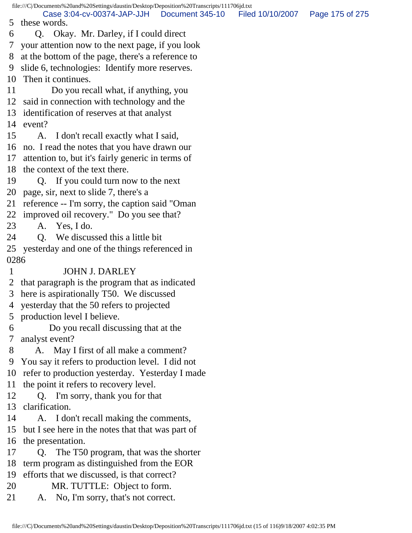file:///C|/Documents%20and%20Settings/daustin/Desktop/Deposition%20Transcripts/111706jd.txt 5 these words. 6 Q. Okay. Mr. Darley, if I could direct 7 your attention now to the next page, if you look 8 at the bottom of the page, there's a reference to 9 slide 6, technologies: Identify more reserves. 10 Then it continues. 11 Do you recall what, if anything, you 12 said in connection with technology and the 13 identification of reserves at that analyst 14 event? 15 A. I don't recall exactly what I said, 16 no. I read the notes that you have drawn our 17 attention to, but it's fairly generic in terms of 18 the context of the text there. 19 Q. If you could turn now to the next 20 page, sir, next to slide 7, there's a 21 reference -- I'm sorry, the caption said "Oman 22 improved oil recovery." Do you see that? 23 A. Yes, I do. 24 O. We discussed this a little bit 25 yesterday and one of the things referenced in 0286 1 JOHN J. DARLEY 2 that paragraph is the program that as indicated 3 here is aspirationally T50. We discussed 4 yesterday that the 50 refers to projected 5 production level I believe. 6 Do you recall discussing that at the 7 analyst event? 8 A. May I first of all make a comment? 9 You say it refers to production level. I did not 10 refer to production yesterday. Yesterday I made 11 the point it refers to recovery level. 12 Q. I'm sorry, thank you for that 13 clarification. 14 A. I don't recall making the comments, 15 but I see here in the notes that that was part of 16 the presentation. 17 Q. The T50 program, that was the shorter 18 term program as distinguished from the EOR 19 efforts that we discussed, is that correct? 20 MR. TUTTLE: Object to form. 21 A. No, I'm sorry, that's not correct. Case 3:04-cv-00374-JAP-JJH Document 345-10 Filed 10/10/2007 Page 175 of 275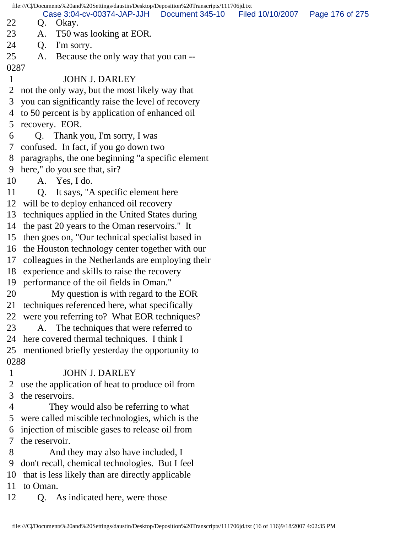file:///C|/Documents%20and%20Settings/daustin/Desktop/Deposition%20Transcripts/111706jd.txt 22 Q. Okay. 23 A. T50 was looking at EOR. 24 Q. I'm sorry. 25 A. Because the only way that you can -- 0287 1 JOHN J. DARLEY 2 not the only way, but the most likely way that 3 you can significantly raise the level of recovery 4 to 50 percent is by application of enhanced oil 5 recovery. EOR. 6 Q. Thank you, I'm sorry, I was 7 confused. In fact, if you go down two 8 paragraphs, the one beginning "a specific element 9 here," do you see that, sir? 10 A. Yes, I do. 11 Q. It says, "A specific element here 12 will be to deploy enhanced oil recovery 13 techniques applied in the United States during 14 the past 20 years to the Oman reservoirs." It 15 then goes on, "Our technical specialist based in 16 the Houston technology center together with our 17 colleagues in the Netherlands are employing their 18 experience and skills to raise the recovery 19 performance of the oil fields in Oman." 20 My question is with regard to the EOR 21 techniques referenced here, what specifically 22 were you referring to? What EOR techniques? 23 A. The techniques that were referred to 24 here covered thermal techniques. I think I 25 mentioned briefly yesterday the opportunity to 0288 1 JOHN J. DARLEY 2 use the application of heat to produce oil from 3 the reservoirs. 4 They would also be referring to what 5 were called miscible technologies, which is the 6 injection of miscible gases to release oil from 7 the reservoir. 8 And they may also have included, I 9 don't recall, chemical technologies. But I feel 10 that is less likely than are directly applicable 11 to Oman. 12 Q. As indicated here, were those Case 3:04-cv-00374-JAP-JJH Document 345-10 Filed 10/10/2007 Page 176 of 275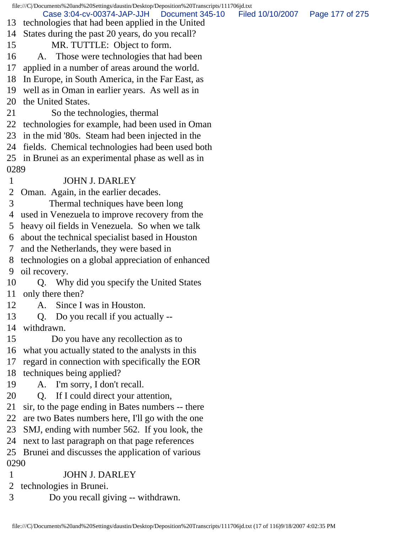|      | file:///C /Documents%20and%20Settings/daustin/Desktop/Deposition%20Transcripts/111706jd.txt       |                  |                 |
|------|---------------------------------------------------------------------------------------------------|------------------|-----------------|
| 13   | Case 3:04-cv-00374-JAP-JJH<br>Document 345-10<br>technologies that had been applied in the United | Filed 10/10/2007 | Page 177 of 275 |
| 14   | States during the past 20 years, do you recall?                                                   |                  |                 |
| 15   | MR. TUTTLE: Object to form.                                                                       |                  |                 |
| 16   | Those were technologies that had been<br>A.                                                       |                  |                 |
| 17   | applied in a number of areas around the world.                                                    |                  |                 |
| 18   | In Europe, in South America, in the Far East, as                                                  |                  |                 |
| 19   | well as in Oman in earlier years. As well as in                                                   |                  |                 |
| 20   | the United States.                                                                                |                  |                 |
| 21   | So the technologies, thermal                                                                      |                  |                 |
| 22   | technologies for example, had been used in Oman                                                   |                  |                 |
| 23   | in the mid '80s. Steam had been injected in the                                                   |                  |                 |
| 24   | fields. Chemical technologies had been used both                                                  |                  |                 |
|      | 25 in Brunei as an experimental phase as well as in                                               |                  |                 |
| 0289 |                                                                                                   |                  |                 |
| 1    | <b>JOHN J. DARLEY</b>                                                                             |                  |                 |
| 2    | Oman. Again, in the earlier decades.                                                              |                  |                 |
| 3    | Thermal techniques have been long                                                                 |                  |                 |
| 4    | used in Venezuela to improve recovery from the                                                    |                  |                 |
| 5    | heavy oil fields in Venezuela. So when we talk                                                    |                  |                 |
| 6    | about the technical specialist based in Houston                                                   |                  |                 |
| 7    | and the Netherlands, they were based in                                                           |                  |                 |
| 8    | technologies on a global appreciation of enhanced                                                 |                  |                 |
| 9    | oil recovery.                                                                                     |                  |                 |
| 10   | Why did you specify the United States<br>Q.                                                       |                  |                 |
| 11   | only there then?                                                                                  |                  |                 |
| 12   | A. Since I was in Houston.                                                                        |                  |                 |
| 13   | Do you recall if you actually --<br>Q.                                                            |                  |                 |
| 14   | withdrawn.                                                                                        |                  |                 |
| 15   | Do you have any recollection as to                                                                |                  |                 |
| 16   | what you actually stated to the analysts in this                                                  |                  |                 |
| 17   | regard in connection with specifically the EOR                                                    |                  |                 |
| 18   | techniques being applied?                                                                         |                  |                 |
| 19   | A. I'm sorry, I don't recall.                                                                     |                  |                 |
| 20   | If I could direct your attention,<br>Q <sub>r</sub>                                               |                  |                 |
| 21   | sir, to the page ending in Bates numbers -- there                                                 |                  |                 |
| 22   | are two Bates numbers here, I'll go with the one                                                  |                  |                 |
| 23   | SMJ, ending with number 562. If you look, the                                                     |                  |                 |
| 24   | next to last paragraph on that page references                                                    |                  |                 |
| 25   | Brunei and discusses the application of various                                                   |                  |                 |
| 0290 |                                                                                                   |                  |                 |
| 1    | <b>JOHN J. DARLEY</b>                                                                             |                  |                 |
| 2    | technologies in Brunei.                                                                           |                  |                 |
| 3    | Do you recall giving -- withdrawn.                                                                |                  |                 |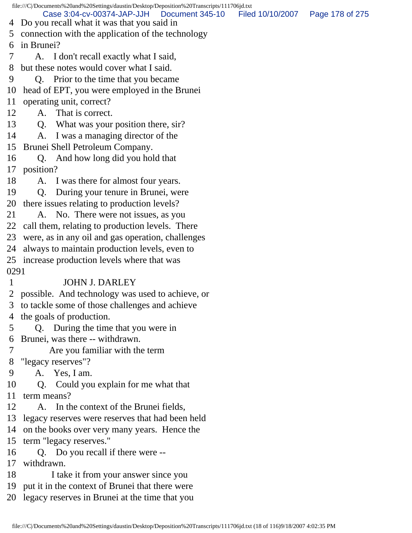file:///C|/Documents%20and%20Settings/daustin/Desktop/Deposition%20Transcripts/111706jd.txt 4 Do you recall what it was that you said in 5 connection with the application of the technology 6 in Brunei? 7 A. I don't recall exactly what I said, 8 but these notes would cover what I said. 9 Q. Prior to the time that you became 10 head of EPT, you were employed in the Brunei 11 operating unit, correct? 12 A. That is correct. 13 Q. What was your position there, sir? 14 A. I was a managing director of the 15 Brunei Shell Petroleum Company. 16 Q. And how long did you hold that 17 position? 18 A. I was there for almost four years. 19 Q. During your tenure in Brunei, were 20 there issues relating to production levels? 21 A. No. There were not issues, as you 22 call them, relating to production levels. There 23 were, as in any oil and gas operation, challenges 24 always to maintain production levels, even to 25 increase production levels where that was 0291 1 JOHN J. DARLEY 2 possible. And technology was used to achieve, or 3 to tackle some of those challenges and achieve 4 the goals of production. 5 Q. During the time that you were in 6 Brunei, was there -- withdrawn. 7 Are you familiar with the term 8 "legacy reserves"? 9 A. Yes, I am. 10 Q. Could you explain for me what that 11 term means? 12 A. In the context of the Brunei fields, 13 legacy reserves were reserves that had been held 14 on the books over very many years. Hence the 15 term "legacy reserves." 16 Q. Do you recall if there were -- 17 withdrawn. 18 I take it from your answer since you 19 put it in the context of Brunei that there were 20 legacy reserves in Brunei at the time that you Case 3:04-cv-00374-JAP-JJH Document 345-10 Filed 10/10/2007 Page 178 of 275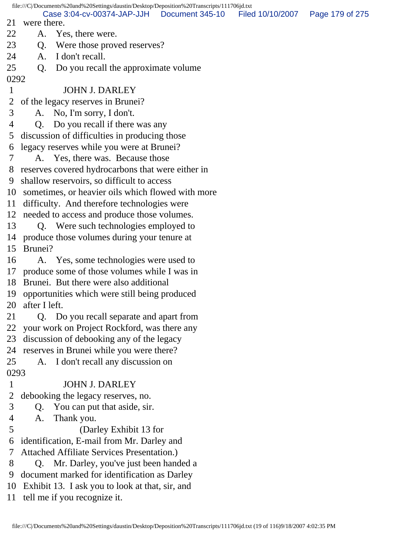|                | file:///C /Documents%20and%20Settings/daustin/Desktop/Deposition%20Transcripts/111706jd.txt |                  |                 |
|----------------|---------------------------------------------------------------------------------------------|------------------|-----------------|
| 21             | Case 3:04-cv-00374-JAP-JJH   Document 345-10<br>were there.                                 | Filed 10/10/2007 | Page 179 of 275 |
| 22             | Yes, there were.<br>A.                                                                      |                  |                 |
| 23             |                                                                                             |                  |                 |
|                | Were those proved reserves?<br>Q.<br>I don't recall.                                        |                  |                 |
| 24             | A.                                                                                          |                  |                 |
| 25             | Do you recall the approximate volume<br>Q.                                                  |                  |                 |
| 0292           |                                                                                             |                  |                 |
| $\mathbf{1}$   | <b>JOHN J. DARLEY</b>                                                                       |                  |                 |
| $\overline{2}$ | of the legacy reserves in Brunei?                                                           |                  |                 |
| 3              | A. No, I'm sorry, I don't.                                                                  |                  |                 |
| $\overline{4}$ | Q. Do you recall if there was any                                                           |                  |                 |
| 5              | discussion of difficulties in producing those                                               |                  |                 |
| 6              | legacy reserves while you were at Brunei?                                                   |                  |                 |
| 7              | A. Yes, there was. Because those                                                            |                  |                 |
| 8              | reserves covered hydrocarbons that were either in                                           |                  |                 |
| 9              | shallow reservoirs, so difficult to access                                                  |                  |                 |
|                | 10 sometimes, or heavier oils which flowed with more                                        |                  |                 |
|                | 11 difficulty. And therefore technologies were                                              |                  |                 |
|                | 12 needed to access and produce those volumes.                                              |                  |                 |
| 13             | Q. Were such technologies employed to                                                       |                  |                 |
|                | 14 produce those volumes during your tenure at                                              |                  |                 |
| 15             | Brunei?                                                                                     |                  |                 |
| 16             | A. Yes, some technologies were used to                                                      |                  |                 |
|                | 17 produce some of those volumes while I was in                                             |                  |                 |
|                | 18 Brunei. But there were also additional                                                   |                  |                 |
|                | 19 opportunities which were still being produced                                            |                  |                 |
| 20             | after I left.                                                                               |                  |                 |
| 21             | Q. Do you recall separate and apart from                                                    |                  |                 |
| 22             | your work on Project Rockford, was there any                                                |                  |                 |
| 23             | discussion of debooking any of the legacy                                                   |                  |                 |
| 24             | reserves in Brunei while you were there?                                                    |                  |                 |
| 25             | I don't recall any discussion on<br>A.                                                      |                  |                 |
| 0293           |                                                                                             |                  |                 |
| $\mathbf{1}$   | <b>JOHN J. DARLEY</b>                                                                       |                  |                 |
| $\overline{2}$ | debooking the legacy reserves, no.                                                          |                  |                 |
| 3              | You can put that aside, sir.<br>Q.                                                          |                  |                 |
| $\overline{4}$ | Thank you.<br>A.                                                                            |                  |                 |
| 5              | (Darley Exhibit 13 for                                                                      |                  |                 |
| 6              | identification, E-mail from Mr. Darley and                                                  |                  |                 |
| 7              | <b>Attached Affiliate Services Presentation.)</b>                                           |                  |                 |
| 8              | Q. Mr. Darley, you've just been handed a                                                    |                  |                 |
| 9              | document marked for identification as Darley                                                |                  |                 |
| 10             | Exhibit 13. I ask you to look at that, sir, and                                             |                  |                 |
| 11             | tell me if you recognize it.                                                                |                  |                 |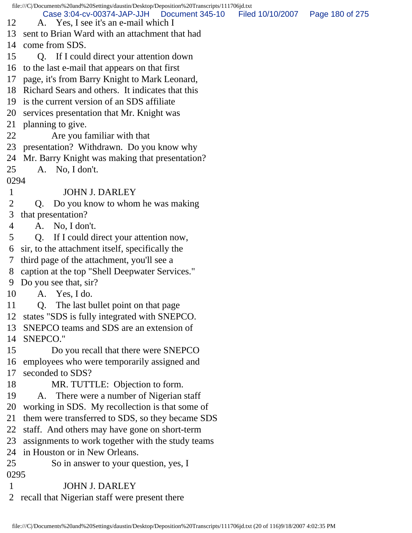file:///C|/Documents%20and%20Settings/daustin/Desktop/Deposition%20Transcripts/111706jd.txt 12 A. Yes, I see it's an e-mail which I 13 sent to Brian Ward with an attachment that had 14 come from SDS. 15 Q. If I could direct your attention down 16 to the last e-mail that appears on that first 17 page, it's from Barry Knight to Mark Leonard, 18 Richard Sears and others. It indicates that this 19 is the current version of an SDS affiliate 20 services presentation that Mr. Knight was 21 planning to give. 22 Are you familiar with that 23 presentation? Withdrawn. Do you know why 24 Mr. Barry Knight was making that presentation? 25 A. No, I don't. 0294 1 JOHN J. DARLEY 2 Q. Do you know to whom he was making 3 that presentation? 4 A. No, I don't. 5 Q. If I could direct your attention now, 6 sir, to the attachment itself, specifically the 7 third page of the attachment, you'll see a 8 caption at the top "Shell Deepwater Services." 9 Do you see that, sir? 10 A. Yes, I do. 11 Q. The last bullet point on that page 12 states "SDS is fully integrated with SNEPCO. 13 SNEPCO teams and SDS are an extension of 14 SNEPCO." 15 Do you recall that there were SNEPCO 16 employees who were temporarily assigned and 17 seconded to SDS? 18 MR. TUTTLE: Objection to form. 19 A. There were a number of Nigerian staff 20 working in SDS. My recollection is that some of 21 them were transferred to SDS, so they became SDS 22 staff. And others may have gone on short-term 23 assignments to work together with the study teams 24 in Houston or in New Orleans. 25 So in answer to your question, yes, I 0295 1 JOHN J. DARLEY 2 recall that Nigerian staff were present there Case 3:04-cv-00374-JAP-JJH Document 345-10 Filed 10/10/2007 Page 180 of 275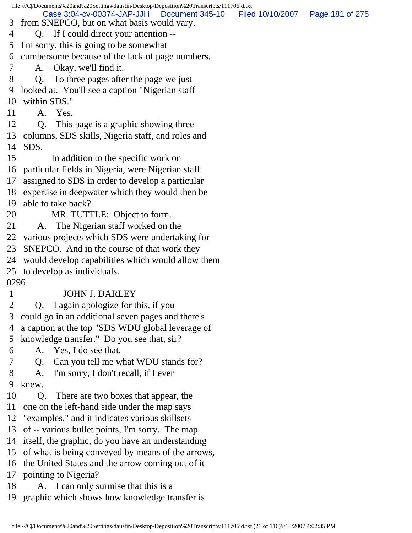|      | file:///C /Documents%20and%20Settings/daustin/Desktop/Deposition%20Transcripts/111706jd.txt                    |                 |
|------|----------------------------------------------------------------------------------------------------------------|-----------------|
| 3    | Case 3:04-cv-00374-JAP-JJH   Document 345-10<br>Filed 10/10/2007<br>from SNEPCO, but on what basis would vary. | Page 181 of 275 |
| 4    | Q. If I could direct your attention --                                                                         |                 |
| 5    | I'm sorry, this is going to be somewhat                                                                        |                 |
| 6    | cumbersome because of the lack of page numbers.                                                                |                 |
| 7    | A. Okay, we'll find it.                                                                                        |                 |
| 8    | Q. To three pages after the page we just                                                                       |                 |
| 9    | looked at. You'll see a caption "Nigerian staff                                                                |                 |
| 10   | within SDS."                                                                                                   |                 |
| 11   | A. Yes.                                                                                                        |                 |
| 12   | This page is a graphic showing three<br>Q.                                                                     |                 |
| 13   | columns, SDS skills, Nigeria staff, and roles and                                                              |                 |
| 14   | SDS.                                                                                                           |                 |
| 15   | In addition to the specific work on                                                                            |                 |
| 16   | particular fields in Nigeria, were Nigerian staff                                                              |                 |
| 17   | assigned to SDS in order to develop a particular                                                               |                 |
| 18   | expertise in deepwater which they would then be                                                                |                 |
| 19   | able to take back?                                                                                             |                 |
| 20   | MR. TUTTLE: Object to form.                                                                                    |                 |
| 21   | A. The Nigerian staff worked on the                                                                            |                 |
| 22   | various projects which SDS were undertaking for                                                                |                 |
| 23   | SNEPCO. And in the course of that work they                                                                    |                 |
| 24   | would develop capabilities which would allow them                                                              |                 |
| 25   | to develop as individuals.                                                                                     |                 |
| 0296 |                                                                                                                |                 |
|      | <b>JOHN J. DARLEY</b>                                                                                          |                 |
| 2    | Q. I again apologize for this, if you                                                                          |                 |
| 3    | could go in an additional seven pages and there's                                                              |                 |
| 4    | a caption at the top "SDS WDU global leverage of                                                               |                 |
| 5    | knowledge transfer." Do you see that, sir?                                                                     |                 |
| 6    | A. Yes, I do see that.                                                                                         |                 |
| 7    | Can you tell me what WDU stands for?<br>Q.                                                                     |                 |
| 8    | I'm sorry, I don't recall, if I ever<br>A.                                                                     |                 |
| 9    | knew.                                                                                                          |                 |
| 10   | Q <sub>r</sub><br>There are two boxes that appear, the                                                         |                 |
| 11   | one on the left-hand side under the map says                                                                   |                 |
| 12   | "examples," and it indicates various skillsets                                                                 |                 |
| 13   | of -- various bullet points, I'm sorry. The map                                                                |                 |
| 14   | itself, the graphic, do you have an understanding                                                              |                 |
| 15   | of what is being conveyed by means of the arrows,                                                              |                 |
|      | 16 the United States and the arrow coming out of it                                                            |                 |

17 pointing to Nigeria?

- 18 A. I can only surmise that this is a
- 19 graphic which shows how knowledge transfer is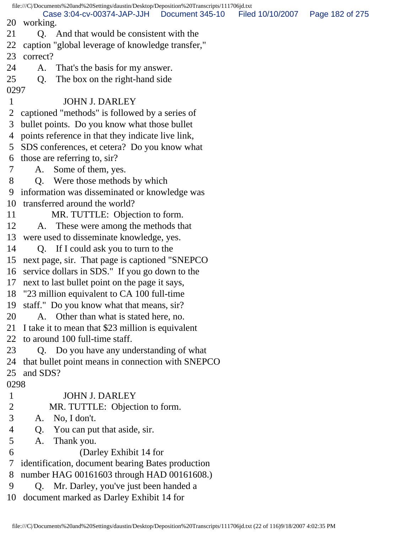file:///C|/Documents%20and%20Settings/daustin/Desktop/Deposition%20Transcripts/111706jd.txt 20 working. 21 Q. And that would be consistent with the 22 caption "global leverage of knowledge transfer," 23 correct? 24 A. That's the basis for my answer. 25 Q. The box on the right-hand side 0297 1 JOHN J. DARLEY 2 captioned "methods" is followed by a series of 3 bullet points. Do you know what those bullet 4 points reference in that they indicate live link, 5 SDS conferences, et cetera? Do you know what 6 those are referring to, sir? 7 A. Some of them, yes. 8 Q. Were those methods by which 9 information was disseminated or knowledge was 10 transferred around the world? 11 MR. TUTTLE: Objection to form. 12 A. These were among the methods that 13 were used to disseminate knowledge, yes. 14 Q. If I could ask you to turn to the 15 next page, sir. That page is captioned "SNEPCO 16 service dollars in SDS." If you go down to the 17 next to last bullet point on the page it says, 18 "23 million equivalent to CA 100 full-time 19 staff." Do you know what that means, sir? 20 A. Other than what is stated here, no. 21 I take it to mean that \$23 million is equivalent 22 to around 100 full-time staff. 23 Q. Do you have any understanding of what 24 that bullet point means in connection with SNEPCO 25 and SDS? 0298 1 JOHN J. DARLEY 2 MR. TUTTLE: Objection to form. 3 A. No, I don't. 4 Q. You can put that aside, sir. 5 A. Thank you. 6 (Darley Exhibit 14 for 7 identification, document bearing Bates production 8 number HAG 00161603 through HAD 00161608.) 9 Q. Mr. Darley, you've just been handed a 10 document marked as Darley Exhibit 14 for Case 3:04-cv-00374-JAP-JJH Document 345-10 Filed 10/10/2007 Page 182 of 275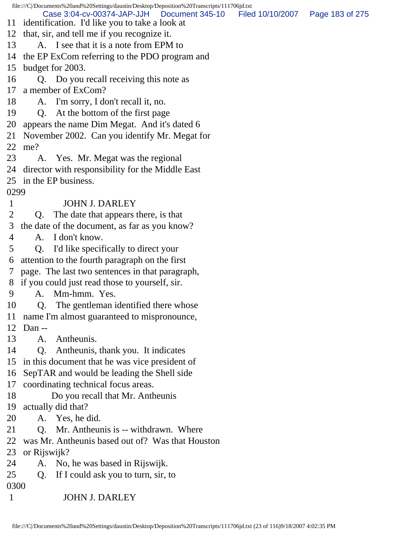file:///C|/Documents%20and%20Settings/daustin/Desktop/Deposition%20Transcripts/111706jd.txt 11 identification. I'd like you to take a look at 12 that, sir, and tell me if you recognize it. 13 A. I see that it is a note from EPM to 14 the EP ExCom referring to the PDO program and 15 budget for 2003. 16 Q. Do you recall receiving this note as 17 a member of ExCom? 18 A. I'm sorry, I don't recall it, no. 19 Q. At the bottom of the first page 20 appears the name Dim Megat. And it's dated 6 21 November 2002. Can you identify Mr. Megat for 22 me? 23 A. Yes. Mr. Megat was the regional 24 director with responsibility for the Middle East 25 in the EP business. 0299 1 JOHN J. DARLEY 2 Q. The date that appears there, is that 3 the date of the document, as far as you know? 4 A. I don't know. 5 Q. I'd like specifically to direct your 6 attention to the fourth paragraph on the first 7 page. The last two sentences in that paragraph, 8 if you could just read those to yourself, sir. 9 A. Mm-hmm. Yes. 10 Q. The gentleman identified there whose 11 name I'm almost guaranteed to mispronounce, 12 Dan -- 13 A. Antheunis. 14 Q. Antheunis, thank you. It indicates 15 in this document that he was vice president of 16 SepTAR and would be leading the Shell side 17 coordinating technical focus areas. 18 Do you recall that Mr. Antheunis 19 actually did that? 20 A. Yes, he did. 21 Q. Mr. Antheunis is -- withdrawn. Where 22 was Mr. Antheunis based out of? Was that Houston 23 or Rijswijk? 24 A. No, he was based in Rijswijk. 25 Q. If I could ask you to turn, sir, to 0300 1 JOHN J. DARLEY Case 3:04-cv-00374-JAP-JJH Document 345-10 Filed 10/10/2007 Page 183 of 275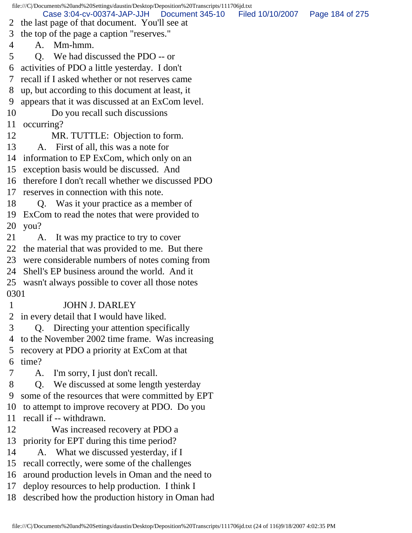file:///C|/Documents%20and%20Settings/daustin/Desktop/Deposition%20Transcripts/111706jd.txt 2 the last page of that document. You'll see at 3 the top of the page a caption "reserves." 4 A. Mm-hmm. 5 Q. We had discussed the PDO -- or 6 activities of PDO a little yesterday. I don't 7 recall if I asked whether or not reserves came 8 up, but according to this document at least, it 9 appears that it was discussed at an ExCom level. 10 Do you recall such discussions 11 occurring? 12 MR. TUTTLE: Objection to form. 13 A. First of all, this was a note for 14 information to EP ExCom, which only on an 15 exception basis would be discussed. And 16 therefore I don't recall whether we discussed PDO 17 reserves in connection with this note. 18 Q. Was it your practice as a member of 19 ExCom to read the notes that were provided to 20 you? 21 A. It was my practice to try to cover 22 the material that was provided to me. But there 23 were considerable numbers of notes coming from 24 Shell's EP business around the world. And it 25 wasn't always possible to cover all those notes 0301 1 JOHN J. DARLEY 2 in every detail that I would have liked. 3 Q. Directing your attention specifically 4 to the November 2002 time frame. Was increasing 5 recovery at PDO a priority at ExCom at that 6 time? 7 A. I'm sorry, I just don't recall. 8 Q. We discussed at some length yesterday 9 some of the resources that were committed by EPT 10 to attempt to improve recovery at PDO. Do you 11 recall if -- withdrawn. 12 Was increased recovery at PDO a 13 priority for EPT during this time period? 14 A. What we discussed yesterday, if I 15 recall correctly, were some of the challenges 16 around production levels in Oman and the need to 17 deploy resources to help production. I think I 18 described how the production history in Oman had Case 3:04-cv-00374-JAP-JJH Document 345-10 Filed 10/10/2007 Page 184 of 275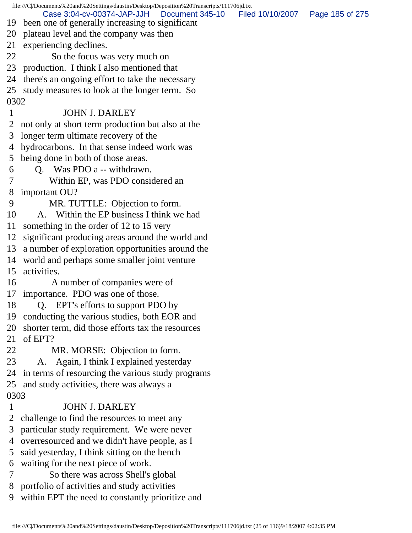|            | file:///C//Documents%20and%20Settings/daustin/Desktop/Deposition%20Transcripts/111706jd.txt         |                  |                 |
|------------|-----------------------------------------------------------------------------------------------------|------------------|-----------------|
|            | Case 3:04-cv-00374-JAP-JJH<br>Document 345-10<br>19 been one of generally increasing to significant | Filed 10/10/2007 | Page 185 of 275 |
| 20         | plateau level and the company was then                                                              |                  |                 |
| 21         | experiencing declines.                                                                              |                  |                 |
| 22         | So the focus was very much on                                                                       |                  |                 |
| 23         | production. I think I also mentioned that                                                           |                  |                 |
| 24         |                                                                                                     |                  |                 |
|            | there's an ongoing effort to take the necessary                                                     |                  |                 |
| 25<br>0302 | study measures to look at the longer term. So                                                       |                  |                 |
|            | <b>JOHN J. DARLEY</b>                                                                               |                  |                 |
|            |                                                                                                     |                  |                 |
| 2<br>3     | not only at short term production but also at the                                                   |                  |                 |
|            | longer term ultimate recovery of the                                                                |                  |                 |
| 4          | hydrocarbons. In that sense indeed work was                                                         |                  |                 |
| 5          | being done in both of those areas.                                                                  |                  |                 |
| 6          | Q. Was PDO a -- withdrawn.                                                                          |                  |                 |
|            | Within EP, was PDO considered an                                                                    |                  |                 |
| 8<br>9     | important OU?                                                                                       |                  |                 |
| 10         | MR. TUTTLE: Objection to form.<br>A. Within the EP business I think we had                          |                  |                 |
| 11         |                                                                                                     |                  |                 |
|            | something in the order of 12 to 15 very                                                             |                  |                 |
| 12         | significant producing areas around the world and                                                    |                  |                 |
| 13         | a number of exploration opportunities around the                                                    |                  |                 |
| 14<br>15   | world and perhaps some smaller joint venture<br>activities.                                         |                  |                 |
| 16         |                                                                                                     |                  |                 |
| 17         | A number of companies were of                                                                       |                  |                 |
| 18         | importance. PDO was one of those.                                                                   |                  |                 |
| 19         | Q. EPT's efforts to support PDO by<br>conducting the various studies, both EOR and                  |                  |                 |
| 20         |                                                                                                     |                  |                 |
| 21         | shorter term, did those efforts tax the resources<br>of EPT?                                        |                  |                 |
| 22         | MR. MORSE: Objection to form.                                                                       |                  |                 |
| 23         | Again, I think I explained yesterday<br>A.                                                          |                  |                 |
| 24         | in terms of resourcing the various study programs                                                   |                  |                 |
| 25         | and study activities, there was always a                                                            |                  |                 |
| 0303       |                                                                                                     |                  |                 |
| 1          | <b>JOHN J. DARLEY</b>                                                                               |                  |                 |
| 2          | challenge to find the resources to meet any                                                         |                  |                 |
| 3          | particular study requirement. We were never                                                         |                  |                 |
| 4          | overresourced and we didn't have people, as I                                                       |                  |                 |
| 5          | said yesterday, I think sitting on the bench                                                        |                  |                 |
| 6          | waiting for the next piece of work.                                                                 |                  |                 |
|            | So there was across Shell's global                                                                  |                  |                 |
| 8          | portfolio of activities and study activities                                                        |                  |                 |
| 9          | within EPT the need to constantly prioritize and                                                    |                  |                 |
|            |                                                                                                     |                  |                 |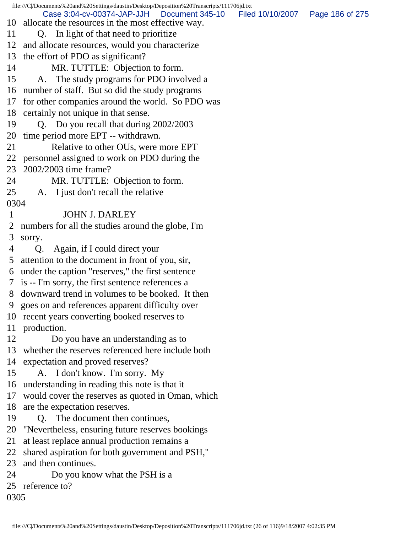file:///C|/Documents%20and%20Settings/daustin/Desktop/Deposition%20Transcripts/111706jd.txt 10 allocate the resources in the most effective way. 11 Q. In light of that need to prioritize 12 and allocate resources, would you characterize 13 the effort of PDO as significant? 14 MR. TUTTLE: Objection to form. 15 A. The study programs for PDO involved a 16 number of staff. But so did the study programs 17 for other companies around the world. So PDO was 18 certainly not unique in that sense. 19 Q. Do you recall that during 2002/2003 20 time period more EPT -- withdrawn. 21 Relative to other OUs, were more EPT 22 personnel assigned to work on PDO during the 23 2002/2003 time frame? 24 MR. TUTTLE: Objection to form. 25 A. I just don't recall the relative 0304 1 JOHN J. DARLEY 2 numbers for all the studies around the globe, I'm 3 sorry. 4 Q. Again, if I could direct your 5 attention to the document in front of you, sir, 6 under the caption "reserves," the first sentence 7 is -- I'm sorry, the first sentence references a 8 downward trend in volumes to be booked. It then 9 goes on and references apparent difficulty over 10 recent years converting booked reserves to 11 production. 12 Do you have an understanding as to 13 whether the reserves referenced here include both 14 expectation and proved reserves? 15 A. I don't know. I'm sorry. My 16 understanding in reading this note is that it 17 would cover the reserves as quoted in Oman, which 18 are the expectation reserves. 19 Q. The document then continues, 20 "Nevertheless, ensuring future reserves bookings 21 at least replace annual production remains a 22 shared aspiration for both government and PSH," 23 and then continues. 24 Do you know what the PSH is a 25 reference to? 0305 Case 3:04-cv-00374-JAP-JJH Document 345-10 Filed 10/10/2007 Page 186 of 275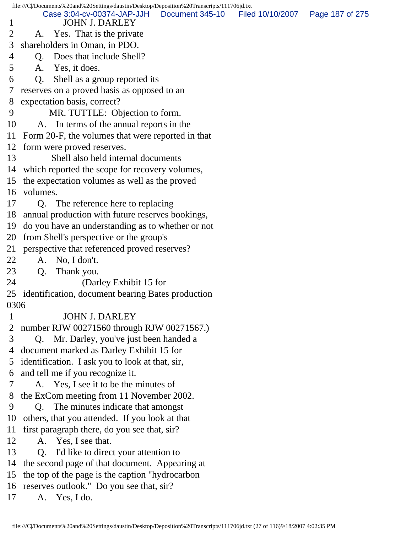file:///C|/Documents%20and%20Settings/daustin/Desktop/Deposition%20Transcripts/111706jd.txt 1 JOHN J. DARLEY 2 A. Yes. That is the private 3 shareholders in Oman, in PDO. 4 Q. Does that include Shell? 5 A. Yes, it does. 6 Q. Shell as a group reported its 7 reserves on a proved basis as opposed to an 8 expectation basis, correct? 9 MR. TUTTLE: Objection to form. 10 A. In terms of the annual reports in the 11 Form 20-F, the volumes that were reported in that 12 form were proved reserves. 13 Shell also held internal documents 14 which reported the scope for recovery volumes, 15 the expectation volumes as well as the proved 16 volumes. 17 Q. The reference here to replacing 18 annual production with future reserves bookings, 19 do you have an understanding as to whether or not 20 from Shell's perspective or the group's 21 perspective that referenced proved reserves? 22 A. No, I don't. 23 Q. Thank you. 24 (Darley Exhibit 15 for 25 identification, document bearing Bates production 0306 1 JOHN J. DARLEY 2 number RJW 00271560 through RJW 00271567.) 3 Q. Mr. Darley, you've just been handed a 4 document marked as Darley Exhibit 15 for 5 identification. I ask you to look at that, sir, 6 and tell me if you recognize it. 7 A. Yes, I see it to be the minutes of 8 the ExCom meeting from 11 November 2002. 9 Q. The minutes indicate that amongst 10 others, that you attended. If you look at that 11 first paragraph there, do you see that, sir? 12 A. Yes, I see that. 13 Q. I'd like to direct your attention to 14 the second page of that document. Appearing at 15 the top of the page is the caption "hydrocarbon 16 reserves outlook." Do you see that, sir? 17 A. Yes, I do. Case 3:04-cv-00374-JAP-JJH Document 345-10 Filed 10/10/2007 Page 187 of 275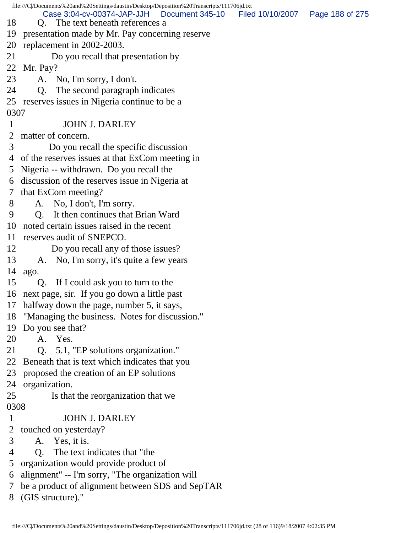file:///C|/Documents%20and%20Settings/daustin/Desktop/Deposition%20Transcripts/111706jd.txt 18 Q. The text beneath references a 19 presentation made by Mr. Pay concerning reserve 20 replacement in 2002-2003. 21 Do you recall that presentation by 22 Mr. Pay? 23 A. No, I'm sorry, I don't. 24 Q. The second paragraph indicates 25 reserves issues in Nigeria continue to be a 0307 1 JOHN J. DARLEY 2 matter of concern. 3 Do you recall the specific discussion 4 of the reserves issues at that ExCom meeting in 5 Nigeria -- withdrawn. Do you recall the 6 discussion of the reserves issue in Nigeria at 7 that ExCom meeting? 8 A. No, I don't, I'm sorry. 9 Q. It then continues that Brian Ward 10 noted certain issues raised in the recent 11 reserves audit of SNEPCO. 12 Do you recall any of those issues? 13 A. No, I'm sorry, it's quite a few years 14 ago. 15 Q. If I could ask you to turn to the 16 next page, sir. If you go down a little past 17 halfway down the page, number 5, it says, 18 "Managing the business. Notes for discussion." 19 Do you see that? 20 A. Yes. 21 Q. 5.1, "EP solutions organization." 22 Beneath that is text which indicates that you 23 proposed the creation of an EP solutions 24 organization. 25 Is that the reorganization that we 0308 1 JOHN J. DARLEY 2 touched on yesterday? 3 A. Yes, it is. 4 Q. The text indicates that "the 5 organization would provide product of 6 alignment" -- I'm sorry, "The organization will 7 be a product of alignment between SDS and SepTAR 8 (GIS structure)." Case 3:04-cv-00374-JAP-JJH Document 345-10 Filed 10/10/2007 Page 188 of 275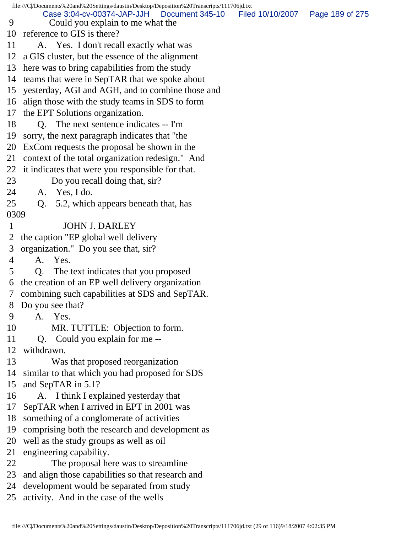|                 | file:///C /Documents%20and%20Settings/daustin/Desktop/Deposition%20Transcripts/111706jd.txt |                  |                 |
|-----------------|---------------------------------------------------------------------------------------------|------------------|-----------------|
| 9               | Case 3:04-cv-00374-JAP-JJH<br>Document 345-10<br>Could you explain to me what the           | Filed 10/10/2007 | Page 189 of 275 |
|                 | 10 reference to GIS is there?                                                               |                  |                 |
| 11              | A. Yes. I don't recall exactly what was                                                     |                  |                 |
| 12              | a GIS cluster, but the essence of the alignment                                             |                  |                 |
|                 | 13 here was to bring capabilities from the study                                            |                  |                 |
|                 | 14 teams that were in SepTAR that we spoke about                                            |                  |                 |
|                 | 15 yesterday, AGI and AGH, and to combine those and                                         |                  |                 |
|                 | 16 align those with the study teams in SDS to form                                          |                  |                 |
|                 | 17 the EPT Solutions organization.                                                          |                  |                 |
| 18              | Q. The next sentence indicates -- I'm                                                       |                  |                 |
| 19              | sorry, the next paragraph indicates that "the                                               |                  |                 |
|                 | 20 ExCom requests the proposal be shown in the                                              |                  |                 |
| 21              | context of the total organization redesign." And                                            |                  |                 |
|                 | 22 it indicates that were you responsible for that.                                         |                  |                 |
| 23              | Do you recall doing that, sir?                                                              |                  |                 |
| 24              | A. Yes, I do.                                                                               |                  |                 |
| 25              | 5.2, which appears beneath that, has<br>Q.                                                  |                  |                 |
| 0309            |                                                                                             |                  |                 |
| $\mathbf{1}$    | <b>JOHN J. DARLEY</b>                                                                       |                  |                 |
| $\overline{2}$  | the caption "EP global well delivery"                                                       |                  |                 |
| 3               | organization." Do you see that, sir?                                                        |                  |                 |
| 4               | A. Yes.                                                                                     |                  |                 |
| 5               | The text indicates that you proposed<br>Q.                                                  |                  |                 |
| 6               | the creation of an EP well delivery organization                                            |                  |                 |
| $7\overline{ }$ | combining such capabilities at SDS and SepTAR.                                              |                  |                 |
| 8               | Do you see that?                                                                            |                  |                 |
| 9               | A. Yes.                                                                                     |                  |                 |
| 10              | MR. TUTTLE: Objection to form.                                                              |                  |                 |
| 11              | Q. Could you explain for me --                                                              |                  |                 |
| 12              | withdrawn.                                                                                  |                  |                 |
| 13              | Was that proposed reorganization                                                            |                  |                 |
| 14              | similar to that which you had proposed for SDS                                              |                  |                 |
| 15              | and SepTAR in 5.1?                                                                          |                  |                 |
| 16              | A. I think I explained yesterday that                                                       |                  |                 |
| 17              | SepTAR when I arrived in EPT in 2001 was                                                    |                  |                 |
| 18              | something of a conglomerate of activities                                                   |                  |                 |
| 19              | comprising both the research and development as                                             |                  |                 |
| 20              | well as the study groups as well as oil                                                     |                  |                 |
| 21              | engineering capability.                                                                     |                  |                 |
| 22              | The proposal here was to streamline                                                         |                  |                 |
| 23              | and align those capabilities so that research and                                           |                  |                 |
| 24              | development would be separated from study                                                   |                  |                 |
|                 | 25 activity. And in the case of the wells                                                   |                  |                 |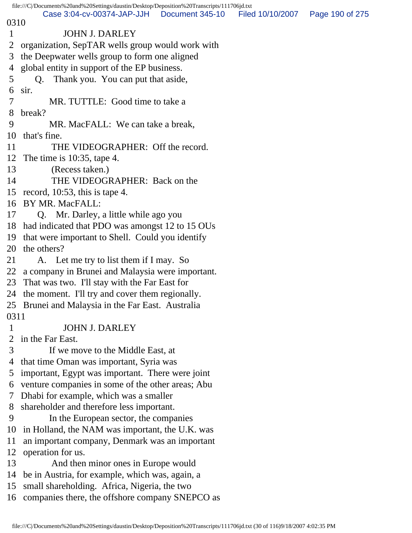file:///C|/Documents%20and%20Settings/daustin/Desktop/Deposition%20Transcripts/111706jd.txt 0310 1 JOHN J. DARLEY 2 organization, SepTAR wells group would work with 3 the Deepwater wells group to form one aligned 4 global entity in support of the EP business. 5 Q. Thank you. You can put that aside, 6 sir. 7 MR. TUTTLE: Good time to take a 8 break? 9 MR. MacFALL: We can take a break, 10 that's fine. 11 THE VIDEOGRAPHER: Off the record. 12 The time is 10:35, tape 4. 13 (Recess taken.) 14 THE VIDEOGRAPHER: Back on the 15 record, 10:53, this is tape 4. 16 BY MR. MacFALL: 17 Q. Mr. Darley, a little while ago you 18 had indicated that PDO was amongst 12 to 15 OUs 19 that were important to Shell. Could you identify 20 the others? 21 A. Let me try to list them if I may. So 22 a company in Brunei and Malaysia were important. 23 That was two. I'll stay with the Far East for 24 the moment. I'll try and cover them regionally. 25 Brunei and Malaysia in the Far East. Australia 0311 1 JOHN J. DARLEY 2 in the Far East. 3 If we move to the Middle East, at 4 that time Oman was important, Syria was 5 important, Egypt was important. There were joint 6 venture companies in some of the other areas; Abu 7 Dhabi for example, which was a smaller 8 shareholder and therefore less important. 9 In the European sector, the companies 10 in Holland, the NAM was important, the U.K. was 11 an important company, Denmark was an important 12 operation for us. 13 And then minor ones in Europe would 14 be in Austria, for example, which was, again, a 15 small shareholding. Africa, Nigeria, the two 16 companies there, the offshore company SNEPCO as Case 3:04-cv-00374-JAP-JJH Document 345-10 Filed 10/10/2007 Page 190 of 275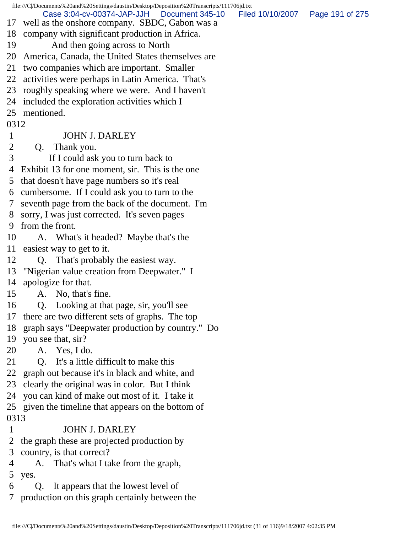file:///C|/Documents%20and%20Settings/daustin/Desktop/Deposition%20Transcripts/111706jd.txt 17 well as the onshore company. SBDC, Gabon was a 18 company with significant production in Africa. 19 And then going across to North 20 America, Canada, the United States themselves are 21 two companies which are important. Smaller 22 activities were perhaps in Latin America. That's 23 roughly speaking where we were. And I haven't 24 included the exploration activities which I 25 mentioned. 0312 1 JOHN J. DARLEY 2 Q. Thank you. 3 If I could ask you to turn back to 4 Exhibit 13 for one moment, sir. This is the one 5 that doesn't have page numbers so it's real 6 cumbersome. If I could ask you to turn to the 7 seventh page from the back of the document. I'm 8 sorry, I was just corrected. It's seven pages 9 from the front. 10 A. What's it headed? Maybe that's the 11 easiest way to get to it. 12 Q. That's probably the easiest way. 13 "Nigerian value creation from Deepwater." I 14 apologize for that. 15 A. No, that's fine. 16 Q. Looking at that page, sir, you'll see 17 there are two different sets of graphs. The top 18 graph says "Deepwater production by country." Do 19 you see that, sir? 20 A. Yes, I do. 21 Q. It's a little difficult to make this 22 graph out because it's in black and white, and 23 clearly the original was in color. But I think 24 you can kind of make out most of it. I take it 25 given the timeline that appears on the bottom of 0313 1 JOHN J. DARLEY 2 the graph these are projected production by 3 country, is that correct? 4 A. That's what I take from the graph, 5 yes. 6 Q. It appears that the lowest level of 7 production on this graph certainly between the Case 3:04-cv-00374-JAP-JJH Document 345-10 Filed 10/10/2007 Page 191 of 275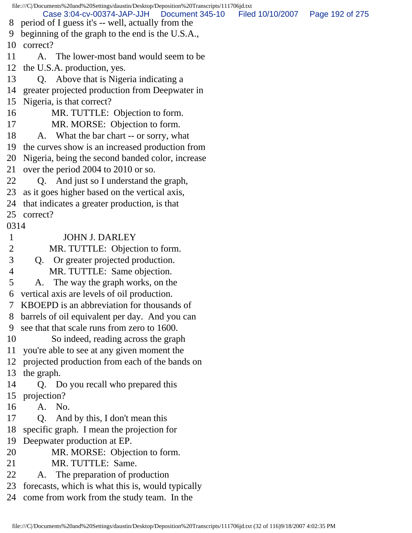file:///C|/Documents%20and%20Settings/daustin/Desktop/Deposition%20Transcripts/111706jd.txt 8 period of I guess it's -- well, actually from the 9 beginning of the graph to the end is the U.S.A., 10 correct? 11 A. The lower-most band would seem to be 12 the U.S.A. production, yes. 13 Q. Above that is Nigeria indicating a 14 greater projected production from Deepwater in 15 Nigeria, is that correct? 16 MR. TUTTLE: Objection to form. 17 MR. MORSE: Objection to form. 18 A. What the bar chart -- or sorry, what 19 the curves show is an increased production from 20 Nigeria, being the second banded color, increase 21 over the period 2004 to 2010 or so. 22 Q. And just so I understand the graph, 23 as it goes higher based on the vertical axis, 24 that indicates a greater production, is that 25 correct? 0314 1 JOHN J. DARLEY 2 MR. TUTTLE: Objection to form. 3 Q. Or greater projected production. 4 MR. TUTTLE: Same objection. 5 A. The way the graph works, on the 6 vertical axis are levels of oil production. 7 KBOEPD is an abbreviation for thousands of 8 barrels of oil equivalent per day. And you can 9 see that that scale runs from zero to 1600. 10 So indeed, reading across the graph 11 you're able to see at any given moment the 12 projected production from each of the bands on 13 the graph. 14 Q. Do you recall who prepared this 15 projection? 16 A. No. 17 Q. And by this, I don't mean this 18 specific graph. I mean the projection for 19 Deepwater production at EP. 20 MR. MORSE: Objection to form. 21 MR. TUTTLE: Same. 22 A. The preparation of production 23 forecasts, which is what this is, would typically 24 come from work from the study team. In the Case 3:04-cv-00374-JAP-JJH Document 345-10 Filed 10/10/2007 Page 192 of 275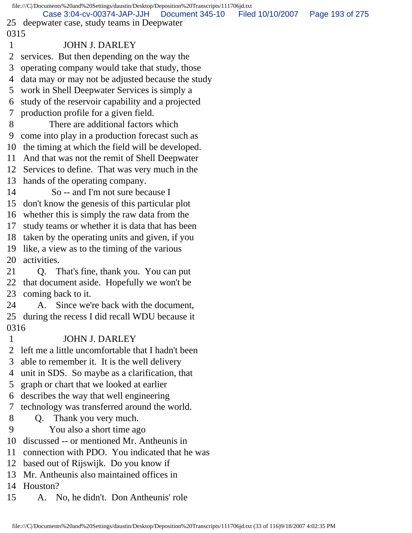|              | file:///C//Documents%20and%20Settings/daustin/Desktop/Deposition%20Transcripts/111706jd.txt |                  |                 |
|--------------|---------------------------------------------------------------------------------------------|------------------|-----------------|
|              | Case 3:04-cv-00374-JAP-JJH   Document 345-10<br>25 deepwater case, study teams in Deepwater | Filed 10/10/2007 | Page 193 of 275 |
| 0315         |                                                                                             |                  |                 |
| $\mathbf{1}$ | <b>JOHN J. DARLEY</b>                                                                       |                  |                 |
| 2            | services. But then depending on the way the                                                 |                  |                 |
| 3            | operating company would take that study, those                                              |                  |                 |
| 4            | data may or may not be adjusted because the study                                           |                  |                 |
| 5            | work in Shell Deepwater Services is simply a                                                |                  |                 |
| 6            | study of the reservoir capability and a projected                                           |                  |                 |
| 7            | production profile for a given field.                                                       |                  |                 |
| 8            | There are additional factors which                                                          |                  |                 |
| 9            | come into play in a production forecast such as                                             |                  |                 |
| 10           | the timing at which the field will be developed.                                            |                  |                 |
| 11           | And that was not the remit of Shell Deepwater                                               |                  |                 |
| 12           | Services to define. That was very much in the                                               |                  |                 |
| 13           | hands of the operating company.                                                             |                  |                 |
| 14           | So -- and I'm not sure because I                                                            |                  |                 |
| 15           | don't know the genesis of this particular plot                                              |                  |                 |
| 16           | whether this is simply the raw data from the                                                |                  |                 |
| 17           | study teams or whether it is data that has been                                             |                  |                 |
| 18           | taken by the operating units and given, if you                                              |                  |                 |
| 19           | like, a view as to the timing of the various                                                |                  |                 |
| 20           | activities.                                                                                 |                  |                 |
| 21           | Q. That's fine, thank you. You can put                                                      |                  |                 |
| 22           | that document aside. Hopefully we won't be                                                  |                  |                 |
|              | 23 coming back to it.                                                                       |                  |                 |
| 24           | A. Since we're back with the document,                                                      |                  |                 |
|              | 25 during the recess I did recall WDU because it                                            |                  |                 |
| 0316         |                                                                                             |                  |                 |
| 1            | <b>JOHN J. DARLEY</b>                                                                       |                  |                 |
| 2            | left me a little uncomfortable that I hadn't been                                           |                  |                 |
| 3            | able to remember it. It is the well delivery                                                |                  |                 |
| 4            | unit in SDS. So maybe as a clarification, that                                              |                  |                 |
| 5            | graph or chart that we looked at earlier                                                    |                  |                 |
| 6            | describes the way that well engineering                                                     |                  |                 |
| 7            | technology was transferred around the world.                                                |                  |                 |
| 8            | Q. Thank you very much.                                                                     |                  |                 |
| 9            | You also a short time ago                                                                   |                  |                 |
| 10           | discussed -- or mentioned Mr. Antheunis in                                                  |                  |                 |
| 11           | connection with PDO. You indicated that he was                                              |                  |                 |
| 12           | based out of Rijswijk. Do you know if                                                       |                  |                 |
| 13           | Mr. Antheunis also maintained offices in                                                    |                  |                 |
|              | 14 Houston?                                                                                 |                  |                 |

15 A. No, he didn't. Don Antheunis' role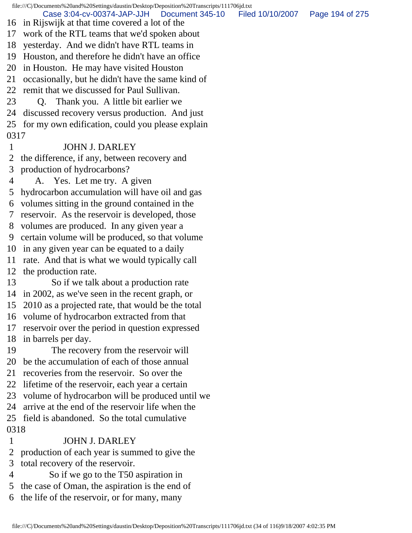file:///C|/Documents%20and%20Settings/daustin/Desktop/Deposition%20Transcripts/111706jd.txt 16 in Rijswijk at that time covered a lot of the 17 work of the RTL teams that we'd spoken about 18 yesterday. And we didn't have RTL teams in 19 Houston, and therefore he didn't have an office 20 in Houston. He may have visited Houston 21 occasionally, but he didn't have the same kind of 22 remit that we discussed for Paul Sullivan. 23 Q. Thank you. A little bit earlier we 24 discussed recovery versus production. And just 25 for my own edification, could you please explain 0317 1 JOHN J. DARLEY 2 the difference, if any, between recovery and 3 production of hydrocarbons? 4 A. Yes. Let me try. A given 5 hydrocarbon accumulation will have oil and gas 6 volumes sitting in the ground contained in the 7 reservoir. As the reservoir is developed, those 8 volumes are produced. In any given year a 9 certain volume will be produced, so that volume 10 in any given year can be equated to a daily 11 rate. And that is what we would typically call 12 the production rate. 13 So if we talk about a production rate 14 in 2002, as we've seen in the recent graph, or 15 2010 as a projected rate, that would be the total 16 volume of hydrocarbon extracted from that 17 reservoir over the period in question expressed 18 in barrels per day. 19 The recovery from the reservoir will 20 be the accumulation of each of those annual 21 recoveries from the reservoir. So over the 22 lifetime of the reservoir, each year a certain 23 volume of hydrocarbon will be produced until we 24 arrive at the end of the reservoir life when the 25 field is abandoned. So the total cumulative 0318 1 JOHN J. DARLEY 2 production of each year is summed to give the 3 total recovery of the reservoir. 4 So if we go to the T50 aspiration in Case 3:04-cv-00374-JAP-JJH Document 345-10 Filed 10/10/2007 Page 194 of 275

 5 the case of Oman, the aspiration is the end of 6 the life of the reservoir, or for many, many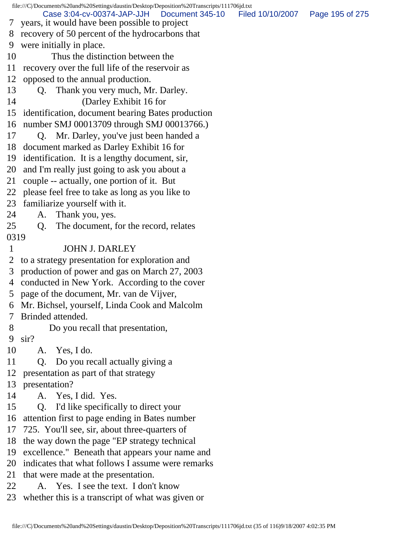file:///C|/Documents%20and%20Settings/daustin/Desktop/Deposition%20Transcripts/111706jd.txt 7 years, it would have been possible to project 8 recovery of 50 percent of the hydrocarbons that 9 were initially in place. 10 Thus the distinction between the 11 recovery over the full life of the reservoir as 12 opposed to the annual production. 13 Q. Thank you very much, Mr. Darley. 14 (Darley Exhibit 16 for 15 identification, document bearing Bates production 16 number SMJ 00013709 through SMJ 00013766.) 17 Q. Mr. Darley, you've just been handed a 18 document marked as Darley Exhibit 16 for 19 identification. It is a lengthy document, sir, 20 and I'm really just going to ask you about a 21 couple -- actually, one portion of it. But 22 please feel free to take as long as you like to 23 familiarize yourself with it. 24 A. Thank you, yes. 25 Q. The document, for the record, relates 0319 1 JOHN J. DARLEY 2 to a strategy presentation for exploration and 3 production of power and gas on March 27, 2003 4 conducted in New York. According to the cover 5 page of the document, Mr. van de Vijver, 6 Mr. Bichsel, yourself, Linda Cook and Malcolm 7 Brinded attended. 8 Do you recall that presentation, 9 sir? 10 A. Yes, I do. 11 Q. Do you recall actually giving a 12 presentation as part of that strategy 13 presentation? 14 A. Yes, I did. Yes. 15 Q. I'd like specifically to direct your 16 attention first to page ending in Bates number 17 725. You'll see, sir, about three-quarters of 18 the way down the page "EP strategy technical 19 excellence." Beneath that appears your name and 20 indicates that what follows I assume were remarks 21 that were made at the presentation. 22 A. Yes. I see the text. I don't know 23 whether this is a transcript of what was given or Case 3:04-cv-00374-JAP-JJH Document 345-10 Filed 10/10/2007 Page 195 of 275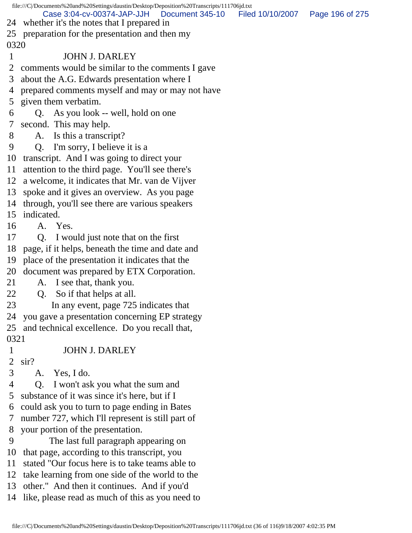file:///C|/Documents%20and%20Settings/daustin/Desktop/Deposition%20Transcripts/111706jd.txt 24 whether it's the notes that I prepared in 25 preparation for the presentation and then my 0320 1 JOHN J. DARLEY 2 comments would be similar to the comments I gave 3 about the A.G. Edwards presentation where I 4 prepared comments myself and may or may not have 5 given them verbatim. 6 Q. As you look -- well, hold on one 7 second. This may help. 8 A. Is this a transcript? 9 Q. I'm sorry, I believe it is a 10 transcript. And I was going to direct your 11 attention to the third page. You'll see there's 12 a welcome, it indicates that Mr. van de Vijver 13 spoke and it gives an overview. As you page 14 through, you'll see there are various speakers 15 indicated. 16 A. Yes. 17 Q. I would just note that on the first 18 page, if it helps, beneath the time and date and 19 place of the presentation it indicates that the 20 document was prepared by ETX Corporation. 21 A. I see that, thank you. 22 Q. So if that helps at all. 23 In any event, page 725 indicates that 24 you gave a presentation concerning EP strategy 25 and technical excellence. Do you recall that, 0321 1 JOHN J. DARLEY 2 sir? 3 A. Yes, I do. 4 Q. I won't ask you what the sum and 5 substance of it was since it's here, but if I 6 could ask you to turn to page ending in Bates 7 number 727, which I'll represent is still part of 8 your portion of the presentation. 9 The last full paragraph appearing on 10 that page, according to this transcript, you 11 stated "Our focus here is to take teams able to 12 take learning from one side of the world to the 13 other." And then it continues. And if you'd 14 like, please read as much of this as you need to Case 3:04-cv-00374-JAP-JJH Document 345-10 Filed 10/10/2007 Page 196 of 275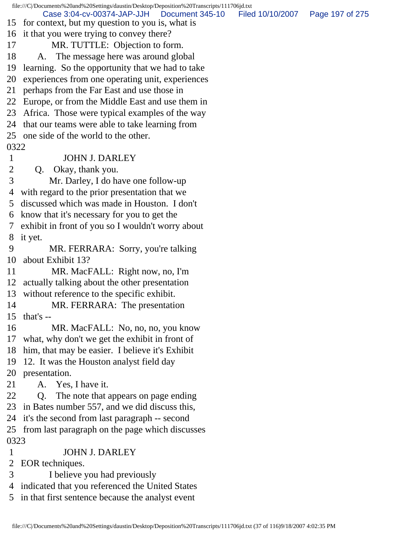|             | file:///C//Documents%20and%20Settings/daustin/Desktop/Deposition%20Transcripts/111706jd.txt         |                  |                 |
|-------------|-----------------------------------------------------------------------------------------------------|------------------|-----------------|
|             | Case 3:04-cv-00374-JAP-JJH<br>Document 345-10<br>15 for context, but my question to you is, what is | Filed 10/10/2007 | Page 197 of 275 |
|             | 16 it that you were trying to convey there?                                                         |                  |                 |
| 17          | MR. TUTTLE: Objection to form.                                                                      |                  |                 |
| 18          | A. The message here was around global                                                               |                  |                 |
| 19          | learning. So the opportunity that we had to take                                                    |                  |                 |
| 20          | experiences from one operating unit, experiences                                                    |                  |                 |
| 21          | perhaps from the Far East and use those in                                                          |                  |                 |
|             | 22 Europe, or from the Middle East and use them in                                                  |                  |                 |
|             | 23 Africa. Those were typical examples of the way                                                   |                  |                 |
|             | 24 that our teams were able to take learning from                                                   |                  |                 |
|             | 25 one side of the world to the other.                                                              |                  |                 |
| 0322        |                                                                                                     |                  |                 |
| $\mathbf 1$ | <b>JOHN J. DARLEY</b>                                                                               |                  |                 |
| 2           | Okay, thank you.<br>Q.                                                                              |                  |                 |
| 3           | Mr. Darley, I do have one follow-up                                                                 |                  |                 |
| 4           | with regard to the prior presentation that we                                                       |                  |                 |
| 5           | discussed which was made in Houston. I don't                                                        |                  |                 |
| 6           | know that it's necessary for you to get the                                                         |                  |                 |
| 7           | exhibit in front of you so I wouldn't worry about                                                   |                  |                 |
| 8           | it yet.                                                                                             |                  |                 |
| 9           | MR. FERRARA: Sorry, you're talking                                                                  |                  |                 |
| 10          | about Exhibit 13?                                                                                   |                  |                 |
| 11          | MR. MacFALL: Right now, no, I'm                                                                     |                  |                 |
|             | 12 actually talking about the other presentation                                                    |                  |                 |
|             | 13 without reference to the specific exhibit.                                                       |                  |                 |
| 14          | MR. FERRARA: The presentation                                                                       |                  |                 |
|             | $15$ that's --                                                                                      |                  |                 |
| 16          | MR. MacFALL: No, no, no, you know                                                                   |                  |                 |
|             | 17 what, why don't we get the exhibit in front of                                                   |                  |                 |
|             | 18 him, that may be easier. I believe it's Exhibit                                                  |                  |                 |
| 19          | 12. It was the Houston analyst field day                                                            |                  |                 |
| 20          | presentation.                                                                                       |                  |                 |
| 21          | A. Yes, I have it.                                                                                  |                  |                 |
| 22          | The note that appears on page ending<br>Q.                                                          |                  |                 |
|             | 23 in Bates number 557, and we did discuss this,                                                    |                  |                 |
|             | 24 it's the second from last paragraph -- second                                                    |                  |                 |
|             | 25 from last paragraph on the page which discusses                                                  |                  |                 |
| 0323        |                                                                                                     |                  |                 |
| $\mathbf 1$ | <b>JOHN J. DARLEY</b>                                                                               |                  |                 |
| 2           | EOR techniques.                                                                                     |                  |                 |
| 3           | I believe you had previously                                                                        |                  |                 |
|             | 4 indicated that you referenced the United States                                                   |                  |                 |

5 in that first sentence because the analyst event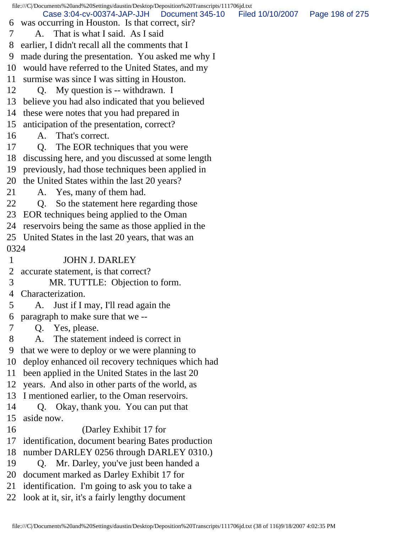file:///C|/Documents%20and%20Settings/daustin/Desktop/Deposition%20Transcripts/111706jd.txt 6 was occurring in Houston. Is that correct, sir? 7 A. That is what I said. As I said 8 earlier, I didn't recall all the comments that I 9 made during the presentation. You asked me why I 10 would have referred to the United States, and my 11 surmise was since I was sitting in Houston. 12 Q. My question is -- withdrawn. I 13 believe you had also indicated that you believed 14 these were notes that you had prepared in 15 anticipation of the presentation, correct? 16 A. That's correct. 17 Q. The EOR techniques that you were 18 discussing here, and you discussed at some length 19 previously, had those techniques been applied in 20 the United States within the last 20 years? 21 A. Yes, many of them had. 22 Q. So the statement here regarding those 23 EOR techniques being applied to the Oman 24 reservoirs being the same as those applied in the 25 United States in the last 20 years, that was an 0324 1 JOHN J. DARLEY 2 accurate statement, is that correct? 3 MR. TUTTLE: Objection to form. 4 Characterization. 5 A. Just if I may, I'll read again the 6 paragraph to make sure that we -- 7 Q. Yes, please. 8 A. The statement indeed is correct in 9 that we were to deploy or we were planning to 10 deploy enhanced oil recovery techniques which had 11 been applied in the United States in the last 20 12 years. And also in other parts of the world, as 13 I mentioned earlier, to the Oman reservoirs. 14 Q. Okay, thank you. You can put that 15 aside now. 16 (Darley Exhibit 17 for 17 identification, document bearing Bates production 18 number DARLEY 0256 through DARLEY 0310.) 19 Q. Mr. Darley, you've just been handed a 20 document marked as Darley Exhibit 17 for 21 identification. I'm going to ask you to take a 22 look at it, sir, it's a fairly lengthy document Case 3:04-cv-00374-JAP-JJH Document 345-10 Filed 10/10/2007 Page 198 of 275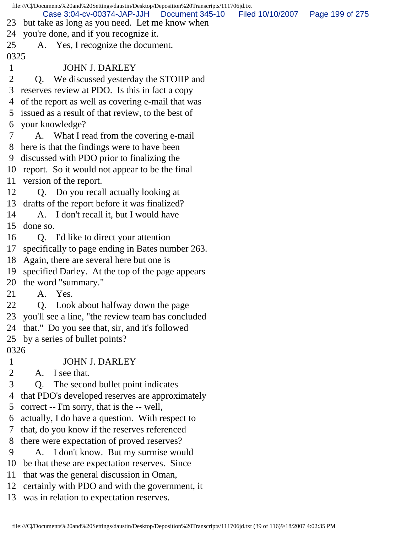file:///C|/Documents%20and%20Settings/daustin/Desktop/Deposition%20Transcripts/111706jd.txt 23 but take as long as you need. Let me know when 24 you're done, and if you recognize it. 25 A. Yes, I recognize the document. 0325 1 JOHN J. DARLEY 2 Q. We discussed yesterday the STOIIP and 3 reserves review at PDO. Is this in fact a copy 4 of the report as well as covering e-mail that was 5 issued as a result of that review, to the best of 6 your knowledge? 7 A. What I read from the covering e-mail 8 here is that the findings were to have been 9 discussed with PDO prior to finalizing the 10 report. So it would not appear to be the final 11 version of the report. 12 Q. Do you recall actually looking at 13 drafts of the report before it was finalized? 14 A. I don't recall it, but I would have 15 done so. 16 Q. I'd like to direct your attention 17 specifically to page ending in Bates number 263. 18 Again, there are several here but one is 19 specified Darley. At the top of the page appears 20 the word "summary." 21 A. Yes. 22 Q. Look about halfway down the page 23 you'll see a line, "the review team has concluded 24 that." Do you see that, sir, and it's followed 25 by a series of bullet points? 0326 1 JOHN J. DARLEY 2 A. I see that. 3 Q. The second bullet point indicates 4 that PDO's developed reserves are approximately 5 correct -- I'm sorry, that is the -- well, 6 actually, I do have a question. With respect to 7 that, do you know if the reserves referenced 8 there were expectation of proved reserves? 9 A. I don't know. But my surmise would 10 be that these are expectation reserves. Since 11 that was the general discussion in Oman, 12 certainly with PDO and with the government, it Case 3:04-cv-00374-JAP-JJH Document 345-10 Filed 10/10/2007 Page 199 of 275

13 was in relation to expectation reserves.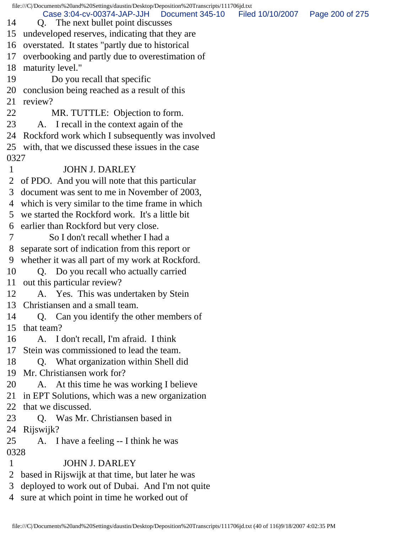|      | file:///C//Documents%20and%20Settings/daustin/Desktop/Deposition%20Transcripts/111706jd.txt |                  |                 |
|------|---------------------------------------------------------------------------------------------|------------------|-----------------|
| 14   | Case 3:04-cv-00374-JAP-JJH<br>Document 345-10<br>Q. The next bullet point discusses         | Filed 10/10/2007 | Page 200 of 275 |
| 15   | undeveloped reserves, indicating that they are                                              |                  |                 |
| 16   | overstated. It states "partly due to historical"                                            |                  |                 |
| 17   | overbooking and partly due to overestimation of                                             |                  |                 |
| 18   | maturity level."                                                                            |                  |                 |
| 19   | Do you recall that specific                                                                 |                  |                 |
| 20   | conclusion being reached as a result of this                                                |                  |                 |
| 21   | review?                                                                                     |                  |                 |
| 22   | MR. TUTTLE: Objection to form.                                                              |                  |                 |
| 23   | A. I recall in the context again of the                                                     |                  |                 |
| 24   | Rockford work which I subsequently was involved                                             |                  |                 |
|      | 25 with, that we discussed these issues in the case                                         |                  |                 |
| 0327 |                                                                                             |                  |                 |
| 1    | <b>JOHN J. DARLEY</b>                                                                       |                  |                 |
| 2    | of PDO. And you will note that this particular                                              |                  |                 |
| 3    | document was sent to me in November of 2003,                                                |                  |                 |
| 4    | which is very similar to the time frame in which                                            |                  |                 |
| 5    | we started the Rockford work. It's a little bit                                             |                  |                 |
| 6    | earlier than Rockford but very close.                                                       |                  |                 |
| 7    | So I don't recall whether I had a                                                           |                  |                 |
| 8    | separate sort of indication from this report or                                             |                  |                 |
| 9    | whether it was all part of my work at Rockford.                                             |                  |                 |
| 10   | Q. Do you recall who actually carried                                                       |                  |                 |
| 11   | out this particular review?                                                                 |                  |                 |
| 12   | A. Yes. This was undertaken by Stein                                                        |                  |                 |
| 13   | Christiansen and a small team.                                                              |                  |                 |
| 14   | Q. Can you identify the other members of                                                    |                  |                 |
| 15   | that team?                                                                                  |                  |                 |
| 16   | A. I don't recall, I'm afraid. I think                                                      |                  |                 |
| 17   | Stein was commissioned to lead the team.                                                    |                  |                 |
| 18   | Q. What organization within Shell did                                                       |                  |                 |
| 19   | Mr. Christiansen work for?                                                                  |                  |                 |
| 20   | A. At this time he was working I believe                                                    |                  |                 |
| 21   | in EPT Solutions, which was a new organization                                              |                  |                 |
| 22   | that we discussed.                                                                          |                  |                 |
| 23   | Q. Was Mr. Christiansen based in                                                            |                  |                 |
| 24   | Rijswijk?                                                                                   |                  |                 |
| 25   | A. I have a feeling -- I think he was                                                       |                  |                 |
| 0328 |                                                                                             |                  |                 |
| 1    | <b>JOHN J. DARLEY</b>                                                                       |                  |                 |
| 2    | based in Rijswijk at that time, but later he was                                            |                  |                 |
| 3    | deployed to work out of Dubai. And I'm not quite                                            |                  |                 |
|      | 4 sure at which point in time he worked out of                                              |                  |                 |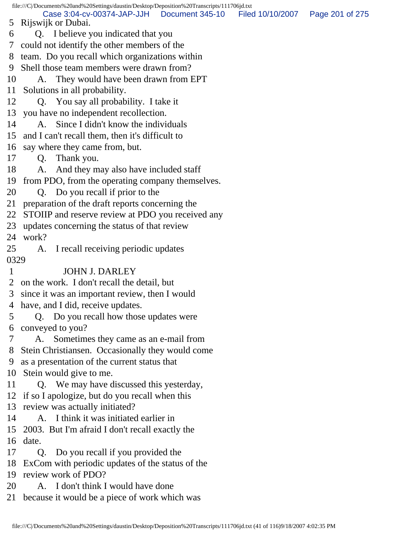file:///C|/Documents%20and%20Settings/daustin/Desktop/Deposition%20Transcripts/111706jd.txt 5 Rijswijk or Dubai. 6 Q. I believe you indicated that you 7 could not identify the other members of the 8 team. Do you recall which organizations within 9 Shell those team members were drawn from? 10 A. They would have been drawn from EPT 11 Solutions in all probability. 12 Q. You say all probability. I take it 13 you have no independent recollection. 14 A. Since I didn't know the individuals 15 and I can't recall them, then it's difficult to 16 say where they came from, but. 17 Q. Thank you. 18 A. And they may also have included staff 19 from PDO, from the operating company themselves. 20 Q. Do you recall if prior to the 21 preparation of the draft reports concerning the 22 STOIIP and reserve review at PDO you received any 23 updates concerning the status of that review 24 work? 25 A. I recall receiving periodic updates 0329 1 JOHN J. DARLEY 2 on the work. I don't recall the detail, but 3 since it was an important review, then I would 4 have, and I did, receive updates. 5 Q. Do you recall how those updates were 6 conveyed to you? 7 A. Sometimes they came as an e-mail from 8 Stein Christiansen. Occasionally they would come 9 as a presentation of the current status that 10 Stein would give to me. 11 Q. We may have discussed this yesterday, 12 if so I apologize, but do you recall when this 13 review was actually initiated? 14 A. I think it was initiated earlier in 15 2003. But I'm afraid I don't recall exactly the 16 date. 17 Q. Do you recall if you provided the 18 ExCom with periodic updates of the status of the 19 review work of PDO? 20 A. I don't think I would have done 21 because it would be a piece of work which was Case 3:04-cv-00374-JAP-JJH Document 345-10 Filed 10/10/2007 Page 201 of 275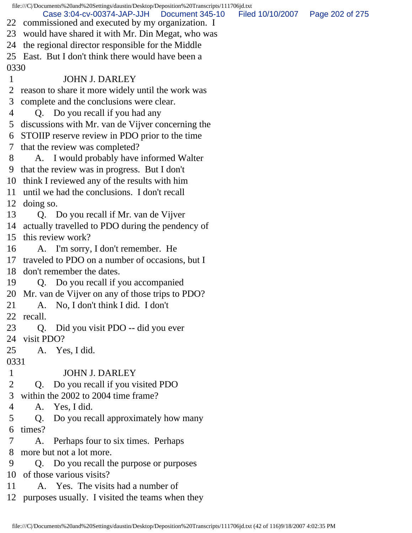file:///C|/Documents%20and%20Settings/daustin/Desktop/Deposition%20Transcripts/111706jd.txt 22 commissioned and executed by my organization. I 23 would have shared it with Mr. Din Megat, who was 24 the regional director responsible for the Middle 25 East. But I don't think there would have been a 0330 1 JOHN J. DARLEY 2 reason to share it more widely until the work was 3 complete and the conclusions were clear. 4 Q. Do you recall if you had any 5 discussions with Mr. van de Vijver concerning the 6 STOIIP reserve review in PDO prior to the time 7 that the review was completed? 8 A. I would probably have informed Walter 9 that the review was in progress. But I don't 10 think I reviewed any of the results with him 11 until we had the conclusions. I don't recall 12 doing so. 13 Q. Do you recall if Mr. van de Vijver 14 actually travelled to PDO during the pendency of 15 this review work? 16 A. I'm sorry, I don't remember. He 17 traveled to PDO on a number of occasions, but I 18 don't remember the dates. 19 Q. Do you recall if you accompanied 20 Mr. van de Vijver on any of those trips to PDO? 21 A. No, I don't think I did. I don't 22 recall. 23 Q. Did you visit PDO -- did you ever 24 visit PDO? 25 A. Yes, I did. 0331 1 JOHN J. DARLEY 2 Q. Do you recall if you visited PDO 3 within the 2002 to 2004 time frame? 4 A. Yes, I did. 5 Q. Do you recall approximately how many 6 times? 7 A. Perhaps four to six times. Perhaps 8 more but not a lot more. 9 Q. Do you recall the purpose or purposes 10 of those various visits? 11 A. Yes. The visits had a number of 12 purposes usually. I visited the teams when they Case 3:04-cv-00374-JAP-JJH Document 345-10 Filed 10/10/2007 Page 202 of 275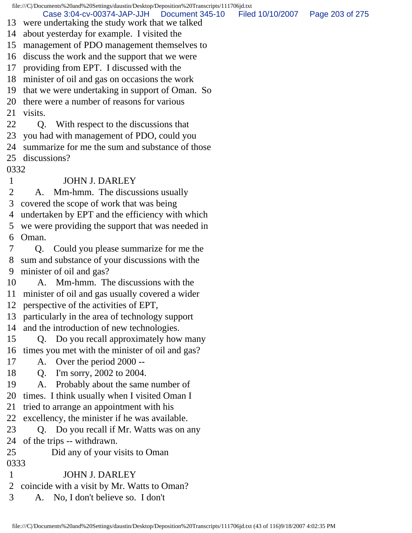file:///C|/Documents%20and%20Settings/daustin/Desktop/Deposition%20Transcripts/111706jd.txt 13 were undertaking the study work that we talked 14 about yesterday for example. I visited the 15 management of PDO management themselves to 16 discuss the work and the support that we were 17 providing from EPT. I discussed with the 18 minister of oil and gas on occasions the work 19 that we were undertaking in support of Oman. So 20 there were a number of reasons for various 21 visits. 22 Q. With respect to the discussions that 23 you had with management of PDO, could you 24 summarize for me the sum and substance of those 25 discussions? 0332 1 JOHN J. DARLEY 2 A. Mm-hmm. The discussions usually 3 covered the scope of work that was being 4 undertaken by EPT and the efficiency with which 5 we were providing the support that was needed in 6 Oman. 7 Q. Could you please summarize for me the 8 sum and substance of your discussions with the 9 minister of oil and gas? 10 A. Mm-hmm. The discussions with the 11 minister of oil and gas usually covered a wider 12 perspective of the activities of EPT, 13 particularly in the area of technology support 14 and the introduction of new technologies. 15 Q. Do you recall approximately how many 16 times you met with the minister of oil and gas? 17 A. Over the period 2000 -- 18 Q. I'm sorry, 2002 to 2004. 19 A. Probably about the same number of 20 times. I think usually when I visited Oman I 21 tried to arrange an appointment with his 22 excellency, the minister if he was available. 23 Q. Do you recall if Mr. Watts was on any 24 of the trips -- withdrawn. 25 Did any of your visits to Oman 0333 1 JOHN J. DARLEY 2 coincide with a visit by Mr. Watts to Oman? 3 A. No, I don't believe so. I don't Case 3:04-cv-00374-JAP-JJH Document 345-10 Filed 10/10/2007 Page 203 of 275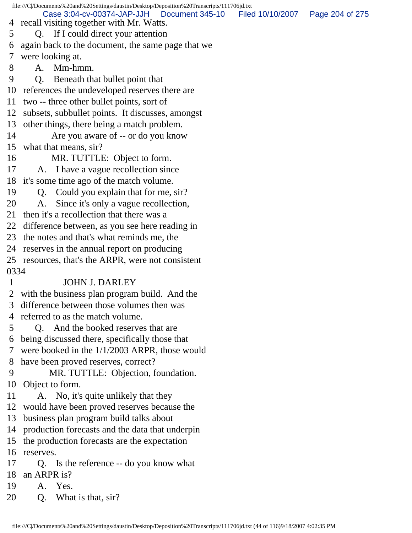file:///C|/Documents%20and%20Settings/daustin/Desktop/Deposition%20Transcripts/111706jd.txt 4 recall visiting together with Mr. Watts. 5 Q. If I could direct your attention 6 again back to the document, the same page that we 7 were looking at. 8 A. Mm-hmm. 9 Q. Beneath that bullet point that 10 references the undeveloped reserves there are 11 two -- three other bullet points, sort of 12 subsets, subbullet points. It discusses, amongst 13 other things, there being a match problem. 14 Are you aware of -- or do you know 15 what that means, sir? 16 MR. TUTTLE: Object to form. 17 A. I have a vague recollection since 18 it's some time ago of the match volume. 19 Q. Could you explain that for me, sir? 20 A. Since it's only a vague recollection, 21 then it's a recollection that there was a 22 difference between, as you see here reading in 23 the notes and that's what reminds me, the 24 reserves in the annual report on producing 25 resources, that's the ARPR, were not consistent 0334 1 JOHN J. DARLEY 2 with the business plan program build. And the 3 difference between those volumes then was 4 referred to as the match volume. 5 Q. And the booked reserves that are 6 being discussed there, specifically those that 7 were booked in the 1/1/2003 ARPR, those would 8 have been proved reserves, correct? 9 MR. TUTTLE: Objection, foundation. 10 Object to form. 11 A. No, it's quite unlikely that they 12 would have been proved reserves because the 13 business plan program build talks about 14 production forecasts and the data that underpin 15 the production forecasts are the expectation 16 reserves. 17 Q. Is the reference -- do you know what 18 an ARPR is? 19 A. Yes. 20 O. What is that, sir? Case 3:04-cv-00374-JAP-JJH Document 345-10 Filed 10/10/2007 Page 204 of 275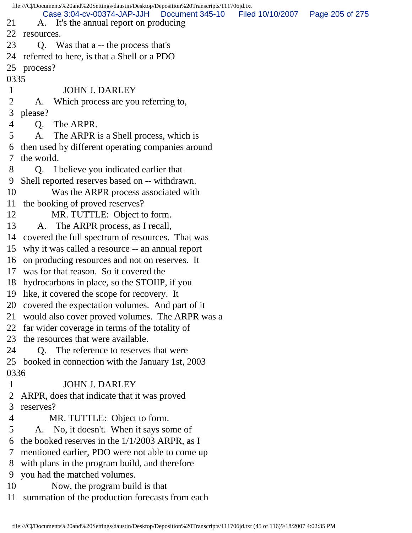|                | file:///C /Documents%20and%20Settings/daustin/Desktop/Deposition%20Transcripts/111706jd.txt |                 |                                   |  |
|----------------|---------------------------------------------------------------------------------------------|-----------------|-----------------------------------|--|
| 21             | Case 3:04-cv-00374-JAP-JJH<br>A. It's the annual report on producing                        | Document 345-10 | Filed 10/10/2007  Page 205 of 275 |  |
| 22             | resources.                                                                                  |                 |                                   |  |
| 23             |                                                                                             |                 |                                   |  |
|                | Q. Was that a -- the process that's                                                         |                 |                                   |  |
|                | 24 referred to here, is that a Shell or a PDO                                               |                 |                                   |  |
|                | 25 process?                                                                                 |                 |                                   |  |
| 0335           |                                                                                             |                 |                                   |  |
| $\mathbf{1}$   | <b>JOHN J. DARLEY</b>                                                                       |                 |                                   |  |
| $\overline{2}$ | Which process are you referring to,<br>A.                                                   |                 |                                   |  |
| 3              | please?                                                                                     |                 |                                   |  |
| 4              | Q. The ARPR.                                                                                |                 |                                   |  |
| 5              | The ARPR is a Shell process, which is<br>A.                                                 |                 |                                   |  |
|                | 6 then used by different operating companies around                                         |                 |                                   |  |
| $\tau$         | the world.                                                                                  |                 |                                   |  |
| 8              | Q. I believe you indicated earlier that                                                     |                 |                                   |  |
| 9              | Shell reported reserves based on -- withdrawn.                                              |                 |                                   |  |
| 10             | Was the ARPR process associated with                                                        |                 |                                   |  |
|                | 11 the booking of proved reserves?                                                          |                 |                                   |  |
| 12             | MR. TUTTLE: Object to form.                                                                 |                 |                                   |  |
| 13             | A. The ARPR process, as I recall,                                                           |                 |                                   |  |
|                | 14 covered the full spectrum of resources. That was                                         |                 |                                   |  |
|                | 15 why it was called a resource -- an annual report                                         |                 |                                   |  |
|                | 16 on producing resources and not on reserves. It                                           |                 |                                   |  |
|                | 17 was for that reason. So it covered the                                                   |                 |                                   |  |
|                | 18 hydrocarbons in place, so the STOIIP, if you                                             |                 |                                   |  |
|                | 19 like, it covered the scope for recovery. It                                              |                 |                                   |  |
|                | 20 covered the expectation volumes. And part of it                                          |                 |                                   |  |
| 21             | would also cover proved volumes. The ARPR was a                                             |                 |                                   |  |
|                | 22 far wider coverage in terms of the totality of                                           |                 |                                   |  |
| 23             | the resources that were available.                                                          |                 |                                   |  |
| 24             | Q. The reference to reserves that were                                                      |                 |                                   |  |
|                | 25 booked in connection with the January 1st, 2003                                          |                 |                                   |  |
| 0336           |                                                                                             |                 |                                   |  |
| $\mathbf 1$    | <b>JOHN J. DARLEY</b>                                                                       |                 |                                   |  |
| 2              | ARPR, does that indicate that it was proved                                                 |                 |                                   |  |
| 3              | reserves?                                                                                   |                 |                                   |  |
| 4              | MR. TUTTLE: Object to form.                                                                 |                 |                                   |  |
| 5              | A. No, it doesn't. When it says some of                                                     |                 |                                   |  |
| 6              | the booked reserves in the $1/1/2003$ ARPR, as I                                            |                 |                                   |  |
| 7              | mentioned earlier, PDO were not able to come up                                             |                 |                                   |  |
| 8              | with plans in the program build, and therefore                                              |                 |                                   |  |
| 9              | you had the matched volumes.                                                                |                 |                                   |  |
| 10             | Now, the program build is that                                                              |                 |                                   |  |
| 11             | summation of the production forecasts from each                                             |                 |                                   |  |
|                |                                                                                             |                 |                                   |  |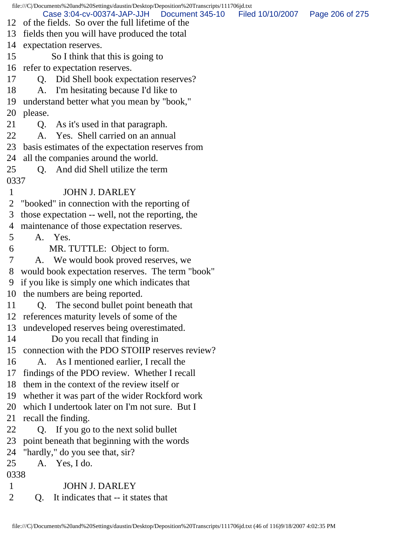file:///C|/Documents%20and%20Settings/daustin/Desktop/Deposition%20Transcripts/111706jd.txt 12 of the fields. So over the full lifetime of the 13 fields then you will have produced the total 14 expectation reserves. 15 So I think that this is going to 16 refer to expectation reserves. 17 Q. Did Shell book expectation reserves? 18 A. I'm hesitating because I'd like to 19 understand better what you mean by "book," 20 please. 21 Q. As it's used in that paragraph. 22 A. Yes. Shell carried on an annual 23 basis estimates of the expectation reserves from 24 all the companies around the world. 25 Q. And did Shell utilize the term 0337 1 JOHN J. DARLEY 2 "booked" in connection with the reporting of 3 those expectation -- well, not the reporting, the 4 maintenance of those expectation reserves. 5 A. Yes. 6 MR. TUTTLE: Object to form. 7 A. We would book proved reserves, we 8 would book expectation reserves. The term "book" 9 if you like is simply one which indicates that 10 the numbers are being reported. 11 Q. The second bullet point beneath that 12 references maturity levels of some of the 13 undeveloped reserves being overestimated. 14 Do you recall that finding in 15 connection with the PDO STOIIP reserves review? 16 A. As I mentioned earlier, I recall the 17 findings of the PDO review. Whether I recall 18 them in the context of the review itself or 19 whether it was part of the wider Rockford work 20 which I undertook later on I'm not sure. But I 21 recall the finding. 22 Q. If you go to the next solid bullet 23 point beneath that beginning with the words 24 "hardly," do you see that, sir? 25 A. Yes, I do. 0338 1 JOHN J. DARLEY 2 Q. It indicates that -- it states that Case 3:04-cv-00374-JAP-JJH Document 345-10 Filed 10/10/2007 Page 206 of 275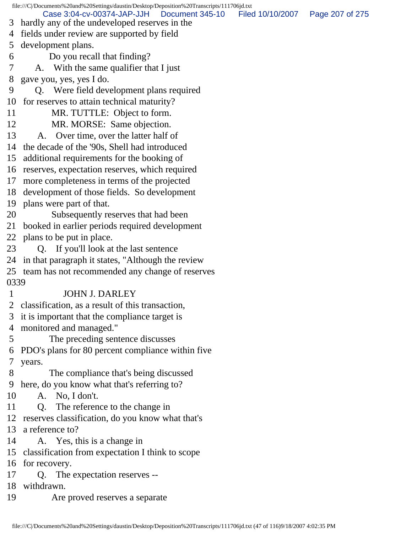file:///C|/Documents%20and%20Settings/daustin/Desktop/Deposition%20Transcripts/111706jd.txt 3 hardly any of the undeveloped reserves in the 4 fields under review are supported by field 5 development plans. 6 Do you recall that finding? 7 A. With the same qualifier that I just 8 gave you, yes, yes I do. 9 Q. Were field development plans required 10 for reserves to attain technical maturity? 11 MR. TUTTLE: Object to form. 12 MR. MORSE: Same objection. 13 A. Over time, over the latter half of 14 the decade of the '90s, Shell had introduced 15 additional requirements for the booking of 16 reserves, expectation reserves, which required 17 more completeness in terms of the projected 18 development of those fields. So development 19 plans were part of that. 20 Subsequently reserves that had been 21 booked in earlier periods required development 22 plans to be put in place. 23 Q. If you'll look at the last sentence 24 in that paragraph it states, "Although the review 25 team has not recommended any change of reserves 0339 1 JOHN J. DARLEY 2 classification, as a result of this transaction, 3 it is important that the compliance target is 4 monitored and managed." 5 The preceding sentence discusses 6 PDO's plans for 80 percent compliance within five 7 years. 8 The compliance that's being discussed 9 here, do you know what that's referring to? 10 A. No, I don't. 11 Q. The reference to the change in 12 reserves classification, do you know what that's 13 a reference to? 14 A. Yes, this is a change in 15 classification from expectation I think to scope 16 for recovery. 17 Q. The expectation reserves -- 18 withdrawn. 19 Are proved reserves a separate Case 3:04-cv-00374-JAP-JJH Document 345-10 Filed 10/10/2007 Page 207 of 275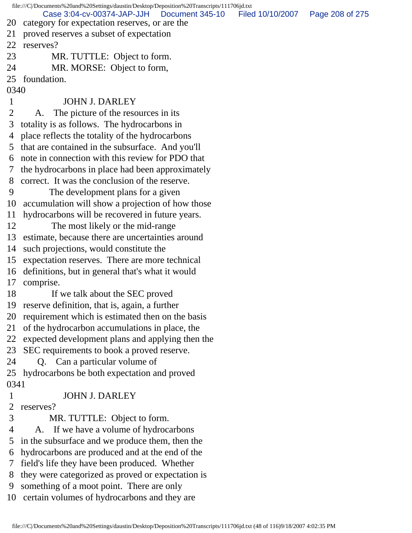file:///C|/Documents%20and%20Settings/daustin/Desktop/Deposition%20Transcripts/111706jd.txt 20 category for expectation reserves, or are the 21 proved reserves a subset of expectation 22 reserves? 23 MR. TUTTLE: Object to form. 24 MR. MORSE: Object to form, 25 foundation. 0340 1 JOHN J. DARLEY 2 A. The picture of the resources in its 3 totality is as follows. The hydrocarbons in 4 place reflects the totality of the hydrocarbons 5 that are contained in the subsurface. And you'll 6 note in connection with this review for PDO that 7 the hydrocarbons in place had been approximately 8 correct. It was the conclusion of the reserve. 9 The development plans for a given 10 accumulation will show a projection of how those 11 hydrocarbons will be recovered in future years. 12 The most likely or the mid-range 13 estimate, because there are uncertainties around 14 such projections, would constitute the 15 expectation reserves. There are more technical 16 definitions, but in general that's what it would 17 comprise. 18 If we talk about the SEC proved 19 reserve definition, that is, again, a further 20 requirement which is estimated then on the basis 21 of the hydrocarbon accumulations in place, the 22 expected development plans and applying then the 23 SEC requirements to book a proved reserve. 24 Q. Can a particular volume of 25 hydrocarbons be both expectation and proved 0341 1 JOHN J. DARLEY 2 reserves? 3 MR. TUTTLE: Object to form. 4 A. If we have a volume of hydrocarbons 5 in the subsurface and we produce them, then the 6 hydrocarbons are produced and at the end of the 7 field's life they have been produced. Whether 8 they were categorized as proved or expectation is 9 something of a moot point. There are only 10 certain volumes of hydrocarbons and they are Case 3:04-cv-00374-JAP-JJH Document 345-10 Filed 10/10/2007 Page 208 of 275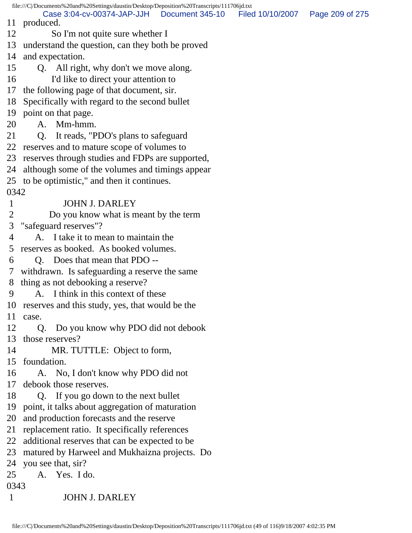file:///C|/Documents%20and%20Settings/daustin/Desktop/Deposition%20Transcripts/111706jd.txt 11 produced. 12 So I'm not quite sure whether I 13 understand the question, can they both be proved 14 and expectation. 15 Q. All right, why don't we move along. 16 I'd like to direct your attention to 17 the following page of that document, sir. 18 Specifically with regard to the second bullet 19 point on that page. 20 A. Mm-hmm. 21 Q. It reads, "PDO's plans to safeguard 22 reserves and to mature scope of volumes to 23 reserves through studies and FDPs are supported, 24 although some of the volumes and timings appear 25 to be optimistic," and then it continues. 0342 1 JOHN J. DARLEY 2 Do you know what is meant by the term 3 "safeguard reserves"? 4 A. I take it to mean to maintain the 5 reserves as booked. As booked volumes. 6 Q. Does that mean that PDO -- 7 withdrawn. Is safeguarding a reserve the same 8 thing as not debooking a reserve? 9 A. I think in this context of these 10 reserves and this study, yes, that would be the 11 case. 12 Q. Do you know why PDO did not debook 13 those reserves? 14 MR. TUTTLE: Object to form, 15 foundation. 16 A. No, I don't know why PDO did not 17 debook those reserves. 18 Q. If you go down to the next bullet 19 point, it talks about aggregation of maturation 20 and production forecasts and the reserve 21 replacement ratio. It specifically references 22 additional reserves that can be expected to be 23 matured by Harweel and Mukhaizna projects. Do 24 you see that, sir? 25 A. Yes. I do. 0343 1 JOHN J. DARLEY Case 3:04-cv-00374-JAP-JJH Document 345-10 Filed 10/10/2007 Page 209 of 275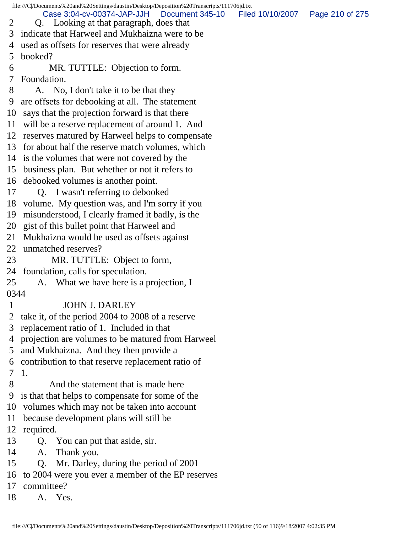file:///C|/Documents%20and%20Settings/daustin/Desktop/Deposition%20Transcripts/111706jd.txt 2 Q. Looking at that paragraph, does that 3 indicate that Harweel and Mukhaizna were to be 4 used as offsets for reserves that were already 5 booked? 6 MR. TUTTLE: Objection to form. 7 Foundation. 8 A. No, I don't take it to be that they 9 are offsets for debooking at all. The statement 10 says that the projection forward is that there 11 will be a reserve replacement of around 1. And 12 reserves matured by Harweel helps to compensate 13 for about half the reserve match volumes, which 14 is the volumes that were not covered by the 15 business plan. But whether or not it refers to 16 debooked volumes is another point. 17 Q. I wasn't referring to debooked 18 volume. My question was, and I'm sorry if you 19 misunderstood, I clearly framed it badly, is the 20 gist of this bullet point that Harweel and 21 Mukhaizna would be used as offsets against 22 unmatched reserves? 23 MR. TUTTLE: Object to form, 24 foundation, calls for speculation. 25 A. What we have here is a projection, I 0344 1 JOHN J. DARLEY 2 take it, of the period 2004 to 2008 of a reserve 3 replacement ratio of 1. Included in that 4 projection are volumes to be matured from Harweel 5 and Mukhaizna. And they then provide a 6 contribution to that reserve replacement ratio of 7 1. 8 And the statement that is made here 9 is that that helps to compensate for some of the 10 volumes which may not be taken into account 11 because development plans will still be 12 required. 13 Q. You can put that aside, sir. 14 A. Thank you. 15 Q. Mr. Darley, during the period of 2001 16 to 2004 were you ever a member of the EP reserves 17 committee? 18 A. Yes. Case 3:04-cv-00374-JAP-JJH Document 345-10 Filed 10/10/2007 Page 210 of 275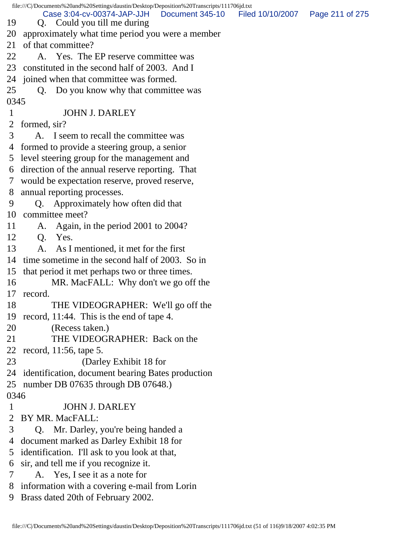|      | file:///C//Documents%20and%20Settings/daustin/Desktop/Deposition%20Transcripts/111706jd.txt   |                 |
|------|-----------------------------------------------------------------------------------------------|-----------------|
| 19   | Case 3:04-cv-00374-JAP-JJH<br>Document 345-10 Filed 10/10/2007<br>Q. Could you till me during | Page 211 of 275 |
| 20   | approximately what time period you were a member                                              |                 |
| 21   | of that committee?                                                                            |                 |
| 22   | A. Yes. The EP reserve committee was                                                          |                 |
| 23   | constituted in the second half of 2003. And I                                                 |                 |
| 24   | joined when that committee was formed.                                                        |                 |
| 25   | Q. Do you know why that committee was                                                         |                 |
| 0345 |                                                                                               |                 |
| 1    | <b>JOHN J. DARLEY</b>                                                                         |                 |
| 2    | formed, sir?                                                                                  |                 |
| 3    | A. I seem to recall the committee was                                                         |                 |
| 4    | formed to provide a steering group, a senior                                                  |                 |
| 5    | level steering group for the management and                                                   |                 |
| 6    | direction of the annual reserve reporting. That                                               |                 |
| 7    | would be expectation reserve, proved reserve,                                                 |                 |
| 8    | annual reporting processes.                                                                   |                 |
| 9    | Q. Approximately how often did that                                                           |                 |
| 10   | committee meet?                                                                               |                 |
| 11   | Again, in the period 2001 to 2004?<br>A.                                                      |                 |
| 12   | Q.<br>Yes.                                                                                    |                 |
| 13   | As I mentioned, it met for the first<br>A.                                                    |                 |
| 14   | time sometime in the second half of 2003. So in                                               |                 |
| 15   | that period it met perhaps two or three times.                                                |                 |
| 16   | MR. MacFALL: Why don't we go off the                                                          |                 |
| 17   | record.                                                                                       |                 |
| 18   | THE VIDEOGRAPHER: We'll go off the                                                            |                 |
| 19   | record, 11:44. This is the end of tape 4.                                                     |                 |
| 20   | (Recess taken.)                                                                               |                 |
| 21   | THE VIDEOGRAPHER: Back on the                                                                 |                 |
| 22   | record, 11:56, tape 5.                                                                        |                 |
| 23   | (Darley Exhibit 18 for                                                                        |                 |
| 24   | identification, document bearing Bates production                                             |                 |
| 25   | number DB 07635 through DB 07648.)                                                            |                 |
| 0346 |                                                                                               |                 |
| 1    | <b>JOHN J. DARLEY</b>                                                                         |                 |
| 2    | BY MR. MacFALL:                                                                               |                 |
| 3    | Q. Mr. Darley, you're being handed a                                                          |                 |
| 4    | document marked as Darley Exhibit 18 for                                                      |                 |
| 5    | identification. I'll ask to you look at that,                                                 |                 |
| 6    | sir, and tell me if you recognize it.                                                         |                 |
| 7    | A. Yes, I see it as a note for                                                                |                 |
| 8    | information with a covering e-mail from Lorin                                                 |                 |
| 9    | Brass dated 20th of February 2002.                                                            |                 |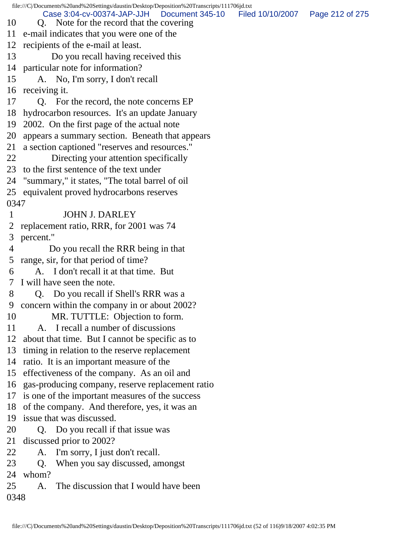file:///C|/Documents%20and%20Settings/daustin/Desktop/Deposition%20Transcripts/111706jd.txt 10 Q. Note for the record that the covering 11 e-mail indicates that you were one of the 12 recipients of the e-mail at least. 13 Do you recall having received this 14 particular note for information? 15 A. No, I'm sorry, I don't recall 16 receiving it. 17 Q. For the record, the note concerns EP 18 hydrocarbon resources. It's an update January 19 2002. On the first page of the actual note 20 appears a summary section. Beneath that appears 21 a section captioned "reserves and resources." 22 Directing your attention specifically 23 to the first sentence of the text under 24 "summary," it states, "The total barrel of oil 25 equivalent proved hydrocarbons reserves 0347 1 JOHN J. DARLEY 2 replacement ratio, RRR, for 2001 was 74 3 percent." 4 Do you recall the RRR being in that 5 range, sir, for that period of time? 6 A. I don't recall it at that time. But 7 I will have seen the note. 8 Q. Do you recall if Shell's RRR was a 9 concern within the company in or about 2002? 10 MR. TUTTLE: Objection to form. 11 A. I recall a number of discussions 12 about that time. But I cannot be specific as to 13 timing in relation to the reserve replacement 14 ratio. It is an important measure of the 15 effectiveness of the company. As an oil and 16 gas-producing company, reserve replacement ratio 17 is one of the important measures of the success 18 of the company. And therefore, yes, it was an 19 issue that was discussed. 20 O. Do you recall if that issue was 21 discussed prior to 2002? 22 A. I'm sorry, I just don't recall. 23 Q. When you say discussed, amongst 24 whom? 25 A. The discussion that I would have been 0348 Case 3:04-cv-00374-JAP-JJH Document 345-10 Filed 10/10/2007 Page 212 of 275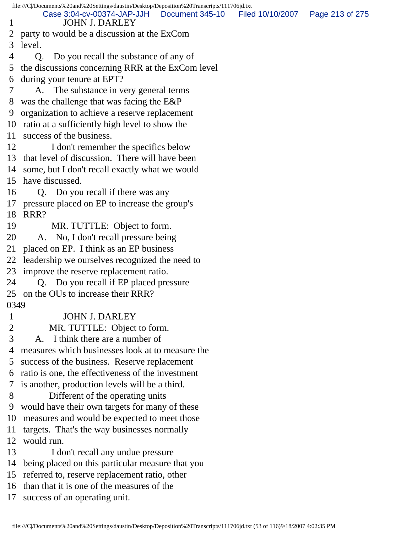|                | file:///C /Documents%20and%20Settings/daustin/Desktop/Deposition%20Transcripts/111706jd.txt<br>Case 3:04-cv-00374-JAP-JJH | Document 345-10 | Filed 10/10/2007 | Page 213 of 275 |
|----------------|---------------------------------------------------------------------------------------------------------------------------|-----------------|------------------|-----------------|
| $\mathbf{1}$   | <b>JOHN J. DARLEY</b>                                                                                                     |                 |                  |                 |
| 2              | party to would be a discussion at the ExCom                                                                               |                 |                  |                 |
| 3              | level.                                                                                                                    |                 |                  |                 |
| 4              | Q.<br>Do you recall the substance of any of                                                                               |                 |                  |                 |
| 5              | the discussions concerning RRR at the ExCom level                                                                         |                 |                  |                 |
| 6              | during your tenure at EPT?                                                                                                |                 |                  |                 |
| $\overline{7}$ | A. The substance in very general terms                                                                                    |                 |                  |                 |
| 8              | was the challenge that was facing the E&P                                                                                 |                 |                  |                 |
| 9              | organization to achieve a reserve replacement                                                                             |                 |                  |                 |
|                | 10 ratio at a sufficiently high level to show the                                                                         |                 |                  |                 |
|                | 11 success of the business.                                                                                               |                 |                  |                 |
| 12             | I don't remember the specifics below                                                                                      |                 |                  |                 |
|                | 13 that level of discussion. There will have been                                                                         |                 |                  |                 |
|                | 14 some, but I don't recall exactly what we would                                                                         |                 |                  |                 |
|                | 15 have discussed.                                                                                                        |                 |                  |                 |
| 16             | Q. Do you recall if there was any                                                                                         |                 |                  |                 |
| 17             | pressure placed on EP to increase the group's                                                                             |                 |                  |                 |
| 18             | RRR?                                                                                                                      |                 |                  |                 |
| 19             | MR. TUTTLE: Object to form.                                                                                               |                 |                  |                 |
| 20             | A. No, I don't recall pressure being                                                                                      |                 |                  |                 |
| 21             | placed on EP. I think as an EP business                                                                                   |                 |                  |                 |
| 22             | leadership we ourselves recognized the need to                                                                            |                 |                  |                 |
| 23             | improve the reserve replacement ratio.                                                                                    |                 |                  |                 |
| 24             | Q. Do you recall if EP placed pressure                                                                                    |                 |                  |                 |
|                | 25 on the OUs to increase their RRR?                                                                                      |                 |                  |                 |
| 0349           |                                                                                                                           |                 |                  |                 |
| $\mathbf{1}$   | <b>JOHN J. DARLEY</b>                                                                                                     |                 |                  |                 |
| $\overline{2}$ | MR. TUTTLE: Object to form.                                                                                               |                 |                  |                 |
| 3              | I think there are a number of<br>A.                                                                                       |                 |                  |                 |
| 4              | measures which businesses look at to measure the                                                                          |                 |                  |                 |
| 5              | success of the business. Reserve replacement                                                                              |                 |                  |                 |
| 6              | ratio is one, the effectiveness of the investment                                                                         |                 |                  |                 |
| 7              | is another, production levels will be a third.                                                                            |                 |                  |                 |
| 8              | Different of the operating units                                                                                          |                 |                  |                 |
| 9              | would have their own targets for many of these                                                                            |                 |                  |                 |
| 10             | measures and would be expected to meet those                                                                              |                 |                  |                 |
| 11             | targets. That's the way businesses normally                                                                               |                 |                  |                 |
| 12             | would run.                                                                                                                |                 |                  |                 |
| 13             | I don't recall any undue pressure                                                                                         |                 |                  |                 |
| 14             | being placed on this particular measure that you                                                                          |                 |                  |                 |
| 15             | referred to, reserve replacement ratio, other                                                                             |                 |                  |                 |
| 16             | than that it is one of the measures of the                                                                                |                 |                  |                 |
| 17             | success of an operating unit.                                                                                             |                 |                  |                 |
|                |                                                                                                                           |                 |                  |                 |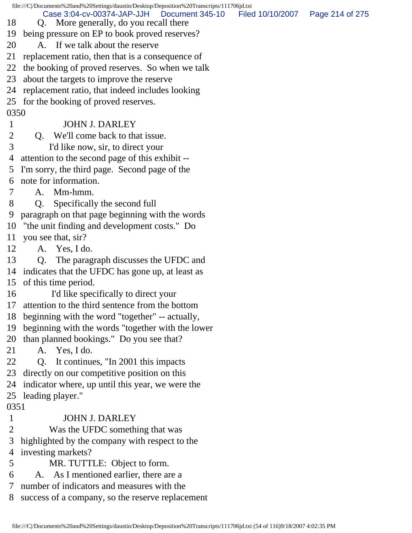|                | file:///C /Documents%20and%20Settings/daustin/Desktop/Deposition%20Transcripts/111706jd.txt |                                   |  |
|----------------|---------------------------------------------------------------------------------------------|-----------------------------------|--|
| 18             | Case 3:04-cv-00374-JAP-JJH   Document 345-10<br>Q. More generally, do you recall there      | Filed 10/10/2007  Page 214 of 275 |  |
| 19             | being pressure on EP to book proved reserves?                                               |                                   |  |
| 20             | A. If we talk about the reserve                                                             |                                   |  |
| 21             | replacement ratio, then that is a consequence of                                            |                                   |  |
| 22             | the booking of proved reserves. So when we talk                                             |                                   |  |
| 23             | about the targets to improve the reserve                                                    |                                   |  |
| 24             | replacement ratio, that indeed includes looking                                             |                                   |  |
|                |                                                                                             |                                   |  |
| 0350           | 25 for the booking of proved reserves.                                                      |                                   |  |
| 1              | <b>JOHN J. DARLEY</b>                                                                       |                                   |  |
| $\overline{2}$ | We'll come back to that issue.<br>$Q_{\rm A}$                                               |                                   |  |
| 3              |                                                                                             |                                   |  |
|                | I'd like now, sir, to direct your<br>attention to the second page of this exhibit --        |                                   |  |
| 4              |                                                                                             |                                   |  |
| 5              | I'm sorry, the third page. Second page of the<br>note for information.                      |                                   |  |
| 6              | Mm-hmm.<br>А.                                                                               |                                   |  |
| 7<br>8         |                                                                                             |                                   |  |
| 9              | Specifically the second full<br>Q.                                                          |                                   |  |
|                | paragraph on that page beginning with the words                                             |                                   |  |
| 10             | "the unit finding and development costs." Do                                                |                                   |  |
| 11<br>12       | you see that, sir?                                                                          |                                   |  |
|                | A. Yes, I do.                                                                               |                                   |  |
| 13             | The paragraph discusses the UFDC and<br>Q.                                                  |                                   |  |
| 14             | indicates that the UFDC has gone up, at least as                                            |                                   |  |
| 15             | of this time period.                                                                        |                                   |  |
| 16             | I'd like specifically to direct your<br>17 attention to the third sentence from the bottom  |                                   |  |
|                |                                                                                             |                                   |  |
| 18             | beginning with the word "together" -- actually,                                             |                                   |  |
| 19             | beginning with the words "together with the lower                                           |                                   |  |
| 20             | than planned bookings." Do you see that?                                                    |                                   |  |
| 21<br>22       | A. Yes, I do.                                                                               |                                   |  |
|                | Q <sub>r</sub><br>It continues, "In 2001 this impacts                                       |                                   |  |
| 23             | directly on our competitive position on this                                                |                                   |  |
| 24             | indicator where, up until this year, we were the                                            |                                   |  |
| 25<br>0351     | leading player."                                                                            |                                   |  |
| 1              | <b>JOHN J. DARLEY</b>                                                                       |                                   |  |
| 2              |                                                                                             |                                   |  |
| 3              | Was the UFDC something that was                                                             |                                   |  |
|                | highlighted by the company with respect to the                                              |                                   |  |
| 4              | investing markets?                                                                          |                                   |  |
| 5              | MR. TUTTLE: Object to form.                                                                 |                                   |  |
| 6<br>7         | A. As I mentioned earlier, there are a                                                      |                                   |  |
|                | number of indicators and measures with the                                                  |                                   |  |
| 8              | success of a company, so the reserve replacement                                            |                                   |  |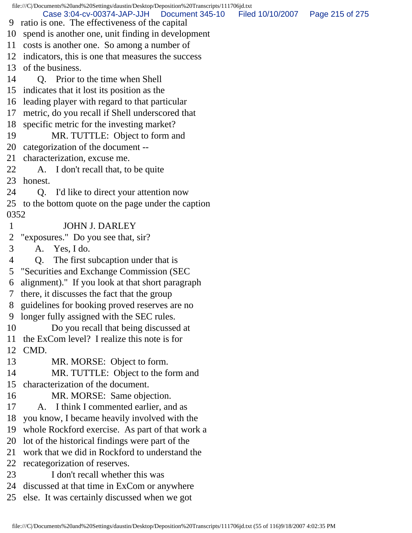file:///C|/Documents%20and%20Settings/daustin/Desktop/Deposition%20Transcripts/111706jd.txt 9 ratio is one. The effectiveness of the capital 10 spend is another one, unit finding in development 11 costs is another one. So among a number of 12 indicators, this is one that measures the success 13 of the business. 14 Q. Prior to the time when Shell 15 indicates that it lost its position as the 16 leading player with regard to that particular 17 metric, do you recall if Shell underscored that 18 specific metric for the investing market? 19 MR. TUTTLE: Object to form and 20 categorization of the document -- 21 characterization, excuse me. 22 A. I don't recall that, to be quite 23 honest. 24 Q. I'd like to direct your attention now 25 to the bottom quote on the page under the caption 0352 1 JOHN J. DARLEY 2 "exposures." Do you see that, sir? 3 A. Yes, I do. 4 Q. The first subcaption under that is 5 "Securities and Exchange Commission (SEC 6 alignment)." If you look at that short paragraph 7 there, it discusses the fact that the group 8 guidelines for booking proved reserves are no 9 longer fully assigned with the SEC rules. 10 Do you recall that being discussed at 11 the ExCom level? I realize this note is for 12 CMD. 13 MR. MORSE: Object to form. 14 MR. TUTTLE: Object to the form and 15 characterization of the document. 16 MR. MORSE: Same objection. 17 A. I think I commented earlier, and as 18 you know, I became heavily involved with the 19 whole Rockford exercise. As part of that work a 20 lot of the historical findings were part of the 21 work that we did in Rockford to understand the 22 recategorization of reserves. 23 I don't recall whether this was 24 discussed at that time in ExCom or anywhere 25 else. It was certainly discussed when we got Case 3:04-cv-00374-JAP-JJH Document 345-10 Filed 10/10/2007 Page 215 of 275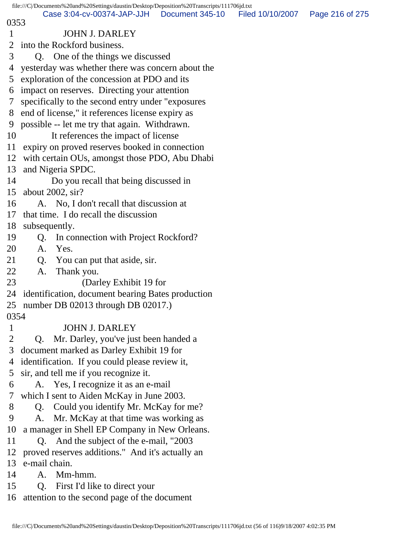## 0353

## 1 JOHN J. DARLEY

2 into the Rockford business.

- 3 Q. One of the things we discussed
- 4 yesterday was whether there was concern about the
- 5 exploration of the concession at PDO and its
- 6 impact on reserves. Directing your attention
- 7 specifically to the second entry under "exposures
- 8 end of license," it references license expiry as
- 9 possible -- let me try that again. Withdrawn.
- 10 It references the impact of license
- 11 expiry on proved reserves booked in connection
- 12 with certain OUs, amongst those PDO, Abu Dhabi
- 13 and Nigeria SPDC.
- 14 Do you recall that being discussed in
- 15 about 2002, sir?
- 16 A. No, I don't recall that discussion at
- 17 that time. I do recall the discussion
- 18 subsequently.
- 19 Q. In connection with Project Rockford?
- 20 A. Yes.
- 21 Q. You can put that aside, sir.
- 22 A. Thank you.
- 23 (Darley Exhibit 19 for
- 24 identification, document bearing Bates production
- 25 number DB 02013 through DB 02017.)
- 0354

## 1 JOHN J. DARLEY

- 2 Q. Mr. Darley, you've just been handed a
- 3 document marked as Darley Exhibit 19 for
- 4 identification. If you could please review it,
- 5 sir, and tell me if you recognize it.
- 6 A. Yes, I recognize it as an e-mail
- 7 which I sent to Aiden McKay in June 2003.
- 8 Q. Could you identify Mr. McKay for me?
- 9 A. Mr. McKay at that time was working as
- 10 a manager in Shell EP Company in New Orleans.
- 11 Q. And the subject of the e-mail, "2003
- 12 proved reserves additions." And it's actually an
- 13 e-mail chain.
- 14 A. Mm-hmm.
- 15 Q. First I'd like to direct your
- 16 attention to the second page of the document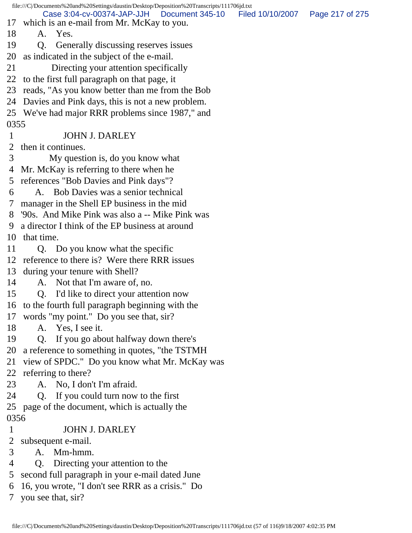file:///C|/Documents%20and%20Settings/daustin/Desktop/Deposition%20Transcripts/111706jd.txt 17 which is an e-mail from Mr. McKay to you. 18 A. Yes. 19 Q. Generally discussing reserves issues 20 as indicated in the subject of the e-mail. 21 Directing your attention specifically 22 to the first full paragraph on that page, it 23 reads, "As you know better than me from the Bob 24 Davies and Pink days, this is not a new problem. 25 We've had major RRR problems since 1987," and 0355 1 JOHN J. DARLEY 2 then it continues. 3 My question is, do you know what 4 Mr. McKay is referring to there when he 5 references "Bob Davies and Pink days"? 6 A. Bob Davies was a senior technical 7 manager in the Shell EP business in the mid 8 '90s. And Mike Pink was also a -- Mike Pink was 9 a director I think of the EP business at around 10 that time. 11 Q. Do you know what the specific 12 reference to there is? Were there RRR issues 13 during your tenure with Shell? 14 A. Not that I'm aware of, no. 15 Q. I'd like to direct your attention now 16 to the fourth full paragraph beginning with the 17 words "my point." Do you see that, sir? 18 A. Yes, I see it. 19 Q. If you go about halfway down there's 20 a reference to something in quotes, "the TSTMH 21 view of SPDC." Do you know what Mr. McKay was 22 referring to there? 23 A. No, I don't I'm afraid. 24 Q. If you could turn now to the first 25 page of the document, which is actually the 0356 1 JOHN J. DARLEY 2 subsequent e-mail. 3 A. Mm-hmm. 4 Q. Directing your attention to the 5 second full paragraph in your e-mail dated June 6 16, you wrote, "I don't see RRR as a crisis." Do 7 you see that, sir? Case 3:04-cv-00374-JAP-JJH Document 345-10 Filed 10/10/2007 Page 217 of 275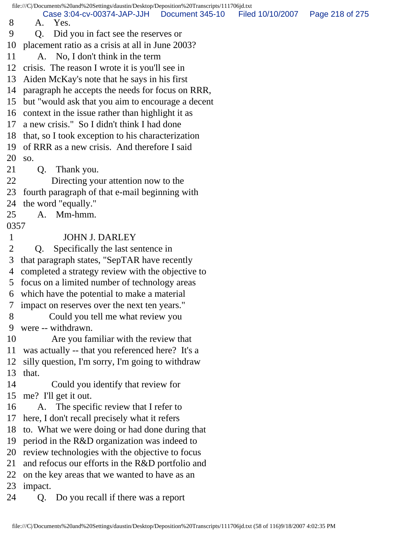file:///C|/Documents%20and%20Settings/daustin/Desktop/Deposition%20Transcripts/111706jd.txt 8 A. Yes. 9 Q. Did you in fact see the reserves or 10 placement ratio as a crisis at all in June 2003? 11 A. No, I don't think in the term 12 crisis. The reason I wrote it is you'll see in 13 Aiden McKay's note that he says in his first 14 paragraph he accepts the needs for focus on RRR, 15 but "would ask that you aim to encourage a decent 16 context in the issue rather than highlight it as 17 a new crisis." So I didn't think I had done 18 that, so I took exception to his characterization 19 of RRR as a new crisis. And therefore I said 20 so. 21 Q. Thank you. 22 Directing your attention now to the 23 fourth paragraph of that e-mail beginning with 24 the word "equally." 25 A. Mm-hmm. 0357 1 JOHN J. DARLEY 2 Q. Specifically the last sentence in 3 that paragraph states, "SepTAR have recently 4 completed a strategy review with the objective to 5 focus on a limited number of technology areas 6 which have the potential to make a material 7 impact on reserves over the next ten years." 8 Could you tell me what review you 9 were -- withdrawn. 10 Are you familiar with the review that 11 was actually -- that you referenced here? It's a 12 silly question, I'm sorry, I'm going to withdraw 13 that. 14 Could you identify that review for 15 me? I'll get it out. 16 A. The specific review that I refer to 17 here, I don't recall precisely what it refers 18 to. What we were doing or had done during that 19 period in the R&D organization was indeed to 20 review technologies with the objective to focus 21 and refocus our efforts in the R&D portfolio and 22 on the key areas that we wanted to have as an 23 impact. 24 Q. Do you recall if there was a report Case 3:04-cv-00374-JAP-JJH Document 345-10 Filed 10/10/2007 Page 218 of 275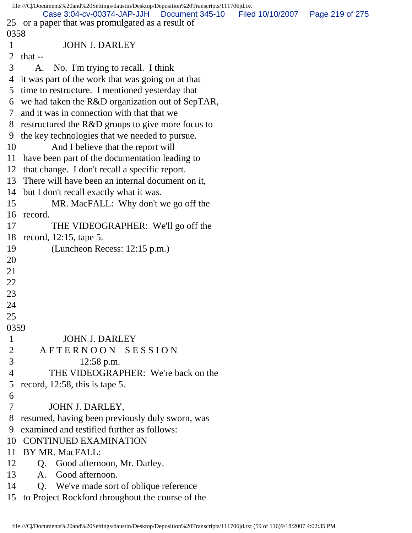|                | file:///C /Documents%20and%20Settings/daustin/Desktop/Deposition%20Transcripts/111706jd.txt<br>Case 3:04-cv-00374-JAP-JJH<br>Document 345-10 | Filed 10/10/2007  Page 219 of 275 |  |
|----------------|----------------------------------------------------------------------------------------------------------------------------------------------|-----------------------------------|--|
|                | 25 or a paper that was promulgated as a result of                                                                                            |                                   |  |
| 0358           |                                                                                                                                              |                                   |  |
| $\mathbf{1}$   | <b>JOHN J. DARLEY</b>                                                                                                                        |                                   |  |
| $\overline{2}$ | that $-$                                                                                                                                     |                                   |  |
| 3              | No. I'm trying to recall. I think<br>A.                                                                                                      |                                   |  |
| 4              | it was part of the work that was going on at that                                                                                            |                                   |  |
| 5              | time to restructure. I mentioned yesterday that                                                                                              |                                   |  |
|                | 6 we had taken the R&D organization out of SepTAR,                                                                                           |                                   |  |
| 7              | and it was in connection with that that we                                                                                                   |                                   |  |
| 8              | restructured the R&D groups to give more focus to                                                                                            |                                   |  |
| 9              | the key technologies that we needed to pursue.                                                                                               |                                   |  |
| 10             | And I believe that the report will                                                                                                           |                                   |  |
| 11             |                                                                                                                                              |                                   |  |
| 12             | have been part of the documentation leading to<br>that change. I don't recall a specific report.                                             |                                   |  |
|                |                                                                                                                                              |                                   |  |
| 13             | There will have been an internal document on it,                                                                                             |                                   |  |
| 14             | but I don't recall exactly what it was.                                                                                                      |                                   |  |
| 15             | MR. MacFALL: Why don't we go off the                                                                                                         |                                   |  |
| 16             | record.                                                                                                                                      |                                   |  |
| 17             | THE VIDEOGRAPHER: We'll go off the                                                                                                           |                                   |  |
| 18             | record, 12:15, tape 5.                                                                                                                       |                                   |  |
| 19             | (Luncheon Recess: 12:15 p.m.)                                                                                                                |                                   |  |
| 20             |                                                                                                                                              |                                   |  |
| 21             |                                                                                                                                              |                                   |  |
| 22             |                                                                                                                                              |                                   |  |
| 23             |                                                                                                                                              |                                   |  |
| 24             |                                                                                                                                              |                                   |  |
| 25             |                                                                                                                                              |                                   |  |
| 0359           |                                                                                                                                              |                                   |  |
| $\mathbf{1}$   | <b>JOHN J. DARLEY</b>                                                                                                                        |                                   |  |
| $\overline{2}$ | AFTERNOON SESSION                                                                                                                            |                                   |  |
| 3              | $12:58$ p.m.                                                                                                                                 |                                   |  |
| $\overline{4}$ | THE VIDEOGRAPHER: We're back on the                                                                                                          |                                   |  |
| 5              | record, 12:58, this is tape 5.                                                                                                               |                                   |  |
| 6              |                                                                                                                                              |                                   |  |
| 7              | JOHN J. DARLEY,                                                                                                                              |                                   |  |
| 8              | resumed, having been previously duly sworn, was                                                                                              |                                   |  |
| 9              | examined and testified further as follows:                                                                                                   |                                   |  |
| 10             | <b>CONTINUED EXAMINATION</b>                                                                                                                 |                                   |  |
| 11             | BY MR. MacFALL:                                                                                                                              |                                   |  |
| 12             | Good afternoon, Mr. Darley.<br>Q.                                                                                                            |                                   |  |
| 13             | Good afternoon.<br>A.                                                                                                                        |                                   |  |
| 14             | Q. We've made sort of oblique reference                                                                                                      |                                   |  |
|                | 15 to Project Rockford throughout the course of the                                                                                          |                                   |  |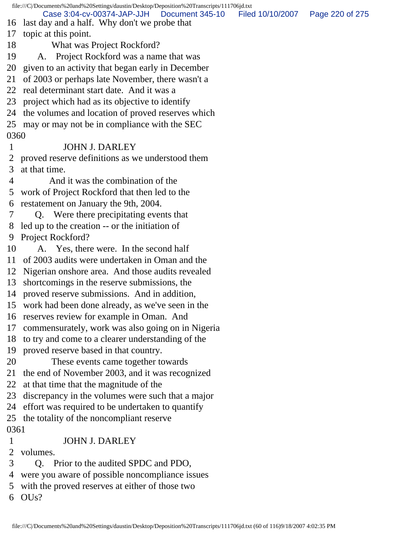file:///C|/Documents%20and%20Settings/daustin/Desktop/Deposition%20Transcripts/111706jd.txt 16 last day and a half. Why don't we probe that 17 topic at this point. 18 What was Project Rockford? 19 A. Project Rockford was a name that was 20 given to an activity that began early in December 21 of 2003 or perhaps late November, there wasn't a 22 real determinant start date. And it was a 23 project which had as its objective to identify 24 the volumes and location of proved reserves which 25 may or may not be in compliance with the SEC 0360 1 JOHN J. DARLEY 2 proved reserve definitions as we understood them 3 at that time. 4 And it was the combination of the 5 work of Project Rockford that then led to the 6 restatement on January the 9th, 2004. 7 Q. Were there precipitating events that 8 led up to the creation -- or the initiation of 9 Project Rockford? 10 A. Yes, there were. In the second half 11 of 2003 audits were undertaken in Oman and the 12 Nigerian onshore area. And those audits revealed 13 shortcomings in the reserve submissions, the 14 proved reserve submissions. And in addition, 15 work had been done already, as we've seen in the 16 reserves review for example in Oman. And 17 commensurately, work was also going on in Nigeria 18 to try and come to a clearer understanding of the 19 proved reserve based in that country. 20 These events came together towards 21 the end of November 2003, and it was recognized 22 at that time that the magnitude of the 23 discrepancy in the volumes were such that a major 24 effort was required to be undertaken to quantify 25 the totality of the noncompliant reserve 0361 1 JOHN J. DARLEY 2 volumes. 3 Q. Prior to the audited SPDC and PDO, 4 were you aware of possible noncompliance issues 5 with the proved reserves at either of those two 6 OUs? Case 3:04-cv-00374-JAP-JJH Document 345-10 Filed 10/10/2007 Page 220 of 275

file:///C|/Documents%20and%20Settings/daustin/Desktop/Deposition%20Transcripts/111706jd.txt (60 of 116)9/18/2007 4:02:35 PM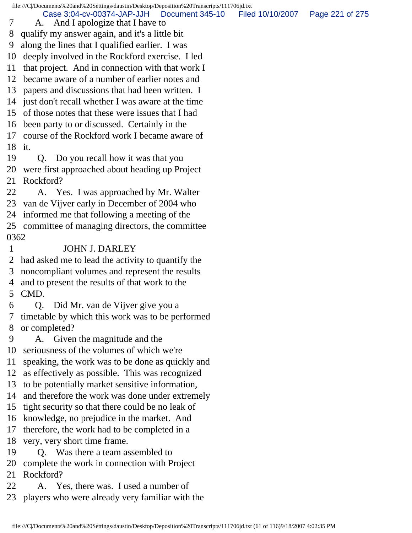file:///C|/Documents%20and%20Settings/daustin/Desktop/Deposition%20Transcripts/111706jd.txt 7 A. And I apologize that I have to 8 qualify my answer again, and it's a little bit 9 along the lines that I qualified earlier. I was 10 deeply involved in the Rockford exercise. I led 11 that project. And in connection with that work I 12 became aware of a number of earlier notes and 13 papers and discussions that had been written. I 14 just don't recall whether I was aware at the time 15 of those notes that these were issues that I had 16 been party to or discussed. Certainly in the 17 course of the Rockford work I became aware of 18 it. 19 Q. Do you recall how it was that you 20 were first approached about heading up Project 21 Rockford? 22 A. Yes. I was approached by Mr. Walter 23 van de Vijver early in December of 2004 who 24 informed me that following a meeting of the 25 committee of managing directors, the committee 0362 1 JOHN J. DARLEY 2 had asked me to lead the activity to quantify the 3 noncompliant volumes and represent the results 4 and to present the results of that work to the 5 CMD. 6 Q. Did Mr. van de Vijver give you a 7 timetable by which this work was to be performed 8 or completed? 9 A. Given the magnitude and the 10 seriousness of the volumes of which we're 11 speaking, the work was to be done as quickly and 12 as effectively as possible. This was recognized 13 to be potentially market sensitive information, 14 and therefore the work was done under extremely 15 tight security so that there could be no leak of 16 knowledge, no prejudice in the market. And 17 therefore, the work had to be completed in a 18 very, very short time frame. 19 Q. Was there a team assembled to 20 complete the work in connection with Project 21 Rockford? 22 A. Yes, there was. I used a number of Case 3:04-cv-00374-JAP-JJH Document 345-10 Filed 10/10/2007 Page 221 of 275

23 players who were already very familiar with the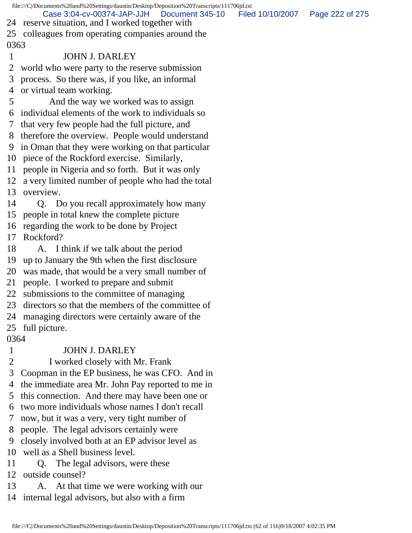| file:///C /Documents%20and%20Settings/daustin/Desktop/Deposition%20Transcripts/111706jd.txt |                                                                                                                       |                 |  |
|---------------------------------------------------------------------------------------------|-----------------------------------------------------------------------------------------------------------------------|-----------------|--|
|                                                                                             | Case 3:04-cv-00374-JAP-JJH<br>Document 345-10<br>Filed 10/10/2007<br>24 reserve situation, and I worked together with | Page 222 of 275 |  |
|                                                                                             | 25 colleagues from operating companies around the                                                                     |                 |  |
| 0363                                                                                        |                                                                                                                       |                 |  |
| $\mathbf{1}$                                                                                | <b>JOHN J. DARLEY</b>                                                                                                 |                 |  |
| 2                                                                                           | world who were party to the reserve submission                                                                        |                 |  |
| 3                                                                                           | process. So there was, if you like, an informal                                                                       |                 |  |
|                                                                                             | 4 or virtual team working.                                                                                            |                 |  |
| 5                                                                                           | And the way we worked was to assign                                                                                   |                 |  |
|                                                                                             | 6 individual elements of the work to individuals so                                                                   |                 |  |
| $7\overline{ }$                                                                             | that very few people had the full picture, and                                                                        |                 |  |
|                                                                                             | 8 therefore the overview. People would understand                                                                     |                 |  |
|                                                                                             | 9 in Oman that they were working on that particular                                                                   |                 |  |
|                                                                                             | 10 piece of the Rockford exercise. Similarly,                                                                         |                 |  |
|                                                                                             | 11 people in Nigeria and so forth. But it was only                                                                    |                 |  |
|                                                                                             | 12 a very limited number of people who had the total                                                                  |                 |  |
|                                                                                             | 13 overview.                                                                                                          |                 |  |
| 14                                                                                          | Q. Do you recall approximately how many                                                                               |                 |  |
|                                                                                             | 15 people in total knew the complete picture                                                                          |                 |  |
|                                                                                             | 16 regarding the work to be done by Project                                                                           |                 |  |
| 17                                                                                          | Rockford?                                                                                                             |                 |  |
| 18                                                                                          | A. I think if we talk about the period                                                                                |                 |  |
|                                                                                             | 19 up to January the 9th when the first disclosure                                                                    |                 |  |
|                                                                                             | 20 was made, that would be a very small number of                                                                     |                 |  |
|                                                                                             | 21 people. I worked to prepare and submit                                                                             |                 |  |
| 22                                                                                          | submissions to the committee of managing                                                                              |                 |  |
| 23                                                                                          | directors so that the members of the committee of                                                                     |                 |  |
| 24                                                                                          | managing directors were certainly aware of the                                                                        |                 |  |
| 25                                                                                          | full picture.                                                                                                         |                 |  |
| 0364                                                                                        |                                                                                                                       |                 |  |
| $\mathbf{1}$                                                                                | <b>JOHN J. DARLEY</b>                                                                                                 |                 |  |
| 2                                                                                           | I worked closely with Mr. Frank                                                                                       |                 |  |
| 3                                                                                           | Coopman in the EP business, he was CFO. And in                                                                        |                 |  |
| 4                                                                                           | the immediate area Mr. John Pay reported to me in                                                                     |                 |  |
| 5                                                                                           | this connection. And there may have been one or                                                                       |                 |  |

6 two more individuals whose names I don't recall

7 now, but it was a very, very tight number of

8 people. The legal advisors certainly were

9 closely involved both at an EP advisor level as

10 well as a Shell business level.

11 Q. The legal advisors, were these

12 outside counsel?

13 A. At that time we were working with our

14 internal legal advisors, but also with a firm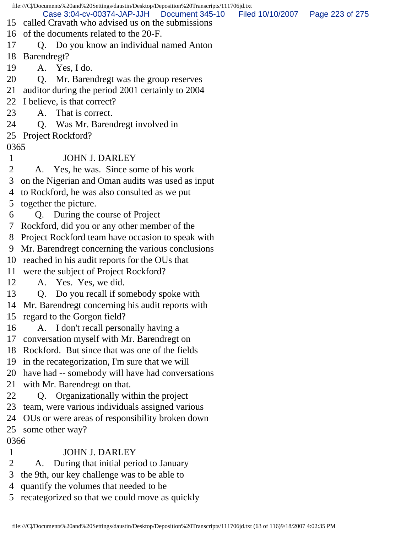file:///C|/Documents%20and%20Settings/daustin/Desktop/Deposition%20Transcripts/111706jd.txt 15 called Cravath who advised us on the submissions 16 of the documents related to the 20-F. 17 Q. Do you know an individual named Anton 18 Barendregt? 19 A. Yes, I do. 20 Q. Mr. Barendregt was the group reserves 21 auditor during the period 2001 certainly to 2004 22 I believe, is that correct? 23 A. That is correct. 24 Q. Was Mr. Barendregt involved in 25 Project Rockford? 0365 1 JOHN J. DARLEY 2 A. Yes, he was. Since some of his work 3 on the Nigerian and Oman audits was used as input 4 to Rockford, he was also consulted as we put 5 together the picture. 6 Q. During the course of Project 7 Rockford, did you or any other member of the 8 Project Rockford team have occasion to speak with 9 Mr. Barendregt concerning the various conclusions 10 reached in his audit reports for the OUs that 11 were the subject of Project Rockford? 12 A. Yes. Yes, we did. 13 Q. Do you recall if somebody spoke with 14 Mr. Barendregt concerning his audit reports with 15 regard to the Gorgon field? 16 A. I don't recall personally having a 17 conversation myself with Mr. Barendregt on 18 Rockford. But since that was one of the fields 19 in the recategorization, I'm sure that we will 20 have had -- somebody will have had conversations 21 with Mr. Barendregt on that. 22 Q. Organizationally within the project 23 team, were various individuals assigned various 24 OUs or were areas of responsibility broken down 25 some other way? 0366 1 JOHN J. DARLEY 2 A. During that initial period to January 3 the 9th, our key challenge was to be able to 4 quantify the volumes that needed to be 5 recategorized so that we could move as quickly Case 3:04-cv-00374-JAP-JJH Document 345-10 Filed 10/10/2007 Page 223 of 275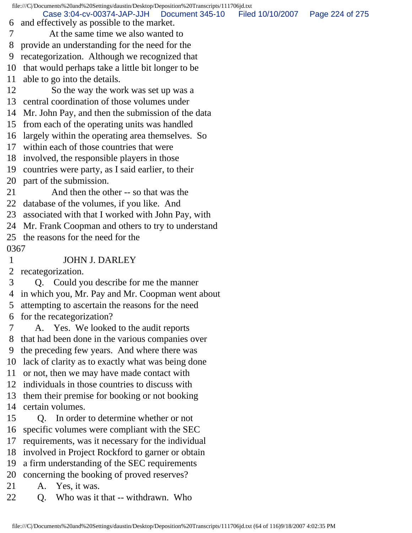|      | file:///C//Documents%20and%20Settings/daustin/Desktop/Deposition%20Transcripts/111706jd.txt |                  |                 |
|------|---------------------------------------------------------------------------------------------|------------------|-----------------|
| 6    | Case 3:04-cv-00374-JAP-JJH<br>Document 345-10<br>and effectively as possible to the market. | Filed 10/10/2007 | Page 224 of 275 |
|      | At the same time we also wanted to                                                          |                  |                 |
| 8    | provide an understanding for the need for the                                               |                  |                 |
| 9    | recategorization. Although we recognized that                                               |                  |                 |
| 10   | that would perhaps take a little bit longer to be                                           |                  |                 |
| 11   | able to go into the details.                                                                |                  |                 |
| 12   | So the way the work was set up was a                                                        |                  |                 |
|      | 13 central coordination of those volumes under                                              |                  |                 |
| 14   | Mr. John Pay, and then the submission of the data                                           |                  |                 |
|      | 15 from each of the operating units was handled                                             |                  |                 |
|      | 16 largely within the operating area themselves. So                                         |                  |                 |
| 17   | within each of those countries that were                                                    |                  |                 |
|      | 18 involved, the responsible players in those                                               |                  |                 |
| 19   | countries were party, as I said earlier, to their                                           |                  |                 |
|      | 20 part of the submission.                                                                  |                  |                 |
| 21   | And then the other -- so that was the                                                       |                  |                 |
| 22   | database of the volumes, if you like. And                                                   |                  |                 |
|      | 23 associated with that I worked with John Pay, with                                        |                  |                 |
|      | 24 Mr. Frank Coopman and others to try to understand                                        |                  |                 |
|      | 25 the reasons for the need for the                                                         |                  |                 |
| 0367 |                                                                                             |                  |                 |
| 1    | <b>JOHN J. DARLEY</b>                                                                       |                  |                 |
|      |                                                                                             |                  |                 |
| 2    | recategorization.                                                                           |                  |                 |
| 3    | Q. Could you describe for me the manner                                                     |                  |                 |
|      | 4 in which you, Mr. Pay and Mr. Coopman went about                                          |                  |                 |
|      | 5 attempting to ascertain the reasons for the need                                          |                  |                 |
| 6    | for the recategorization?                                                                   |                  |                 |
|      | A. Yes. We looked to the audit reports                                                      |                  |                 |
| 8    | that had been done in the various companies over                                            |                  |                 |
| 9    | the preceding few years. And where there was                                                |                  |                 |
| 10   | lack of clarity as to exactly what was being done                                           |                  |                 |
| 11   | or not, then we may have made contact with                                                  |                  |                 |
| 12   | individuals in those countries to discuss with                                              |                  |                 |
| 13   | them their premise for booking or not booking                                               |                  |                 |
| 14   | certain volumes.                                                                            |                  |                 |
| 15   | Q. In order to determine whether or not                                                     |                  |                 |
| 16   | specific volumes were compliant with the SEC                                                |                  |                 |
| 17   | requirements, was it necessary for the individual                                           |                  |                 |
| 18   | involved in Project Rockford to garner or obtain                                            |                  |                 |
| 19   | a firm understanding of the SEC requirements                                                |                  |                 |
| 20   | concerning the booking of proved reserves?                                                  |                  |                 |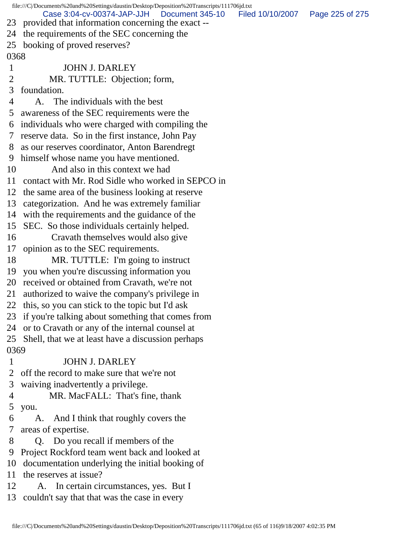file:///C|/Documents%20and%20Settings/daustin/Desktop/Deposition%20Transcripts/111706jd.txt 23 provided that information concerning the exact -- 24 the requirements of the SEC concerning the 25 booking of proved reserves? 0368 1 JOHN J. DARLEY 2 MR. TUTTLE: Objection; form, 3 foundation. 4 A. The individuals with the best 5 awareness of the SEC requirements were the 6 individuals who were charged with compiling the 7 reserve data. So in the first instance, John Pay 8 as our reserves coordinator, Anton Barendregt 9 himself whose name you have mentioned. 10 And also in this context we had 11 contact with Mr. Rod Sidle who worked in SEPCO in 12 the same area of the business looking at reserve 13 categorization. And he was extremely familiar 14 with the requirements and the guidance of the 15 SEC. So those individuals certainly helped. 16 Cravath themselves would also give 17 opinion as to the SEC requirements. 18 MR. TUTTLE: I'm going to instruct 19 you when you're discussing information you 20 received or obtained from Cravath, we're not 21 authorized to waive the company's privilege in 22 this, so you can stick to the topic but I'd ask 23 if you're talking about something that comes from 24 or to Cravath or any of the internal counsel at 25 Shell, that we at least have a discussion perhaps 0369 1 JOHN J. DARLEY 2 off the record to make sure that we're not 3 waiving inadvertently a privilege. 4 MR. MacFALL: That's fine, thank 5 you. 6 A. And I think that roughly covers the 7 areas of expertise. 8 Q. Do you recall if members of the 9 Project Rockford team went back and looked at 10 documentation underlying the initial booking of 11 the reserves at issue? 12 A. In certain circumstances, yes. But I 13 couldn't say that that was the case in every Case 3:04-cv-00374-JAP-JJH Document 345-10 Filed 10/10/2007 Page 225 of 275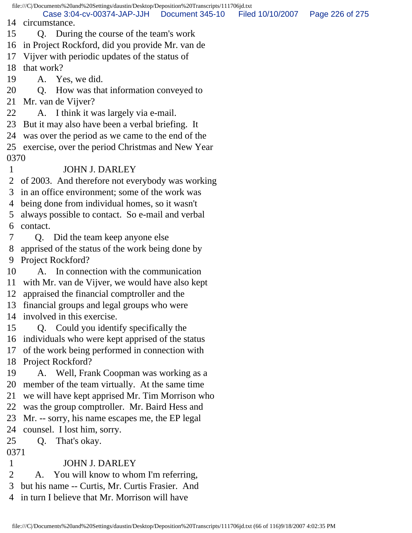file:///C|/Documents%20and%20Settings/daustin/Desktop/Deposition%20Transcripts/111706jd.txt 14 circumstance. 15 Q. During the course of the team's work 16 in Project Rockford, did you provide Mr. van de 17 Vijver with periodic updates of the status of 18 that work? 19 A. Yes, we did. 20 Q. How was that information conveyed to 21 Mr. van de Vijver? 22 A. I think it was largely via e-mail. 23 But it may also have been a verbal briefing. It 24 was over the period as we came to the end of the 25 exercise, over the period Christmas and New Year 0370 1 JOHN J. DARLEY 2 of 2003. And therefore not everybody was working 3 in an office environment; some of the work was 4 being done from individual homes, so it wasn't 5 always possible to contact. So e-mail and verbal 6 contact. 7 Q. Did the team keep anyone else 8 apprised of the status of the work being done by 9 Project Rockford? 10 A. In connection with the communication 11 with Mr. van de Vijver, we would have also kept 12 appraised the financial comptroller and the 13 financial groups and legal groups who were 14 involved in this exercise. 15 Q. Could you identify specifically the 16 individuals who were kept apprised of the status 17 of the work being performed in connection with 18 Project Rockford? 19 A. Well, Frank Coopman was working as a 20 member of the team virtually. At the same time 21 we will have kept apprised Mr. Tim Morrison who 22 was the group comptroller. Mr. Baird Hess and 23 Mr. -- sorry, his name escapes me, the EP legal 24 counsel. I lost him, sorry. 25 Q. That's okay. 0371 1 JOHN J. DARLEY 2 A. You will know to whom I'm referring, Case 3:04-cv-00374-JAP-JJH Document 345-10 Filed 10/10/2007 Page 226 of 275

- 3 but his name -- Curtis, Mr. Curtis Frasier. And
- 4 in turn I believe that Mr. Morrison will have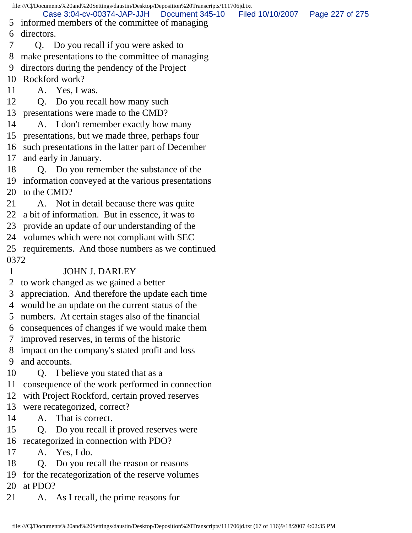file:///C|/Documents%20and%20Settings/daustin/Desktop/Deposition%20Transcripts/111706jd.txt 5 informed members of the committee of managing 6 directors. 7 Q. Do you recall if you were asked to 8 make presentations to the committee of managing 9 directors during the pendency of the Project 10 Rockford work? 11 A. Yes, I was. 12 Q. Do you recall how many such 13 presentations were made to the CMD? 14 A. I don't remember exactly how many 15 presentations, but we made three, perhaps four 16 such presentations in the latter part of December 17 and early in January. 18 Q. Do you remember the substance of the 19 information conveyed at the various presentations 20 to the CMD? 21 A. Not in detail because there was quite 22 a bit of information. But in essence, it was to 23 provide an update of our understanding of the 24 volumes which were not compliant with SEC 25 requirements. And those numbers as we continued 0372 1 JOHN J. DARLEY 2 to work changed as we gained a better 3 appreciation. And therefore the update each time 4 would be an update on the current status of the 5 numbers. At certain stages also of the financial 6 consequences of changes if we would make them 7 improved reserves, in terms of the historic 8 impact on the company's stated profit and loss 9 and accounts. 10 Q. I believe you stated that as a 11 consequence of the work performed in connection 12 with Project Rockford, certain proved reserves 13 were recategorized, correct? 14 A. That is correct. 15 Q. Do you recall if proved reserves were 16 recategorized in connection with PDO? 17 A. Yes, I do. 18 Q. Do you recall the reason or reasons 19 for the recategorization of the reserve volumes 20 at PDO? 21 A. As I recall, the prime reasons for Case 3:04-cv-00374-JAP-JJH Document 345-10 Filed 10/10/2007 Page 227 of 275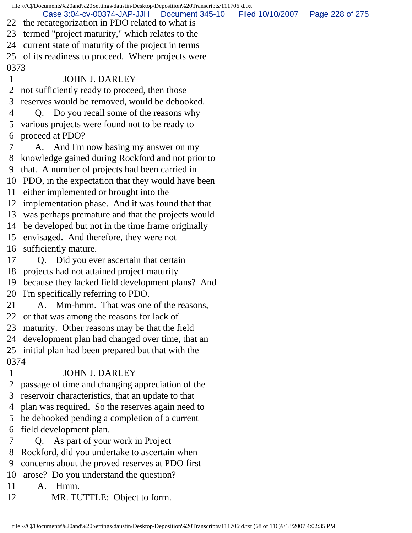file:///C|/Documents%20and%20Settings/daustin/Desktop/Deposition%20Transcripts/111706jd.txt 22 the recategorization in PDO related to what is 23 termed "project maturity," which relates to the 24 current state of maturity of the project in terms 25 of its readiness to proceed. Where projects were 0373 1 JOHN J. DARLEY 2 not sufficiently ready to proceed, then those 3 reserves would be removed, would be debooked. 4 Q. Do you recall some of the reasons why 5 various projects were found not to be ready to 6 proceed at PDO? 7 A. And I'm now basing my answer on my 8 knowledge gained during Rockford and not prior to 9 that. A number of projects had been carried in 10 PDO, in the expectation that they would have been 11 either implemented or brought into the 12 implementation phase. And it was found that that 13 was perhaps premature and that the projects would 14 be developed but not in the time frame originally 15 envisaged. And therefore, they were not 16 sufficiently mature. 17 Q. Did you ever ascertain that certain 18 projects had not attained project maturity 19 because they lacked field development plans? And 20 I'm specifically referring to PDO. 21 A. Mm-hmm. That was one of the reasons, 22 or that was among the reasons for lack of 23 maturity. Other reasons may be that the field 24 development plan had changed over time, that an 25 initial plan had been prepared but that with the 0374 1 JOHN J. DARLEY 2 passage of time and changing appreciation of the 3 reservoir characteristics, that an update to that 4 plan was required. So the reserves again need to 5 be debooked pending a completion of a current 6 field development plan. 7 Q. As part of your work in Project 8 Rockford, did you undertake to ascertain when 9 concerns about the proved reserves at PDO first Case 3:04-cv-00374-JAP-JJH Document 345-10 Filed 10/10/2007 Page 228 of 275

10 arose? Do you understand the question?

11 A. Hmm.

12 MR. TUTTLE: Object to form.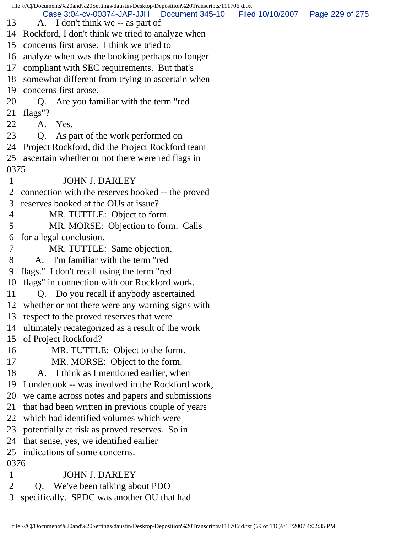file:///C|/Documents%20and%20Settings/daustin/Desktop/Deposition%20Transcripts/111706jd.txt 13 A. I don't think we -- as part of 14 Rockford, I don't think we tried to analyze when 15 concerns first arose. I think we tried to 16 analyze when was the booking perhaps no longer 17 compliant with SEC requirements. But that's 18 somewhat different from trying to ascertain when 19 concerns first arose. 20 Q. Are you familiar with the term "red 21 flags"? 22 A. Yes. 23 Q. As part of the work performed on 24 Project Rockford, did the Project Rockford team 25 ascertain whether or not there were red flags in 0375 1 JOHN J. DARLEY 2 connection with the reserves booked -- the proved 3 reserves booked at the OUs at issue? 4 MR. TUTTLE: Object to form. 5 MR. MORSE: Objection to form. Calls 6 for a legal conclusion. 7 MR. TUTTLE: Same objection. 8 A. I'm familiar with the term "red 9 flags." I don't recall using the term "red 10 flags" in connection with our Rockford work. 11 Q. Do you recall if anybody ascertained 12 whether or not there were any warning signs with 13 respect to the proved reserves that were 14 ultimately recategorized as a result of the work 15 of Project Rockford? 16 MR. TUTTLE: Object to the form. 17 MR. MORSE: Object to the form. 18 A. I think as I mentioned earlier, when 19 I undertook -- was involved in the Rockford work, 20 we came across notes and papers and submissions 21 that had been written in previous couple of years 22 which had identified volumes which were 23 potentially at risk as proved reserves. So in 24 that sense, yes, we identified earlier 25 indications of some concerns. 0376 1 JOHN J. DARLEY 2 Q. We've been talking about PDO 3 specifically. SPDC was another OU that had Case 3:04-cv-00374-JAP-JJH Document 345-10 Filed 10/10/2007 Page 229 of 275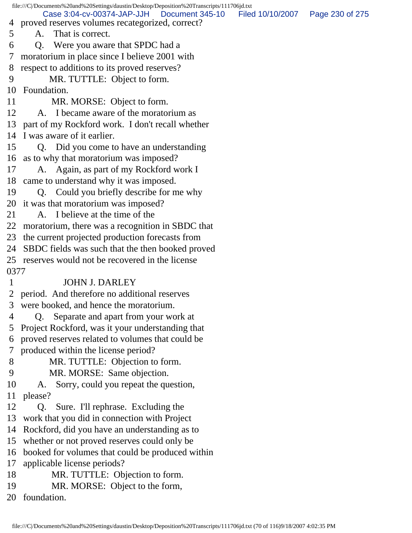|        | file:///C /Documents%20and%20Settings/daustin/Desktop/Deposition%20Transcripts/111706jd.txt |                  |                 |
|--------|---------------------------------------------------------------------------------------------|------------------|-----------------|
|        | Case 3:04-cv-00374-JAP-JJH Document 345-10                                                  | Filed 10/10/2007 | Page 230 of 275 |
| 4<br>5 | proved reserves volumes recategorized, correct?<br>That is correct.<br>A.                   |                  |                 |
| 6      |                                                                                             |                  |                 |
|        | Q. Were you aware that SPDC had a                                                           |                  |                 |
| 7      | moratorium in place since I believe 2001 with                                               |                  |                 |
| 8      | respect to additions to its proved reserves?                                                |                  |                 |
| 9      | MR. TUTTLE: Object to form.                                                                 |                  |                 |
| 10     | Foundation.                                                                                 |                  |                 |
| 11     | MR. MORSE: Object to form.                                                                  |                  |                 |
| 12     | A. I became aware of the moratorium as                                                      |                  |                 |
| 13     | part of my Rockford work. I don't recall whether                                            |                  |                 |
| 14     | I was aware of it earlier.                                                                  |                  |                 |
| 15     | Q. Did you come to have an understanding                                                    |                  |                 |
| 16     | as to why that moratorium was imposed?                                                      |                  |                 |
| 17     | A. Again, as part of my Rockford work I                                                     |                  |                 |
| 18     | came to understand why it was imposed.                                                      |                  |                 |
| 19     | Q. Could you briefly describe for me why                                                    |                  |                 |
| 20     | it was that moratorium was imposed?                                                         |                  |                 |
| 21     | A. I believe at the time of the                                                             |                  |                 |
| 22     | moratorium, there was a recognition in SBDC that                                            |                  |                 |
| 23     | the current projected production forecasts from                                             |                  |                 |
| 24     | SBDC fields was such that the then booked proved                                            |                  |                 |
| 25     | reserves would not be recovered in the license                                              |                  |                 |
| 0377   |                                                                                             |                  |                 |
| 1      | <b>JOHN J. DARLEY</b>                                                                       |                  |                 |
|        | 2 period. And therefore no additional reserves                                              |                  |                 |
| 3      | were booked, and hence the moratorium.                                                      |                  |                 |
| 4      | Separate and apart from your work at<br>Q.                                                  |                  |                 |
| 5      | Project Rockford, was it your understanding that                                            |                  |                 |
| 6      | proved reserves related to volumes that could be                                            |                  |                 |
| 7      | produced within the license period?                                                         |                  |                 |
| 8      | MR. TUTTLE: Objection to form.                                                              |                  |                 |
| 9      | MR. MORSE: Same objection.                                                                  |                  |                 |
| 10     | Sorry, could you repeat the question,<br>А.                                                 |                  |                 |
| 11     | please?                                                                                     |                  |                 |
| 12     | Sure. I'll rephrase. Excluding the<br>Q.                                                    |                  |                 |
| 13     | work that you did in connection with Project                                                |                  |                 |
| 14     | Rockford, did you have an understanding as to                                               |                  |                 |
| 15     | whether or not proved reserves could only be                                                |                  |                 |
| 16     | booked for volumes that could be produced within                                            |                  |                 |
| 17     | applicable license periods?                                                                 |                  |                 |
| 18     | MR. TUTTLE: Objection to form.                                                              |                  |                 |
| 19     | MR. MORSE: Object to the form,                                                              |                  |                 |
| 20     | foundation.                                                                                 |                  |                 |
|        |                                                                                             |                  |                 |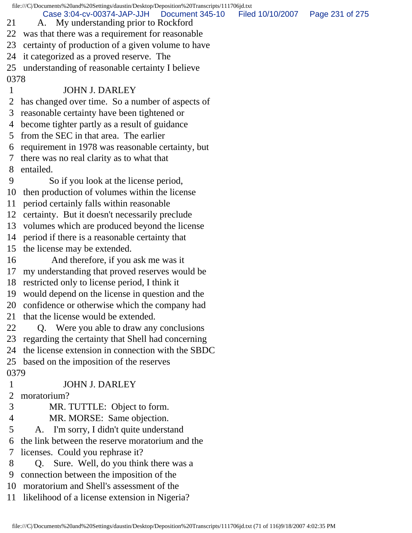|      | file:///C//Documents%20and%20Settings/daustin/Desktop/Deposition%20Transcripts/111706jd.txt |                  |                 |
|------|---------------------------------------------------------------------------------------------|------------------|-----------------|
| 21   | Case 3:04-cv-00374-JAP-JJH<br>Document 345-10<br>My understanding prior to Rockford<br>A.   | Filed 10/10/2007 | Page 231 of 275 |
| 22   | was that there was a requirement for reasonable                                             |                  |                 |
| 23   | certainty of production of a given volume to have                                           |                  |                 |
| 24   | it categorized as a proved reserve. The                                                     |                  |                 |
| 25   | understanding of reasonable certainty I believe                                             |                  |                 |
| 0378 |                                                                                             |                  |                 |
| 1    | <b>JOHN J. DARLEY</b>                                                                       |                  |                 |
| 2    | has changed over time. So a number of aspects of                                            |                  |                 |
| 3    | reasonable certainty have been tightened or                                                 |                  |                 |
| 4    | become tighter partly as a result of guidance                                               |                  |                 |
| 5    | from the SEC in that area. The earlier                                                      |                  |                 |
| 6    | requirement in 1978 was reasonable certainty, but                                           |                  |                 |
| 7    | there was no real clarity as to what that                                                   |                  |                 |
| 8    | entailed.                                                                                   |                  |                 |
| 9    | So if you look at the license period,                                                       |                  |                 |
| 10   | then production of volumes within the license                                               |                  |                 |
| 11   | period certainly falls within reasonable                                                    |                  |                 |
| 12   | certainty. But it doesn't necessarily preclude                                              |                  |                 |
| 13   | volumes which are produced beyond the license                                               |                  |                 |
| 14   | period if there is a reasonable certainty that                                              |                  |                 |
| 15   | the license may be extended.                                                                |                  |                 |
| 16   | And therefore, if you ask me was it                                                         |                  |                 |
| 17   | my understanding that proved reserves would be                                              |                  |                 |
| 18   | restricted only to license period, I think it                                               |                  |                 |
| 19   | would depend on the license in question and the                                             |                  |                 |
| 20   | confidence or otherwise which the company had                                               |                  |                 |
| 21   | that the license would be extended.                                                         |                  |                 |
| 22   | Q. Were you able to draw any conclusions                                                    |                  |                 |
| 23   | regarding the certainty that Shell had concerning                                           |                  |                 |
| 24   | the license extension in connection with the SBDC                                           |                  |                 |
| 25   | based on the imposition of the reserves                                                     |                  |                 |
| 0379 |                                                                                             |                  |                 |
| 1    | <b>JOHN J. DARLEY</b>                                                                       |                  |                 |
| 2    | moratorium?                                                                                 |                  |                 |
| 3    | MR. TUTTLE: Object to form.                                                                 |                  |                 |
| 4    | MR. MORSE: Same objection.                                                                  |                  |                 |
| 5    | A. I'm sorry, I didn't quite understand                                                     |                  |                 |
| 6    | the link between the reserve moratorium and the                                             |                  |                 |
| 7    | licenses. Could you rephrase it?                                                            |                  |                 |
| 8    | Q. Sure. Well, do you think there was a                                                     |                  |                 |
| 9    | connection between the imposition of the                                                    |                  |                 |
| 10   | moratorium and Shell's assessment of the                                                    |                  |                 |
| 11   | likelihood of a license extension in Nigeria?                                               |                  |                 |
|      |                                                                                             |                  |                 |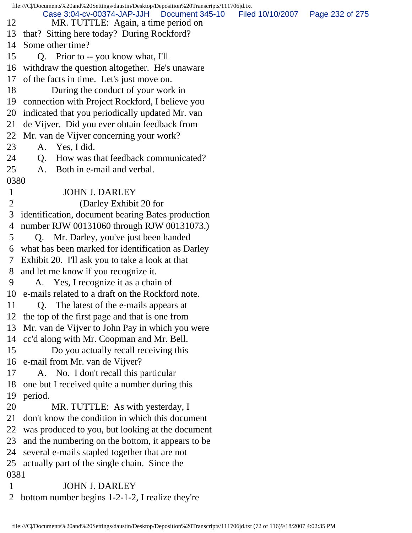|              | file:///C//Documents%20and%20Settings/daustin/Desktop/Deposition%20Transcripts/111706jd.txt |                  |                 |
|--------------|---------------------------------------------------------------------------------------------|------------------|-----------------|
| 12           | Case 3:04-cv-00374-JAP-JJH   Document 345-10<br>MR. TUTTLE: Again, a time period on         | Filed 10/10/2007 | Page 232 of 275 |
|              | 13 that? Sitting here today? During Rockford?                                               |                  |                 |
| 14           | Some other time?                                                                            |                  |                 |
| 15           | Q. Prior to -- you know what, I'll                                                          |                  |                 |
| 16           | withdraw the question altogether. He's unaware                                              |                  |                 |
| 17           | of the facts in time. Let's just move on.                                                   |                  |                 |
| 18           | During the conduct of your work in                                                          |                  |                 |
| 19           | connection with Project Rockford, I believe you                                             |                  |                 |
| 20           | indicated that you periodically updated Mr. van                                             |                  |                 |
| 21           | de Vijver. Did you ever obtain feedback from                                                |                  |                 |
| 22           | Mr. van de Vijver concerning your work?                                                     |                  |                 |
| 23           | A. Yes, I did.                                                                              |                  |                 |
| 24           | How was that feedback communicated?<br>Q.                                                   |                  |                 |
| 25           | Both in e-mail and verbal.<br>A.                                                            |                  |                 |
| 0380         |                                                                                             |                  |                 |
| $\mathbf{1}$ | <b>JOHN J. DARLEY</b>                                                                       |                  |                 |
| 2            | (Darley Exhibit 20 for                                                                      |                  |                 |
| 3            | identification, document bearing Bates production                                           |                  |                 |
| 4            | number RJW 00131060 through RJW 00131073.)                                                  |                  |                 |
| 5            | Q. Mr. Darley, you've just been handed                                                      |                  |                 |
| 6            | what has been marked for identification as Darley                                           |                  |                 |
| 7            | Exhibit 20. I'll ask you to take a look at that                                             |                  |                 |
| 8            | and let me know if you recognize it.                                                        |                  |                 |
| 9            | A. Yes, I recognize it as a chain of                                                        |                  |                 |
|              | 10 e-mails related to a draft on the Rockford note.                                         |                  |                 |
| 11           | Q. The latest of the e-mails appears at                                                     |                  |                 |
|              | 12 the top of the first page and that is one from                                           |                  |                 |
|              | 13 Mr. van de Vijver to John Pay in which you were                                          |                  |                 |
|              | 14 cc'd along with Mr. Coopman and Mr. Bell.                                                |                  |                 |
| 15           | Do you actually recall receiving this                                                       |                  |                 |
|              | 16 e-mail from Mr. van de Vijver?                                                           |                  |                 |
| 17           | A. No. I don't recall this particular                                                       |                  |                 |
| 18           | one but I received quite a number during this                                               |                  |                 |
| 19           | period.                                                                                     |                  |                 |
| 20           | MR. TUTTLE: As with yesterday, I                                                            |                  |                 |
| 21           | don't know the condition in which this document                                             |                  |                 |
| 22           | was produced to you, but looking at the document                                            |                  |                 |
| 23           | and the numbering on the bottom, it appears to be                                           |                  |                 |
| 24           | several e-mails stapled together that are not                                               |                  |                 |
|              | 25 actually part of the single chain. Since the                                             |                  |                 |
| 0381         |                                                                                             |                  |                 |
| 1            | <b>JOHN J. DARLEY</b>                                                                       |                  |                 |
|              | bottom number begins 1-2-1-2, I realize they're                                             |                  |                 |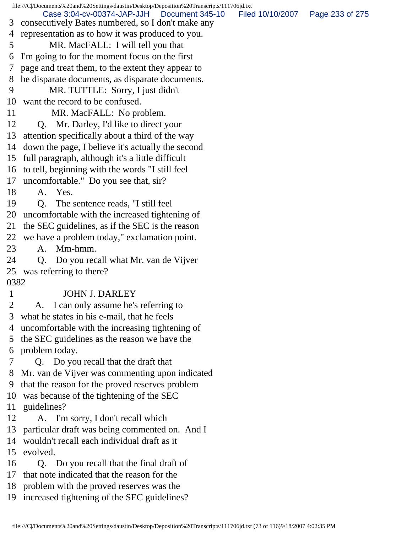|              | file:///C /Documents%20and%20Settings/daustin/Desktop/Deposition%20Transcripts/111706jd.txt       |                  |                 |
|--------------|---------------------------------------------------------------------------------------------------|------------------|-----------------|
| 3            | Case 3:04-cv-00374-JAP-JJH   Document 345-10<br>consecutively Bates numbered, so I don't make any | Filed 10/10/2007 | Page 233 of 275 |
| 4            | representation as to how it was produced to you.                                                  |                  |                 |
| 5            | MR. MacFALL: I will tell you that                                                                 |                  |                 |
| 6            | I'm going to for the moment focus on the first                                                    |                  |                 |
| $\tau$       | page and treat them, to the extent they appear to                                                 |                  |                 |
| 8            | be disparate documents, as disparate documents.                                                   |                  |                 |
| 9            | MR. TUTTLE: Sorry, I just didn't                                                                  |                  |                 |
| 10           | want the record to be confused.                                                                   |                  |                 |
| 11           | MR. MacFALL: No problem.                                                                          |                  |                 |
| 12           | Q. Mr. Darley, I'd like to direct your                                                            |                  |                 |
| 13           | attention specifically about a third of the way                                                   |                  |                 |
|              | 14 down the page, I believe it's actually the second                                              |                  |                 |
|              | 15 full paragraph, although it's a little difficult                                               |                  |                 |
|              | 16 to tell, beginning with the words "I still feel                                                |                  |                 |
|              | 17 uncomfortable." Do you see that, sir?                                                          |                  |                 |
| 18           | A. Yes.                                                                                           |                  |                 |
| 19           | The sentence reads, "I still feel<br>Q.                                                           |                  |                 |
|              | 20 uncomfortable with the increased tightening of                                                 |                  |                 |
|              | 21 the SEC guidelines, as if the SEC is the reason                                                |                  |                 |
|              | 22 we have a problem today," exclamation point.                                                   |                  |                 |
| 23           | A. Mm-hmm.                                                                                        |                  |                 |
| 24           | Do you recall what Mr. van de Vijver<br>Q.                                                        |                  |                 |
| 25           | was referring to there?                                                                           |                  |                 |
| 0382         |                                                                                                   |                  |                 |
| $\mathbf{1}$ | <b>JOHN J. DARLEY</b>                                                                             |                  |                 |
| 2            | A. I can only assume he's referring to                                                            |                  |                 |
| 3            | what he states in his e-mail, that he feels                                                       |                  |                 |
| 4            | uncomfortable with the increasing tightening of                                                   |                  |                 |
| 5            | the SEC guidelines as the reason we have the                                                      |                  |                 |
| 6            | problem today.                                                                                    |                  |                 |
|              | Q. Do you recall that the draft that                                                              |                  |                 |
| 8            | Mr. van de Vijver was commenting upon indicated                                                   |                  |                 |
| 9            | that the reason for the proved reserves problem                                                   |                  |                 |
|              | 10 was because of the tightening of the SEC                                                       |                  |                 |
|              | 11 guidelines?                                                                                    |                  |                 |
| 12           | A. I'm sorry, I don't recall which                                                                |                  |                 |
|              | 13 particular draft was being commented on. And I                                                 |                  |                 |
| 14           | wouldn't recall each individual draft as it                                                       |                  |                 |
| 15           | evolved.                                                                                          |                  |                 |
| 16           | Q. Do you recall that the final draft of                                                          |                  |                 |
| 17           | that note indicated that the reason for the                                                       |                  |                 |
|              | 18 problem with the proved reserves was the                                                       |                  |                 |
|              | 19 increased tightening of the SEC guidelines?                                                    |                  |                 |
|              |                                                                                                   |                  |                 |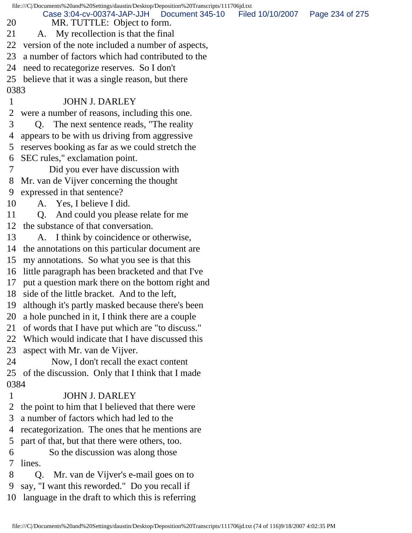|      | file:///C//Documents%20and%20Settings/daustin/Desktop/Deposition%20Transcripts/111706jd.txt |                  |                 |
|------|---------------------------------------------------------------------------------------------|------------------|-----------------|
| 20   | Case 3:04-cv-00374-JAP-JJH<br>Document 345-10<br>MR. TUTTLE: Object to form.                | Filed 10/10/2007 | Page 234 of 275 |
| 21   | A. My recollection is that the final                                                        |                  |                 |
| 22   | version of the note included a number of aspects,                                           |                  |                 |
| 23   | a number of factors which had contributed to the                                            |                  |                 |
| 24   | need to recategorize reserves. So I don't                                                   |                  |                 |
| 25   | believe that it was a single reason, but there                                              |                  |                 |
| 0383 |                                                                                             |                  |                 |
| 1    | <b>JOHN J. DARLEY</b>                                                                       |                  |                 |
| 2    | were a number of reasons, including this one.                                               |                  |                 |
| 3    | The next sentence reads, "The reality"<br>Q.                                                |                  |                 |
| 4    | appears to be with us driving from aggressive                                               |                  |                 |
| 5    | reserves booking as far as we could stretch the                                             |                  |                 |
| 6    | SEC rules," exclamation point.                                                              |                  |                 |
|      | Did you ever have discussion with                                                           |                  |                 |
| 8    | Mr. van de Vijver concerning the thought                                                    |                  |                 |
| 9    | expressed in that sentence?                                                                 |                  |                 |
| 10   | A. Yes, I believe I did.                                                                    |                  |                 |
| 11   | And could you please relate for me<br>Q.                                                    |                  |                 |
| 12   | the substance of that conversation.                                                         |                  |                 |
| 13   | A. I think by coincidence or otherwise,                                                     |                  |                 |
| 14   | the annotations on this particular document are                                             |                  |                 |
| 15   | my annotations. So what you see is that this                                                |                  |                 |
| 16   | little paragraph has been bracketed and that I've                                           |                  |                 |
| 17   | put a question mark there on the bottom right and                                           |                  |                 |
| 18   | side of the little bracket. And to the left,                                                |                  |                 |
| 19   | although it's partly masked because there's been                                            |                  |                 |
| 20   | a hole punched in it, I think there are a couple                                            |                  |                 |
| 21   | of words that I have put which are "to discuss."                                            |                  |                 |
| 22   | Which would indicate that I have discussed this                                             |                  |                 |
| 23   | aspect with Mr. van de Vijver.                                                              |                  |                 |
| 24   | Now, I don't recall the exact content                                                       |                  |                 |
| 25   | of the discussion. Only that I think that I made                                            |                  |                 |
| 0384 |                                                                                             |                  |                 |
| 1    | <b>JOHN J. DARLEY</b>                                                                       |                  |                 |
| 2    | the point to him that I believed that there were                                            |                  |                 |
| 3    | a number of factors which had led to the                                                    |                  |                 |
| 4    | recategorization. The ones that he mentions are                                             |                  |                 |
| 5    | part of that, but that there were others, too.                                              |                  |                 |
| 6    | So the discussion was along those                                                           |                  |                 |
| 7    | lines.                                                                                      |                  |                 |
| 8    | Mr. van de Vijver's e-mail goes on to<br>O.                                                 |                  |                 |
| 9    | say, "I want this reworded." Do you recall if                                               |                  |                 |
| 10   | language in the draft to which this is referring                                            |                  |                 |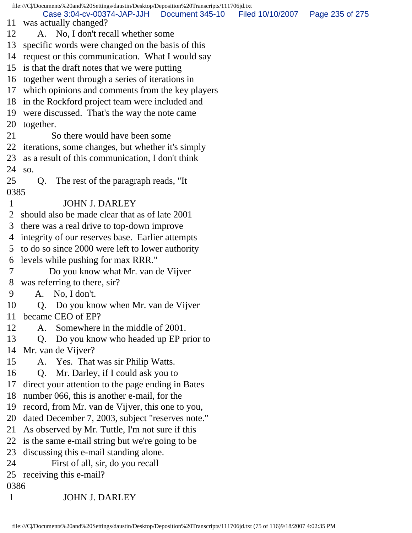file:///C|/Documents%20and%20Settings/daustin/Desktop/Deposition%20Transcripts/111706jd.txt 11 was actually changed? 12 A. No, I don't recall whether some 13 specific words were changed on the basis of this 14 request or this communication. What I would say 15 is that the draft notes that we were putting 16 together went through a series of iterations in 17 which opinions and comments from the key players 18 in the Rockford project team were included and 19 were discussed. That's the way the note came 20 together. 21 So there would have been some 22 iterations, some changes, but whether it's simply 23 as a result of this communication, I don't think 24 so. 25 Q. The rest of the paragraph reads, "It 0385 1 JOHN J. DARLEY 2 should also be made clear that as of late 2001 3 there was a real drive to top-down improve 4 integrity of our reserves base. Earlier attempts 5 to do so since 2000 were left to lower authority 6 levels while pushing for max RRR." 7 Do you know what Mr. van de Vijver 8 was referring to there, sir? 9 A. No, I don't. 10 Q. Do you know when Mr. van de Vijver 11 became CEO of EP? 12 A. Somewhere in the middle of 2001. 13 Q. Do you know who headed up EP prior to 14 Mr. van de Vijver? 15 A. Yes. That was sir Philip Watts. 16 Q. Mr. Darley, if I could ask you to 17 direct your attention to the page ending in Bates 18 number 066, this is another e-mail, for the 19 record, from Mr. van de Vijver, this one to you, 20 dated December 7, 2003, subject "reserves note." 21 As observed by Mr. Tuttle, I'm not sure if this 22 is the same e-mail string but we're going to be 23 discussing this e-mail standing alone. 24 First of all, sir, do you recall 25 receiving this e-mail? 0386 Case 3:04-cv-00374-JAP-JJH Document 345-10 Filed 10/10/2007 Page 235 of 275

1 JOHN J. DARLEY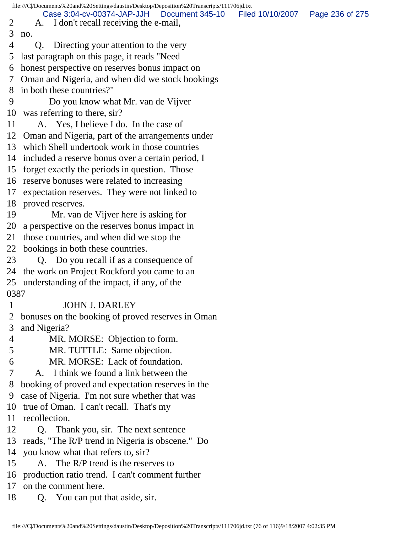|      | file:///C /Documents%20and%20Settings/daustin/Desktop/Deposition%20Transcripts/111706jd.txt |                  |                 |
|------|---------------------------------------------------------------------------------------------|------------------|-----------------|
| 2    | Case 3:04-cv-00374-JAP-JJH<br>Document 345-10                                               | Filed 10/10/2007 | Page 236 of 275 |
| 3    | A. I don't recall receiving the e-mail,                                                     |                  |                 |
|      | no.                                                                                         |                  |                 |
| 4    | Directing your attention to the very<br>Q.                                                  |                  |                 |
| 5    | last paragraph on this page, it reads "Need                                                 |                  |                 |
| 6    | honest perspective on reserves bonus impact on                                              |                  |                 |
| 7    | Oman and Nigeria, and when did we stock bookings                                            |                  |                 |
| 8    | in both these countries?"                                                                   |                  |                 |
| 9    | Do you know what Mr. van de Vijver                                                          |                  |                 |
| 10   | was referring to there, sir?                                                                |                  |                 |
| 11   | A. Yes, I believe I do. In the case of                                                      |                  |                 |
| 12   | Oman and Nigeria, part of the arrangements under                                            |                  |                 |
| 13   | which Shell undertook work in those countries                                               |                  |                 |
| 14   | included a reserve bonus over a certain period, I                                           |                  |                 |
| 15   | forget exactly the periods in question. Those                                               |                  |                 |
|      | 16 reserve bonuses were related to increasing                                               |                  |                 |
| 17   | expectation reserves. They were not linked to                                               |                  |                 |
| 18   | proved reserves.                                                                            |                  |                 |
| 19   | Mr. van de Vijver here is asking for                                                        |                  |                 |
| 20   | a perspective on the reserves bonus impact in                                               |                  |                 |
| 21   | those countries, and when did we stop the                                                   |                  |                 |
| 22   | bookings in both these countries.                                                           |                  |                 |
| 23   | Q. Do you recall if as a consequence of                                                     |                  |                 |
| 24   | the work on Project Rockford you came to an                                                 |                  |                 |
|      | 25 understanding of the impact, if any, of the                                              |                  |                 |
| 0387 |                                                                                             |                  |                 |
|      | <b>JOHN J. DARLEY</b>                                                                       |                  |                 |
|      | bonuses on the booking of proved reserves in Oman                                           |                  |                 |
| 3    | and Nigeria?                                                                                |                  |                 |
| 4    | MR. MORSE: Objection to form.                                                               |                  |                 |
| 5    | MR. TUTTLE: Same objection.                                                                 |                  |                 |
| 6    | MR. MORSE: Lack of foundation.                                                              |                  |                 |
| 7    | A. I think we found a link between the                                                      |                  |                 |
| 8    | booking of proved and expectation reserves in the                                           |                  |                 |
| 9    | case of Nigeria. I'm not sure whether that was                                              |                  |                 |
| 10   | true of Oman. I can't recall. That's my                                                     |                  |                 |
| 11   | recollection.                                                                               |                  |                 |
| 12   | Q. Thank you, sir. The next sentence                                                        |                  |                 |
| 13   | reads, "The R/P trend in Nigeria is obscene." Do                                            |                  |                 |
| 14   | you know what that refers to, sir?                                                          |                  |                 |
| 15   | A. The R/P trend is the reserves to                                                         |                  |                 |
| 16   | production ratio trend. I can't comment further                                             |                  |                 |
| 17   | on the comment here.                                                                        |                  |                 |
| 18   | You can put that aside, sir.<br>Q.                                                          |                  |                 |
|      |                                                                                             |                  |                 |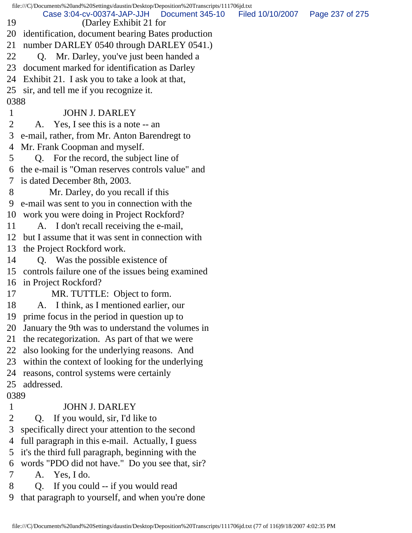|              | file:///C /Documents%20and%20Settings/daustin/Desktop/Deposition%20Transcripts/111706jd.txt |                                   |  |
|--------------|---------------------------------------------------------------------------------------------|-----------------------------------|--|
| 19           | Case 3:04-cv-00374-JAP-JJH Document 345-10<br>(Darley Exhibit 21 for                        | Filed 10/10/2007  Page 237 of 275 |  |
| 20           | identification, document bearing Bates production                                           |                                   |  |
| 21           | number DARLEY 0540 through DARLEY 0541.)                                                    |                                   |  |
| 22           | Q. Mr. Darley, you've just been handed a                                                    |                                   |  |
| 23           | document marked for identification as Darley                                                |                                   |  |
| 24           | Exhibit 21. I ask you to take a look at that,                                               |                                   |  |
|              | 25 sir, and tell me if you recognize it.                                                    |                                   |  |
| 0388         |                                                                                             |                                   |  |
| $\mathbf{1}$ | <b>JOHN J. DARLEY</b>                                                                       |                                   |  |
| 2            | A. Yes, I see this is a note -- an                                                          |                                   |  |
| 3            | e-mail, rather, from Mr. Anton Barendregt to                                                |                                   |  |
| 4            | Mr. Frank Coopman and myself.                                                               |                                   |  |
| 5            | Q. For the record, the subject line of                                                      |                                   |  |
| 6            | the e-mail is "Oman reserves controls value" and                                            |                                   |  |
| 7            | is dated December 8th, 2003.                                                                |                                   |  |
| 8            | Mr. Darley, do you recall if this                                                           |                                   |  |
| 9            | e-mail was sent to you in connection with the                                               |                                   |  |
| 10           | work you were doing in Project Rockford?                                                    |                                   |  |
| 11           | A. I don't recall receiving the e-mail,                                                     |                                   |  |
| 12           | but I assume that it was sent in connection with                                            |                                   |  |
| 13           | the Project Rockford work.                                                                  |                                   |  |
| 14           | Q. Was the possible existence of                                                            |                                   |  |
| 15           | controls failure one of the issues being examined                                           |                                   |  |
| 16           | in Project Rockford?                                                                        |                                   |  |
| 17           | MR. TUTTLE: Object to form.                                                                 |                                   |  |
| 18           | A. I think, as I mentioned earlier, our                                                     |                                   |  |
| 19           | prime focus in the period in question up to                                                 |                                   |  |
| 20           | January the 9th was to understand the volumes in                                            |                                   |  |
| 21           | the recategorization. As part of that we were                                               |                                   |  |
| 22           | also looking for the underlying reasons. And                                                |                                   |  |
| 23           | within the context of looking for the underlying                                            |                                   |  |
| 24           | reasons, control systems were certainly                                                     |                                   |  |
| 25           | addressed.                                                                                  |                                   |  |
| 0389         |                                                                                             |                                   |  |
| 1            | <b>JOHN J. DARLEY</b>                                                                       |                                   |  |
| 2            | If you would, sir, I'd like to<br>Q.                                                        |                                   |  |
| 3            | specifically direct your attention to the second                                            |                                   |  |
| 4            | full paragraph in this e-mail. Actually, I guess                                            |                                   |  |
| 5            | it's the third full paragraph, beginning with the                                           |                                   |  |
| 6            | words "PDO did not have." Do you see that, sir?                                             |                                   |  |
| 7            | A. Yes, I do.                                                                               |                                   |  |
| 8            | If you could -- if you would read<br>Q.                                                     |                                   |  |
| 9            | that paragraph to yourself, and when you're done                                            |                                   |  |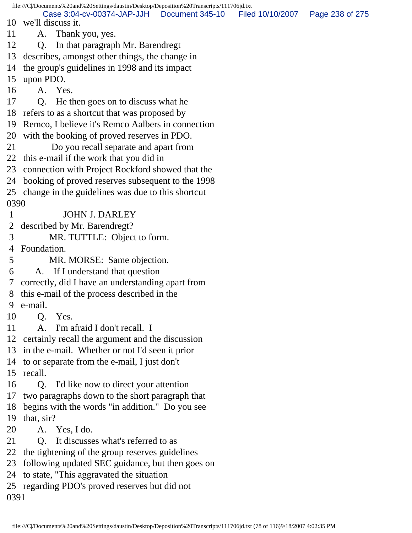file:///C|/Documents%20and%20Settings/daustin/Desktop/Deposition%20Transcripts/111706jd.txt 10 we'll discuss it. 11 A. Thank you, yes. 12 Q. In that paragraph Mr. Barendregt 13 describes, amongst other things, the change in 14 the group's guidelines in 1998 and its impact 15 upon PDO. 16 A. Yes. 17 Q. He then goes on to discuss what he 18 refers to as a shortcut that was proposed by 19 Remco, I believe it's Remco Aalbers in connection 20 with the booking of proved reserves in PDO. 21 Do you recall separate and apart from 22 this e-mail if the work that you did in 23 connection with Project Rockford showed that the 24 booking of proved reserves subsequent to the 1998 25 change in the guidelines was due to this shortcut 0390 1 JOHN J. DARLEY 2 described by Mr. Barendregt? 3 MR. TUTTLE: Object to form. 4 Foundation. 5 MR. MORSE: Same objection. 6 A. If I understand that question 7 correctly, did I have an understanding apart from 8 this e-mail of the process described in the 9 e-mail. 10 Q. Yes. 11 A. I'm afraid I don't recall. I 12 certainly recall the argument and the discussion 13 in the e-mail. Whether or not I'd seen it prior 14 to or separate from the e-mail, I just don't 15 recall. 16 Q. I'd like now to direct your attention 17 two paragraphs down to the short paragraph that 18 begins with the words "in addition." Do you see 19 that, sir? 20 A. Yes, I do. 21 O. It discusses what's referred to as 22 the tightening of the group reserves guidelines 23 following updated SEC guidance, but then goes on 24 to state, "This aggravated the situation 25 regarding PDO's proved reserves but did not 0391 Case 3:04-cv-00374-JAP-JJH Document 345-10 Filed 10/10/2007 Page 238 of 275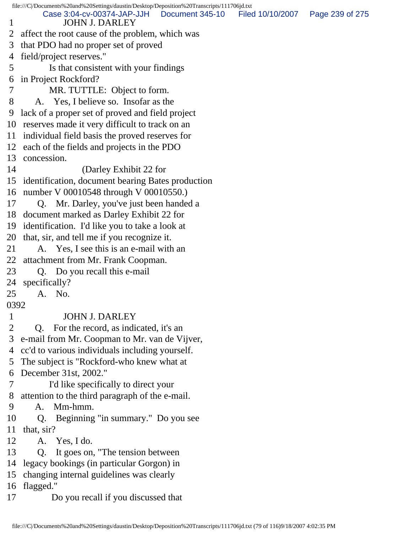file:///C|/Documents%20and%20Settings/daustin/Desktop/Deposition%20Transcripts/111706jd.txt 1 JOHN J. DARLEY 2 affect the root cause of the problem, which was 3 that PDO had no proper set of proved 4 field/project reserves." 5 Is that consistent with your findings 6 in Project Rockford? 7 MR. TUTTLE: Object to form. 8 A. Yes, I believe so. Insofar as the 9 lack of a proper set of proved and field project 10 reserves made it very difficult to track on an 11 individual field basis the proved reserves for 12 each of the fields and projects in the PDO 13 concession. 14 (Darley Exhibit 22 for 15 identification, document bearing Bates production 16 number V 00010548 through V 00010550.) 17 Q. Mr. Darley, you've just been handed a 18 document marked as Darley Exhibit 22 for 19 identification. I'd like you to take a look at 20 that, sir, and tell me if you recognize it. 21 A. Yes, I see this is an e-mail with an 22 attachment from Mr. Frank Coopman. 23 Q. Do you recall this e-mail 24 specifically? 25 A. No. 0392 1 JOHN J. DARLEY 2 Q. For the record, as indicated, it's an 3 e-mail from Mr. Coopman to Mr. van de Vijver, 4 cc'd to various individuals including yourself. 5 The subject is "Rockford-who knew what at 6 December 31st, 2002." 7 I'd like specifically to direct your 8 attention to the third paragraph of the e-mail. 9 A. Mm-hmm. 10 Q. Beginning "in summary." Do you see 11 that, sir? 12 A. Yes, I do. 13 Q. It goes on, "The tension between 14 legacy bookings (in particular Gorgon) in 15 changing internal guidelines was clearly 16 flagged." 17 Do you recall if you discussed that Case 3:04-cv-00374-JAP-JJH Document 345-10 Filed 10/10/2007 Page 239 of 275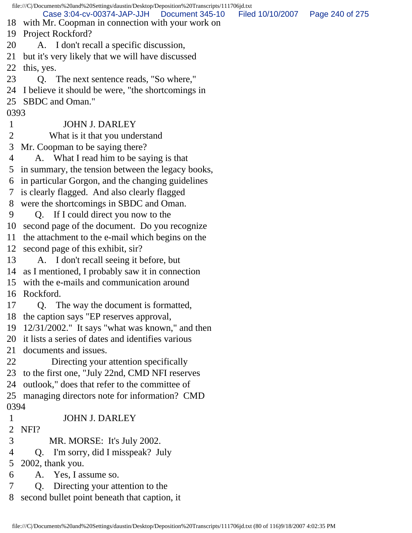file:///C|/Documents%20and%20Settings/daustin/Desktop/Deposition%20Transcripts/111706jd.txt 18 with Mr. Coopman in connection with your work on 19 Project Rockford? 20 A. I don't recall a specific discussion, 21 but it's very likely that we will have discussed 22 this, yes. 23 Q. The next sentence reads, "So where," 24 I believe it should be were, "the shortcomings in 25 SBDC and Oman." 0393 1 JOHN J. DARLEY 2 What is it that you understand 3 Mr. Coopman to be saying there? 4 A. What I read him to be saying is that 5 in summary, the tension between the legacy books, 6 in particular Gorgon, and the changing guidelines 7 is clearly flagged. And also clearly flagged 8 were the shortcomings in SBDC and Oman. 9 Q. If I could direct you now to the 10 second page of the document. Do you recognize 11 the attachment to the e-mail which begins on the 12 second page of this exhibit, sir? 13 A. I don't recall seeing it before, but 14 as I mentioned, I probably saw it in connection 15 with the e-mails and communication around 16 Rockford. 17 Q. The way the document is formatted, 18 the caption says "EP reserves approval, 19 12/31/2002." It says "what was known," and then 20 it lists a series of dates and identifies various 21 documents and issues. 22 Directing your attention specifically 23 to the first one, "July 22nd, CMD NFI reserves 24 outlook," does that refer to the committee of 25 managing directors note for information? CMD 0394 1 JOHN J. DARLEY 2 NFI? 3 MR. MORSE: It's July 2002. 4 Q. I'm sorry, did I misspeak? July 5 2002, thank you. 6 A. Yes, I assume so. 7 Q. Directing your attention to the 8 second bullet point beneath that caption, it Case 3:04-cv-00374-JAP-JJH Document 345-10 Filed 10/10/2007 Page 240 of 275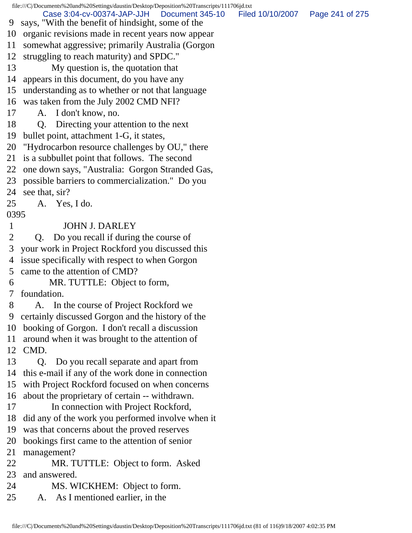file:///C|/Documents%20and%20Settings/daustin/Desktop/Deposition%20Transcripts/111706jd.txt 9 says, "With the benefit of hindsight, some of the 10 organic revisions made in recent years now appear 11 somewhat aggressive; primarily Australia (Gorgon 12 struggling to reach maturity) and SPDC." 13 My question is, the quotation that 14 appears in this document, do you have any 15 understanding as to whether or not that language 16 was taken from the July 2002 CMD NFI? 17 A. I don't know, no. 18 Q. Directing your attention to the next 19 bullet point, attachment 1-G, it states, 20 "Hydrocarbon resource challenges by OU," there 21 is a subbullet point that follows. The second 22 one down says, "Australia: Gorgon Stranded Gas, 23 possible barriers to commercialization." Do you 24 see that, sir? 25 A. Yes, I do. 0395 1 JOHN J. DARLEY 2 Q. Do you recall if during the course of 3 your work in Project Rockford you discussed this 4 issue specifically with respect to when Gorgon 5 came to the attention of CMD? 6 MR. TUTTLE: Object to form, 7 foundation. 8 A. In the course of Project Rockford we 9 certainly discussed Gorgon and the history of the 10 booking of Gorgon. I don't recall a discussion 11 around when it was brought to the attention of 12 CMD. 13 Q. Do you recall separate and apart from 14 this e-mail if any of the work done in connection 15 with Project Rockford focused on when concerns 16 about the proprietary of certain -- withdrawn. 17 In connection with Project Rockford, 18 did any of the work you performed involve when it 19 was that concerns about the proved reserves 20 bookings first came to the attention of senior 21 management? 22 MR. TUTTLE: Object to form. Asked 23 and answered. 24 MS. WICKHEM: Object to form. 25 A. As I mentioned earlier, in the Case 3:04-cv-00374-JAP-JJH Document 345-10 Filed 10/10/2007 Page 241 of 275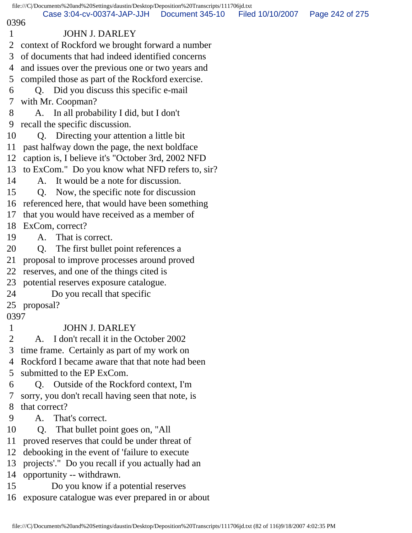file:///C|/Documents%20and%20Settings/daustin/Desktop/Deposition%20Transcripts/111706jd.txt 0396 1 JOHN J. DARLEY 2 context of Rockford we brought forward a number 3 of documents that had indeed identified concerns 4 and issues over the previous one or two years and 5 compiled those as part of the Rockford exercise. 6 Q. Did you discuss this specific e-mail 7 with Mr. Coopman? 8 A. In all probability I did, but I don't 9 recall the specific discussion. 10 Q. Directing your attention a little bit 11 past halfway down the page, the next boldface 12 caption is, I believe it's "October 3rd, 2002 NFD 13 to ExCom." Do you know what NFD refers to, sir? 14 A. It would be a note for discussion. 15 Q. Now, the specific note for discussion 16 referenced here, that would have been something 17 that you would have received as a member of 18 ExCom, correct? 19 A. That is correct. 20 Q. The first bullet point references a 21 proposal to improve processes around proved Case 3:04-cv-00374-JAP-JJH Document 345-10 Filed 10/10/2007 Page 242 of 275

22 reserves, and one of the things cited is

23 potential reserves exposure catalogue.

24 Do you recall that specific

25 proposal?

0397

## 1 JOHN J. DARLEY

2 A. I don't recall it in the October 2002

3 time frame. Certainly as part of my work on

 4 Rockford I became aware that that note had been 5 submitted to the EP ExCom.

 6 Q. Outside of the Rockford context, I'm 7 sorry, you don't recall having seen that note, is 8 that correct?

9 A. That's correct.

10 Q. That bullet point goes on, "All

11 proved reserves that could be under threat of

12 debooking in the event of 'failure to execute

13 projects'." Do you recall if you actually had an

14 opportunity -- withdrawn.

- 15 Do you know if a potential reserves
- 16 exposure catalogue was ever prepared in or about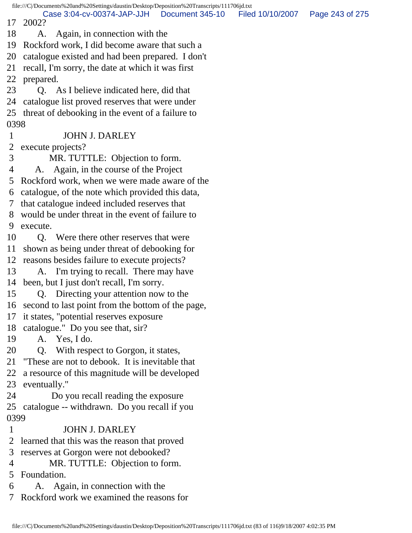file:///C|/Documents%20and%20Settings/daustin/Desktop/Deposition%20Transcripts/111706jd.txt 17 2002? 18 A. Again, in connection with the 19 Rockford work, I did become aware that such a 20 catalogue existed and had been prepared. I don't 21 recall, I'm sorry, the date at which it was first 22 prepared. 23 Q. As I believe indicated here, did that 24 catalogue list proved reserves that were under 25 threat of debooking in the event of a failure to 0398 1 JOHN J. DARLEY 2 execute projects? 3 MR. TUTTLE: Objection to form. 4 A. Again, in the course of the Project 5 Rockford work, when we were made aware of the 6 catalogue, of the note which provided this data, 7 that catalogue indeed included reserves that 8 would be under threat in the event of failure to 9 execute. 10 O. Were there other reserves that were 11 shown as being under threat of debooking for 12 reasons besides failure to execute projects? 13 A. I'm trying to recall. There may have 14 been, but I just don't recall, I'm sorry. 15 Q. Directing your attention now to the 16 second to last point from the bottom of the page, 17 it states, "potential reserves exposure 18 catalogue." Do you see that, sir? 19 A. Yes, I do. 20 Q. With respect to Gorgon, it states, 21 "These are not to debook. It is inevitable that 22 a resource of this magnitude will be developed 23 eventually." 24 Do you recall reading the exposure 25 catalogue -- withdrawn. Do you recall if you 0399 1 JOHN J. DARLEY 2 learned that this was the reason that proved 3 reserves at Gorgon were not debooked? 4 MR. TUTTLE: Objection to form. 5 Foundation. 6 A. Again, in connection with the 7 Rockford work we examined the reasons for Case 3:04-cv-00374-JAP-JJH Document 345-10 Filed 10/10/2007 Page 243 of 275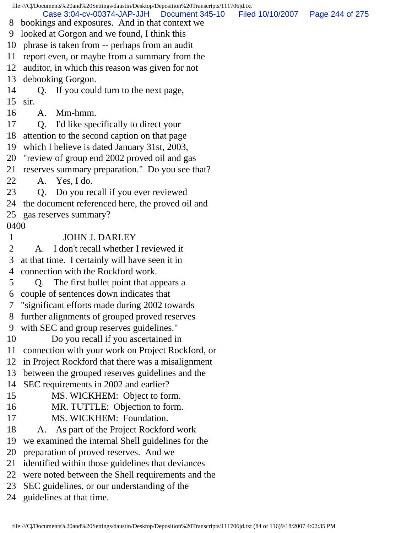file:///C|/Documents%20and%20Settings/daustin/Desktop/Deposition%20Transcripts/111706jd.txt 8 bookings and exposures. And in that context we 9 looked at Gorgon and we found, I think this 10 phrase is taken from -- perhaps from an audit 11 report even, or maybe from a summary from the 12 auditor, in which this reason was given for not 13 debooking Gorgon. 14 Q. If you could turn to the next page, 15 sir. 16 A. Mm-hmm. 17 Q. I'd like specifically to direct your 18 attention to the second caption on that page 19 which I believe is dated January 31st, 2003, 20 "review of group end 2002 proved oil and gas 21 reserves summary preparation." Do you see that? 22 A. Yes, I do. 23 Q. Do you recall if you ever reviewed 24 the document referenced here, the proved oil and 25 gas reserves summary? 0400 1 JOHN J. DARLEY 2 A. I don't recall whether I reviewed it 3 at that time. I certainly will have seen it in 4 connection with the Rockford work. 5 Q. The first bullet point that appears a 6 couple of sentences down indicates that 7 "significant efforts made during 2002 towards 8 further alignments of grouped proved reserves 9 with SEC and group reserves guidelines." 10 Do you recall if you ascertained in 11 connection with your work on Project Rockford, or 12 in Project Rockford that there was a misalignment 13 between the grouped reserves guidelines and the 14 SEC requirements in 2002 and earlier? 15 MS. WICKHEM: Object to form. 16 MR. TUTTLE: Objection to form. 17 MS. WICKHEM: Foundation. 18 A. As part of the Project Rockford work 19 we examined the internal Shell guidelines for the 20 preparation of proved reserves. And we 21 identified within those guidelines that deviances 22 were noted between the Shell requirements and the 23 SEC guidelines, or our understanding of the 24 guidelines at that time. Case 3:04-cv-00374-JAP-JJH Document 345-10 Filed 10/10/2007 Page 244 of 275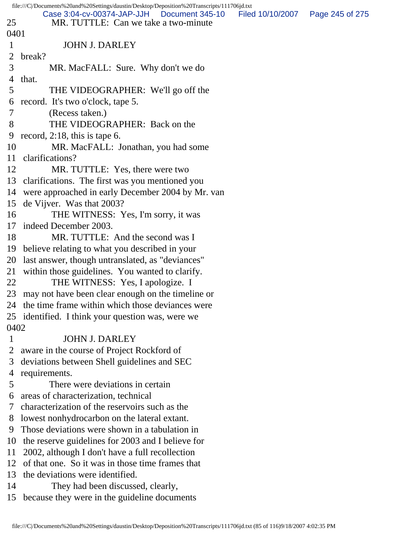|                | file:///C /Documents%20and%20Settings/daustin/Desktop/Deposition%20Transcripts/111706jd.txt |                                    |
|----------------|---------------------------------------------------------------------------------------------|------------------------------------|
| 25             | Case 3:04-cv-00374-JAP-JJH   Document 345-10<br>MR. TUTTLE: Can we take a two-minute        | Filed 10/10/2007   Page 245 of 275 |
| 0401           |                                                                                             |                                    |
| $\mathbf{1}$   | <b>JOHN J. DARLEY</b>                                                                       |                                    |
| 2              | break?                                                                                      |                                    |
| 3              | MR. MacFALL: Sure. Why don't we do                                                          |                                    |
| 4              | that.                                                                                       |                                    |
| 5              | THE VIDEOGRAPHER: We'll go off the                                                          |                                    |
|                | 6 record. It's two o'clock, tape 5.                                                         |                                    |
| $\overline{7}$ | (Recess taken.)                                                                             |                                    |
| 8              | THE VIDEOGRAPHER: Back on the                                                               |                                    |
| 9              | record, $2:18$ , this is tape 6.                                                            |                                    |
| 10             | MR. MacFALL: Jonathan, you had some                                                         |                                    |
| 11             | clarifications?                                                                             |                                    |
| 12             | MR. TUTTLE: Yes, there were two                                                             |                                    |
|                | 13 clarifications. The first was you mentioned you                                          |                                    |
|                | 14 were approached in early December 2004 by Mr. van                                        |                                    |
| 15             | de Vijver. Was that 2003?                                                                   |                                    |
| 16             | THE WITNESS: Yes, I'm sorry, it was                                                         |                                    |
|                | 17 indeed December 2003.                                                                    |                                    |
| 18             | MR. TUTTLE: And the second was I                                                            |                                    |
|                | 19 believe relating to what you described in your                                           |                                    |
| 20             | last answer, though untranslated, as "deviances"                                            |                                    |
| 21             | within those guidelines. You wanted to clarify.                                             |                                    |
| 22             | THE WITNESS: Yes, I apologize. I                                                            |                                    |
|                | 23 may not have been clear enough on the timeline or                                        |                                    |
|                | 24 the time frame within which those deviances were                                         |                                    |
|                | 25 identified. I think your question was, were we                                           |                                    |
| 0402           |                                                                                             |                                    |
| $\mathbf{1}$   | <b>JOHN J. DARLEY</b>                                                                       |                                    |
| $\overline{2}$ | aware in the course of Project Rockford of                                                  |                                    |
| 3              | deviations between Shell guidelines and SEC                                                 |                                    |
| 4              | requirements.                                                                               |                                    |
| 5              | There were deviations in certain                                                            |                                    |
| 6              | areas of characterization, technical                                                        |                                    |
| 7              | characterization of the reservoirs such as the                                              |                                    |
| 8              | lowest nonhydrocarbon on the lateral extant.                                                |                                    |
| 9              | Those deviations were shown in a tabulation in                                              |                                    |
| 10             | the reserve guidelines for 2003 and I believe for                                           |                                    |
| 11             | 2002, although I don't have a full recollection                                             |                                    |
| 12             | of that one. So it was in those time frames that                                            |                                    |
| 13             | the deviations were identified.                                                             |                                    |
| 14             | They had been discussed, clearly,                                                           |                                    |
|                | 15 because they were in the guideline documents                                             |                                    |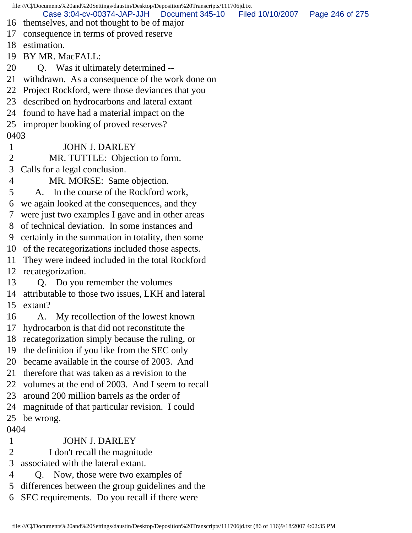file:///C|/Documents%20and%20Settings/daustin/Desktop/Deposition%20Transcripts/111706jd.txt 16 themselves, and not thought to be of major 17 consequence in terms of proved reserve 18 estimation. 19 BY MR. MacFALL: 20 Q. Was it ultimately determined -- 21 withdrawn. As a consequence of the work done on 22 Project Rockford, were those deviances that you 23 described on hydrocarbons and lateral extant 24 found to have had a material impact on the 25 improper booking of proved reserves? 0403 1 JOHN J. DARLEY 2 MR. TUTTLE: Objection to form. 3 Calls for a legal conclusion. 4 MR. MORSE: Same objection. 5 A. In the course of the Rockford work, 6 we again looked at the consequences, and they 7 were just two examples I gave and in other areas 8 of technical deviation. In some instances and 9 certainly in the summation in totality, then some 10 of the recategorizations included those aspects. 11 They were indeed included in the total Rockford 12 recategorization. 13 Q. Do you remember the volumes 14 attributable to those two issues, LKH and lateral 15 extant? 16 A. My recollection of the lowest known 17 hydrocarbon is that did not reconstitute the 18 recategorization simply because the ruling, or 19 the definition if you like from the SEC only 20 became available in the course of 2003. And 21 therefore that was taken as a revision to the 22 volumes at the end of 2003. And I seem to recall 23 around 200 million barrels as the order of 24 magnitude of that particular revision. I could 25 be wrong. 0404 1 JOHN J. DARLEY 2 I don't recall the magnitude 3 associated with the lateral extant. Case 3:04-cv-00374-JAP-JJH Document 345-10 Filed 10/10/2007 Page 246 of 275

- 4 Q. Now, those were two examples of
- 5 differences between the group guidelines and the
- 6 SEC requirements. Do you recall if there were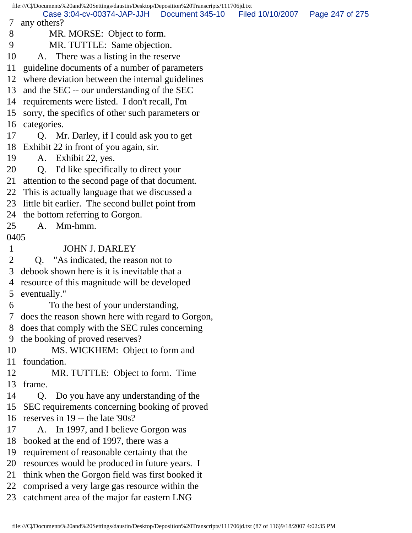file:///C|/Documents%20and%20Settings/daustin/Desktop/Deposition%20Transcripts/111706jd.txt 7 any others? 8 MR. MORSE: Object to form. 9 MR. TUTTLE: Same objection. 10 A. There was a listing in the reserve 11 guideline documents of a number of parameters 12 where deviation between the internal guidelines 13 and the SEC -- our understanding of the SEC 14 requirements were listed. I don't recall, I'm 15 sorry, the specifics of other such parameters or 16 categories. 17 Q. Mr. Darley, if I could ask you to get 18 Exhibit 22 in front of you again, sir. 19 A. Exhibit 22, yes. 20 Q. I'd like specifically to direct your 21 attention to the second page of that document. 22 This is actually language that we discussed a 23 little bit earlier. The second bullet point from 24 the bottom referring to Gorgon. 25 A. Mm-hmm. 0405 1 JOHN J. DARLEY 2 Q. "As indicated, the reason not to 3 debook shown here is it is inevitable that a 4 resource of this magnitude will be developed 5 eventually." 6 To the best of your understanding, 7 does the reason shown here with regard to Gorgon, 8 does that comply with the SEC rules concerning 9 the booking of proved reserves? 10 MS. WICKHEM: Object to form and 11 foundation. 12 MR. TUTTLE: Object to form. Time 13 frame. 14 Q. Do you have any understanding of the 15 SEC requirements concerning booking of proved 16 reserves in 19 -- the late '90s? 17 A. In 1997, and I believe Gorgon was 18 booked at the end of 1997, there was a 19 requirement of reasonable certainty that the 20 resources would be produced in future years. I 21 think when the Gorgon field was first booked it 22 comprised a very large gas resource within the 23 catchment area of the major far eastern LNG Case 3:04-cv-00374-JAP-JJH Document 345-10 Filed 10/10/2007 Page 247 of 275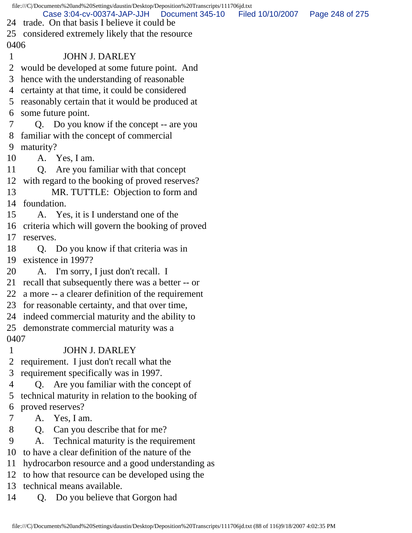file:///C|/Documents%20and%20Settings/daustin/Desktop/Deposition%20Transcripts/111706jd.txt 24 trade. On that basis I believe it could be 25 considered extremely likely that the resource 0406 1 JOHN J. DARLEY 2 would be developed at some future point. And 3 hence with the understanding of reasonable 4 certainty at that time, it could be considered 5 reasonably certain that it would be produced at 6 some future point. 7 Q. Do you know if the concept -- are you 8 familiar with the concept of commercial 9 maturity? 10 A. Yes, I am. 11 Q. Are you familiar with that concept 12 with regard to the booking of proved reserves? 13 MR. TUTTLE: Objection to form and 14 foundation. 15 A. Yes, it is I understand one of the 16 criteria which will govern the booking of proved 17 reserves. 18 Q. Do you know if that criteria was in 19 existence in 1997? 20 A. I'm sorry, I just don't recall. I 21 recall that subsequently there was a better -- or 22 a more -- a clearer definition of the requirement 23 for reasonable certainty, and that over time, 24 indeed commercial maturity and the ability to 25 demonstrate commercial maturity was a 0407 1 JOHN J. DARLEY 2 requirement. I just don't recall what the 3 requirement specifically was in 1997. 4 Q. Are you familiar with the concept of 5 technical maturity in relation to the booking of 6 proved reserves? 7 A. Yes, I am. 8 Q. Can you describe that for me? 9 A. Technical maturity is the requirement 10 to have a clear definition of the nature of the 11 hydrocarbon resource and a good understanding as 12 to how that resource can be developed using the 13 technical means available. 14 Q. Do you believe that Gorgon had Case 3:04-cv-00374-JAP-JJH Document 345-10 Filed 10/10/2007 Page 248 of 275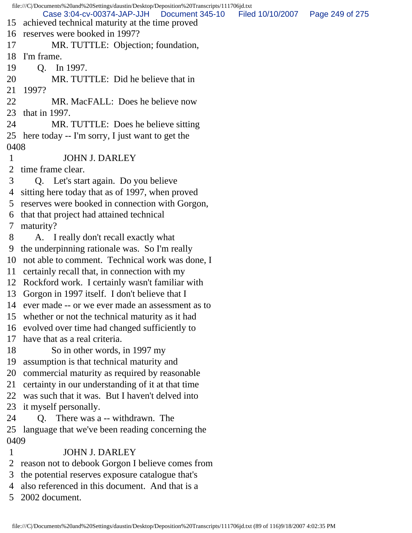file:///C|/Documents%20and%20Settings/daustin/Desktop/Deposition%20Transcripts/111706jd.txt 15 achieved technical maturity at the time proved 16 reserves were booked in 1997? 17 MR. TUTTLE: Objection; foundation, 18 I'm frame. 19 Q. In 1997. 20 MR. TUTTLE: Did he believe that in 21 1997? 22 MR. MacFALL: Does he believe now 23 that in 1997. 24 MR. TUTTLE: Does he believe sitting 25 here today -- I'm sorry, I just want to get the 0408 1 JOHN J. DARLEY 2 time frame clear. 3 Q. Let's start again. Do you believe 4 sitting here today that as of 1997, when proved 5 reserves were booked in connection with Gorgon, 6 that that project had attained technical 7 maturity? 8 A. I really don't recall exactly what 9 the underpinning rationale was. So I'm really 10 not able to comment. Technical work was done, I 11 certainly recall that, in connection with my 12 Rockford work. I certainly wasn't familiar with 13 Gorgon in 1997 itself. I don't believe that I 14 ever made -- or we ever made an assessment as to 15 whether or not the technical maturity as it had 16 evolved over time had changed sufficiently to 17 have that as a real criteria. 18 So in other words, in 1997 my 19 assumption is that technical maturity and 20 commercial maturity as required by reasonable 21 certainty in our understanding of it at that time 22 was such that it was. But I haven't delved into 23 it myself personally. 24 Q. There was a -- withdrawn. The 25 language that we've been reading concerning the 0409 1 JOHN J. DARLEY 2 reason not to debook Gorgon I believe comes from 3 the potential reserves exposure catalogue that's 4 also referenced in this document. And that is a Case 3:04-cv-00374-JAP-JJH Document 345-10 Filed 10/10/2007 Page 249 of 275

5 2002 document.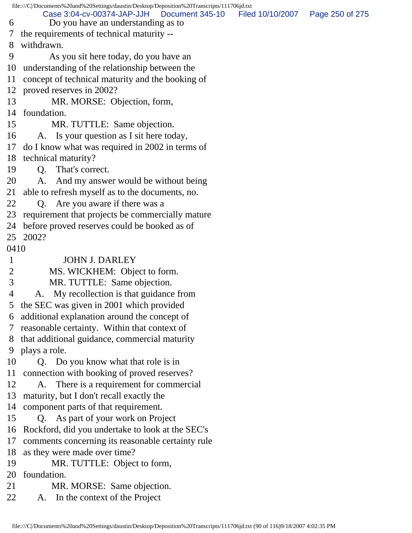|                | file:///C /Documents%20and%20Settings/daustin/Desktop/Deposition%20Transcripts/111706jd.txt                       |  |
|----------------|-------------------------------------------------------------------------------------------------------------------|--|
| 6              | Case 3:04-cv-00374-JAP-JJH Document 345-10 Filed 10/10/2007 Page 250 of 275<br>Do you have an understanding as to |  |
| $\tau$         | the requirements of technical maturity --                                                                         |  |
| 8              | withdrawn.                                                                                                        |  |
| 9              | As you sit here today, do you have an                                                                             |  |
|                | 10 understanding of the relationship between the                                                                  |  |
| 11             | concept of technical maturity and the booking of                                                                  |  |
|                | 12 proved reserves in 2002?                                                                                       |  |
| 13             | MR. MORSE: Objection, form,                                                                                       |  |
|                | 14 foundation.                                                                                                    |  |
| 15             | MR. TUTTLE: Same objection.                                                                                       |  |
| 16             | A. Is your question as I sit here today,                                                                          |  |
| 17             | do I know what was required in 2002 in terms of                                                                   |  |
| 18             | technical maturity?                                                                                               |  |
| 19             | Q. That's correct.                                                                                                |  |
| 20             | A. And my answer would be without being                                                                           |  |
| 21             | able to refresh myself as to the documents, no.                                                                   |  |
| 22             | Q. Are you aware if there was a                                                                                   |  |
| 23             | requirement that projects be commercially mature                                                                  |  |
| 24             | before proved reserves could be booked as of                                                                      |  |
|                | 25 2002?                                                                                                          |  |
| 0410           |                                                                                                                   |  |
| $\mathbf{1}$   | <b>JOHN J. DARLEY</b>                                                                                             |  |
| $\overline{2}$ | MS. WICKHEM: Object to form.                                                                                      |  |
| 3              | MR. TUTTLE: Same objection.                                                                                       |  |
| $\overline{4}$ | A. My recollection is that guidance from                                                                          |  |
|                | the SEC was given in 2001 which provided                                                                          |  |
| 6              | additional explanation around the concept of                                                                      |  |
| 7              | reasonable certainty. Within that context of                                                                      |  |
| 8              | that additional guidance, commercial maturity                                                                     |  |
| 9              | plays a role.                                                                                                     |  |
| 10             | Q. Do you know what that role is in                                                                               |  |
| 11             | connection with booking of proved reserves?                                                                       |  |
| 12             | A. There is a requirement for commercial                                                                          |  |
| 13             | maturity, but I don't recall exactly the                                                                          |  |
| 14             | component parts of that requirement.                                                                              |  |
| 15             | Q. As part of your work on Project                                                                                |  |
| 16             | Rockford, did you undertake to look at the SEC's                                                                  |  |
| 17             | comments concerning its reasonable certainty rule                                                                 |  |
| 18             | as they were made over time?                                                                                      |  |
| 19             | MR. TUTTLE: Object to form,                                                                                       |  |
| 20             | foundation.                                                                                                       |  |
| 21             | MR. MORSE: Same objection.                                                                                        |  |
| 22             | A. In the context of the Project                                                                                  |  |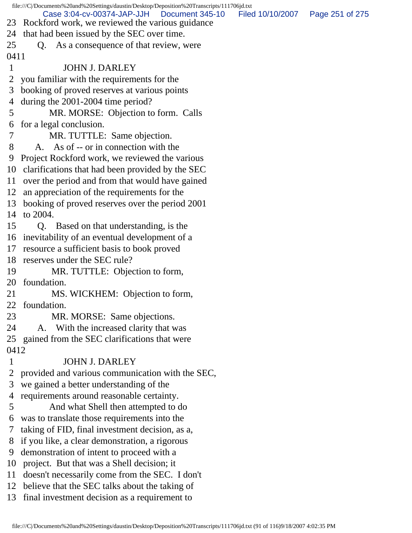file:///C|/Documents%20and%20Settings/daustin/Desktop/Deposition%20Transcripts/111706jd.txt 23 Rockford work, we reviewed the various guidance 24 that had been issued by the SEC over time. 25 Q. As a consequence of that review, were 0411 1 JOHN J. DARLEY 2 you familiar with the requirements for the 3 booking of proved reserves at various points 4 during the 2001-2004 time period? 5 MR. MORSE: Objection to form. Calls 6 for a legal conclusion. 7 MR. TUTTLE: Same objection. 8 A. As of -- or in connection with the 9 Project Rockford work, we reviewed the various 10 clarifications that had been provided by the SEC 11 over the period and from that would have gained 12 an appreciation of the requirements for the 13 booking of proved reserves over the period 2001 14 to 2004. 15 Q. Based on that understanding, is the 16 inevitability of an eventual development of a 17 resource a sufficient basis to book proved 18 reserves under the SEC rule? 19 MR. TUTTLE: Objection to form, 20 foundation. 21 MS. WICKHEM: Objection to form, 22 foundation. 23 MR. MORSE: Same objections. 24 A. With the increased clarity that was 25 gained from the SEC clarifications that were 0412 1 JOHN J. DARLEY 2 provided and various communication with the SEC, 3 we gained a better understanding of the 4 requirements around reasonable certainty. 5 And what Shell then attempted to do 6 was to translate those requirements into the 7 taking of FID, final investment decision, as a, 8 if you like, a clear demonstration, a rigorous 9 demonstration of intent to proceed with a 10 project. But that was a Shell decision; it 11 doesn't necessarily come from the SEC. I don't 12 believe that the SEC talks about the taking of 13 final investment decision as a requirement to Case 3:04-cv-00374-JAP-JJH Document 345-10 Filed 10/10/2007 Page 251 of 275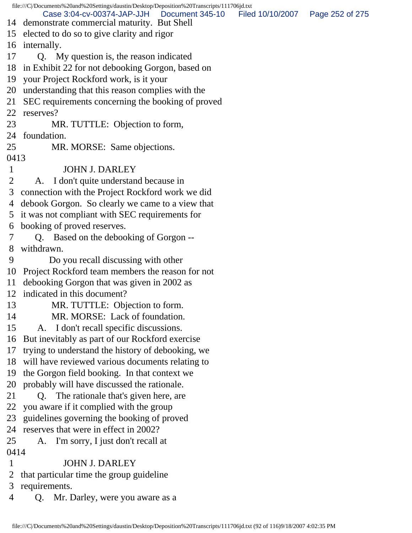file:///C|/Documents%20and%20Settings/daustin/Desktop/Deposition%20Transcripts/111706jd.txt 14 demonstrate commercial maturity. But Shell 15 elected to do so to give clarity and rigor 16 internally. 17 Q. My question is, the reason indicated 18 in Exhibit 22 for not debooking Gorgon, based on 19 your Project Rockford work, is it your 20 understanding that this reason complies with the 21 SEC requirements concerning the booking of proved 22 reserves? 23 MR. TUTTLE: Objection to form, 24 foundation. 25 MR. MORSE: Same objections. 0413 1 JOHN J. DARLEY 2 A. I don't quite understand because in 3 connection with the Project Rockford work we did 4 debook Gorgon. So clearly we came to a view that 5 it was not compliant with SEC requirements for 6 booking of proved reserves. 7 Q. Based on the debooking of Gorgon -- 8 withdrawn. 9 Do you recall discussing with other 10 Project Rockford team members the reason for not 11 debooking Gorgon that was given in 2002 as 12 indicated in this document? 13 MR. TUTTLE: Objection to form. 14 MR. MORSE: Lack of foundation. 15 A. I don't recall specific discussions. 16 But inevitably as part of our Rockford exercise 17 trying to understand the history of debooking, we 18 will have reviewed various documents relating to 19 the Gorgon field booking. In that context we 20 probably will have discussed the rationale. 21 Q. The rationale that's given here, are 22 you aware if it complied with the group 23 guidelines governing the booking of proved 24 reserves that were in effect in 2002? 25 A. I'm sorry, I just don't recall at 0414 1 JOHN J. DARLEY 2 that particular time the group guideline 3 requirements. 4 Q. Mr. Darley, were you aware as a Case 3:04-cv-00374-JAP-JJH Document 345-10 Filed 10/10/2007 Page 252 of 275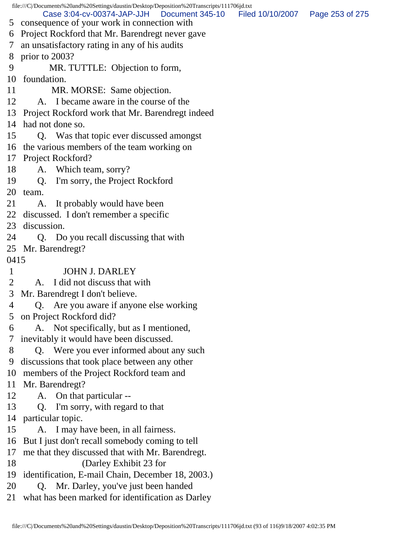file:///C|/Documents%20and%20Settings/daustin/Desktop/Deposition%20Transcripts/111706jd.txt 5 consequence of your work in connection with 6 Project Rockford that Mr. Barendregt never gave 7 an unsatisfactory rating in any of his audits 8 prior to 2003? 9 MR. TUTTLE: Objection to form, 10 foundation. 11 MR. MORSE: Same objection. 12 A. I became aware in the course of the 13 Project Rockford work that Mr. Barendregt indeed 14 had not done so. 15 Q. Was that topic ever discussed amongst 16 the various members of the team working on 17 Project Rockford? 18 A. Which team, sorry? 19 Q. I'm sorry, the Project Rockford 20 team. 21 A. It probably would have been 22 discussed. I don't remember a specific 23 discussion. 24 Q. Do you recall discussing that with 25 Mr. Barendregt? 0415 1 JOHN J. DARLEY 2 A. I did not discuss that with 3 Mr. Barendregt I don't believe. 4 Q. Are you aware if anyone else working 5 on Project Rockford did? 6 A. Not specifically, but as I mentioned, 7 inevitably it would have been discussed. 8 Q. Were you ever informed about any such 9 discussions that took place between any other 10 members of the Project Rockford team and 11 Mr. Barendregt? 12 A. On that particular -- 13 Q. I'm sorry, with regard to that 14 particular topic. 15 A. I may have been, in all fairness. 16 But I just don't recall somebody coming to tell 17 me that they discussed that with Mr. Barendregt. 18 (Darley Exhibit 23 for 19 identification, E-mail Chain, December 18, 2003.) 20 Q. Mr. Darley, you've just been handed 21 what has been marked for identification as Darley Case 3:04-cv-00374-JAP-JJH Document 345-10 Filed 10/10/2007 Page 253 of 275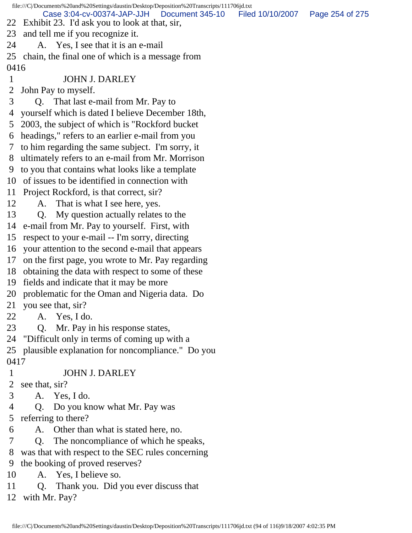file:///C|/Documents%20and%20Settings/daustin/Desktop/Deposition%20Transcripts/111706jd.txt 22 Exhibit 23. I'd ask you to look at that, sir, 23 and tell me if you recognize it. 24 A. Yes, I see that it is an e-mail 25 chain, the final one of which is a message from 0416 1 JOHN J. DARLEY 2 John Pay to myself. 3 Q. That last e-mail from Mr. Pay to 4 yourself which is dated I believe December 18th, 5 2003, the subject of which is "Rockford bucket 6 headings," refers to an earlier e-mail from you 7 to him regarding the same subject. I'm sorry, it 8 ultimately refers to an e-mail from Mr. Morrison 9 to you that contains what looks like a template 10 of issues to be identified in connection with 11 Project Rockford, is that correct, sir? 12 A. That is what I see here, yes. 13 Q. My question actually relates to the 14 e-mail from Mr. Pay to yourself. First, with 15 respect to your e-mail -- I'm sorry, directing 16 your attention to the second e-mail that appears 17 on the first page, you wrote to Mr. Pay regarding 18 obtaining the data with respect to some of these 19 fields and indicate that it may be more 20 problematic for the Oman and Nigeria data. Do 21 you see that, sir? 22 A. Yes, I do. 23 Q. Mr. Pay in his response states, 24 "Difficult only in terms of coming up with a 25 plausible explanation for noncompliance." Do you 0417 1 JOHN J. DARLEY 2 see that, sir? 3 A. Yes, I do. 4 Q. Do you know what Mr. Pay was 5 referring to there? 6 A. Other than what is stated here, no. 7 Q. The noncompliance of which he speaks, 8 was that with respect to the SEC rules concerning 9 the booking of proved reserves? 10 A. Yes, I believe so. Case 3:04-cv-00374-JAP-JJH Document 345-10 Filed 10/10/2007 Page 254 of 275

- 11 Q. Thank you. Did you ever discuss that
- 12 with Mr. Pay?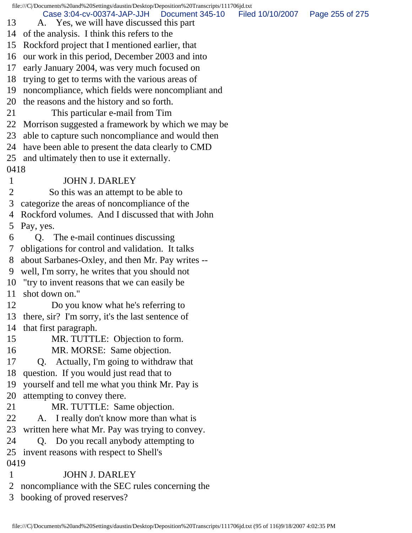file:///C|/Documents%20and%20Settings/daustin/Desktop/Deposition%20Transcripts/111706jd.txt 13 A. Yes, we will have discussed this part 14 of the analysis. I think this refers to the 15 Rockford project that I mentioned earlier, that 16 our work in this period, December 2003 and into 17 early January 2004, was very much focused on 18 trying to get to terms with the various areas of 19 noncompliance, which fields were noncompliant and 20 the reasons and the history and so forth. 21 This particular e-mail from Tim 22 Morrison suggested a framework by which we may be 23 able to capture such noncompliance and would then 24 have been able to present the data clearly to CMD 25 and ultimately then to use it externally. 0418 1 JOHN J. DARLEY 2 So this was an attempt to be able to 3 categorize the areas of noncompliance of the 4 Rockford volumes. And I discussed that with John 5 Pay, yes. 6 Q. The e-mail continues discussing 7 obligations for control and validation. It talks 8 about Sarbanes-Oxley, and then Mr. Pay writes -- 9 well, I'm sorry, he writes that you should not 10 "try to invent reasons that we can easily be 11 shot down on." 12 Do you know what he's referring to 13 there, sir? I'm sorry, it's the last sentence of 14 that first paragraph. 15 MR. TUTTLE: Objection to form. 16 MR. MORSE: Same objection. 17 Q. Actually, I'm going to withdraw that 18 question. If you would just read that to 19 yourself and tell me what you think Mr. Pay is 20 attempting to convey there. 21 MR. TUTTLE: Same objection. 22 A. I really don't know more than what is 23 written here what Mr. Pay was trying to convey. 24 Q. Do you recall anybody attempting to 25 invent reasons with respect to Shell's 0419 1 JOHN J. DARLEY 2 noncompliance with the SEC rules concerning the Case 3:04-cv-00374-JAP-JJH Document 345-10 Filed 10/10/2007 Page 255 of 275

3 booking of proved reserves?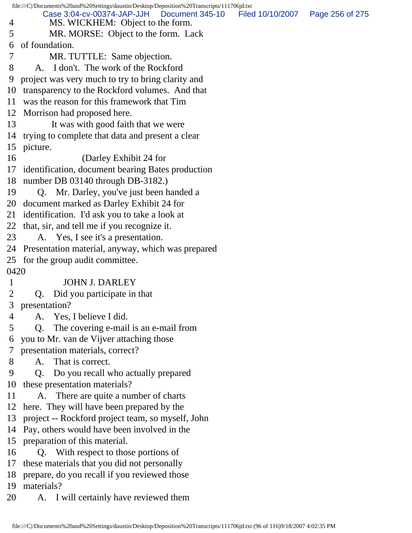file:///C|/Documents%20and%20Settings/daustin/Desktop/Deposition%20Transcripts/111706jd.txt 4 MS. WICKHEM: Object to the form. 5 MR. MORSE: Object to the form. Lack 6 of foundation. 7 MR. TUTTLE: Same objection. 8 A. I don't. The work of the Rockford 9 project was very much to try to bring clarity and 10 transparency to the Rockford volumes. And that 11 was the reason for this framework that Tim 12 Morrison had proposed here. 13 It was with good faith that we were 14 trying to complete that data and present a clear 15 picture. 16 (Darley Exhibit 24 for 17 identification, document bearing Bates production 18 number DB 03140 through DB-3182.) 19 Q. Mr. Darley, you've just been handed a 20 document marked as Darley Exhibit 24 for 21 identification. I'd ask you to take a look at 22 that, sir, and tell me if you recognize it. 23 A. Yes, I see it's a presentation. 24 Presentation material, anyway, which was prepared 25 for the group audit committee. 0420 1 JOHN J. DARLEY 2 Q. Did you participate in that 3 presentation? 4 A. Yes, I believe I did. 5 Q. The covering e-mail is an e-mail from 6 you to Mr. van de Vijver attaching those 7 presentation materials, correct? 8 A. That is correct. 9 Q. Do you recall who actually prepared 10 these presentation materials? 11 A. There are quite a number of charts 12 here. They will have been prepared by the 13 project -- Rockford project team, so myself, John 14 Pay, others would have been involved in the 15 preparation of this material. 16 Q. With respect to those portions of 17 these materials that you did not personally 18 prepare, do you recall if you reviewed those 19 materials? 20 A. I will certainly have reviewed them Case 3:04-cv-00374-JAP-JJH Document 345-10 Filed 10/10/2007 Page 256 of 275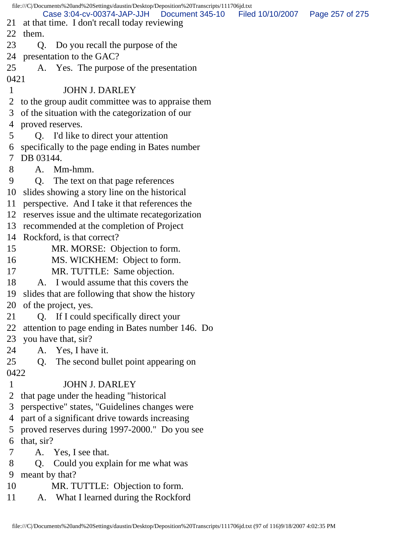|                | file:///C//Documents%20and%20Settings/daustin/Desktop/Deposition%20Transcripts/111706jd.txt |                                   |  |
|----------------|---------------------------------------------------------------------------------------------|-----------------------------------|--|
|                | Case 3:04-cv-00374-JAP-JJH Document 345-10                                                  | Filed 10/10/2007  Page 257 of 275 |  |
| 21<br>22       | at that time. I don't recall today reviewing<br>them.                                       |                                   |  |
|                |                                                                                             |                                   |  |
| 23             | Do you recall the purpose of the<br>Q.                                                      |                                   |  |
|                | 24 presentation to the GAC?                                                                 |                                   |  |
| 25             | A. Yes. The purpose of the presentation                                                     |                                   |  |
| 0421           |                                                                                             |                                   |  |
| $\mathbf{1}$   | <b>JOHN J. DARLEY</b>                                                                       |                                   |  |
|                | 2 to the group audit committee was to appraise them                                         |                                   |  |
| 3              | of the situation with the categorization of our                                             |                                   |  |
|                | 4 proved reserves.                                                                          |                                   |  |
| 5              | Q. I'd like to direct your attention                                                        |                                   |  |
| 6              | specifically to the page ending in Bates number                                             |                                   |  |
| $\tau$         | DB 03144.                                                                                   |                                   |  |
| 8              | A. Mm-hmm.                                                                                  |                                   |  |
| 9              | The text on that page references<br>Q.                                                      |                                   |  |
| 10             | slides showing a story line on the historical                                               |                                   |  |
|                | 11 perspective. And I take it that references the                                           |                                   |  |
|                | 12 reserves issue and the ultimate recategorization                                         |                                   |  |
| 13             | recommended at the completion of Project                                                    |                                   |  |
|                | 14 Rockford, is that correct?                                                               |                                   |  |
| 15             | MR. MORSE: Objection to form.                                                               |                                   |  |
| 16             | MS. WICKHEM: Object to form.                                                                |                                   |  |
| 17             | MR. TUTTLE: Same objection.                                                                 |                                   |  |
| 18             | A. I would assume that this covers the                                                      |                                   |  |
| 19             | slides that are following that show the history                                             |                                   |  |
|                | 20 of the project, yes.                                                                     |                                   |  |
| 21             | Q. If I could specifically direct your                                                      |                                   |  |
| 22             | attention to page ending in Bates number 146. Do                                            |                                   |  |
| 23             | you have that, sir?                                                                         |                                   |  |
| 24             | A. Yes, I have it.                                                                          |                                   |  |
| 25             | The second bullet point appearing on<br>Q.                                                  |                                   |  |
| 0422           |                                                                                             |                                   |  |
| $\mathbf{1}$   | <b>JOHN J. DARLEY</b>                                                                       |                                   |  |
| $\overline{2}$ | that page under the heading "historical"                                                    |                                   |  |
| 3              | perspective" states, "Guidelines changes were                                               |                                   |  |
|                | 4 part of a significant drive towards increasing                                            |                                   |  |
| 5              | proved reserves during 1997-2000." Do you see                                               |                                   |  |
| 6              | that, sir?                                                                                  |                                   |  |
| 7              | A. Yes, I see that.                                                                         |                                   |  |
| 8              | Q. Could you explain for me what was                                                        |                                   |  |
| 9              | meant by that?                                                                              |                                   |  |
| 10             | MR. TUTTLE: Objection to form.                                                              |                                   |  |
| 11             | A. What I learned during the Rockford                                                       |                                   |  |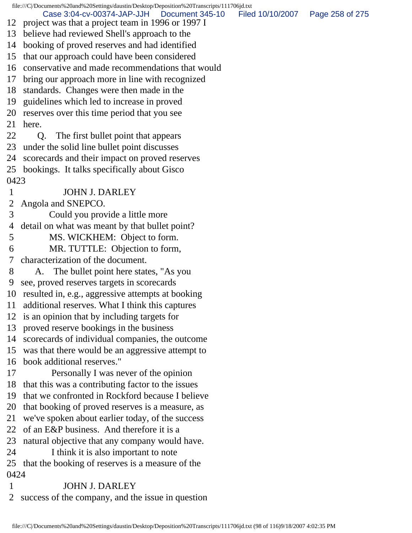file:///C|/Documents%20and%20Settings/daustin/Desktop/Deposition%20Transcripts/111706jd.txt 12 project was that a project team in 1996 or 1997 I 13 believe had reviewed Shell's approach to the 14 booking of proved reserves and had identified 15 that our approach could have been considered 16 conservative and made recommendations that would 17 bring our approach more in line with recognized 18 standards. Changes were then made in the 19 guidelines which led to increase in proved 20 reserves over this time period that you see 21 here. 22 Q. The first bullet point that appears 23 under the solid line bullet point discusses 24 scorecards and their impact on proved reserves 25 bookings. It talks specifically about Gisco 0423 1 JOHN J. DARLEY 2 Angola and SNEPCO. 3 Could you provide a little more 4 detail on what was meant by that bullet point? 5 MS. WICKHEM: Object to form. 6 MR. TUTTLE: Objection to form, 7 characterization of the document. 8 A. The bullet point here states, "As you 9 see, proved reserves targets in scorecards 10 resulted in, e.g., aggressive attempts at booking 11 additional reserves. What I think this captures 12 is an opinion that by including targets for 13 proved reserve bookings in the business 14 scorecards of individual companies, the outcome 15 was that there would be an aggressive attempt to 16 book additional reserves." 17 Personally I was never of the opinion 18 that this was a contributing factor to the issues 19 that we confronted in Rockford because I believe 20 that booking of proved reserves is a measure, as 21 we've spoken about earlier today, of the success 22 of an E&P business. And therefore it is a 23 natural objective that any company would have. 24 I think it is also important to note 25 that the booking of reserves is a measure of the 0424 1 JOHN J. DARLEY 2 success of the company, and the issue in question Case 3:04-cv-00374-JAP-JJH Document 345-10 Filed 10/10/2007 Page 258 of 275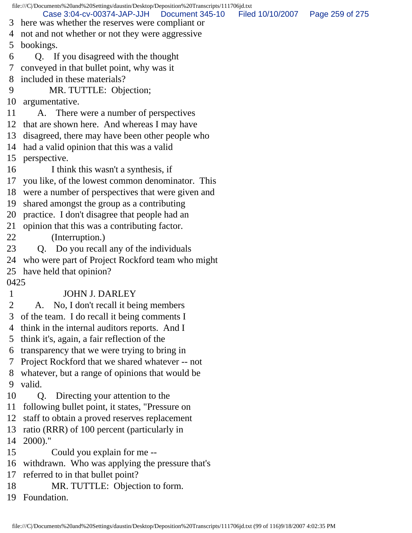file:///C|/Documents%20and%20Settings/daustin/Desktop/Deposition%20Transcripts/111706jd.txt 3 here was whether the reserves were compliant or 4 not and not whether or not they were aggressive 5 bookings. 6 Q. If you disagreed with the thought 7 conveyed in that bullet point, why was it 8 included in these materials? 9 MR. TUTTLE: Objection; 10 argumentative. 11 A. There were a number of perspectives 12 that are shown here. And whereas I may have 13 disagreed, there may have been other people who 14 had a valid opinion that this was a valid 15 perspective. 16 I think this wasn't a synthesis, if 17 you like, of the lowest common denominator. This 18 were a number of perspectives that were given and 19 shared amongst the group as a contributing 20 practice. I don't disagree that people had an 21 opinion that this was a contributing factor. 22 (Interruption.) 23 Q. Do you recall any of the individuals 24 who were part of Project Rockford team who might 25 have held that opinion? 0425 1 JOHN J. DARLEY 2 A. No, I don't recall it being members 3 of the team. I do recall it being comments I 4 think in the internal auditors reports. And I 5 think it's, again, a fair reflection of the 6 transparency that we were trying to bring in 7 Project Rockford that we shared whatever -- not 8 whatever, but a range of opinions that would be 9 valid. 10 Q. Directing your attention to the 11 following bullet point, it states, "Pressure on 12 staff to obtain a proved reserves replacement 13 ratio (RRR) of 100 percent (particularly in 14 2000)." 15 Could you explain for me -- 16 withdrawn. Who was applying the pressure that's 17 referred to in that bullet point? 18 MR. TUTTLE: Objection to form. 19 Foundation. Case 3:04-cv-00374-JAP-JJH Document 345-10 Filed 10/10/2007 Page 259 of 275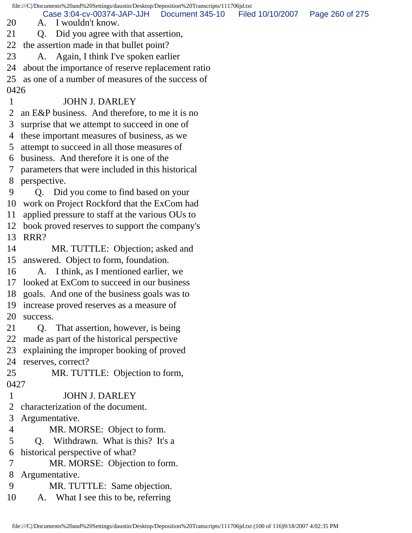file:///C|/Documents%20and%20Settings/daustin/Desktop/Deposition%20Transcripts/111706jd.txt

Case 3:04-cv-00374-JAP-JJH Document 345-10 Filed 10/10/2007 Page 260 of 275

- 20 A. I wouldn't know.
- 21 Q. Did you agree with that assertion,
- 22 the assertion made in that bullet point?
- 23 A. Again, I think I've spoken earlier
- 24 about the importance of reserve replacement ratio
- 25 as one of a number of measures of the success of 0426

## 1 JOHN J. DARLEY

- 2 an E&P business. And therefore, to me it is no
- 3 surprise that we attempt to succeed in one of
- 4 these important measures of business, as we
- 5 attempt to succeed in all those measures of
- 6 business. And therefore it is one of the
- 7 parameters that were included in this historical 8 perspective.
- 9 Q. Did you come to find based on your 10 work on Project Rockford that the ExCom had
- 11 applied pressure to staff at the various OUs to
- 
- 12 book proved reserves to support the company's 13 RRR?
- 14 MR. TUTTLE: Objection; asked and 15 answered. Object to form, foundation.
- 16 A. I think, as I mentioned earlier, we
- 17 looked at ExCom to succeed in our business
- 18 goals. And one of the business goals was to
- 19 increase proved reserves as a measure of 20 success.
- 21 Q. That assertion, however, is being
- 22 made as part of the historical perspective
- 23 explaining the improper booking of proved
- 24 reserves, correct?
- 25 MR. TUTTLE: Objection to form, 0427
- 1 JOHN J. DARLEY
- 2 characterization of the document.
- 3 Argumentative.
- 4 MR. MORSE: Object to form.
- 5 Q. Withdrawn. What is this? It's a
- 6 historical perspective of what?
- 7 MR. MORSE: Objection to form.
- 8 Argumentative.
- 9 MR. TUTTLE: Same objection.
- 10 A. What I see this to be, referring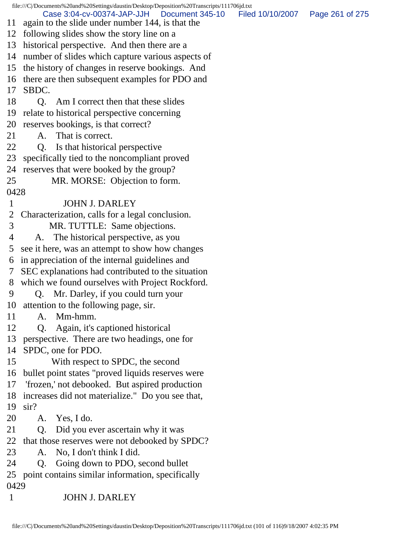file:///C|/Documents%20and%20Settings/daustin/Desktop/Deposition%20Transcripts/111706jd.txt 11 again to the slide under number 144, is that the 12 following slides show the story line on a 13 historical perspective. And then there are a 14 number of slides which capture various aspects of 15 the history of changes in reserve bookings. And 16 there are then subsequent examples for PDO and 17 SBDC. 18 Q. Am I correct then that these slides 19 relate to historical perspective concerning 20 reserves bookings, is that correct? 21 A. That is correct. 22 Q. Is that historical perspective 23 specifically tied to the noncompliant proved 24 reserves that were booked by the group? 25 MR. MORSE: Objection to form. 0428 1 JOHN J. DARLEY 2 Characterization, calls for a legal conclusion. 3 MR. TUTTLE: Same objections. 4 A. The historical perspective, as you 5 see it here, was an attempt to show how changes 6 in appreciation of the internal guidelines and 7 SEC explanations had contributed to the situation 8 which we found ourselves with Project Rockford. 9 Q. Mr. Darley, if you could turn your 10 attention to the following page, sir. 11 A. Mm-hmm. 12 Q. Again, it's captioned historical 13 perspective. There are two headings, one for 14 SPDC, one for PDO. 15 With respect to SPDC, the second 16 bullet point states "proved liquids reserves were 17 'frozen,' not debooked. But aspired production 18 increases did not materialize." Do you see that, 19 sir? 20 A. Yes, I do. 21 Q. Did you ever ascertain why it was 22 that those reserves were not debooked by SPDC? 23 A. No, I don't think I did. 24 Q. Going down to PDO, second bullet 25 point contains similar information, specifically 0429 1 JOHN J. DARLEY Case 3:04-cv-00374-JAP-JJH Document 345-10 Filed 10/10/2007 Page 261 of 275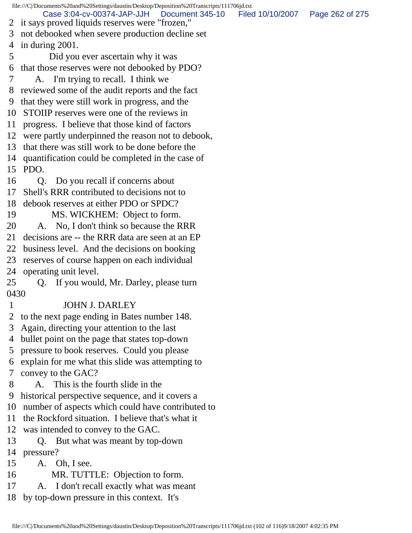file:///C|/Documents%20and%20Settings/daustin/Desktop/Deposition%20Transcripts/111706jd.txt 2 it says proved liquids reserves were "frozen," 3 not debooked when severe production decline set 4 in during 2001. 5 Did you ever ascertain why it was 6 that those reserves were not debooked by PDO? 7 A. I'm trying to recall. I think we 8 reviewed some of the audit reports and the fact 9 that they were still work in progress, and the 10 STOIIP reserves were one of the reviews in 11 progress. I believe that those kind of factors 12 were partly underpinned the reason not to debook, 13 that there was still work to be done before the 14 quantification could be completed in the case of 15 PDO. 16 Q. Do you recall if concerns about 17 Shell's RRR contributed to decisions not to 18 debook reserves at either PDO or SPDC? 19 MS. WICKHEM: Object to form. 20 A. No, I don't think so because the RRR 21 decisions are -- the RRR data are seen at an EP 22 business level. And the decisions on booking 23 reserves of course happen on each individual 24 operating unit level. 25 Q. If you would, Mr. Darley, please turn 0430 1 JOHN J. DARLEY 2 to the next page ending in Bates number 148. 3 Again, directing your attention to the last 4 bullet point on the page that states top-down 5 pressure to book reserves. Could you please 6 explain for me what this slide was attempting to 7 convey to the GAC? 8 A. This is the fourth slide in the 9 historical perspective sequence, and it covers a 10 number of aspects which could have contributed to 11 the Rockford situation. I believe that's what it 12 was intended to convey to the GAC. 13 Q. But what was meant by top-down 14 pressure? 15 A. Oh, I see. 16 MR. TUTTLE: Objection to form. 17 A. I don't recall exactly what was meant 18 by top-down pressure in this context. It's Case 3:04-cv-00374-JAP-JJH Document 345-10 Filed 10/10/2007 Page 262 of 275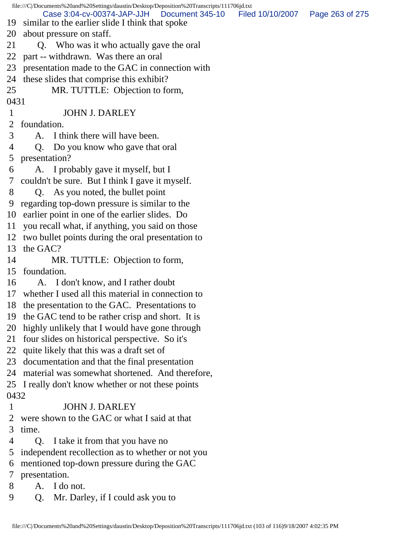|      | file:///C//Documents%20and%20Settings/daustin/Desktop/Deposition%20Transcripts/111706jd.txt                                       |  |
|------|-----------------------------------------------------------------------------------------------------------------------------------|--|
| 19   | Case 3:04-cv-00374-JAP-JJH  Document 345-10  Filed 10/10/2007  Page 263 of 275<br>similar to the earlier slide I think that spoke |  |
| 20   | about pressure on staff.                                                                                                          |  |
| 21   | Q. Who was it who actually gave the oral                                                                                          |  |
| 22   | part -- withdrawn. Was there an oral                                                                                              |  |
| 23   | presentation made to the GAC in connection with                                                                                   |  |
| 24   | these slides that comprise this exhibit?                                                                                          |  |
| 25   | MR. TUTTLE: Objection to form,                                                                                                    |  |
| 0431 |                                                                                                                                   |  |
| 1    | <b>JOHN J. DARLEY</b>                                                                                                             |  |
| 2    | foundation.                                                                                                                       |  |
| 3    | A. I think there will have been.                                                                                                  |  |
| 4    | Q. Do you know who gave that oral                                                                                                 |  |
| 5    | presentation?                                                                                                                     |  |
| 6    | A. I probably gave it myself, but I                                                                                               |  |
| 7    | couldn't be sure. But I think I gave it myself.                                                                                   |  |
| 8    | Q. As you noted, the bullet point                                                                                                 |  |
| 9    | regarding top-down pressure is similar to the                                                                                     |  |
| 10   | earlier point in one of the earlier slides. Do                                                                                    |  |
| 11   | you recall what, if anything, you said on those                                                                                   |  |
| 12   | two bullet points during the oral presentation to                                                                                 |  |
| 13   | the GAC?                                                                                                                          |  |
| 14   | MR. TUTTLE: Objection to form,                                                                                                    |  |
| 15   | foundation.                                                                                                                       |  |
| 16   | A. I don't know, and I rather doubt                                                                                               |  |
| 17   | whether I used all this material in connection to                                                                                 |  |
|      | 18 the presentation to the GAC. Presentations to                                                                                  |  |
| 19   | the GAC tend to be rather crisp and short. It is                                                                                  |  |
| 20   | highly unlikely that I would have gone through                                                                                    |  |
| 21   | four slides on historical perspective. So it's                                                                                    |  |
| 22   | quite likely that this was a draft set of                                                                                         |  |
| 23   | documentation and that the final presentation                                                                                     |  |
| 24   | material was somewhat shortened. And therefore,                                                                                   |  |
| 25   | I really don't know whether or not these points                                                                                   |  |
| 0432 |                                                                                                                                   |  |
| 1    | <b>JOHN J. DARLEY</b>                                                                                                             |  |
| 2    | were shown to the GAC or what I said at that                                                                                      |  |
| 3    | time.                                                                                                                             |  |
| 4    | I take it from that you have no<br>Q <sub>r</sub>                                                                                 |  |
| 5    | independent recollection as to whether or not you                                                                                 |  |
| 6    | mentioned top-down pressure during the GAC                                                                                        |  |
| 7    | presentation.                                                                                                                     |  |
| 8    | I do not.<br>A.                                                                                                                   |  |
| 9    | Mr. Darley, if I could ask you to<br>Q.                                                                                           |  |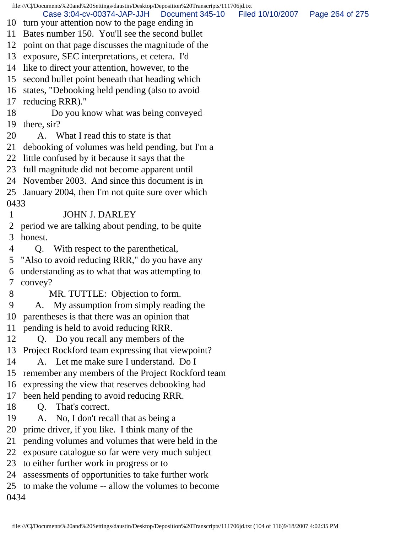file:///C|/Documents%20and%20Settings/daustin/Desktop/Deposition%20Transcripts/111706jd.txt 10 turn your attention now to the page ending in 11 Bates number 150. You'll see the second bullet 12 point on that page discusses the magnitude of the 13 exposure, SEC interpretations, et cetera. I'd 14 like to direct your attention, however, to the 15 second bullet point beneath that heading which 16 states, "Debooking held pending (also to avoid 17 reducing RRR)." 18 Do you know what was being conveyed 19 there, sir? 20 A. What I read this to state is that 21 debooking of volumes was held pending, but I'm a 22 little confused by it because it says that the 23 full magnitude did not become apparent until 24 November 2003. And since this document is in 25 January 2004, then I'm not quite sure over which 0433 1 JOHN J. DARLEY 2 period we are talking about pending, to be quite 3 honest. 4 Q. With respect to the parenthetical, 5 "Also to avoid reducing RRR," do you have any 6 understanding as to what that was attempting to 7 convey? 8 MR. TUTTLE: Objection to form. 9 A. My assumption from simply reading the 10 parentheses is that there was an opinion that 11 pending is held to avoid reducing RRR. 12 Q. Do you recall any members of the 13 Project Rockford team expressing that viewpoint? 14 A. Let me make sure I understand. Do I 15 remember any members of the Project Rockford team 16 expressing the view that reserves debooking had 17 been held pending to avoid reducing RRR. 18 Q. That's correct. 19 A. No, I don't recall that as being a 20 prime driver, if you like. I think many of the 21 pending volumes and volumes that were held in the 22 exposure catalogue so far were very much subject 23 to either further work in progress or to 24 assessments of opportunities to take further work 25 to make the volume -- allow the volumes to become 0434 Case 3:04-cv-00374-JAP-JJH Document 345-10 Filed 10/10/2007 Page 264 of 275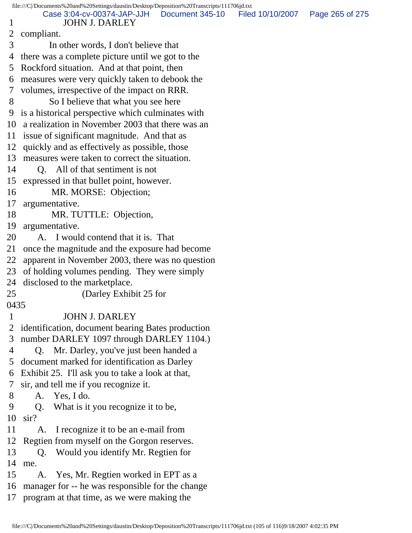| file:///C /Documents%20and%20Settings/daustin/Desktop/Deposition%20Transcripts/111706jd.txt |                                                      |                 |                  |                 |  |
|---------------------------------------------------------------------------------------------|------------------------------------------------------|-----------------|------------------|-----------------|--|
| 1                                                                                           | Case 3:04-cv-00374-JAP-JJH<br><b>JOHN J. DARLEY</b>  | Document 345-10 | Filed 10/10/2007 | Page 265 of 275 |  |
| 2                                                                                           | compliant.                                           |                 |                  |                 |  |
| 3                                                                                           | In other words, I don't believe that                 |                 |                  |                 |  |
| 4                                                                                           | there was a complete picture until we got to the     |                 |                  |                 |  |
| 5                                                                                           | Rockford situation. And at that point, then          |                 |                  |                 |  |
| 6                                                                                           | measures were very quickly taken to debook the       |                 |                  |                 |  |
| 7                                                                                           | volumes, irrespective of the impact on RRR.          |                 |                  |                 |  |
| 8                                                                                           | So I believe that what you see here                  |                 |                  |                 |  |
| 9                                                                                           | is a historical perspective which culminates with    |                 |                  |                 |  |
| 10                                                                                          | a realization in November 2003 that there was an     |                 |                  |                 |  |
| 11                                                                                          | issue of significant magnitude. And that as          |                 |                  |                 |  |
| 12                                                                                          | quickly and as effectively as possible, those        |                 |                  |                 |  |
| 13                                                                                          | measures were taken to correct the situation.        |                 |                  |                 |  |
| 14                                                                                          | Q. All of that sentiment is not                      |                 |                  |                 |  |
| 15                                                                                          | expressed in that bullet point, however.             |                 |                  |                 |  |
| 16                                                                                          | MR. MORSE: Objection;                                |                 |                  |                 |  |
| 17                                                                                          | argumentative.                                       |                 |                  |                 |  |
| 18                                                                                          | MR. TUTTLE: Objection,                               |                 |                  |                 |  |
| 19                                                                                          | argumentative.                                       |                 |                  |                 |  |
| 20                                                                                          | I would contend that it is. That<br>A.               |                 |                  |                 |  |
| 21                                                                                          | once the magnitude and the exposure had become       |                 |                  |                 |  |
| 22                                                                                          | apparent in November 2003, there was no question     |                 |                  |                 |  |
| 23                                                                                          | of holding volumes pending. They were simply         |                 |                  |                 |  |
| 24                                                                                          | disclosed to the market place.                       |                 |                  |                 |  |
| 25                                                                                          | (Darley Exhibit 25 for                               |                 |                  |                 |  |
| 0435                                                                                        |                                                      |                 |                  |                 |  |
| 1                                                                                           | <b>JOHN J. DARLEY</b>                                |                 |                  |                 |  |
| 2                                                                                           | identification, document bearing Bates production    |                 |                  |                 |  |
| 3                                                                                           | number DARLEY 1097 through DARLEY 1104.)             |                 |                  |                 |  |
| 4                                                                                           | Q. Mr. Darley, you've just been handed a             |                 |                  |                 |  |
| 5                                                                                           | document marked for identification as Darley         |                 |                  |                 |  |
| 6                                                                                           | Exhibit 25. I'll ask you to take a look at that,     |                 |                  |                 |  |
| 7                                                                                           | sir, and tell me if you recognize it.                |                 |                  |                 |  |
| 8                                                                                           | Yes, I do.<br>A.                                     |                 |                  |                 |  |
| 9                                                                                           | What is it you recognize it to be,<br>Q <sub>r</sub> |                 |                  |                 |  |
| 10                                                                                          | $\sin$ ?                                             |                 |                  |                 |  |
| 11                                                                                          | I recognize it to be an e-mail from<br>A.            |                 |                  |                 |  |
| 12                                                                                          | Regtien from myself on the Gorgon reserves.          |                 |                  |                 |  |
| 13                                                                                          | Would you identify Mr. Regtien for<br>Q.             |                 |                  |                 |  |
| 14                                                                                          | me.                                                  |                 |                  |                 |  |
| 15                                                                                          | Yes, Mr. Regtien worked in EPT as a<br>A.            |                 |                  |                 |  |
| 16                                                                                          | manager for -- he was responsible for the change     |                 |                  |                 |  |
| 17                                                                                          | program at that time, as we were making the          |                 |                  |                 |  |
|                                                                                             |                                                      |                 |                  |                 |  |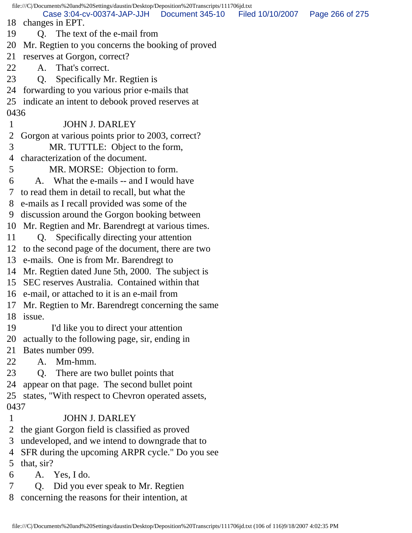file:///C|/Documents%20and%20Settings/daustin/Desktop/Deposition%20Transcripts/111706jd.txt 18 changes in EPT. 19 Q. The text of the e-mail from 20 Mr. Regtien to you concerns the booking of proved 21 reserves at Gorgon, correct? 22 A. That's correct. 23 Q. Specifically Mr. Regtien is 24 forwarding to you various prior e-mails that 25 indicate an intent to debook proved reserves at 0436 1 JOHN J. DARLEY 2 Gorgon at various points prior to 2003, correct? 3 MR. TUTTLE: Object to the form, 4 characterization of the document. 5 MR. MORSE: Objection to form. 6 A. What the e-mails -- and I would have 7 to read them in detail to recall, but what the 8 e-mails as I recall provided was some of the 9 discussion around the Gorgon booking between 10 Mr. Regtien and Mr. Barendregt at various times. 11 Q. Specifically directing your attention 12 to the second page of the document, there are two 13 e-mails. One is from Mr. Barendregt to 14 Mr. Regtien dated June 5th, 2000. The subject is 15 SEC reserves Australia. Contained within that 16 e-mail, or attached to it is an e-mail from 17 Mr. Regtien to Mr. Barendregt concerning the same 18 issue. 19 I'd like you to direct your attention 20 actually to the following page, sir, ending in 21 Bates number 099. 22 A. Mm-hmm. 23 Q. There are two bullet points that 24 appear on that page. The second bullet point 25 states, "With respect to Chevron operated assets, 0437 1 JOHN J. DARLEY 2 the giant Gorgon field is classified as proved 3 undeveloped, and we intend to downgrade that to 4 SFR during the upcoming ARPR cycle." Do you see 5 that, sir? 6 A. Yes, I do. 7 Q. Did you ever speak to Mr. Regtien Case 3:04-cv-00374-JAP-JJH Document 345-10 Filed 10/10/2007 Page 266 of 275

8 concerning the reasons for their intention, at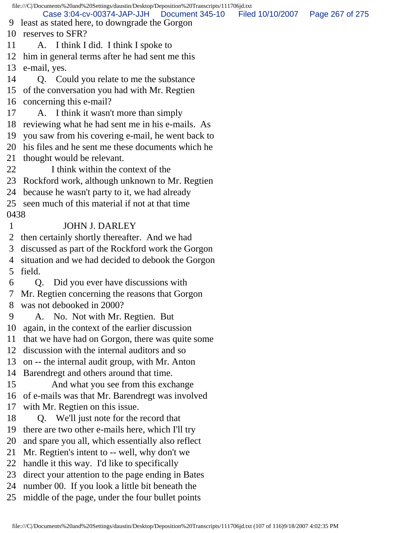file:///C|/Documents%20and%20Settings/daustin/Desktop/Deposition%20Transcripts/111706jd.txt 9 least as stated here, to downgrade the Gorgon 10 reserves to SFR? 11 A. I think I did. I think I spoke to 12 him in general terms after he had sent me this 13 e-mail, yes. 14 Q. Could you relate to me the substance 15 of the conversation you had with Mr. Regtien 16 concerning this e-mail? 17 A. I think it wasn't more than simply 18 reviewing what he had sent me in his e-mails. As 19 you saw from his covering e-mail, he went back to 20 his files and he sent me these documents which he 21 thought would be relevant. 22 I think within the context of the 23 Rockford work, although unknown to Mr. Regtien 24 because he wasn't party to it, we had already 25 seen much of this material if not at that time 0438 1 JOHN J. DARLEY 2 then certainly shortly thereafter. And we had 3 discussed as part of the Rockford work the Gorgon 4 situation and we had decided to debook the Gorgon 5 field. 6 Q. Did you ever have discussions with 7 Mr. Regtien concerning the reasons that Gorgon 8 was not debooked in 2000? 9 A. No. Not with Mr. Regtien. But 10 again, in the context of the earlier discussion 11 that we have had on Gorgon, there was quite some 12 discussion with the internal auditors and so 13 on -- the internal audit group, with Mr. Anton 14 Barendregt and others around that time. 15 And what you see from this exchange 16 of e-mails was that Mr. Barendregt was involved 17 with Mr. Regtien on this issue. 18 Q. We'll just note for the record that 19 there are two other e-mails here, which I'll try 20 and spare you all, which essentially also reflect 21 Mr. Regtien's intent to -- well, why don't we 22 handle it this way. I'd like to specifically 23 direct your attention to the page ending in Bates 24 number 00. If you look a little bit beneath the 25 middle of the page, under the four bullet points Case 3:04-cv-00374-JAP-JJH Document 345-10 Filed 10/10/2007 Page 267 of 275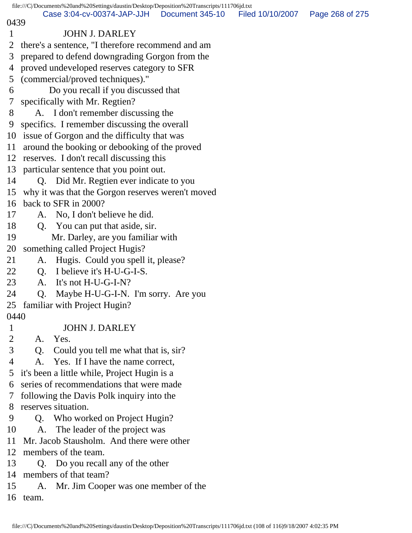|                                                                                              | file:///C//Documents%20and%20Settings/daustin/Desktop/Deposition%20Transcripts/111706jd.txt |  |  |  |  |
|----------------------------------------------------------------------------------------------|---------------------------------------------------------------------------------------------|--|--|--|--|
| Case 3:04-cv-00374-JAP-JJH<br>Document 345-10<br>Filed 10/10/2007<br>Page 268 of 275<br>0439 |                                                                                             |  |  |  |  |
| $\mathbf{1}$                                                                                 | <b>JOHN J. DARLEY</b>                                                                       |  |  |  |  |
| $\overline{2}$                                                                               | there's a sentence, "I therefore recommend and am                                           |  |  |  |  |
| 3                                                                                            | prepared to defend downgrading Gorgon from the                                              |  |  |  |  |
| 4                                                                                            | proved undeveloped reserves category to SFR                                                 |  |  |  |  |
| 5                                                                                            | (commercial/proved techniques)."                                                            |  |  |  |  |
| 6                                                                                            | Do you recall if you discussed that                                                         |  |  |  |  |
| 7                                                                                            | specifically with Mr. Regtien?                                                              |  |  |  |  |
| 8                                                                                            | A. I don't remember discussing the                                                          |  |  |  |  |
| 9                                                                                            |                                                                                             |  |  |  |  |
| 10                                                                                           | specifics. I remember discussing the overall<br>issue of Gorgon and the difficulty that was |  |  |  |  |
|                                                                                              |                                                                                             |  |  |  |  |
| 11                                                                                           | around the booking or debooking of the proved                                               |  |  |  |  |
|                                                                                              | 12 reserves. I don't recall discussing this                                                 |  |  |  |  |
| 13                                                                                           | particular sentence that you point out.                                                     |  |  |  |  |
| 14                                                                                           | Q. Did Mr. Regtien ever indicate to you                                                     |  |  |  |  |
| 15                                                                                           | why it was that the Gorgon reserves weren't moved                                           |  |  |  |  |
| 16                                                                                           | back to SFR in 2000?                                                                        |  |  |  |  |
| 17                                                                                           | No, I don't believe he did.<br>A.                                                           |  |  |  |  |
| 18                                                                                           | Q. You can put that aside, sir.                                                             |  |  |  |  |
| 19                                                                                           | Mr. Darley, are you familiar with                                                           |  |  |  |  |
| 20                                                                                           | something called Project Hugis?                                                             |  |  |  |  |
| 21                                                                                           | Hugis. Could you spell it, please?<br>A.                                                    |  |  |  |  |
| 22                                                                                           | I believe it's H-U-G-I-S.<br>Q.                                                             |  |  |  |  |
| 23                                                                                           | A. It's not H-U-G-I-N?                                                                      |  |  |  |  |
| 24                                                                                           | Maybe H-U-G-I-N. I'm sorry. Are you<br>Q.                                                   |  |  |  |  |
|                                                                                              | 25 familiar with Project Hugin?                                                             |  |  |  |  |
|                                                                                              | 0440                                                                                        |  |  |  |  |
| $\mathbf{1}$                                                                                 | <b>JOHN J. DARLEY</b>                                                                       |  |  |  |  |
| $\overline{2}$                                                                               | Yes.<br>A.                                                                                  |  |  |  |  |
| 3                                                                                            | Could you tell me what that is, sir?<br>Q.                                                  |  |  |  |  |
| 4                                                                                            | A. Yes. If I have the name correct,                                                         |  |  |  |  |
| 5                                                                                            | it's been a little while, Project Hugin is a                                                |  |  |  |  |
| 6                                                                                            | series of recommendations that were made                                                    |  |  |  |  |
| 7                                                                                            | following the Davis Polk inquiry into the                                                   |  |  |  |  |
| 8                                                                                            | reserves situation.                                                                         |  |  |  |  |
| 9                                                                                            | Q. Who worked on Project Hugin?                                                             |  |  |  |  |
| 10                                                                                           | A. The leader of the project was                                                            |  |  |  |  |
| 11                                                                                           | Mr. Jacob Stausholm. And there were other                                                   |  |  |  |  |
| 12                                                                                           | members of the team.                                                                        |  |  |  |  |
| 13                                                                                           | Q. Do you recall any of the other                                                           |  |  |  |  |
| 14                                                                                           | members of that team?                                                                       |  |  |  |  |
| 15                                                                                           | A. Mr. Jim Cooper was one member of the                                                     |  |  |  |  |
|                                                                                              | 16 team.                                                                                    |  |  |  |  |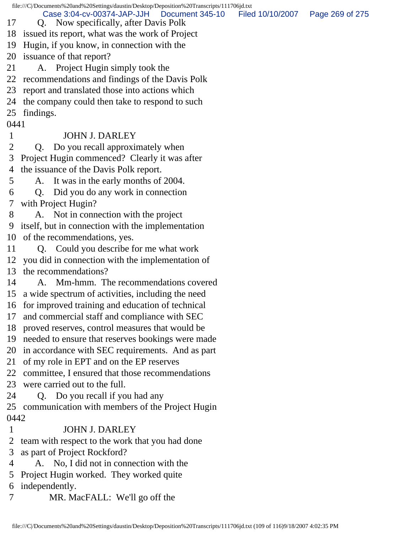file:///C|/Documents%20and%20Settings/daustin/Desktop/Deposition%20Transcripts/111706jd.txt 17 Q. Now specifically, after Davis Polk 18 issued its report, what was the work of Project 19 Hugin, if you know, in connection with the 20 issuance of that report? 21 A. Project Hugin simply took the 22 recommendations and findings of the Davis Polk 23 report and translated those into actions which 24 the company could then take to respond to such 25 findings. 0441 1 JOHN J. DARLEY 2 Q. Do you recall approximately when 3 Project Hugin commenced? Clearly it was after 4 the issuance of the Davis Polk report. 5 A. It was in the early months of 2004. 6 Q. Did you do any work in connection 7 with Project Hugin? 8 A. Not in connection with the project 9 itself, but in connection with the implementation 10 of the recommendations, yes. 11 Q. Could you describe for me what work 12 you did in connection with the implementation of 13 the recommendations? 14 A. Mm-hmm. The recommendations covered 15 a wide spectrum of activities, including the need 16 for improved training and education of technical 17 and commercial staff and compliance with SEC 18 proved reserves, control measures that would be 19 needed to ensure that reserves bookings were made 20 in accordance with SEC requirements. And as part 21 of my role in EPT and on the EP reserves 22 committee, I ensured that those recommendations 23 were carried out to the full. 24 Q. Do you recall if you had any 25 communication with members of the Project Hugin 0442 1 JOHN J. DARLEY 2 team with respect to the work that you had done 3 as part of Project Rockford? 4 A. No, I did not in connection with the 5 Project Hugin worked. They worked quite 6 independently. 7 MR. MacFALL: We'll go off the Case 3:04-cv-00374-JAP-JJH Document 345-10 Filed 10/10/2007 Page 269 of 275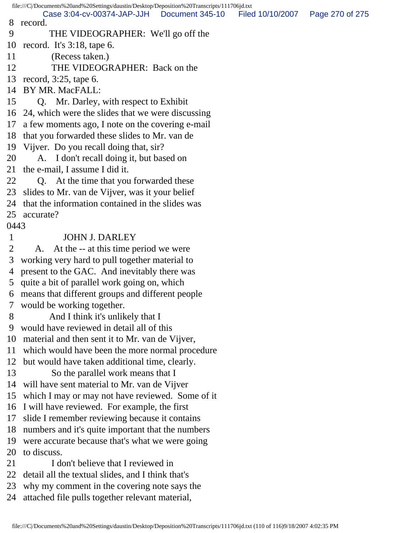file:///C|/Documents%20and%20Settings/daustin/Desktop/Deposition%20Transcripts/111706jd.txt 8 record. 9 THE VIDEOGRAPHER: We'll go off the 10 record. It's 3:18, tape 6. 11 (Recess taken.) 12 THE VIDEOGRAPHER: Back on the 13 record, 3:25, tape 6. 14 BY MR. MacFALL: 15 Q. Mr. Darley, with respect to Exhibit 16 24, which were the slides that we were discussing 17 a few moments ago, I note on the covering e-mail 18 that you forwarded these slides to Mr. van de 19 Vijver. Do you recall doing that, sir? 20 A. I don't recall doing it, but based on 21 the e-mail, I assume I did it. 22 Q. At the time that you forwarded these 23 slides to Mr. van de Vijver, was it your belief 24 that the information contained in the slides was 25 accurate? 0443 1 JOHN J. DARLEY 2 A. At the -- at this time period we were 3 working very hard to pull together material to 4 present to the GAC. And inevitably there was 5 quite a bit of parallel work going on, which 6 means that different groups and different people 7 would be working together. 8 And I think it's unlikely that I 9 would have reviewed in detail all of this 10 material and then sent it to Mr. van de Vijver, 11 which would have been the more normal procedure 12 but would have taken additional time, clearly. 13 So the parallel work means that I 14 will have sent material to Mr. van de Vijver 15 which I may or may not have reviewed. Some of it 16 I will have reviewed. For example, the first 17 slide I remember reviewing because it contains 18 numbers and it's quite important that the numbers 19 were accurate because that's what we were going 20 to discuss. 21 I don't believe that I reviewed in 22 detail all the textual slides, and I think that's 23 why my comment in the covering note says the 24 attached file pulls together relevant material, Case 3:04-cv-00374-JAP-JJH Document 345-10 Filed 10/10/2007 Page 270 of 275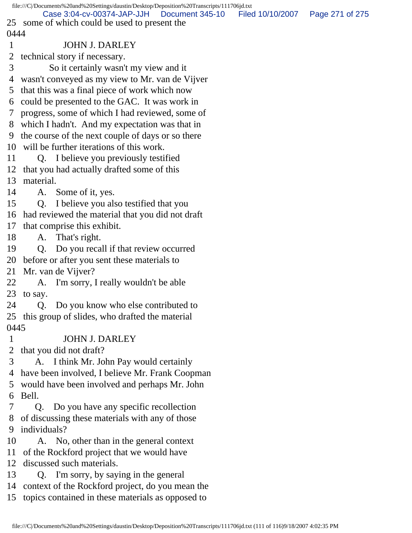|                | file:///C /Documents%20and%20Settings/daustin/Desktop/Deposition%20Transcripts/111706jd.txt    |                  |                 |
|----------------|------------------------------------------------------------------------------------------------|------------------|-----------------|
|                | Case 3:04-cv-00374-JAP-JJH<br>Document 345-10<br>25 some of which could be used to present the | Filed 10/10/2007 | Page 271 of 275 |
| 0444           |                                                                                                |                  |                 |
| $\mathbf{1}$   | <b>JOHN J. DARLEY</b>                                                                          |                  |                 |
| 2              | technical story if necessary.                                                                  |                  |                 |
| 3              | So it certainly wasn't my view and it                                                          |                  |                 |
|                | 4 wasn't conveyed as my view to Mr. van de Vijver                                              |                  |                 |
|                |                                                                                                |                  |                 |
|                | 5 that this was a final piece of work which now                                                |                  |                 |
| 6              | could be presented to the GAC. It was work in                                                  |                  |                 |
| 7 <sup>7</sup> | progress, some of which I had reviewed, some of                                                |                  |                 |
|                | 8 which I hadn't. And my expectation was that in                                               |                  |                 |
|                | 9 the course of the next couple of days or so there                                            |                  |                 |
|                | 10 will be further iterations of this work.                                                    |                  |                 |
| 11             | Q. I believe you previously testified                                                          |                  |                 |
|                | 12 that you had actually drafted some of this                                                  |                  |                 |
| 13             | material.                                                                                      |                  |                 |
| 14             | A. Some of it, yes.                                                                            |                  |                 |
| 15             | Q. I believe you also testified that you                                                       |                  |                 |
|                | 16 had reviewed the material that you did not draft                                            |                  |                 |
| 17             | that comprise this exhibit.                                                                    |                  |                 |
| 18             | A. That's right.                                                                               |                  |                 |
| 19             | Q. Do you recall if that review occurred                                                       |                  |                 |
| 20             | before or after you sent these materials to                                                    |                  |                 |
| 21             | Mr. van de Vijver?                                                                             |                  |                 |
| 22             | A. I'm sorry, I really wouldn't be able                                                        |                  |                 |
|                | 23 to say.                                                                                     |                  |                 |
| 24             | Q. Do you know who else contributed to                                                         |                  |                 |
|                | 25 this group of slides, who drafted the material                                              |                  |                 |
| 0445           |                                                                                                |                  |                 |
| $\mathbf{1}$   | <b>JOHN J. DARLEY</b>                                                                          |                  |                 |
| 2              | that you did not draft?                                                                        |                  |                 |
| 3              | A. I think Mr. John Pay would certainly                                                        |                  |                 |
| 4              | have been involved, I believe Mr. Frank Coopman                                                |                  |                 |
| 5              | would have been involved and perhaps Mr. John                                                  |                  |                 |
| 6              | Bell.                                                                                          |                  |                 |
|                | Do you have any specific recollection<br>Q.                                                    |                  |                 |
|                | 8 of discussing these materials with any of those                                              |                  |                 |
| 9              | individuals?                                                                                   |                  |                 |
| 10             | A. No, other than in the general context                                                       |                  |                 |
|                | 11 of the Rockford project that we would have                                                  |                  |                 |
| 12             | discussed such materials.                                                                      |                  |                 |
| 13             | Q. I'm sorry, by saying in the general                                                         |                  |                 |
|                | 14 context of the Rockford project, do you mean the                                            |                  |                 |
|                | 15 topics contained in these materials as opposed to                                           |                  |                 |
|                |                                                                                                |                  |                 |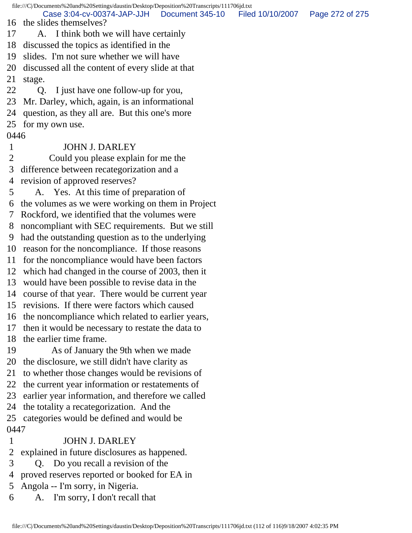file:///C|/Documents%20and%20Settings/daustin/Desktop/Deposition%20Transcripts/111706jd.txt 16 the slides themselves? 17 A. I think both we will have certainly 18 discussed the topics as identified in the 19 slides. I'm not sure whether we will have 20 discussed all the content of every slide at that 21 stage. 22 Q. I just have one follow-up for you, 23 Mr. Darley, which, again, is an informational 24 question, as they all are. But this one's more 25 for my own use. 0446 1 JOHN J. DARLEY 2 Could you please explain for me the 3 difference between recategorization and a 4 revision of approved reserves? 5 A. Yes. At this time of preparation of 6 the volumes as we were working on them in Project 7 Rockford, we identified that the volumes were 8 noncompliant with SEC requirements. But we still 9 had the outstanding question as to the underlying 10 reason for the noncompliance. If those reasons 11 for the noncompliance would have been factors 12 which had changed in the course of 2003, then it 13 would have been possible to revise data in the 14 course of that year. There would be current year 15 revisions. If there were factors which caused 16 the noncompliance which related to earlier years, 17 then it would be necessary to restate the data to 18 the earlier time frame. 19 As of January the 9th when we made 20 the disclosure, we still didn't have clarity as 21 to whether those changes would be revisions of 22 the current year information or restatements of 23 earlier year information, and therefore we called 24 the totality a recategorization. And the 25 categories would be defined and would be 0447 1 JOHN J. DARLEY 2 explained in future disclosures as happened. 3 Q. Do you recall a revision of the 4 proved reserves reported or booked for EA in Case 3:04-cv-00374-JAP-JJH Document 345-10 Filed 10/10/2007 Page 272 of 275

- 5 Angola -- I'm sorry, in Nigeria.
- 6 A. I'm sorry, I don't recall that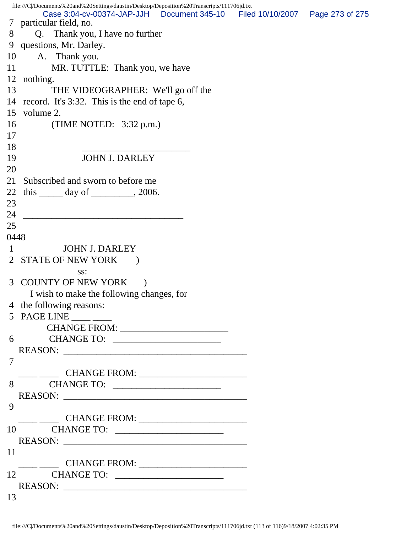|                | file:///C /Documents%20and%20Settings/daustin/Desktop/Deposition%20Transcripts/111706jd.txt |  |  |
|----------------|---------------------------------------------------------------------------------------------|--|--|
|                | Case 3:04-cv-00374-JAP-JJH Document 345-10 Filed 10/10/2007 Page 273 of 275                 |  |  |
| 8              | 7 particular field, no.<br>Q. Thank you, I have no further                                  |  |  |
| 9              | questions, Mr. Darley.                                                                      |  |  |
| 10             | A. Thank you.                                                                               |  |  |
| 11             | MR. TUTTLE: Thank you, we have                                                              |  |  |
| 12             | nothing.                                                                                    |  |  |
|                |                                                                                             |  |  |
| 13             | THE VIDEOGRAPHER: We'll go off the                                                          |  |  |
| 14             | record. It's 3:32. This is the end of tape 6,                                               |  |  |
| 15             | volume 2.                                                                                   |  |  |
| 16             | (TIME NOTED: $3:32$ p.m.)                                                                   |  |  |
| 17             |                                                                                             |  |  |
| 18             |                                                                                             |  |  |
| 19             | <b>JOHN J. DARLEY</b>                                                                       |  |  |
| 20             |                                                                                             |  |  |
| 21             | Subscribed and sworn to before me                                                           |  |  |
| 22             | this $\_\_\_\_$ day of $\_\_\_\_\_$ , 2006.                                                 |  |  |
| 23             |                                                                                             |  |  |
| 24             |                                                                                             |  |  |
| 25             |                                                                                             |  |  |
| 0448           |                                                                                             |  |  |
| 1              | <b>JOHN J. DARLEY</b>                                                                       |  |  |
| $\overline{2}$ | <b>STATE OF NEW YORK</b>                                                                    |  |  |
|                | SS:                                                                                         |  |  |
|                | 3 COUNTY OF NEW YORK                                                                        |  |  |
|                | I wish to make the following changes, for                                                   |  |  |
|                | 4 the following reasons:                                                                    |  |  |
|                | 5 PAGE LINE $\_\_\_\_\_\_\_\_\_\$                                                           |  |  |
|                |                                                                                             |  |  |
|                |                                                                                             |  |  |
|                |                                                                                             |  |  |
|                | REASON:                                                                                     |  |  |
| 7              |                                                                                             |  |  |
|                |                                                                                             |  |  |
|                |                                                                                             |  |  |
|                | REASON:                                                                                     |  |  |
| 9              |                                                                                             |  |  |
|                |                                                                                             |  |  |
|                |                                                                                             |  |  |
|                | REASON:                                                                                     |  |  |
| 11             |                                                                                             |  |  |
|                |                                                                                             |  |  |
|                |                                                                                             |  |  |
|                | REASON:                                                                                     |  |  |
| 13             |                                                                                             |  |  |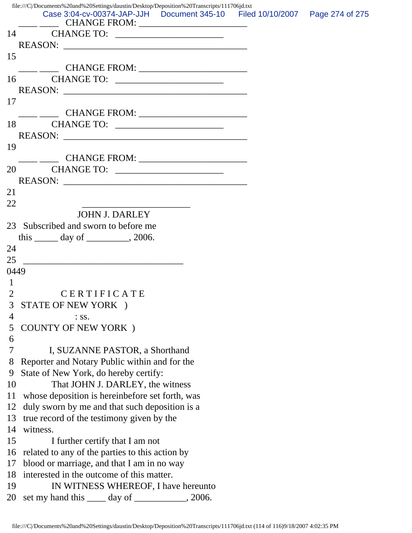|                | file:///C /Documents%20and%20Settings/daustin/Desktop/Deposition%20Transcripts/111706jd.txt<br>Case 3:04-cv-00374-JAP-JJH  Document 345-10  Filed 10/10/2007  Page 274 of 275 |  |
|----------------|-------------------------------------------------------------------------------------------------------------------------------------------------------------------------------|--|
|                |                                                                                                                                                                               |  |
|                |                                                                                                                                                                               |  |
|                |                                                                                                                                                                               |  |
| 15             |                                                                                                                                                                               |  |
|                |                                                                                                                                                                               |  |
| 16             |                                                                                                                                                                               |  |
|                | REASON:                                                                                                                                                                       |  |
| 17             |                                                                                                                                                                               |  |
|                |                                                                                                                                                                               |  |
|                |                                                                                                                                                                               |  |
|                | REASON:                                                                                                                                                                       |  |
| 19             |                                                                                                                                                                               |  |
|                |                                                                                                                                                                               |  |
| 20             |                                                                                                                                                                               |  |
|                | REASON:                                                                                                                                                                       |  |
| 21             |                                                                                                                                                                               |  |
| 22             |                                                                                                                                                                               |  |
|                | <b>JOHN J. DARLEY</b>                                                                                                                                                         |  |
| 23             | Subscribed and sworn to before me                                                                                                                                             |  |
|                | this $\_\_\_\_$ day of $\_\_\_\_\_$ , 2006.                                                                                                                                   |  |
| 24             |                                                                                                                                                                               |  |
| 25             |                                                                                                                                                                               |  |
| 0449           |                                                                                                                                                                               |  |
| $\mathbf{1}$   |                                                                                                                                                                               |  |
| $\overline{2}$ | CERTIFICATE                                                                                                                                                                   |  |
| 3 <sup>7</sup> | STATE OF NEW YORK )                                                                                                                                                           |  |
| 4              | $:$ SS.                                                                                                                                                                       |  |
| 5              | <b>COUNTY OF NEW YORK</b> )                                                                                                                                                   |  |
| 6              |                                                                                                                                                                               |  |
| 7              | I, SUZANNE PASTOR, a Shorthand                                                                                                                                                |  |
| 8              | Reporter and Notary Public within and for the                                                                                                                                 |  |
| 9              | State of New York, do hereby certify:                                                                                                                                         |  |
| 10             | That JOHN J. DARLEY, the witness                                                                                                                                              |  |
| 11             | whose deposition is hereinbefore set forth, was                                                                                                                               |  |
| 12             | duly sworn by me and that such deposition is a                                                                                                                                |  |
| 13             | true record of the testimony given by the                                                                                                                                     |  |
| 14             | witness.                                                                                                                                                                      |  |
| 15             | I further certify that I am not                                                                                                                                               |  |
| 16             | related to any of the parties to this action by                                                                                                                               |  |
| 17             | blood or marriage, and that I am in no way                                                                                                                                    |  |
| 18             | interested in the outcome of this matter.                                                                                                                                     |  |
|                |                                                                                                                                                                               |  |
| 19             | IN WITNESS WHEREOF, I have hereunto                                                                                                                                           |  |
| 20             | set my hand this <u>equal</u> day of <u>equal that</u> , 2006.                                                                                                                |  |